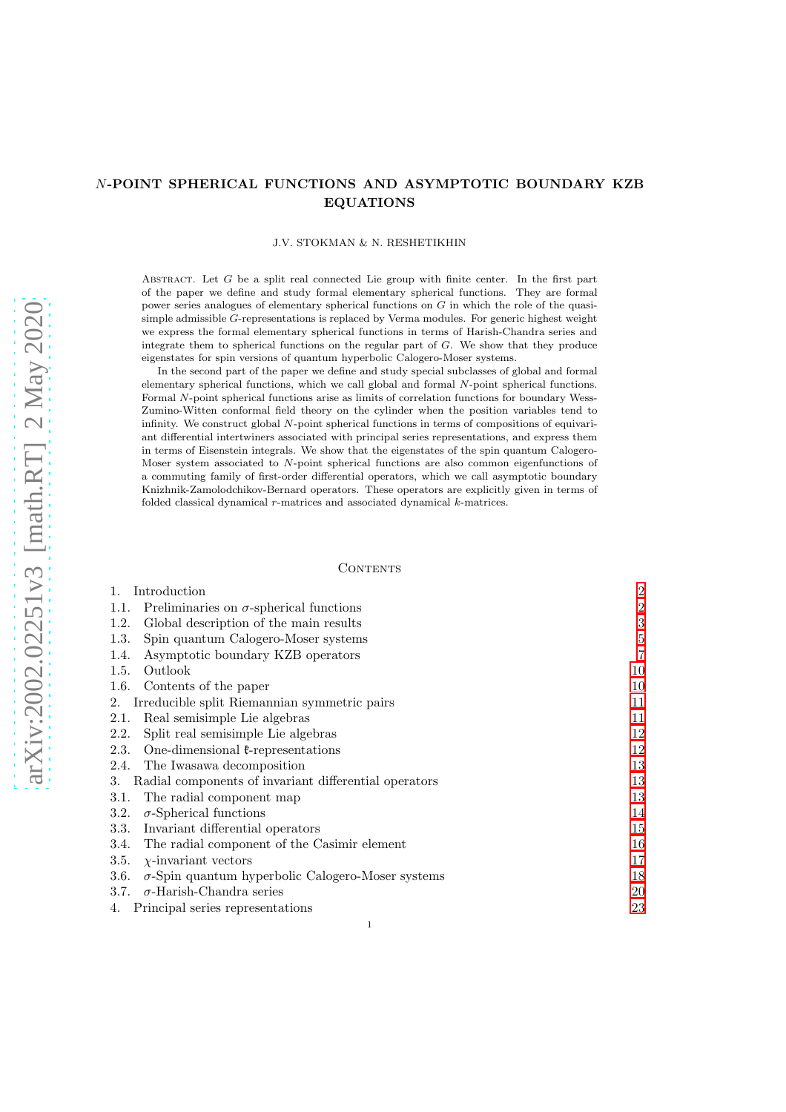# N-POINT SPHERICAL FUNCTIONS AND ASYMPTOTIC BOUNDARY KZB EQUATIONS

#### J.V. STOKMAN & N. RESHETIKHIN

ABSTRACT. Let  $G$  be a split real connected Lie group with finite center. In the first part of the paper we define and study formal elementary spherical functions. They are formal power series analogues of elementary spherical functions on G in which the role of the quasisimple admissible G-representations is replaced by Verma modules. For generic highest weight we express the formal elementary spherical functions in terms of Harish-Chandra series and integrate them to spherical functions on the regular part of  $G$ . We show that they produce eigenstates for spin versions of quantum hyperbolic Calogero-Moser systems.

In the second part of the paper we define and study special subclasses of global and formal elementary spherical functions, which we call global and formal N-point spherical functions. Formal N-point spherical functions arise as limits of correlation functions for boundary Wess-Zumino-Witten conformal field theory on the cylinder when the position variables tend to infinity. We construct global N-point spherical functions in terms of compositions of equivariant differential intertwiners associated with principal series representations, and express them in terms of Eisenstein integrals. We show that the eigenstates of the spin quantum Calogero-Moser system associated to N-point spherical functions are also common eigenfunctions of a commuting family of first-order differential operators, which we call asymptotic boundary Knizhnik-Zamolodchikov-Bernard operators. These operators are explicitly given in terms of folded classical dynamical r-matrices and associated dynamical k-matrices.

#### **CONTENTS**

| 1.<br>Introduction                                               | $\overline{2}$ |
|------------------------------------------------------------------|----------------|
| Preliminaries on $\sigma$ -spherical functions<br>1.1.           | $\overline{2}$ |
| Global description of the main results<br>1.2.                   | 3              |
| Spin quantum Calogero-Moser systems<br>1.3.                      | 5              |
| Asymptotic boundary KZB operators<br>1.4.                        | $\overline{7}$ |
| Outlook<br>1.5.                                                  | 10             |
| Contents of the paper<br>1.6.                                    | 10             |
| Irreducible split Riemannian symmetric pairs<br>2.               | 11             |
| Real semisimple Lie algebras<br>2.1.                             | 11             |
| Split real semisimple Lie algebras<br>2.2.                       | 12             |
| One-dimensional $\ell$ -representations<br>2.3.                  | 12             |
| 2.4. The Iwasawa decomposition                                   | 13             |
| Radial components of invariant differential operators<br>3.      | 13             |
| The radial component map<br>3.1.                                 | 13             |
| $\sigma$ -Spherical functions<br>3.2.                            | 14             |
| Invariant differential operators<br>3.3.                         | 15             |
| The radial component of the Casimir element<br>3.4.              | 16             |
| $\chi$ -invariant vectors<br>3.5.                                | 17             |
| $\sigma$ -Spin quantum hyperbolic Calogero-Moser systems<br>3.6. | 18             |
| $\sigma$ -Harish-Chandra series<br>3.7.                          | 20             |
| 4. Principal series representations                              | 23             |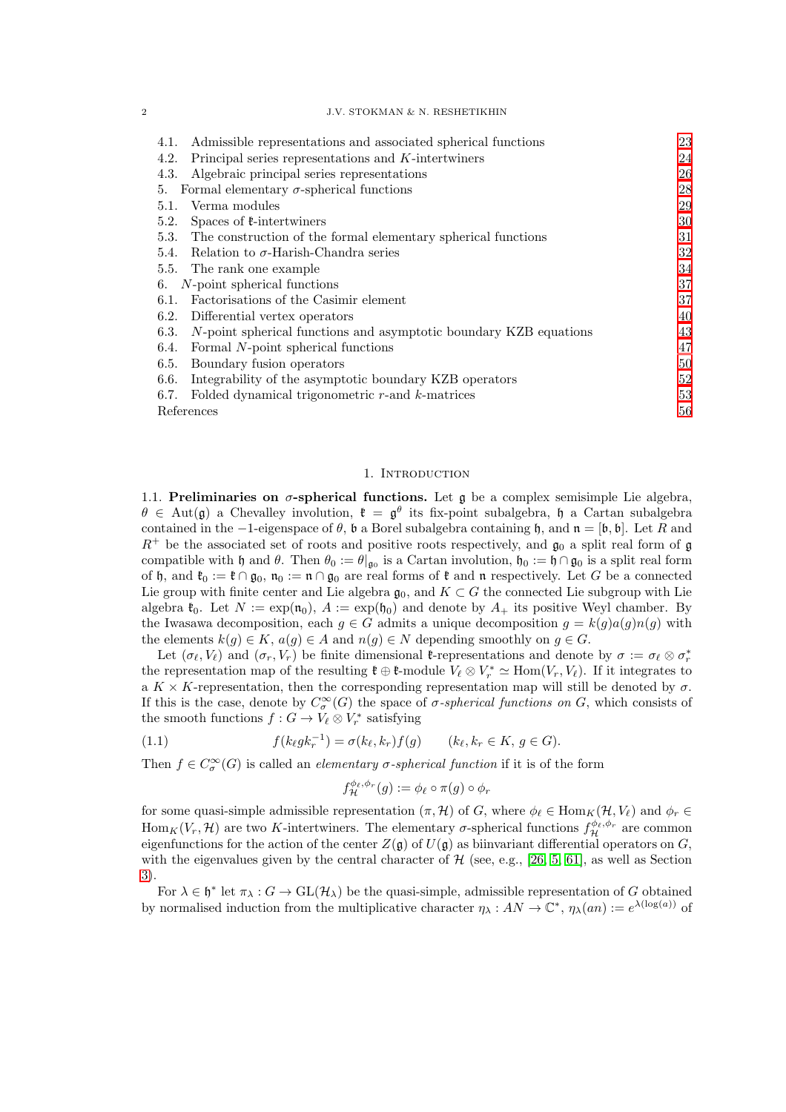#### 2 J.V. STOKMAN & N. RESHETIKHIN

| Admissible representations and associated spherical functions<br>4.1.     | 23 |
|---------------------------------------------------------------------------|----|
| Principal series representations and $K$ -intertwiners<br>4.2.            | 24 |
| Algebraic principal series representations<br>4.3.                        | 26 |
| Formal elementary $\sigma$ -spherical functions<br>5.                     | 28 |
| Verma modules<br>5.1.                                                     | 29 |
| Spaces of $\ell$ -intertwiners<br>5.2.                                    | 30 |
| The construction of the formal elementary spherical functions<br>5.3.     | 31 |
| Relation to $\sigma$ -Harish-Chandra series<br>5.4.                       | 32 |
| The rank one example<br>5.5.                                              | 34 |
| N-point spherical functions<br>6.                                         | 37 |
| Factorizations of the Casimir element<br>6.1.                             | 37 |
| 6.2.<br>Differential vertex operators                                     | 40 |
| N-point spherical functions and asymptotic boundary KZB equations<br>6.3. | 43 |
| Formal N-point spherical functions<br>6.4.                                | 47 |
| 6.5.<br>Boundary fusion operators                                         | 50 |
| Integrability of the asymptotic boundary KZB operators<br>6.6.            | 52 |
| Folded dynamical trigonometric $r$ -and $k$ -matrices<br>6.7.             | 53 |
| References                                                                | 56 |
|                                                                           |    |

#### 1. Introduction

<span id="page-1-1"></span><span id="page-1-0"></span>1.1. Preliminaries on  $\sigma$ -spherical functions. Let g be a complex semisimple Lie algebra,  $\theta \in Aut(\mathfrak{g})$  a Chevalley involution,  $\mathfrak{k} = \mathfrak{g}^{\theta}$  its fix-point subalgebra,  $\mathfrak{h}$  a Cartan subalgebra contained in the  $-1$ -eigenspace of  $\theta$ ,  $\mathfrak b$  a Borel subalgebra containing  $\mathfrak h$ , and  $\mathfrak n = [\mathfrak b, \mathfrak b]$ . Let R and  $R^+$  be the associated set of roots and positive roots respectively, and  $\mathfrak{g}_0$  a split real form of g compatible with h and  $\theta$ . Then  $\theta_0 := \theta|_{\mathfrak{g}_0}$  is a Cartan involution,  $\mathfrak{h}_0 := \mathfrak{h} \cap \mathfrak{g}_0$  is a split real form of h, and  $\mathfrak{k}_0 := \mathfrak{k} \cap \mathfrak{g}_0$ ,  $\mathfrak{n}_0 := \mathfrak{n} \cap \mathfrak{g}_0$  are real forms of  $\mathfrak{k}$  and  $\mathfrak{n}$  respectively. Let G be a connected Lie group with finite center and Lie algebra  $\mathfrak{g}_0$ , and  $K \subset G$  the connected Lie subgroup with Lie algebra  $\mathfrak{k}_0$ . Let  $N := \exp(\mathfrak{n}_0)$ ,  $A := \exp(\mathfrak{h}_0)$  and denote by  $A_+$  its positive Weyl chamber. By the Iwasawa decomposition, each  $g \in G$  admits a unique decomposition  $g = k(g)a(g)n(g)$  with the elements  $k(g) \in K$ ,  $a(g) \in A$  and  $n(g) \in N$  depending smoothly on  $g \in G$ .

Let  $(\sigma_\ell, V_\ell)$  and  $(\sigma_r, V_r)$  be finite dimensional **t**-representations and denote by  $\sigma := \sigma_\ell \otimes \sigma_r^*$ the representation map of the resulting  $\mathfrak{k} \oplus \mathfrak{k}$ -module  $V_{\ell} \otimes V_r^* \simeq \text{Hom}(V_r, V_{\ell})$ . If it integrates to a  $K \times K$ -representation, then the corresponding representation map will still be denoted by  $\sigma$ . If this is the case, denote by  $C^{\infty}_{\sigma}(G)$  the space of  $\sigma$ -spherical functions on G, which consists of the smooth functions  $f: G \to V_{\ell} \otimes V_r^*$  satisfying

(1.1) 
$$
f(k_{\ell}gk_{r}^{-1}) = \sigma(k_{\ell},k_{r})f(g) \qquad (k_{\ell},k_{r} \in K, g \in G).
$$

Then  $f \in C^{\infty}_{\sigma}(G)$  is called an *elementary*  $\sigma$ -*spherical function* if it is of the form

$$
f_{\mathcal{H}}^{\phi_{\ell},\phi_{r}}(g) := \phi_{\ell} \circ \pi(g) \circ \phi_{r}
$$

for some quasi-simple admissible representation  $(\pi, \mathcal{H})$  of G, where  $\phi_{\ell} \in \text{Hom}_K(\mathcal{H}, V_{\ell})$  and  $\phi_r \in$ Hom<sub>K</sub> $(V_r, \mathcal{H})$  are two K-intertwiners. The elementary  $\sigma$ -spherical functions  $f_{\mathcal{H}}^{\phi_{\ell}, \phi_r}$  are common eigenfunctions for the action of the center  $Z(\mathfrak{g})$  of  $U(\mathfrak{g})$  as biinvariant differential operators on  $G$ , with the eigenvalues given by the central character of  $H$  (see, e.g., [\[26,](#page-55-1) [5,](#page-55-2) [61\]](#page-57-0), as well as Section [3\)](#page-12-1).

For  $\lambda \in \mathfrak{h}^*$  let  $\pi_\lambda : G \to GL(\mathcal{H}_\lambda)$  be the quasi-simple, admissible representation of G obtained by normalised induction from the multiplicative character  $\eta_{\lambda}: AN \to \mathbb{C}^*, \eta_{\lambda}(an) := e^{\lambda(\log(a))}$  of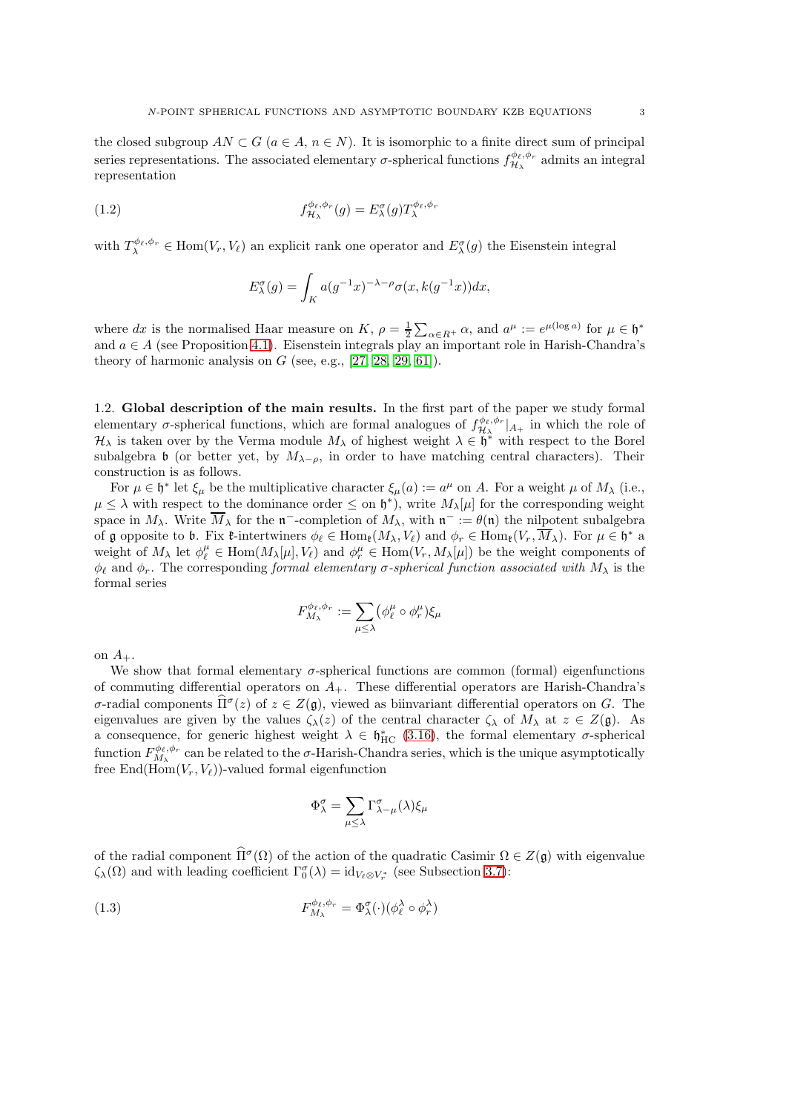the closed subgroup  $AN \subset G$  ( $a \in A$ ,  $n \in N$ ). It is isomorphic to a finite direct sum of principal series representations. The associated elementary  $\sigma$ -spherical functions  $f_{\mathcal{H}}^{\phi_{\ell},\phi_{r}}$  $\mathcal{H}_{\lambda}^{\varphi_{\ell},\varphi_{r}}$  admits an integral representation

(1.2) 
$$
f_{\mathcal{H}_{\lambda}}^{\phi_{\ell},\phi_{r}}(g) = E_{\lambda}^{\sigma}(g) T_{\lambda}^{\phi_{\ell},\phi_{r}}
$$

with  $T_{\lambda}^{\phi_{\ell},\phi_{r}} \in \text{Hom}(V_{r},V_{\ell})$  an explicit rank one operator and  $E_{\lambda}^{\sigma}(g)$  the Eisenstein integral

$$
E_{\lambda}^{\sigma}(g) = \int_{K} a(g^{-1}x)^{-\lambda-\rho} \sigma(x, k(g^{-1}x))dx,
$$

where dx is the normalised Haar measure on K,  $\rho = \frac{1}{2} \sum_{\alpha \in R^+} \alpha$ , and  $a^{\mu} := e^{\mu(\log a)}$  for  $\mu \in \mathfrak{h}^*$ and  $a \in A$  (see Proposition [4.1\)](#page-23-1). Eisenstein integrals play an important role in Harish-Chandra's theory of harmonic analysis on  $G$  (see, e.g.,  $[27, 28, 29, 61]$  $[27, 28, 29, 61]$  $[27, 28, 29, 61]$  $[27, 28, 29, 61]$ ).

<span id="page-2-0"></span>1.2. Global description of the main results. In the first part of the paper we study formal elementary  $\sigma$ -spherical functions, which are formal analogues of  $f_{\mathcal{H}_{\lambda}}^{\phi_{\ell},\phi_{r}}|_{A_{+}}$  in which the role of  $\mathcal{H}_{\lambda}$  is taken over by the Verma module  $M_{\lambda}$  of highest weight  $\lambda \in \mathfrak{h}^*$  with respect to the Borel subalgebra b (or better yet, by  $M_{\lambda-\rho}$ , in order to have matching central characters). Their construction is as follows.

For  $\mu \in \mathfrak{h}^*$  let  $\xi_\mu$  be the multiplicative character  $\xi_\mu(a) := a^\mu$  on A. For a weight  $\mu$  of  $M_\lambda$  (i.e.,  $\mu \leq \lambda$  with respect to the dominance order  $\leq$  on  $\mathfrak{h}^*$ ), write  $M_{\lambda}[\mu]$  for the corresponding weight space in  $M_{\lambda}$ . Write  $M_{\lambda}$  for the  $\mathfrak{n}^-$ -completion of  $M_{\lambda}$ , with  $\mathfrak{n}^- := \theta(\mathfrak{n})$  the nilpotent subalgebra of g opposite to b. Fix  $\mathfrak{k}$ -intertwiners  $\phi_{\ell} \in \text{Hom}_{\mathfrak{k}}(M_{\lambda}, V_{\ell})$  and  $\phi_r \in \text{Hom}_{\mathfrak{k}}(V_r, M_{\lambda})$ . For  $\mu \in \mathfrak{h}^*$  a weight of  $M_\lambda$  let  $\phi_\ell^\mu \in \text{Hom}(M_\lambda[\mu], V_\ell)$  and  $\phi_r^\mu \in \text{Hom}(V_r, M_\lambda[\mu])$  be the weight components of  $\phi_{\ell}$  and  $\phi_{r}$ . The corresponding formal elementary  $\sigma$ -spherical function associated with  $M_{\lambda}$  is the formal series

$$
F_{M_{\lambda}}^{\phi_{\ell},\phi_{r}} := \sum_{\mu \leq \lambda} (\phi_{\ell}^{\mu} \circ \phi_{r}^{\mu}) \xi_{\mu}
$$

on  $A_+$ .

We show that formal elementary  $\sigma$ -spherical functions are common (formal) eigenfunctions of commuting differential operators on  $A_{+}$ . These differential operators are Harish-Chandra's σ-radial components  $\hat{\Pi}^{\sigma}(z)$  of  $z \in Z(\mathfrak{g})$ , viewed as biinvariant differential operators on G. The eigenvalues are given by the values  $\zeta_\lambda(z)$  of the central character  $\zeta_\lambda$  of  $M_\lambda$  at  $z \in Z(\mathfrak{g})$ . As a consequence, for generic highest weight  $\lambda \in \mathfrak{h}^*_{HC}$  [\(3.16\)](#page-19-1), the formal elementary  $\sigma$ -spherical function  $F_{M_{\lambda}}^{\phi_{\ell},\phi_r}$  can be related to the  $\sigma$ -Harish-Chandra series, which is the unique asymptotically free End( $\text{Hom}(V_r, V_\ell)$ )-valued formal eigenfunction

<span id="page-2-1"></span>
$$
\Phi_\lambda^\sigma = \sum_{\mu \leq \lambda} \Gamma_{\lambda - \mu}^\sigma(\lambda) \xi_\mu
$$

of the radial component  $\hat{\Pi}^{\sigma}(\Omega)$  of the action of the quadratic Casimir  $\Omega \in Z(\mathfrak{g})$  with eigenvalue  $\zeta_{\lambda}(\Omega)$  and with leading coefficient  $\Gamma_0^{\sigma}(\lambda) = id_{V_{\ell} \otimes V_r^*}$  (see Subsection [3.7\)](#page-19-0):

(1.3) 
$$
F_{M_{\lambda}}^{\phi_{\ell},\phi_{r}} = \Phi_{\lambda}^{\sigma}(\cdot)(\phi_{\ell}^{\lambda} \circ \phi_{r}^{\lambda})
$$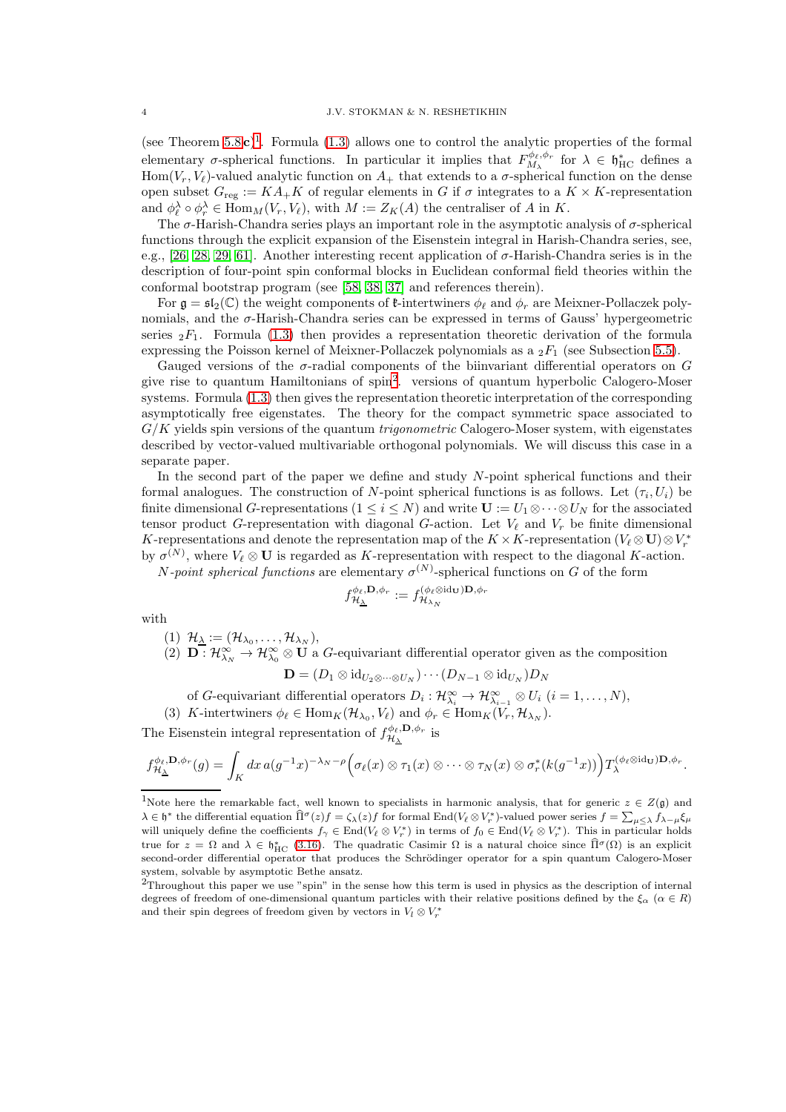(see Theorem  $5.8c$ )<sup>[1](#page-3-0)</sup>. Formula [\(1.3\)](#page-2-1) allows one to control the analytic properties of the formal elementary  $\sigma$ -spherical functions. In particular it implies that  $F_{M_{\lambda}}^{\phi_{\ell},\phi_{r}}$  for  $\lambda \in \mathfrak{h}_{HC}^{*}$  defines a Hom(V<sub>r</sub>, V<sub>l</sub>)-valued analytic function on  $A_+$  that extends to a  $\sigma$ -spherical function on the dense open subset  $G_{\text{reg}} := KA_+K$  of regular elements in G if  $\sigma$  integrates to a  $K \times K$ -representation and  $\phi_{\ell}^{\lambda} \circ \phi_{r}^{\lambda} \in \text{Hom}_{M}(V_{r}, V_{\ell}),$  with  $M := Z_{K}(A)$  the centraliser of A in K.

The  $\sigma$ -Harish-Chandra series plays an important role in the asymptotic analysis of  $\sigma$ -spherical functions through the explicit expansion of the Eisenstein integral in Harish-Chandra series, see, e.g., [\[26,](#page-55-1) [28,](#page-56-1) [29,](#page-56-2) [61\]](#page-57-0). Another interesting recent application of  $\sigma$ -Harish-Chandra series is in the description of four-point spin conformal blocks in Euclidean conformal field theories within the conformal bootstrap program (see [\[58,](#page-57-1) [38,](#page-56-3) [37\]](#page-56-4) and references therein).

For  $\mathfrak{g} = \mathfrak{sl}_2(\mathbb{C})$  the weight components of  $\mathfrak{k}$ -intertwiners  $\phi_\ell$  and  $\phi_r$  are Meixner-Pollaczek polynomials, and the  $\sigma$ -Harish-Chandra series can be expressed in terms of Gauss' hypergeometric series  ${}_2F_1$ . Formula [\(1.3\)](#page-2-1) then provides a representation theoretic derivation of the formula expressing the Poisson kernel of Meixner-Pollaczek polynomials as a  $_2F_1$  (see Subsection [5.5\)](#page-33-0).

Gauged versions of the  $\sigma$ -radial components of the biinvariant differential operators on G give rise to quantum Hamiltonians of spin[2](#page-3-1) . versions of quantum hyperbolic Calogero-Moser systems. Formula [\(1.3\)](#page-2-1) then gives the representation theoretic interpretation of the corresponding asymptotically free eigenstates. The theory for the compact symmetric space associated to  $G/K$  yields spin versions of the quantum *trigonometric* Calogero-Moser system, with eigenstates described by vector-valued multivariable orthogonal polynomials. We will discuss this case in a separate paper.

In the second part of the paper we define and study N-point spherical functions and their formal analogues. The construction of N-point spherical functions is as follows. Let  $(\tau_i, U_i)$  be finite dimensional G-representations  $(1 \leq i \leq N)$  and write  $\mathbf{U} := U_1 \otimes \cdots \otimes U_N$  for the associated tensor product G-representation with diagonal G-action. Let  $V_{\ell}$  and  $V_r$  be finite dimensional K-representations and denote the representation map of the  $K \times K$ -representation  $(V_\ell \otimes \mathbf{U}) \otimes V_r^*$ by  $\sigma^{(N)}$ , where  $V_{\ell} \otimes U$  is regarded as K-representation with respect to the diagonal K-action.

*N*-point spherical functions are elementary  $\sigma^{(N)}$ -spherical functions on G of the form

$$
f_{\mathcal{H}_{\underline{\lambda}}}^{\phi_{\ell},\mathbf{D},\phi_{r}}:=f_{\mathcal{H}_{\lambda_{N}}}^{(\phi_{\ell}\otimes\mathrm{id}_{\mathbf{U}})\mathbf{D},\phi_{r}}
$$

with

$$
(1) \ \mathcal{H}_{\underline{\lambda}} := (\mathcal{H}_{\lambda_0}, \ldots, \mathcal{H}_{\lambda_N}),
$$

(2)  $\mathbf{D}: \mathcal{H}_{\lambda_N}^{\infty} \to \mathcal{H}_{\lambda_0}^{\infty} \otimes \mathbf{U}$  a G-equivariant differential operator given as the composition

$$
\mathbf{D}=(D_1\otimes \mathrm{id}_{U_2\otimes\cdots\otimes U_N})\cdots (D_{N-1}\otimes \mathrm{id}_{U_N})D_N
$$

- of G-equivariant differential operators  $D_i: \mathcal{H}_{\lambda_i}^{\infty} \to \mathcal{H}_{\lambda_{i-1}}^{\infty} \otimes U_i$   $(i = 1, ..., N)$ ,
- (3) K-intertwiners  $\phi_{\ell} \in \text{Hom}_K(\mathcal{H}_{\lambda_0}, V_{\ell})$  and  $\phi_r \in \text{Hom}_K(V_r, \mathcal{H}_{\lambda_N})$ .

The Eisenstein integral representation of  $f_{\mathcal{H}_{\lambda}}^{\phi_{\ell},\mathbf{D},\phi_{r}}$  $\frac{\partial \varphi_{\ell}, \mathbf{D}, \varphi_{r}}{\partial \mathcal{H}_{\underline{\lambda}}}$  is

$$
f_{\mathcal{H}_{\underline{\lambda}}}^{\phi_{\ell},\mathbf{D},\phi_{r}}(g) = \int_{K} dx \, a(g^{-1}x)^{-\lambda_{N}-\rho} \Big( \sigma_{\ell}(x) \otimes \tau_{1}(x) \otimes \cdots \otimes \tau_{N}(x) \otimes \sigma_{r}^{*}(k(g^{-1}x)) \Big) T_{\lambda}^{(\phi_{\ell} \otimes id_{\mathbf{U}})\mathbf{D},\phi_{r}}.
$$

<span id="page-3-0"></span><sup>&</sup>lt;sup>1</sup>Note here the remarkable fact, well known to specialists in harmonic analysis, that for generic  $z \in Z(\mathfrak{g})$  and  $\lambda \in \mathfrak{h}^*$  the differential equation  $\widehat{\Pi}^{\sigma}(z)f = \zeta_{\lambda}(z)f$  for formal End $(V_{\ell} \otimes V_r^*)$ -valued power series  $f = \sum_{\mu \leq \lambda} \widehat{f}_{\lambda-\mu} \xi_{\mu}$ will uniquely define the coefficients  $f_{\gamma} \in \text{End}(V_{\ell} \otimes V_r^*)$  in terms of  $f_0 \in \text{End}(V_{\ell} \otimes V_r^*)$ . This in particular holds true for  $z = \Omega$  and  $\lambda \in \mathfrak{h}_{HC}^*$  [\(3.16\)](#page-19-1). The quadratic Casimir  $\Omega$  is a natural choice since  $\widehat{\Pi}^{\sigma}(\Omega)$  is an explicit second-order differential operator that produces the Schrödinger operator for a spin quantum Calogero-Moser system, solvable by asymptotic Bethe ansatz.

<span id="page-3-1"></span> $2$ Throughout this paper we use "spin" in the sense how this term is used in physics as the description of internal degrees of freedom of one-dimensional quantum particles with their relative positions defined by the  $\xi_{\alpha}$  ( $\alpha \in R$ ) and their spin degrees of freedom given by vectors in  $V_l\otimes V_r^*$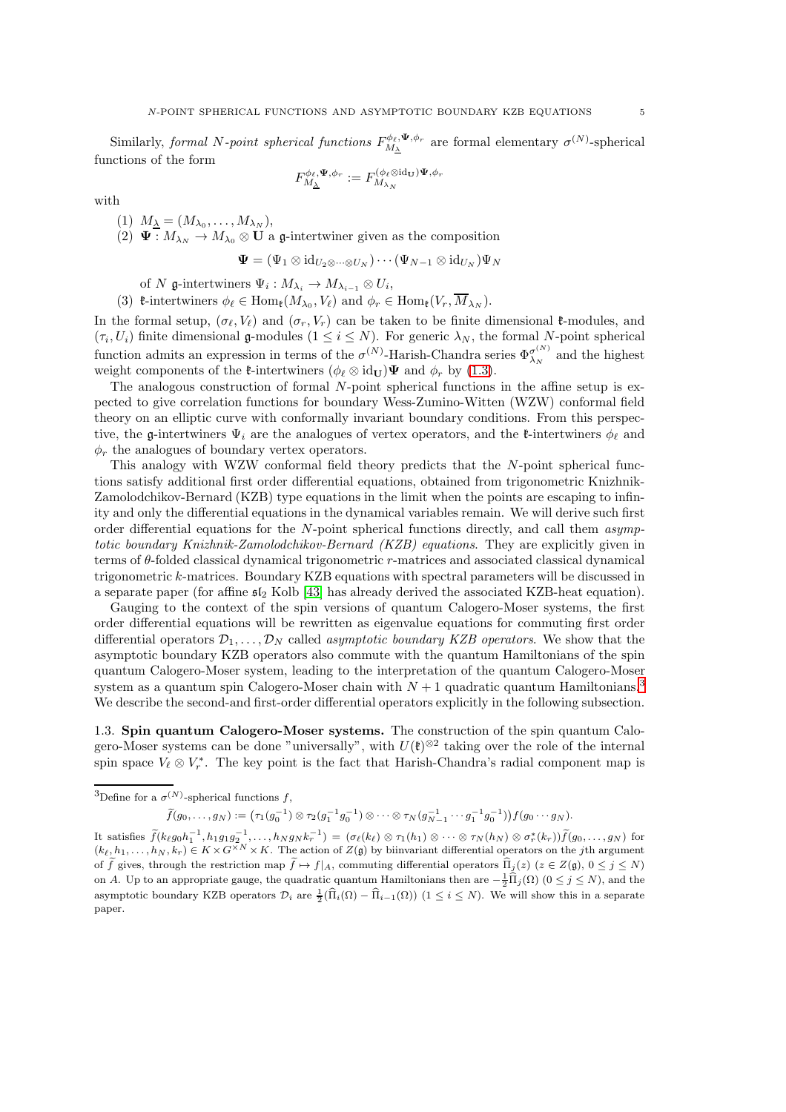Similarly, formal N-point spherical functions  $F_{M_{\Delta}}^{\phi_{\ell}, \Psi, \phi_r}$  are formal elementary  $\sigma^{(N)}$ -spherical functions of the form

$$
F_{M_{\underline{\lambda}}}^{\phi_{\ell},\Psi,\phi_{r}}:=F_{M_{\lambda_{N}}}^{(\phi_{\ell}\otimes\mathrm{id}_{\mathbf{U}})\Psi,\phi_{r}}
$$

with

$$
(1) M_{\underline{\lambda}} = (M_{\lambda_0}, \dots, M_{\lambda_N}),
$$

(2)  $\Psi : M_{\lambda_N} \to M_{\lambda_0} \otimes U$  a g-intertwiner given as the composition

$$
\boldsymbol{\Psi}=(\Psi_1\otimes\operatorname{id}_{U_2\otimes\cdots\otimes U_N})\cdots(\Psi_{N-1}\otimes\operatorname{id}_{U_N})\Psi_N
$$

of N g-intertwiners  $\Psi_i: M_{\lambda_i} \to M_{\lambda_{i-1}} \otimes U_i$ ,

(3) **t**-intertwiners  $\phi_{\ell} \in \text{Hom}_{\ell}(M_{\lambda_0}, V_{\ell})$  and  $\phi_r \in \text{Hom}_{\ell}(V_r, M_{\lambda_N}).$ 

In the formal setup,  $(\sigma_{\ell}, V_{\ell})$  and  $(\sigma_r, V_r)$  can be taken to be finite dimensional  $\ell$ -modules, and  $(\tau_i, U_i)$  finite dimensional g-modules  $(1 \leq i \leq N)$ . For generic  $\lambda_N$ , the formal N-point spherical function admits an expression in terms of the  $\sigma^{(N)}$ -Harish-Chandra series  $\Phi_{\lambda_N}^{\sigma^{(N)}}$  $\frac{\sigma^{(1)}}{\lambda_N}$  and the highest weight components of the **t**-intertwiners  $(\phi_{\ell} \otimes id_{\mathbf{U}}) \mathbf{\Psi}$  and  $\phi_{r}$  by [\(1.3\)](#page-2-1).

The analogous construction of formal N-point spherical functions in the affine setup is expected to give correlation functions for boundary Wess-Zumino-Witten (WZW) conformal field theory on an elliptic curve with conformally invariant boundary conditions. From this perspective, the g-intertwiners  $\Psi_i$  are the analogues of vertex operators, and the *t*-intertwiners  $\phi_\ell$  and  $\phi_r$  the analogues of boundary vertex operators.

This analogy with WZW conformal field theory predicts that the N-point spherical functions satisfy additional first order differential equations, obtained from trigonometric Knizhnik-Zamolodchikov-Bernard (KZB) type equations in the limit when the points are escaping to infinity and only the differential equations in the dynamical variables remain. We will derive such first order differential equations for the  $N$ -point spherical functions directly, and call them asymptotic boundary Knizhnik-Zamolodchikov-Bernard (KZB) equations. They are explicitly given in terms of θ-folded classical dynamical trigonometric r-matrices and associated classical dynamical trigonometric k-matrices. Boundary KZB equations with spectral parameters will be discussed in a separate paper (for affine  $\mathfrak{sl}_2$  Kolb [\[43\]](#page-56-5) has already derived the associated KZB-heat equation).

Gauging to the context of the spin versions of quantum Calogero-Moser systems, the first order differential equations will be rewritten as eigenvalue equations for commuting first order differential operators  $\mathcal{D}_1, \ldots, \mathcal{D}_N$  called *asymptotic boundary KZB operators*. We show that the asymptotic boundary KZB operators also commute with the quantum Hamiltonians of the spin quantum Calogero-Moser system, leading to the interpretation of the quantum Calogero-Moser system as a quantum spin Calogero-Moser chain with  $N+1$  quadratic quantum Hamiltonians.<sup>[3](#page-4-1)</sup> We describe the second-and first-order differential operators explicitly in the following subsection.

<span id="page-4-0"></span>1.3. Spin quantum Calogero-Moser systems. The construction of the spin quantum Calogero-Moser systems can be done "universally", with  $U(\mathfrak{k})^{\otimes 2}$  taking over the role of the internal spin space  $V_{\ell} \otimes V_r^*$ . The key point is the fact that Harish-Chandra's radial component map is

<span id="page-4-1"></span><sup>3</sup>Define for a 
$$
\sigma
$$
<sup>(N)</sup>-spherical functions  $f$ ,

$$
\widetilde{f}(g_0,\ldots,g_N):=\big(\tau_1(g_0^{-1})\otimes \tau_2(g_1^{-1}g_0^{-1})\otimes \cdots \otimes \tau_N(g_{N-1}^{-1}\cdots g_1^{-1}g_0^{-1})\big) f(g_0\cdots g_N).
$$

It satisfies  $\widetilde{f}(k_\ell g_0 h_1^{-1}, h_1 g_1 g_2^{-1}, \ldots, h_N g_N k_r^{-1}) = (\sigma_\ell(k_\ell) \otimes \tau_1(h_1) \otimes \cdots \otimes \tau_N(h_N) \otimes \sigma_r^*(k_r)) \widetilde{f}(g_0, \ldots, g_N)$  for  $(k_{\ell}, h_1, \ldots, h_N, k_r) \in K \times G^{\times N} \times K$ . The action of  $Z(\mathfrak{g})$  by biinvariant differential operators on the jth argument of  $\tilde{f}$  gives, through the restriction map  $\tilde{f} \mapsto f|_A$ , commuting differential operators  $\hat{\Pi}_j(z)$  ( $z \in Z(\mathfrak{g})$ ,  $0 \leq j \leq N$ ) on A. Up to an appropriate gauge, the quadratic quantum Hamiltonians then are  $-\frac{1}{2}\widehat{\Pi}_j(\Omega)$  ( $0 \le j \le N$ ), and the asymptotic boundary KZB operators  $\mathcal{D}_i$  are  $\frac{1}{2}(\hat{\Pi}_i(\Omega) - \hat{\Pi}_{i-1}(\Omega))$   $(1 \leq i \leq N)$ . We will show this in a separate paper.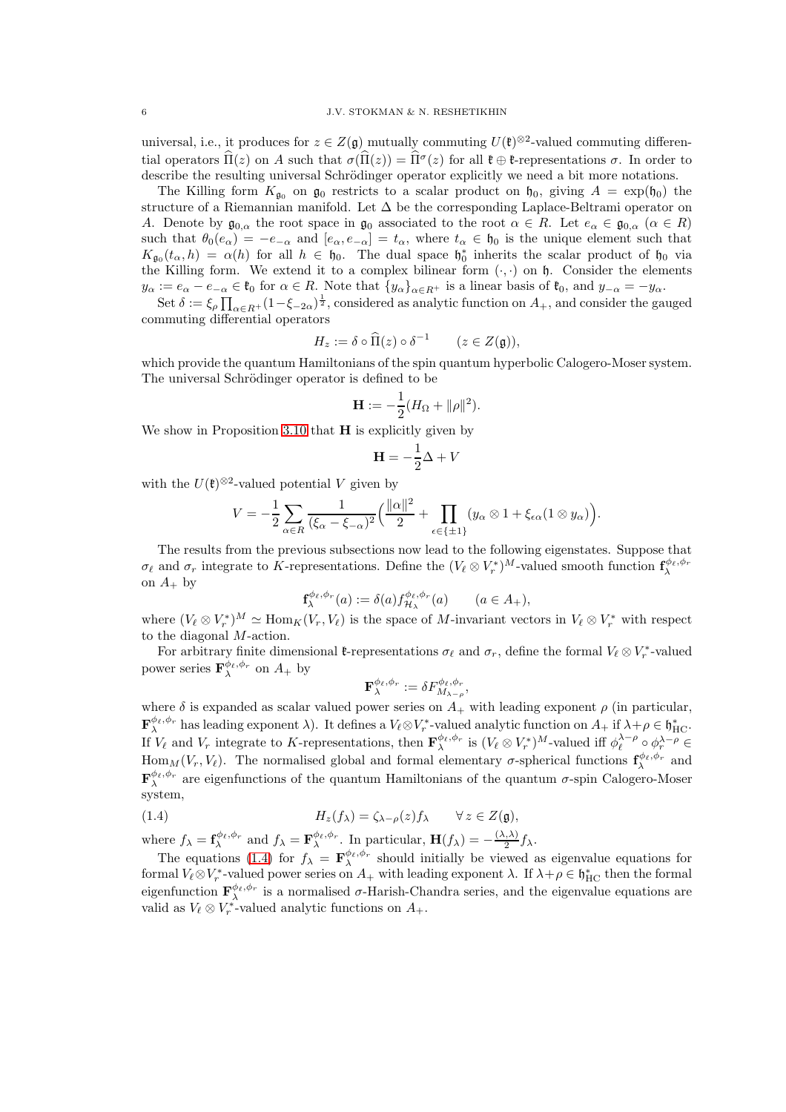universal, i.e., it produces for  $z \in Z(\mathfrak{g})$  mutually commuting  $U(\mathfrak{k})^{\otimes 2}$ -valued commuting differential operators  $\Pi(z)$  on A such that  $\sigma(\Pi(z)) = \Pi^{\sigma}(z)$  for all  $\mathfrak{k} \oplus \mathfrak{k}$ -representations  $\sigma$ . In order to describe the resulting universal Schrödinger operator explicitly we need a bit more notations.

The Killing form  $K_{\mathfrak{q}_0}$  on  $\mathfrak{g}_0$  restricts to a scalar product on  $\mathfrak{h}_0$ , giving  $A = \exp(\mathfrak{h}_0)$  the structure of a Riemannian manifold. Let  $\Delta$  be the corresponding Laplace-Beltrami operator on A. Denote by  $\mathfrak{g}_{0,\alpha}$  the root space in  $\mathfrak{g}_0$  associated to the root  $\alpha \in R$ . Let  $e_\alpha \in \mathfrak{g}_{0,\alpha}$   $(\alpha \in R)$ such that  $\theta_0(e_\alpha) = -e_{-\alpha}$  and  $[e_\alpha, e_{-\alpha}] = t_\alpha$ , where  $t_\alpha \in \mathfrak{h}_0$  is the unique element such that  $K_{\mathfrak{g}_0}(t_\alpha, h) = \alpha(h)$  for all  $h \in \mathfrak{h}_0$ . The dual space  $\mathfrak{h}_0^*$  inherits the scalar product of  $\mathfrak{h}_0$  via the Killing form. We extend it to a complex bilinear form  $(\cdot, \cdot)$  on  $\mathfrak{h}$ . Consider the elements  $y_{\alpha} := e_{\alpha} - e_{-\alpha} \in \mathfrak{k}_0$  for  $\alpha \in R$ . Note that  $\{y_{\alpha}\}_{{\alpha} \in R^+}$  is a linear basis of  $\mathfrak{k}_0$ , and  $y_{-\alpha} = -y_{\alpha}$ .

Set  $\delta := \xi_{\rho} \prod_{\alpha \in R^+} (1 - \xi_{-2\alpha})^{\frac{1}{2}}$ , considered as analytic function on  $A_+$ , and consider the gauged commuting differential operators

$$
H_z := \delta \circ \widehat{\Pi}(z) \circ \delta^{-1} \qquad (z \in Z(\mathfrak{g})),
$$

which provide the quantum Hamiltonians of the spin quantum hyperbolic Calogero-Moser system. The universal Schrödinger operator is defined to be

$$
\mathbf{H} := -\frac{1}{2}(H_{\Omega} + ||\rho||^2).
$$

We show in Proposition [3.10](#page-17-1) that  $H$  is explicitly given by

$$
\mathbf{H} = -\frac{1}{2}\Delta + V
$$

with the  $U(\mathfrak{k})^{\otimes 2}$ -valued potential V given by

$$
V = -\frac{1}{2} \sum_{\alpha \in R} \frac{1}{(\xi_{\alpha} - \xi_{-\alpha})^2} \left( \frac{\|\alpha\|^2}{2} + \prod_{\epsilon \in \{\pm 1\}} (y_{\alpha} \otimes 1 + \xi_{\epsilon \alpha} (1 \otimes y_{\alpha})) \right).
$$

The results from the previous subsections now lead to the following eigenstates. Suppose that  $\sigma_{\ell}$  and  $\sigma_r$  integrate to K-representations. Define the  $(V_{\ell} \otimes V_r^*)^M$ -valued smooth function  $\mathbf{f}_{\lambda}^{\phi_{\ell},\phi_r}$ on  $A_+$  by

$$
\mathbf{f}_{\lambda}^{\phi_{\ell},\phi_{r}}(a) := \delta(a) f_{\mathcal{H}_{\lambda}}^{\phi_{\ell},\phi_{r}}(a) \qquad (a \in A_{+}),
$$

where  $(V_{\ell} \otimes V_r^*)^M \simeq \text{Hom}_K(V_r, V_{\ell})$  is the space of M-invariant vectors in  $V_{\ell} \otimes V_r^*$  with respect to the diagonal M-action.

For arbitrary finite dimensional  $\mathfrak{k}$ -representations  $\sigma_{\ell}$  and  $\sigma_r$ , define the formal  $V_{\ell} \otimes V_r^*$ -valued power series  $\mathbf{F}_{\lambda}^{\phi_{\ell},\phi_{r}}$  on  $A_{+}$  by

<span id="page-5-0"></span>
$$
\mathbf{F}_{\lambda}^{\phi_{\ell},\phi_{r}}:=\delta F_{M_{\lambda-\rho}}^{\phi_{\ell},\phi_{r}},
$$

where  $\delta$  is expanded as scalar valued power series on  $A_+$  with leading exponent  $\rho$  (in particular,  $\mathbf{F}_{\lambda}^{\phi_{\ell},\phi_{r}}$  has leading exponent  $\lambda$ ). It defines a  $V_{\ell} \otimes V_r^*$ -valued analytic function on  $A_+$  if  $\lambda + \rho \in \mathfrak{h}_{\mathrm{HC}}^*$ . If  $V_{\ell}$  and  $V_r$  integrate to K-representations, then  $\mathbf{F}_{\lambda}^{\phi_{\ell},\phi_r}$  is  $(V_{\ell} \otimes V_r^*)^M$ -valued iff  $\phi_{\ell}^{\lambda-\rho} \circ \phi_r^{\lambda-\rho} \in$ Hom<sub>M</sub> ( $V_r$ ,  $V_\ell$ ). The normalised global and formal elementary  $\sigma$ -spherical functions  $\mathbf{f}_{\lambda}^{\phi_{\ell},\phi_r}$  and  $\mathbf{F}_{\lambda}^{\phi_{\ell},\phi_{r}}$  are eigenfunctions of the quantum Hamiltonians of the quantum  $\sigma$ -spin Calogero-Moser system,

(1.4) 
$$
H_z(f_\lambda) = \zeta_{\lambda-\rho}(z) f_\lambda \qquad \forall z \in Z(\mathfrak{g}),
$$

where  $f_{\lambda} = \mathbf{f}_{\lambda}^{\phi_{\ell}, \phi_{r}}$  and  $f_{\lambda} = \mathbf{F}_{\lambda}^{\phi_{\ell}, \phi_{r}}$ . In particular,  $\mathbf{H}(f_{\lambda}) = -\frac{(\lambda, \lambda)}{2}$  $\frac{1}{2}$   $f_{\lambda}$ .

The equations [\(1.4\)](#page-5-0) for  $f_{\lambda} = \mathbf{F}_{\lambda}^{\phi_{\ell}, \phi_{r}}$  should initially be viewed as eigenvalue equations for formal  $V_\ell \otimes V_r^*$ -valued power series on  $A_+$  with leading exponent  $\lambda$ . If  $\lambda + \rho \in \mathfrak{h}_{\text{HC}}^*$  then the formal eigenfunction  $\mathbf{F}_{\lambda}^{\phi_{\ell},\phi_{r}}$  is a normalised  $\sigma$ -Harish-Chandra series, and the eigenvalue equations are valid as  $V_{\ell} \otimes V_r^*$ -valued analytic functions on  $A_+$ .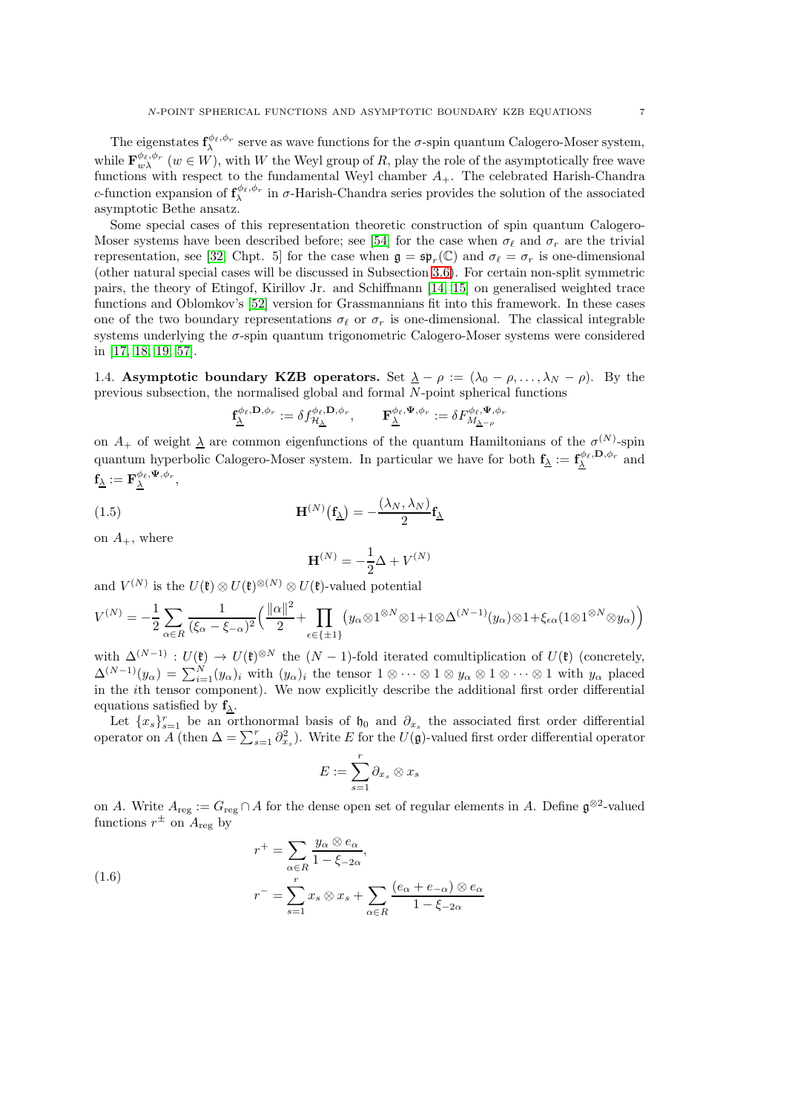The eigenstates  $f_{\lambda}^{\phi_{\ell},\phi_{r}}$  serve as wave functions for the  $\sigma$ -spin quantum Calogero-Moser system, while  $\mathbf{F}_{w\lambda}^{\phi_{\ell},\phi_{r}}$  ( $w \in W$ ), with W the Weyl group of R, play the role of the asymptotically free wave functions with respect to the fundamental Weyl chamber  $A_{+}$ . The celebrated Harish-Chandra c-function expansion of  $f^{\phi_\ell,\phi_r}_\lambda$  in  $\sigma$ -Harish-Chandra series provides the solution of the associated asymptotic Bethe ansatz.

Some special cases of this representation theoretic construction of spin quantum Calogero-Moser systems have been described before; see [\[54\]](#page-56-6) for the case when  $\sigma_{\ell}$  and  $\sigma_{r}$  are the trivial representation, see [\[32,](#page-56-7) Chpt. 5] for the case when  $\mathfrak{g} = \mathfrak{sp}_r(\mathbb{C})$  and  $\sigma_\ell = \sigma_r$  is one-dimensional (other natural special cases will be discussed in Subsection [3.6\)](#page-17-0). For certain non-split symmetric pairs, the theory of Etingof, Kirillov Jr. and Schiffmann [\[14,](#page-55-3) [15\]](#page-55-4) on generalised weighted trace functions and Oblomkov's [\[52\]](#page-56-8) version for Grassmannians fit into this framework. In these cases one of the two boundary representations  $\sigma_{\ell}$  or  $\sigma_r$  is one-dimensional. The classical integrable systems underlying the  $\sigma$ -spin quantum trigonometric Calogero-Moser systems were considered in [\[17,](#page-55-5) [18,](#page-55-6) [19,](#page-55-7) [57\]](#page-56-9).

<span id="page-6-0"></span>1.4. Asymptotic boundary KZB operators. Set  $\lambda - \rho := (\lambda_0 - \rho, \dots, \lambda_N - \rho)$ . By the previous subsection, the normalised global and formal N-point spherical functions

$$
\mathbf{f}^{\phi_\ell,\mathbf{D},\phi_r}_{\underline{\lambda}}:=\delta f^{\phi_\ell,\mathbf{D},\phi_r}_{\mathcal{H}_{\underline{\lambda}}},\qquad \mathbf{F}^{\phi_\ell,\Psi,\phi_r}_{\underline{\lambda}}:=\delta F^{\phi_\ell,\Psi,\phi_r}_{M_{\underline{\lambda}-\rho}}
$$

on  $A_+$  of weight  $\underline{\lambda}$  are common eigenfunctions of the quantum Hamiltonians of the  $\sigma^{(N)}$ -spin quantum hyperbolic Calogero-Moser system. In particular we have for both  $f_{\underline{\lambda}} := f_{\underline{\lambda}}^{\phi_{\ell}, \mathbf{D}, \phi_r}$  and  $\mathbf{f}_{\underline{\lambda}} := \mathbf{F}_{\underline{\lambda}}^{\phi_{\ell}, \mathbf{\Psi}, \phi_{r}},$ 

(1.5) 
$$
\mathbf{H}^{(N)}(\mathbf{f}_{\underline{\lambda}}) = -\frac{(\lambda_N, \lambda_N)}{2} \mathbf{f}_{\underline{\lambda}}
$$

on  $A_+$ , where

$$
\mathbf{H}^{(N)} = -\frac{1}{2}\Delta + V^{(N)}
$$

and  $V^{(N)}$  is the  $U(\mathfrak{k}) \otimes U(\mathfrak{k})^{\otimes (N)} \otimes U(\mathfrak{k})$ -valued potential

$$
V^{(N)} = -\frac{1}{2} \sum_{\alpha \in R} \frac{1}{(\xi_{\alpha} - \xi_{-\alpha})^2} \Big( \frac{\|\alpha\|^2}{2} + \prod_{\epsilon \in \{\pm 1\}} \big( y_{\alpha} \otimes 1^{\otimes N} \otimes 1 + 1 \otimes \Delta^{(N-1)}(y_{\alpha}) \otimes 1 + \xi_{\epsilon \alpha} (1 \otimes 1^{\otimes N} \otimes y_{\alpha}) \Big)
$$

with  $\Delta^{(N-1)} : U(\mathfrak{k}) \to U(\mathfrak{k})^{\otimes N}$  the  $(N-1)$ -fold iterated comultiplication of  $U(\mathfrak{k})$  (concretely,  $\Delta^{(N-1)}(y_\alpha) = \sum_{i=1}^N (y_\alpha)_i$  with  $(y_\alpha)_i$  the tensor  $1 \otimes \cdots \otimes 1 \otimes y_\alpha \otimes 1 \otimes \cdots \otimes 1$  with  $y_\alpha$  placed in the ith tensor component). We now explicitly describe the additional first order differential equations satisfied by  $f_{\lambda}$ .

Let  ${x_s}_{s=1}^r$  be an orthonormal basis of  $b_0$  and  $\partial_{x_s}$  the associated first order differential operator on A (then  $\Delta = \sum_{s=1}^{r} \partial_{x_s}^2$ ). Write E for the  $U(\mathfrak{g})$ -valued first order differential operator

$$
E:=\sum_{s=1}^r\partial_{x_s}\otimes x_s
$$

on A. Write  $A_{reg} := G_{reg} \cap A$  for the dense open set of regular elements in A. Define  $\mathfrak{g}^{\otimes 2}$ -valued functions  $r^{\pm}$  on  $A_{\text{reg}}$  by

<span id="page-6-1"></span>(1.6) 
$$
r^{+} = \sum_{\alpha \in R} \frac{y_{\alpha} \otimes e_{\alpha}}{1 - \xi_{-2\alpha}},
$$

$$
r^{-} = \sum_{s=1}^{r} x_{s} \otimes x_{s} + \sum_{\alpha \in R} \frac{(e_{\alpha} + e_{-\alpha}) \otimes e_{\alpha}}{1 - \xi_{-2\alpha}}
$$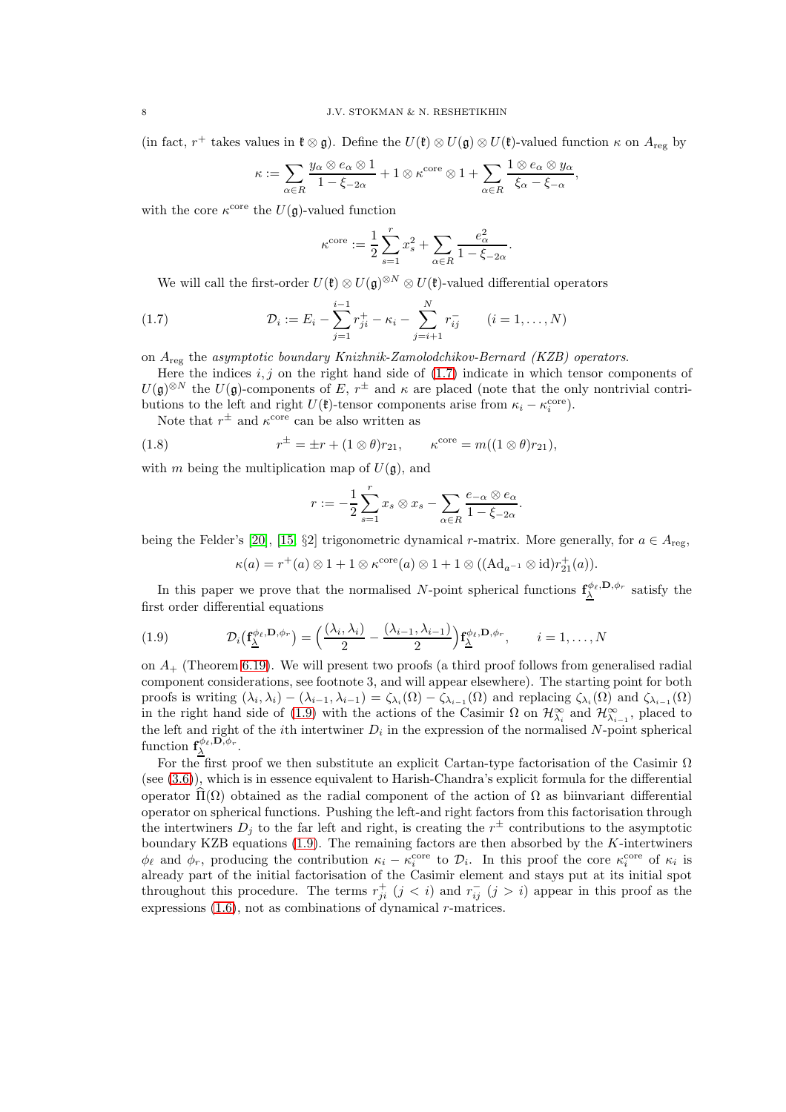(in fact, r<sup>+</sup> takes values in  $\mathfrak{k} \otimes \mathfrak{g}$ ). Define the  $U(\mathfrak{k}) \otimes U(\mathfrak{g}) \otimes U(\mathfrak{k})$ -valued function  $\kappa$  on  $A_{reg}$  by

$$
\kappa := \sum_{\alpha \in R} \frac{y_{\alpha} \otimes e_{\alpha} \otimes 1}{1 - \xi_{-2\alpha}} + 1 \otimes \kappa^{\text{core}} \otimes 1 + \sum_{\alpha \in R} \frac{1 \otimes e_{\alpha} \otimes y_{\alpha}}{\xi_{\alpha} - \xi_{-\alpha}},
$$

with the core  $\kappa^{\text{core}}$  the  $U(\mathfrak{g})$ -valued function

<span id="page-7-0"></span>
$$
\kappa^{\text{core}} := \frac{1}{2} \sum_{s=1}^{r} x_s^2 + \sum_{\alpha \in R} \frac{e_\alpha^2}{1 - \xi_{-2\alpha}}.
$$

We will call the first-order  $U(\mathfrak{k}) \otimes U(\mathfrak{g})^{\otimes N} \otimes U(\mathfrak{k})$ -valued differential operators

(1.7) 
$$
\mathcal{D}_i := E_i - \sum_{j=1}^{i-1} r_{ji}^+ - \kappa_i - \sum_{j=i+1}^N r_{ij}^- \qquad (i = 1, ..., N)
$$

on  $A_{\text{reg}}$  the asymptotic boundary Knizhnik-Zamolodchikov-Bernard (KZB) operators.

Here the indices  $i, j$  on the right hand side of [\(1.7\)](#page-7-0) indicate in which tensor components of  $U(\mathfrak{g})^{\otimes N}$  the  $U(\mathfrak{g})$ -components of E,  $r^{\pm}$  and  $\kappa$  are placed (note that the only nontrivial contributions to the left and right  $U(\mathfrak{k})$ -tensor components arise from  $\kappa_i - \kappa_i^{\text{core}}$ ).

Note that  $r^{\pm}$  and  $\kappa^{\text{core}}$  can be also written as

(1.8) 
$$
r^{\pm} = \pm r + (1 \otimes \theta) r_{21}, \qquad \kappa^{\text{core}} = m((1 \otimes \theta) r_{21}),
$$

with m being the multiplication map of  $U(\mathfrak{g})$ , and

<span id="page-7-2"></span>
$$
r := -\frac{1}{2} \sum_{s=1}^{r} x_s \otimes x_s - \sum_{\alpha \in R} \frac{e_{-\alpha} \otimes e_{\alpha}}{1 - \xi_{-2\alpha}}.
$$

being the Felder's [\[20\]](#page-55-8), [\[15,](#page-55-4) §2] trigonometric dynamical r-matrix. More generally, for  $a \in A_{reg}$ ,

<span id="page-7-1"></span>
$$
\kappa(a) = r^+(a) \otimes 1 + 1 \otimes \kappa^{\text{core}}(a) \otimes 1 + 1 \otimes ((\text{Ad}_{a^{-1}} \otimes \text{id})r_{21}^+(a)).
$$

In this paper we prove that the normalised N-point spherical functions  $f^{\phi_{\ell},D,\phi_{r}}_{\Delta}$  satisfy the first order differential equations

(1.9) 
$$
\mathcal{D}_i(\mathbf{f}_{\underline{\lambda}}^{\phi_{\ell},\mathbf{D},\phi_r}) = \left(\frac{(\lambda_i,\lambda_i)}{2} - \frac{(\lambda_{i-1},\lambda_{i-1})}{2}\right) \mathbf{f}_{\underline{\lambda}}^{\phi_{\ell},\mathbf{D},\phi_r}, \qquad i = 1,\ldots,N
$$

on  $A_{+}$  (Theorem [6.19\)](#page-47-0). We will present two proofs (a third proof follows from generalised radial component considerations, see footnote 3, and will appear elsewhere). The starting point for both proofs is writing  $(\lambda_i, \lambda_i) - (\lambda_{i-1}, \lambda_{i-1}) = \zeta_{\lambda_i}(\Omega) - \zeta_{\lambda_{i-1}}(\Omega)$  and replacing  $\zeta_{\lambda_i}(\Omega)$  and  $\zeta_{\lambda_{i-1}}(\Omega)$ in the right hand side of [\(1.9\)](#page-7-1) with the actions of the Casimir  $\Omega$  on  $\mathcal{H}_{\lambda_i}^{\infty}$  and  $\mathcal{H}_{\lambda_{i-1}}^{\infty}$ , placed to the left and right of the *i*th intertwiner  $D_i$  in the expression of the normalised N-point spherical function  $f_{\underline{\lambda}}^{\phi_{\ell}, \mathbf{D}, \phi_{r}}$ .

For the first proof we then substitute an explicit Cartan-type factorisation of the Casimir  $\Omega$ (see [\(3.6\)](#page-16-1)), which is in essence equivalent to Harish-Chandra's explicit formula for the differential operator  $\Pi(\Omega)$  obtained as the radial component of the action of  $\Omega$  as biinvariant differential operator on spherical functions. Pushing the left-and right factors from this factorisation through the intertwiners  $D_j$  to the far left and right, is creating the  $r^{\pm}$  contributions to the asymptotic boundary KZB equations  $(1.9)$ . The remaining factors are then absorbed by the K-intertwiners  $\phi_{\ell}$  and  $\phi_r$ , producing the contribution  $\kappa_i - \kappa_i^{\text{core}}$  to  $\mathcal{D}_i$ . In this proof the core  $\kappa_i^{\text{core}}$  of  $\kappa_i$  is already part of the initial factorisation of the Casimir element and stays put at its initial spot throughout this procedure. The terms  $r_{ji}^{+}$   $(j < i)$  and  $r_{ij}^{-}$   $(j > i)$  appear in this proof as the expressions  $(1.6)$ , not as combinations of dynamical r-matrices.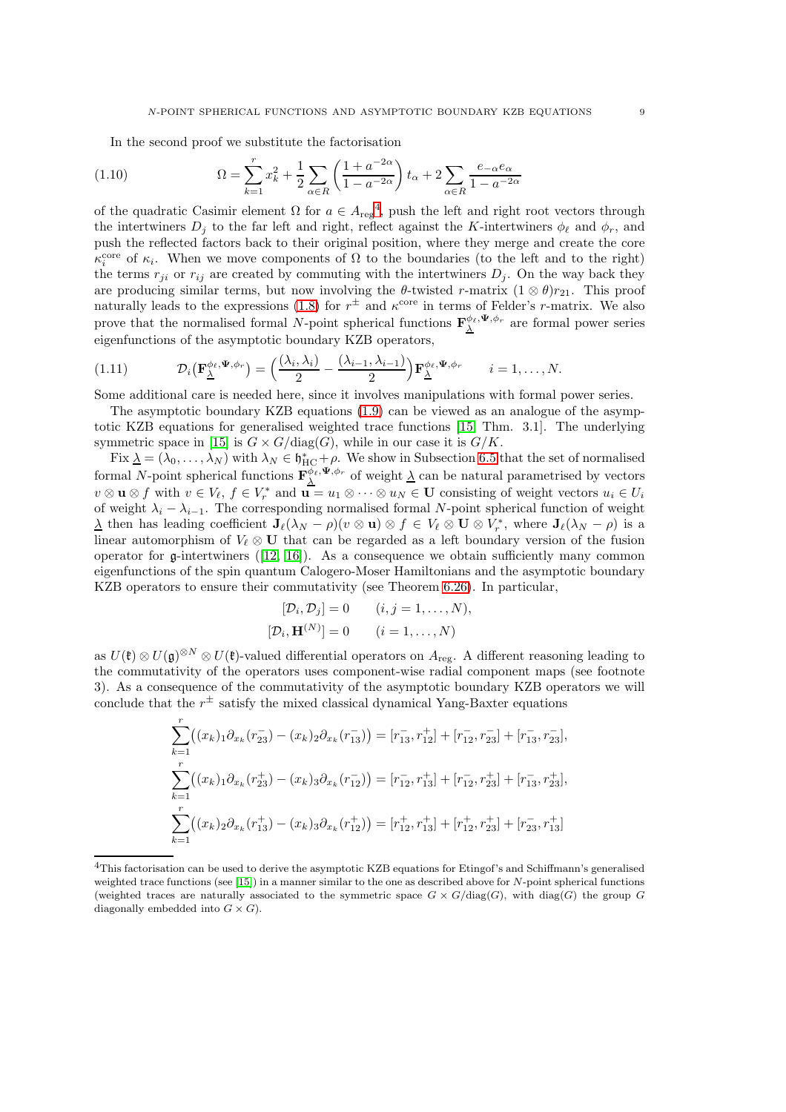In the second proof we substitute the factorisation

(1.10) 
$$
\Omega = \sum_{k=1}^{r} x_k^2 + \frac{1}{2} \sum_{\alpha \in R} \left( \frac{1 + a^{-2\alpha}}{1 - a^{-2\alpha}} \right) t_\alpha + 2 \sum_{\alpha \in R} \frac{e_{-\alpha} e_{\alpha}}{1 - a^{-2\alpha}}
$$

of the quadratic Casimir element  $\Omega$  for  $a \in A_{reg}^4$  $a \in A_{reg}^4$ , push the left and right root vectors through the intertwiners  $D_i$  to the far left and right, reflect against the K-intertwiners  $\phi_\ell$  and  $\phi_r$ , and push the reflected factors back to their original position, where they merge and create the core  $\kappa_i^{\text{core}}$  of  $\kappa_i$ . When we move components of  $\Omega$  to the boundaries (to the left and to the right) the terms  $r_{ji}$  or  $r_{ij}$  are created by commuting with the intertwiners  $D_j$ . On the way back they are producing similar terms, but now involving the  $\theta$ -twisted r-matrix  $(1 \otimes \theta)r_{21}$ . This proof naturally leads to the expressions [\(1.8\)](#page-7-2) for  $r^{\pm}$  and  $\kappa^{\text{core}}$  in terms of Felder's r-matrix. We also prove that the normalised formal N-point spherical functions  $\mathbf{F}_{\underline{\lambda}}^{\phi_{\ell},\Psi,\phi_{r}}$  are formal power series eigenfunctions of the asymptotic boundary KZB operators,

$$
(1.11) \t\t \mathcal{D}_i(\mathbf{F}_{\underline{\lambda}}^{\phi_{\ell},\Psi,\phi_r}) = \left(\frac{(\lambda_i,\lambda_i)}{2} - \frac{(\lambda_{i-1},\lambda_{i-1})}{2}\right)\mathbf{F}_{\underline{\lambda}}^{\phi_{\ell},\Psi,\phi_r} \t i = 1,\ldots,N.
$$

Some additional care is needed here, since it involves manipulations with formal power series.

The asymptotic boundary KZB equations [\(1.9\)](#page-7-1) can be viewed as an analogue of the asymptotic KZB equations for generalised weighted trace functions [\[15,](#page-55-4) Thm. 3.1]. The underlying symmetric space in [\[15\]](#page-55-4) is  $G \times G/\text{diag}(G)$ , while in our case it is  $G/K$ .

Fix  $\underline{\lambda} = (\lambda_0, \dots, \lambda_N)$  with  $\lambda_N \in \mathfrak{h}_{HC}^* + \rho$ . We show in Subsection [6.5](#page-49-0) that the set of normalised formal N-point spherical functions  $\mathbf{F}_{\Delta}^{\phi_{\ell}}, \Psi, \phi_r$  of weight  $\Delta$  can be natural parametrised by vectors  $v \otimes \mathbf{u} \otimes f$  with  $v \in V_{\ell}, f \in V_r^*$  and  $\mathbf{u} = u_1 \otimes \cdots \otimes u_N \in \mathbf{U}$  consisting of weight vectors  $u_i \in U_i$ of weight  $\lambda_i - \lambda_{i-1}$ . The corresponding normalised formal N-point spherical function of weight  $\underline{\lambda}$  then has leading coefficient  $\mathbf{J}_{\ell}(\lambda_N - \rho)(v \otimes \mathbf{u}) \otimes f \in V_{\ell} \otimes \mathbf{U} \otimes V_r^*$ , where  $\mathbf{J}_{\ell}(\lambda_N - \rho)$  is a linear automorphism of  $V_{\ell} \otimes U$  that can be regarded as a left boundary version of the fusion operator for g-intertwiners([\[12,](#page-55-9) [16\]](#page-55-10)). As a consequence we obtain sufficiently many common eigenfunctions of the spin quantum Calogero-Moser Hamiltonians and the asymptotic boundary KZB operators to ensure their commutativity (see Theorem [6.26\)](#page-52-1). In particular,

$$
[\mathcal{D}_i, \mathcal{D}_j] = 0 \qquad (i, j = 1, \dots, N),
$$
  

$$
[\mathcal{D}_i, \mathbf{H}^{(N)}] = 0 \qquad (i = 1, \dots, N)
$$

as  $U(\mathfrak{k})\otimes U(\mathfrak{g})^{\otimes N}\otimes U(\mathfrak{k})$ -valued differential operators on  $A_{\text{reg}}$ . A different reasoning leading to the commutativity of the operators uses component-wise radial component maps (see footnote 3). As a consequence of the commutativity of the asymptotic boundary KZB operators we will conclude that the  $r^{\pm}$  satisfy the mixed classical dynamical Yang-Baxter equations

$$
\sum_{k=1}^{r} ((x_k)_1 \partial_{x_k}(r_{23}^-) - (x_k)_2 \partial_{x_k}(r_{13}^-)) = [r_{13}^-, r_{12}^+] + [r_{12}^-, r_{23}^-] + [r_{13}^-, r_{23}^-],
$$
  

$$
\sum_{k=1}^{r} ((x_k)_1 \partial_{x_k}(r_{23}^+) - (x_k)_3 \partial_{x_k}(r_{12}^-)) = [r_{12}^-, r_{13}^+] + [r_{12}^-, r_{23}^+] + [r_{13}^-, r_{23}^+],
$$
  

$$
\sum_{k=1}^{r} ((x_k)_2 \partial_{x_k}(r_{13}^+) - (x_k)_3 \partial_{x_k}(r_{12}^+)) = [r_{12}^+, r_{13}^+] + [r_{12}^+, r_{23}^+] + [r_{23}^-, r_{13}^+]
$$

<span id="page-8-0"></span><sup>4</sup>This factorisation can be used to derive the asymptotic KZB equations for Etingof's and Schiffmann's generalised weighted trace functions (see [\[15\]](#page-55-4)) in a manner similar to the one as described above for N-point spherical functions (weighted traces are naturally associated to the symmetric space  $G \times G/\text{diag}(G)$ , with  $\text{diag}(G)$  the group G diagonally embedded into  $G \times G$ ).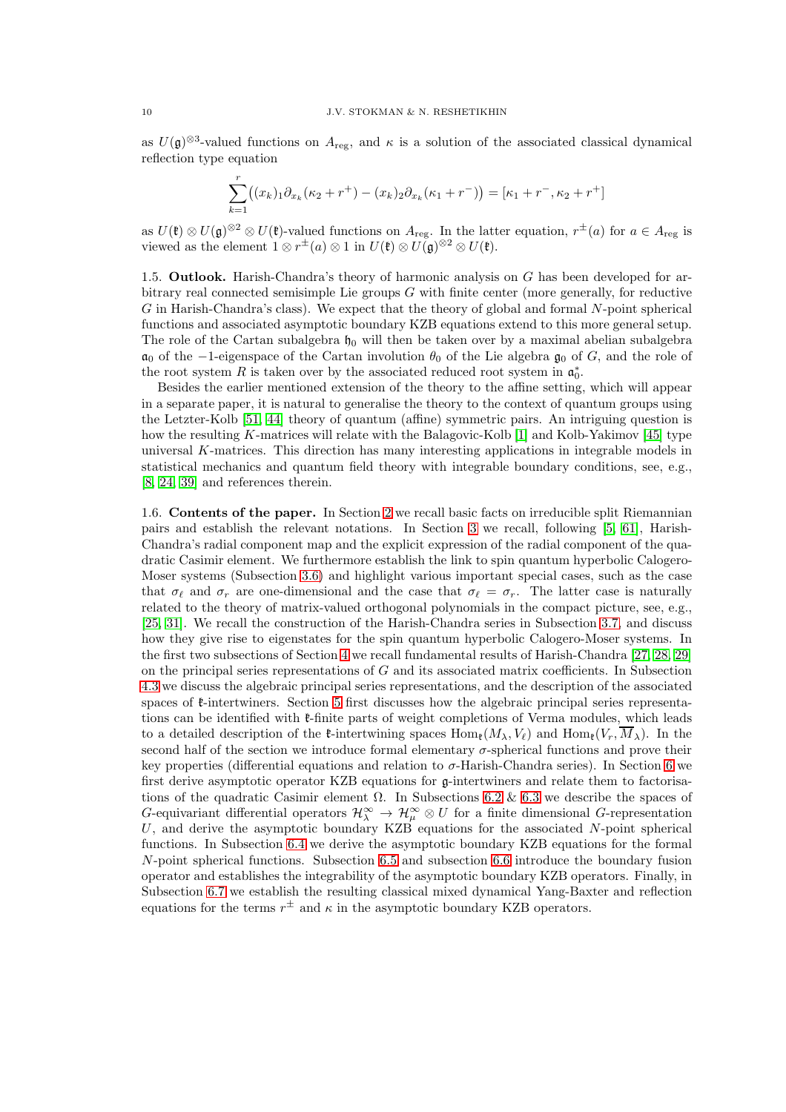as  $U(\mathfrak{g})^{\otimes 3}$ -valued functions on  $A_{\text{reg}}$ , and  $\kappa$  is a solution of the associated classical dynamical reflection type equation

$$
\sum_{k=1}^{r} ((x_k)_1 \partial_{x_k} (\kappa_2 + r^+) - (x_k)_2 \partial_{x_k} (\kappa_1 + r^-)) = [\kappa_1 + r^-, \kappa_2 + r^+]
$$

as  $U(\mathfrak{k}) \otimes U(\mathfrak{g})^{\otimes 2} \otimes U(\mathfrak{k})$ -valued functions on  $A_{\text{reg}}$ . In the latter equation,  $r^{\pm}(a)$  for  $a \in A_{\text{reg}}$  is viewed as the element  $1 \otimes r^{\pm}(a) \otimes 1$  in  $U(\mathfrak{k}) \otimes U(\mathfrak{g})^{\otimes 2} \otimes U(\mathfrak{k})$ .

<span id="page-9-0"></span>1.5. **Outlook.** Harish-Chandra's theory of harmonic analysis on  $G$  has been developed for arbitrary real connected semisimple Lie groups  $G$  with finite center (more generally, for reductive G in Harish-Chandra's class). We expect that the theory of global and formal N-point spherical functions and associated asymptotic boundary KZB equations extend to this more general setup. The role of the Cartan subalgebra  $\mathfrak{h}_0$  will then be taken over by a maximal abelian subalgebra  $a_0$  of the −1-eigenspace of the Cartan involution  $\theta_0$  of the Lie algebra  $\mathfrak{g}_0$  of G, and the role of the root system R is taken over by the associated reduced root system in  $\mathfrak{a}_0^*$ .

Besides the earlier mentioned extension of the theory to the affine setting, which will appear in a separate paper, it is natural to generalise the theory to the context of quantum groups using the Letzter-Kolb [\[51,](#page-56-10) [44\]](#page-56-11) theory of quantum (affine) symmetric pairs. An intriguing question is how the resulting K-matrices will relate with the Balagovic-Kolb [\[1\]](#page-55-11) and Kolb-Yakimov [\[45\]](#page-56-12) type universal K-matrices. This direction has many interesting applications in integrable models in statistical mechanics and quantum field theory with integrable boundary conditions, see, e.g., [\[8,](#page-55-12) [24,](#page-55-13) [39\]](#page-56-13) and references therein.

<span id="page-9-1"></span>1.6. Contents of the paper. In Section [2](#page-10-0) we recall basic facts on irreducible split Riemannian pairs and establish the relevant notations. In Section [3](#page-12-1) we recall, following [\[5,](#page-55-2) [61\]](#page-57-0), Harish-Chandra's radial component map and the explicit expression of the radial component of the quadratic Casimir element. We furthermore establish the link to spin quantum hyperbolic Calogero-Moser systems (Subsection [3.6\)](#page-17-0) and highlight various important special cases, such as the case that  $\sigma_{\ell}$  and  $\sigma_r$  are one-dimensional and the case that  $\sigma_{\ell} = \sigma_r$ . The latter case is naturally related to the theory of matrix-valued orthogonal polynomials in the compact picture, see, e.g., [\[25,](#page-55-14) [31\]](#page-56-14). We recall the construction of the Harish-Chandra series in Subsection [3.7,](#page-19-0) and discuss how they give rise to eigenstates for the spin quantum hyperbolic Calogero-Moser systems. In the first two subsections of Section [4](#page-22-0) we recall fundamental results of Harish-Chandra [\[27,](#page-56-0) [28,](#page-56-1) [29\]](#page-56-2) on the principal series representations of  $G$  and its associated matrix coefficients. In Subsection [4.3](#page-25-0) we discuss the algebraic principal series representations, and the description of the associated spaces of  $\ell$ -intertwiners. Section [5](#page-27-0) first discusses how the algebraic principal series representations can be identified with  $\ell$ -finite parts of weight completions of Verma modules, which leads to a detailed description of the  $\ell$ -intertwining spaces  $\text{Hom}_{\ell}(M_{\lambda}, V_{\ell})$  and  $\text{Hom}_{\ell}(V_r, \overline{M}_{\lambda})$ . In the second half of the section we introduce formal elementary  $\sigma$ -spherical functions and prove their key properties (differential equations and relation to  $\sigma$ -Harish-Chandra series). In Section [6](#page-36-0) we first derive asymptotic operator KZB equations for g-intertwiners and relate them to factorisations of the quadratic Casimir element  $\Omega$ . In Subsections [6.2](#page-39-0) & [6.3](#page-42-0) we describe the spaces of G-equivariant differential operators  $\mathcal{H}_\lambda^\infty \to \mathcal{H}_\mu^\infty \otimes U$  for a finite dimensional G-representation U, and derive the asymptotic boundary KZB equations for the associated N-point spherical functions. In Subsection [6.4](#page-46-0) we derive the asymptotic boundary KZB equations for the formal N-point spherical functions. Subsection [6.5](#page-49-0) and subsection [6.6](#page-51-0) introduce the boundary fusion operator and establishes the integrability of the asymptotic boundary KZB operators. Finally, in Subsection [6.7](#page-52-0) we establish the resulting classical mixed dynamical Yang-Baxter and reflection equations for the terms  $r^{\pm}$  and  $\kappa$  in the asymptotic boundary KZB operators.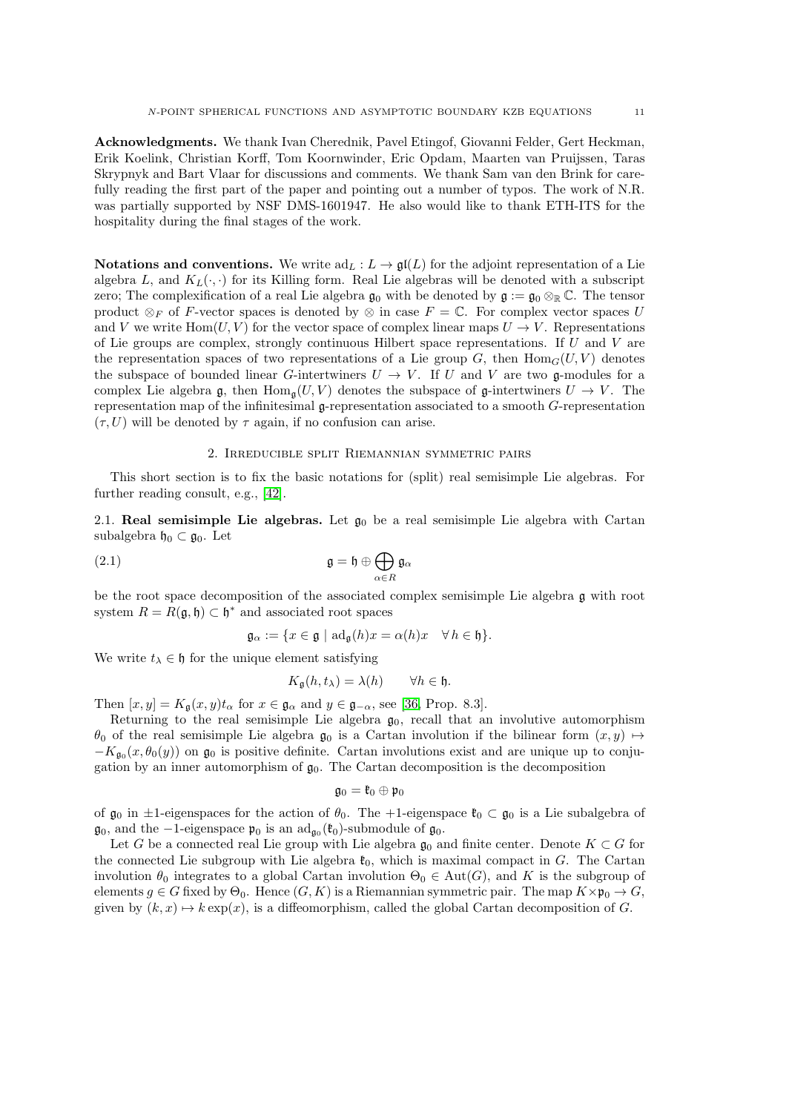Acknowledgments. We thank Ivan Cherednik, Pavel Etingof, Giovanni Felder, Gert Heckman, Erik Koelink, Christian Korff, Tom Koornwinder, Eric Opdam, Maarten van Pruijssen, Taras Skrypnyk and Bart Vlaar for discussions and comments. We thank Sam van den Brink for carefully reading the first part of the paper and pointing out a number of typos. The work of N.R. was partially supported by NSF DMS-1601947. He also would like to thank ETH-ITS for the hospitality during the final stages of the work.

**Notations and conventions.** We write  $ad_L : L \to \mathfrak{gl}(L)$  for the adjoint representation of a Lie algebra L, and  $K_L(\cdot, \cdot)$  for its Killing form. Real Lie algebras will be denoted with a subscript zero; The complexification of a real Lie algebra  $\mathfrak{g}_0$  with be denoted by  $\mathfrak{g} := \mathfrak{g}_0 \otimes_{\mathbb{R}} \mathbb{C}$ . The tensor product  $\otimes_F$  of F-vector spaces is denoted by  $\otimes$  in case  $F = \mathbb{C}$ . For complex vector spaces U and V we write  $\text{Hom}(U, V)$  for the vector space of complex linear maps  $U \to V$ . Representations of Lie groups are complex, strongly continuous Hilbert space representations. If U and V are the representation spaces of two representations of a Lie group G, then  $\text{Hom}_G(U, V)$  denotes the subspace of bounded linear G-intertwiners  $U \to V$ . If U and V are two g-modules for a complex Lie algebra g, then  $\text{Hom}_{\mathfrak{a}}(U, V)$  denotes the subspace of g-intertwiners  $U \to V$ . The representation map of the infinitesimal g-representation associated to a smooth G-representation  $(\tau, U)$  will be denoted by  $\tau$  again, if no confusion can arise.

## 2. Irreducible split Riemannian symmetric pairs

<span id="page-10-0"></span>This short section is to fix the basic notations for (split) real semisimple Lie algebras. For further reading consult, e.g., [\[42\]](#page-56-15).

<span id="page-10-1"></span>2.1. Real semisimple Lie algebras. Let  $\mathfrak{g}_0$  be a real semisimple Lie algebra with Cartan subalgebra  $\mathfrak{h}_0 \subset \mathfrak{g}_0$ . Let

(2.1) 
$$
\mathfrak{g} = \mathfrak{h} \oplus \bigoplus_{\alpha \in R} \mathfrak{g}_{\alpha}
$$

be the root space decomposition of the associated complex semisimple Lie algebra g with root system  $R = R(\mathfrak{g}, \mathfrak{h}) \subset \mathfrak{h}^*$  and associated root spaces

<span id="page-10-2"></span>
$$
\mathfrak{g}_{\alpha} := \{ x \in \mathfrak{g} \mid \mathrm{ad}_{\mathfrak{g}}(h)x = \alpha(h)x \quad \forall \, h \in \mathfrak{h} \}.
$$

We write  $t_{\lambda} \in \mathfrak{h}$  for the unique element satisfying

$$
K_{\mathfrak{g}}(h,t_{\lambda}) = \lambda(h) \qquad \forall h \in \mathfrak{h}.
$$

Then  $[x, y] = K_{\mathfrak{a}}(x, y)t_{\alpha}$  for  $x \in \mathfrak{g}_{\alpha}$  and  $y \in \mathfrak{g}_{-\alpha}$ , see [\[36,](#page-56-16) Prop. 8.3].

Returning to the real semisimple Lie algebra  $g_0$ , recall that an involutive automorphism  $\theta_0$  of the real semisimple Lie algebra  $\mathfrak{g}_0$  is a Cartan involution if the bilinear form  $(x, y) \mapsto$  $-K_{\mathfrak{g}_0}(x,\theta_0(y))$  on  $\mathfrak{g}_0$  is positive definite. Cartan involutions exist and are unique up to conjugation by an inner automorphism of  $g_0$ . The Cartan decomposition is the decomposition

$$
\mathfrak{g}_0=\mathfrak{k}_0\oplus\mathfrak{p}_0
$$

of  $\mathfrak{g}_0$  in  $\pm 1$ -eigenspaces for the action of  $\theta_0$ . The +1-eigenspace  $\mathfrak{k}_0 \subset \mathfrak{g}_0$  is a Lie subalgebra of  $\mathfrak{g}_0$ , and the -1-eigenspace  $\mathfrak{p}_0$  is an  $\mathrm{ad}_{\mathfrak{g}_0}(\mathfrak{k}_0)$ -submodule of  $\mathfrak{g}_0$ .

Let G be a connected real Lie group with Lie algebra  $\mathfrak{g}_0$  and finite center. Denote  $K \subset G$  for the connected Lie subgroup with Lie algebra  $\mathfrak{k}_0$ , which is maximal compact in G. The Cartan involution  $\theta_0$  integrates to a global Cartan involution  $\Theta_0 \in Aut(G)$ , and K is the subgroup of elements  $g \in G$  fixed by  $\Theta_0$ . Hence  $(G, K)$  is a Riemannian symmetric pair. The map  $K \times \mathfrak{p}_0 \to G$ , given by  $(k, x) \mapsto k \exp(x)$ , is a diffeomorphism, called the global Cartan decomposition of G.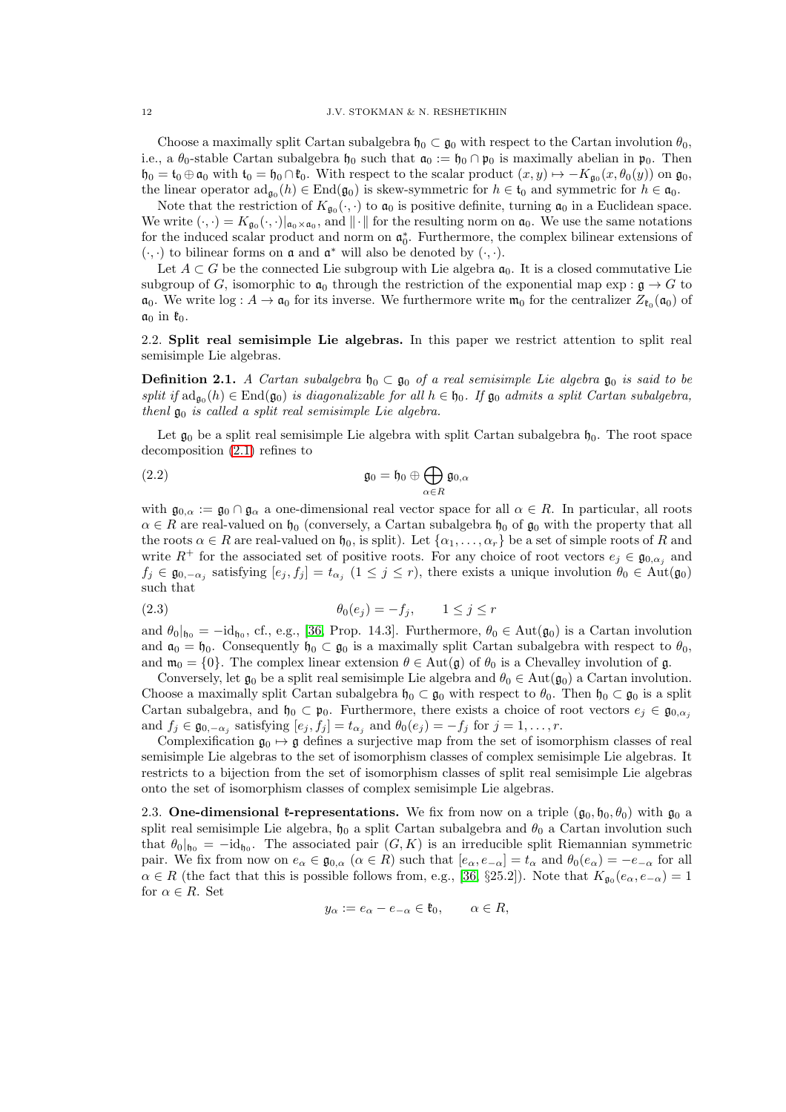Choose a maximally split Cartan subalgebra  $\mathfrak{h}_0 \subset \mathfrak{g}_0$  with respect to the Cartan involution  $\theta_0$ , i.e., a  $\theta_0$ -stable Cartan subalgebra  $\mathfrak{h}_0$  such that  $\mathfrak{a}_0 := \mathfrak{h}_0 \cap \mathfrak{p}_0$  is maximally abelian in  $\mathfrak{p}_0$ . Then  $\mathfrak{h}_0 = \mathfrak{t}_0 \oplus \mathfrak{a}_0$  with  $\mathfrak{t}_0 = \mathfrak{h}_0 \cap \mathfrak{k}_0$ . With respect to the scalar product  $(x, y) \mapsto -K_{\mathfrak{g}_0}(x, \theta_0(y))$  on  $\mathfrak{g}_0$ , the linear operator  $\mathrm{ad}_{\mathfrak{g}_0}(h) \in \mathrm{End}(\mathfrak{g}_0)$  is skew-symmetric for  $h \in \mathfrak{t}_0$  and symmetric for  $h \in \mathfrak{a}_0$ .

Note that the restriction of  $K_{\mathfrak{g}_0}(\cdot, \cdot)$  to  $\mathfrak{a}_0$  is positive definite, turning  $\mathfrak{a}_0$  in a Euclidean space. We write  $(\cdot, \cdot) = K_{\mathfrak{g}_0}(\cdot, \cdot)|_{\mathfrak{a}_0 \times \mathfrak{a}_0}$ , and  $\|\cdot\|$  for the resulting norm on  $\mathfrak{a}_0$ . We use the same notations for the induced scalar product and norm on  $\mathfrak{a}_0^*$ . Furthermore, the complex bilinear extensions of  $(\cdot, \cdot)$  to bilinear forms on **a** and **a**<sup>\*</sup> will also be denoted by  $(\cdot, \cdot)$ .

Let  $A \subset G$  be the connected Lie subgroup with Lie algebra  $\mathfrak{a}_0$ . It is a closed commutative Lie subgroup of G, isomorphic to  $\mathfrak{a}_0$  through the restriction of the exponential map exp :  $\mathfrak{g} \to G$  to  $\mathfrak{a}_0$ . We write  $\log : A \to \mathfrak{a}_0$  for its inverse. We furthermore write  $\mathfrak{m}_0$  for the centralizer  $Z_{\mathfrak{k}_0}(\mathfrak{a}_0)$  of  $a_0$  in  $\mathfrak{k}_0$ .

# <span id="page-11-0"></span>2.2. Split real semisimple Lie algebras. In this paper we restrict attention to split real semisimple Lie algebras.

**Definition 2.1.** A Cartan subalgebra  $\mathfrak{h}_0 \subset \mathfrak{g}_0$  of a real semisimple Lie algebra  $\mathfrak{g}_0$  is said to be split if  $ad_{\mathfrak{g}_0}(h) \in \text{End}(\mathfrak{g}_0)$  is diagonalizable for all  $h \in \mathfrak{h}_0$ . If  $\mathfrak{g}_0$  admits a split Cartan subalgebra, thenl  $\mathfrak{g}_0$  is called a split real semisimple Lie algebra.

Let  $\mathfrak{g}_0$  be a split real semisimple Lie algebra with split Cartan subalgebra  $\mathfrak{h}_0$ . The root space decomposition [\(2.1\)](#page-10-2) refines to

(2.2) 
$$
\mathfrak{g}_0 = \mathfrak{h}_0 \oplus \bigoplus_{\alpha \in R} \mathfrak{g}_{0,\alpha}
$$

with  $\mathfrak{g}_{0,\alpha} := \mathfrak{g}_0 \cap \mathfrak{g}_\alpha$  a one-dimensional real vector space for all  $\alpha \in R$ . In particular, all roots  $\alpha \in R$  are real-valued on  $\mathfrak{h}_0$  (conversely, a Cartan subalgebra  $\mathfrak{h}_0$  of  $\mathfrak{g}_0$  with the property that all the roots  $\alpha \in R$  are real-valued on  $\mathfrak{h}_0$ , is split). Let  $\{\alpha_1, \ldots, \alpha_r\}$  be a set of simple roots of R and write  $R^+$  for the associated set of positive roots. For any choice of root vectors  $e_i \in \mathfrak{g}_{0,\alpha_i}$  and  $f_j \in \mathfrak{g}_{0,-\alpha_j}$  satisfying  $[e_j, f_j] = t_{\alpha_j}$   $(1 \leq j \leq r)$ , there exists a unique involution  $\theta_0 \in \text{Aut}(\mathfrak{g}_0)$ such that

$$
\theta_0(e_j) = -f_j, \qquad 1 \le j \le r
$$

and  $\theta_0|_{\mathfrak{h}_0} = -id_{\mathfrak{h}_0}$ , cf., e.g., [\[36,](#page-56-16) Prop. 14.3]. Furthermore,  $\theta_0 \in Aut(\mathfrak{g}_0)$  is a Cartan involution and  $\mathfrak{a}_0 = \mathfrak{h}_0$ . Consequently  $\mathfrak{h}_0 \subset \mathfrak{g}_0$  is a maximally split Cartan subalgebra with respect to  $\theta_0$ , and  $\mathfrak{m}_0 = \{0\}$ . The complex linear extension  $\theta \in \text{Aut}(\mathfrak{g})$  of  $\theta_0$  is a Chevalley involution of  $\mathfrak{g}$ .

Conversely, let  $\mathfrak{g}_0$  be a split real semisimple Lie algebra and  $\theta_0 \in \text{Aut}(\mathfrak{g}_0)$  a Cartan involution. Choose a maximally split Cartan subalgebra  $\mathfrak{h}_0 \subset \mathfrak{g}_0$  with respect to  $\theta_0$ . Then  $\mathfrak{h}_0 \subset \mathfrak{g}_0$  is a split Cartan subalgebra, and  $\mathfrak{h}_0 \subset \mathfrak{p}_0$ . Furthermore, there exists a choice of root vectors  $e_j \in \mathfrak{g}_{0,\alpha_j}$ and  $f_j \in \mathfrak{g}_{0,-\alpha_j}$  satisfying  $[e_j, f_j] = t_{\alpha_j}$  and  $\theta_0(e_j) = -f_j$  for  $j = 1, \ldots, r$ .

Complexification  $\mathfrak{g}_0 \mapsto \mathfrak{g}$  defines a surjective map from the set of isomorphism classes of real semisimple Lie algebras to the set of isomorphism classes of complex semisimple Lie algebras. It restricts to a bijection from the set of isomorphism classes of split real semisimple Lie algebras onto the set of isomorphism classes of complex semisimple Lie algebras.

<span id="page-11-1"></span>2.3. One-dimensional  $\ell$ -representations. We fix from now on a triple  $(g_0, \mathfrak{h}_0, \theta_0)$  with  $g_0$  a split real semisimple Lie algebra,  $\mathfrak{h}_0$  a split Cartan subalgebra and  $\theta_0$  a Cartan involution such that  $\theta_0|_{\mathfrak{h}_0} = -id_{\mathfrak{h}_0}$ . The associated pair  $(G, K)$  is an irreducible split Riemannian symmetric pair. We fix from now on  $e_{\alpha} \in \mathfrak{g}_{0,\alpha}$   $(\alpha \in R)$  such that  $[e_{\alpha},e_{-\alpha}] = t_{\alpha}$  and  $\theta_0(e_{\alpha}) = -e_{-\alpha}$  for all  $\alpha \in R$  (the fact that this is possible follows from, e.g., [\[36,](#page-56-16) §25.2]). Note that  $K_{\mathfrak{g}_0}(e_\alpha, e_{-\alpha}) = 1$ for  $\alpha \in R$ . Set

$$
y_{\alpha} := e_{\alpha} - e_{-\alpha} \in \mathfrak{k}_0, \qquad \alpha \in R,
$$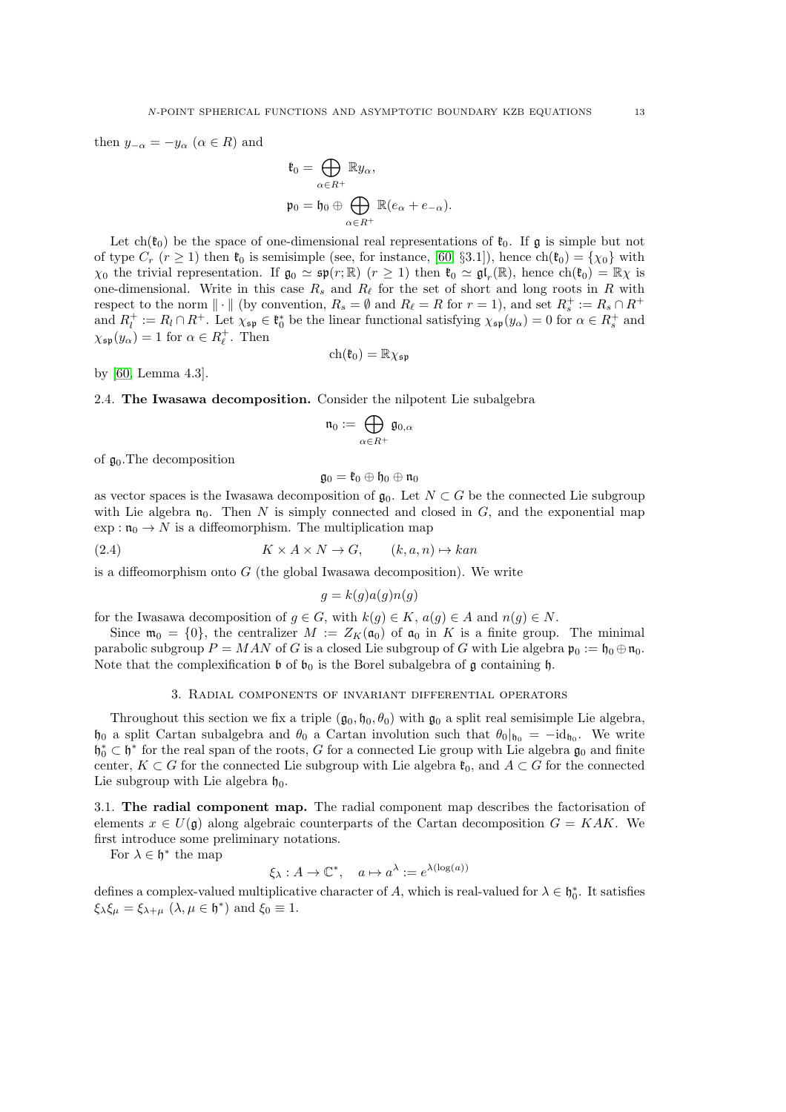then  $y_{-\alpha} = -y_{\alpha} \ (\alpha \in R)$  and

$$
\mathfrak{k}_0 = \bigoplus_{\alpha \in R^+} \mathbb{R} y_\alpha,
$$
  

$$
\mathfrak{p}_0 = \mathfrak{h}_0 \oplus \bigoplus_{\alpha \in R^+} \mathbb{R}(e_\alpha + e_{-\alpha}).
$$

Let ch( $\mathfrak{k}_0$ ) be the space of one-dimensional real representations of  $\mathfrak{k}_0$ . If g is simple but not of type  $C_r$   $(r \ge 1)$  then  $\mathfrak{k}_0$  is semisimple (see, for instance, [\[60,](#page-57-2) §3.1]), hence  $\text{ch}(\mathfrak{k}_0) = {\chi_0}$  with  $\chi_0$  the trivial representation. If  $\mathfrak{g}_0 \simeq \mathfrak{sp}(r;\mathbb{R})$   $(r \geq 1)$  then  $\mathfrak{k}_0 \simeq \mathfrak{gl}_r(\mathbb{R})$ , hence  $\mathrm{ch}(\mathfrak{k}_0) = \mathbb{R}\chi$  is one-dimensional. Write in this case  $R_s$  and  $R_\ell$  for the set of short and long roots in R with respect to the norm  $\|\cdot\|$  (by convention,  $R_s = \emptyset$  and  $R_\ell = R$  for  $r = 1$ ), and set  $R_s^+ := R_s \cap R^+$ and  $R_l^+ := R_l \cap R^+$ . Let  $\chi_{\mathfrak{sp}} \in \mathfrak{k}_0^*$  be the linear functional satisfying  $\chi_{\mathfrak{sp}}(y_\alpha) = 0$  for  $\alpha \in R_s^+$  and  $\chi_{\mathfrak{sp}}(y_\alpha) = 1$  for  $\alpha \in R_\ell^+$ . Then

$$
\mathrm{ch}(\mathfrak{k}_0)=\mathbb{R}\chi_{\mathfrak{sp}}
$$

<span id="page-12-0"></span>by [\[60,](#page-57-2) Lemma 4.3].

2.4. The Iwasawa decomposition. Consider the nilpotent Lie subalgebra

$$
\mathfrak{n}_0:=\bigoplus_{\alpha\in R^+}\mathfrak{g}_{0,\alpha}
$$

of  $\mathfrak{g}_0$ . The decomposition

$$
\mathfrak{g}_0=\mathfrak{k}_0\oplus\mathfrak{h}_0\oplus\mathfrak{n}_0
$$

as vector spaces is the Iwasawa decomposition of  $\mathfrak{g}_0$ . Let  $N \subset G$  be the connected Lie subgroup with Lie algebra  $\mathfrak{n}_0$ . Then N is simply connected and closed in G, and the exponential map  $\exp: \mathfrak{n}_0 \to N$  is a diffeomorphism. The multiplication map

(2.4) 
$$
K \times A \times N \to G, \qquad (k, a, n) \mapsto kan
$$

is a diffeomorphism onto  $G$  (the global Iwasawa decomposition). We write

$$
g = k(g)a(g)n(g)
$$

for the Iwasawa decomposition of  $g \in G$ , with  $k(g) \in K$ ,  $a(g) \in A$  and  $n(g) \in N$ .

Since  $\mathfrak{m}_0 = \{0\}$ , the centralizer  $M := Z_K(\mathfrak{a}_0)$  of  $\mathfrak{a}_0$  in K is a finite group. The minimal parabolic subgroup  $P = MAN$  of G is a closed Lie subgroup of G with Lie algebra  $\mathfrak{p}_0 := \mathfrak{h}_0 \oplus \mathfrak{n}_0$ . Note that the complexification  $\mathfrak b$  of  $\mathfrak b_0$  is the Borel subalgebra of g containing  $\mathfrak h$ .

#### 3. Radial components of invariant differential operators

<span id="page-12-1"></span>Throughout this section we fix a triple  $(\mathfrak{g}_0, \mathfrak{h}_0, \theta_0)$  with  $\mathfrak{g}_0$  a split real semisimple Lie algebra,  $\mathfrak{h}_0$  a split Cartan subalgebra and  $\theta_0$  a Cartan involution such that  $\theta_0|_{\mathfrak{h}_0} = -id_{\mathfrak{h}_0}$ . We write  $\mathfrak{h}_0^* \subset \mathfrak{h}^*$  for the real span of the roots, G for a connected Lie group with Lie algebra  $\mathfrak{g}_0$  and finite center,  $K \subset G$  for the connected Lie subgroup with Lie algebra  $\mathfrak{k}_0$ , and  $A \subset G$  for the connected Lie subgroup with Lie algebra  $\mathfrak{h}_0$ .

<span id="page-12-2"></span>3.1. The radial component map. The radial component map describes the factorisation of elements  $x \in U(\mathfrak{g})$  along algebraic counterparts of the Cartan decomposition  $G = KAK$ . We first introduce some preliminary notations.

For  $\lambda \in \mathfrak{h}^*$  the map

$$
\xi_{\lambda}: A \to \mathbb{C}^*, \quad a \mapsto a^{\lambda} := e^{\lambda(\log(a))}
$$

defines a complex-valued multiplicative character of A, which is real-valued for  $\lambda \in \mathfrak{h}_0^*$ . It satisfies  $\xi_{\lambda} \xi_{\mu} = \xi_{\lambda + \mu} \ (\lambda, \mu \in \mathfrak{h}^*) \text{ and } \xi_0 \equiv 1.$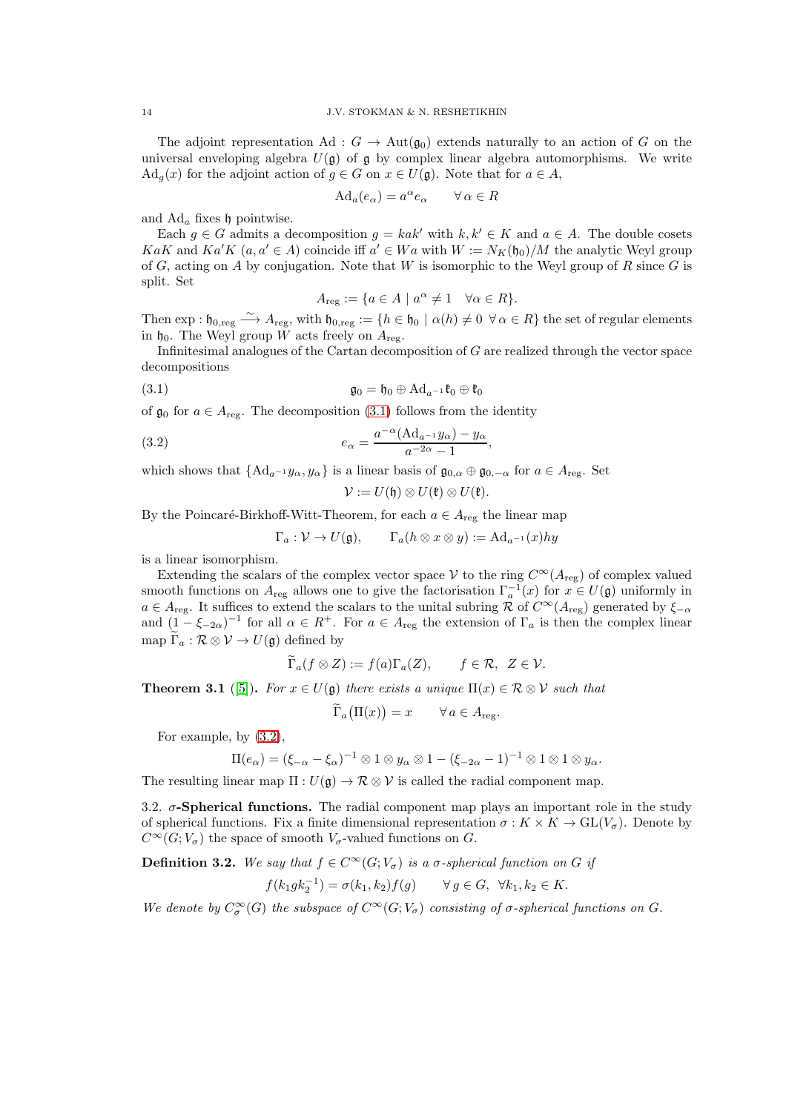The adjoint representation Ad :  $G \to \text{Aut}(\mathfrak{g}_0)$  extends naturally to an action of G on the universal enveloping algebra  $U(\mathfrak{g})$  of  $\mathfrak{g}$  by complex linear algebra automorphisms. We write  $\text{Ad}_q(x)$  for the adjoint action of  $q \in G$  on  $x \in U(\mathfrak{g})$ . Note that for  $a \in A$ ,

$$
Ad_a(e_\alpha) = a^\alpha e_\alpha \qquad \forall \alpha \in R
$$

and  $\text{Ad}_a$  fixes h pointwise.

Each  $g \in G$  admits a decomposition  $g = kak'$  with  $k, k' \in K$  and  $a \in A$ . The double cosets  $KaK$  and  $Ka'K$   $(a, a' \in A)$  coincide iff  $a' \in Wa$  with  $W := N_K(\mathfrak{h}_0)/M$  the analytic Weyl group of G, acting on A by conjugation. Note that W is isomorphic to the Weyl group of R since G is split. Set

<span id="page-13-1"></span>
$$
A_{\text{reg}} := \{ a \in A \mid a^{\alpha} \neq 1 \quad \forall \alpha \in R \}.
$$

Then  $\exp: \mathfrak{h}_{0, \text{reg}} \stackrel{\sim}{\longrightarrow} A_{\text{reg}}$ , with  $\mathfrak{h}_{0, \text{reg}} := \{h \in \mathfrak{h}_{0} \mid \alpha(h) \neq 0 \ \forall \alpha \in R\}$  the set of regular elements in  $\mathfrak{h}_0$ . The Weyl group W acts freely on  $A_{\text{reg}}$ .

Infinitesimal analogues of the Cartan decomposition of G are realized through the vector space decompositions

(3.1) 
$$
\mathfrak{g}_0 = \mathfrak{h}_0 \oplus \mathrm{Ad}_{a^{-1}}\mathfrak{k}_0 \oplus \mathfrak{k}_0
$$

of  $\mathfrak{g}_0$  for  $a \in A_{\text{reg}}$ . The decomposition [\(3.1\)](#page-13-1) follows from the identity

(3.2) 
$$
e_{\alpha} = \frac{a^{-\alpha} (\text{Ad}_{a^{-1}} y_{\alpha}) - y_{\alpha}}{a^{-2\alpha} - 1},
$$

which shows that  ${Ad}_{a^{-1}} y_\alpha, y_\alpha$  is a linear basis of  $\mathfrak{g}_{0,\alpha} \oplus \mathfrak{g}_{0,-\alpha}$  for  $a \in A_{reg}$ . Set

<span id="page-13-2"></span>
$$
\mathcal{V} := U(\mathfrak{h}) \otimes U(\mathfrak{k}) \otimes U(\mathfrak{k}).
$$

By the Poincaré-Birkhoff-Witt-Theorem, for each  $a \in A_{reg}$  the linear map

$$
\Gamma_a: \mathcal{V} \to U(\mathfrak{g}), \qquad \Gamma_a(h \otimes x \otimes y) := \mathrm{Ad}_{a^{-1}}(x)hy
$$

is a linear isomorphism.

Extending the scalars of the complex vector space V to the ring  $C^{\infty}(A_{reg})$  of complex valued smooth functions on  $A_{reg}$  allows one to give the factorisation  $\Gamma_a^{-1}(x)$  for  $x \in U(\mathfrak{g})$  uniformly in  $a \in A_{reg}$ . It suffices to extend the scalars to the unital subring R of  $C^{\infty}(A_{reg})$  generated by  $\xi_{-\alpha}$ and  $(1 - \xi_{-2\alpha})^{-1}$  for all  $\alpha \in R^+$ . For  $a \in A_{reg}$  the extension of  $\Gamma_a$  is then the complex linear map  $\widetilde{\Gamma}_a : \mathcal{R} \otimes \mathcal{V} \to U(\mathfrak{g})$  defined by

$$
\widetilde{\Gamma}_a(f \otimes Z) := f(a)\Gamma_a(Z), \qquad f \in \mathcal{R}, \ Z \in \mathcal{V}.
$$

<span id="page-13-3"></span>**Theorem 3.1** ([\[5\]](#page-55-2)). For  $x \in U(\mathfrak{g})$  there exists a unique  $\Pi(x) \in \mathcal{R} \otimes \mathcal{V}$  such that

$$
\widetilde{\Gamma}_a\big(\Pi(x)\big) = x \qquad \forall \, a \in A_{\text{reg}}.
$$

For example, by [\(3.2\)](#page-13-2),

$$
\Pi(e_{\alpha})=(\xi_{-\alpha}-\xi_{\alpha})^{-1}\otimes 1\otimes y_{\alpha}\otimes 1-(\xi_{-2\alpha}-1)^{-1}\otimes 1\otimes 1\otimes y_{\alpha}.
$$

The resulting linear map  $\Pi: U(\mathfrak{g}) \to \mathcal{R} \otimes \mathcal{V}$  is called the radial component map.

<span id="page-13-0"></span>3.2.  $\sigma$ -Spherical functions. The radial component map plays an important role in the study of spherical functions. Fix a finite dimensional representation  $\sigma : K \times K \to GL(V_{\sigma})$ . Denote by  $C^{\infty}(G; V_{\sigma})$  the space of smooth  $V_{\sigma}$ -valued functions on G.

**Definition 3.2.** We say that  $f \in C^{\infty}(G; V_{\sigma})$  is a  $\sigma$ -spherical function on G if

$$
f(k_1 g k_2^{-1}) = \sigma(k_1, k_2) f(g)
$$
  $\forall g \in G, \forall k_1, k_2 \in K.$ 

We denote by  $C^{\infty}_{\sigma}(G)$  the subspace of  $C^{\infty}(G; V_{\sigma})$  consisting of  $\sigma$ -spherical functions on  $G$ .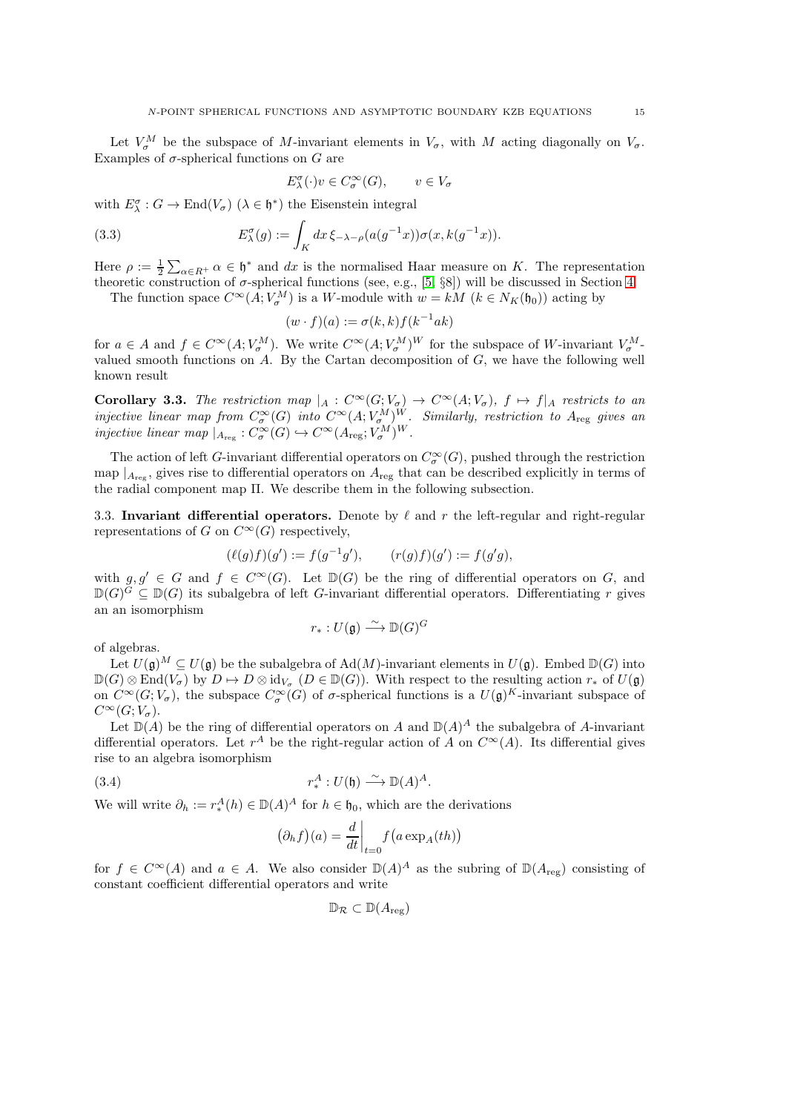Let  $V^M_{\sigma}$  be the subspace of M-invariant elements in  $V_{\sigma}$ , with M acting diagonally on  $V_{\sigma}$ . Examples of  $\sigma$ -spherical functions on G are

<span id="page-14-2"></span>
$$
E_{\lambda}^{\sigma}(\cdot)v \in C_{\sigma}^{\infty}(G), \qquad v \in V_{\sigma}
$$

with  $E^{\sigma}_{\lambda}: G \to \text{End}(V_{\sigma})$   $(\lambda \in \mathfrak{h}^*)$  the Eisenstein integral

(3.3) 
$$
E_{\lambda}^{\sigma}(g) := \int_{K} dx \, \xi_{-\lambda-\rho}(a(g^{-1}x)) \sigma(x, k(g^{-1}x)).
$$

Here  $\rho := \frac{1}{2} \sum_{\alpha \in R^+} \alpha \in \mathfrak{h}^*$  and dx is the normalised Haar measure on K. The representation theoretic construction of  $\sigma$ -spherical functions (see, e.g., [\[5,](#page-55-2) §8]) will be discussed in Section [4.](#page-22-0)

The function space  $C^{\infty}(A; V_{\sigma}^{M})$  is a W-module with  $w = kM$   $(k \in N_{K}(\mathfrak{h}_{0}))$  acting by

$$
(w \cdot f)(a) := \sigma(k,k)f(k^{-1}ak)
$$

for  $a \in A$  and  $f \in C^{\infty}(A; V_{\sigma}^M)$ . We write  $C^{\infty}(A; V_{\sigma}^M)^W$  for the subspace of W-invariant  $V_{\sigma}^M$ valued smooth functions on  $A$ . By the Cartan decomposition of  $G$ , we have the following well known result

**Corollary 3.3.** The restriction map  $|_A : C^{\infty}(G; V_{\sigma}) \to C^{\infty}(A; V_{\sigma}),$   $f \mapsto f|_A$  restricts to an injective linear map from  $C^{\infty}_{\sigma}(G)$  into  $C^{\infty}(A; V_{\sigma}^M)^W$ . Similarly, restriction to  $A_{reg}$  gives an injective linear map  $|_{A_{\text{reg}}} : C^{\infty}_{\sigma}(G) \hookrightarrow C^{\infty}(A_{\text{reg}}; V_{\sigma}^{M})^{W}$ .

The action of left *G*-invariant differential operators on  $C^{\infty}_{\sigma}(G)$ , pushed through the restriction map  $|_{A_{\text{reg}}}$ , gives rise to differential operators on  $A_{\text{reg}}$  that can be described explicitly in terms of the radial component map Π. We describe them in the following subsection.

<span id="page-14-0"></span>3.3. Invariant differential operators. Denote by  $\ell$  and r the left-regular and right-regular representations of G on  $C^{\infty}(G)$  respectively,

$$
(\ell(g)f)(g') := f(g^{-1}g'), \qquad (r(g)f)(g') := f(g'g),
$$

with  $g, g' \in G$  and  $f \in C^{\infty}(G)$ . Let  $\mathbb{D}(G)$  be the ring of differential operators on G, and  $\mathbb{D}(G)^G \subseteq \mathbb{D}(G)$  its subalgebra of left G-invariant differential operators. Differentiating r gives an an isomorphism

$$
r_*: U(\mathfrak{g}) \xrightarrow{\sim} \mathbb{D}(G)^G
$$

of algebras.

Let  $U(\mathfrak{g})^M \subseteq U(\mathfrak{g})$  be the subalgebra of  $\text{Ad}(M)$ -invariant elements in  $U(\mathfrak{g})$ . Embed  $\mathbb{D}(G)$  into  $\mathbb{D}(G) \otimes \text{End}(V_{\sigma})$  by  $D \mapsto D \otimes \text{id}_{V_{\sigma}} (D \in \mathbb{D}(G))$ . With respect to the resulting action  $r_*$  of  $U(\mathfrak{g})$ on  $C^{\infty}(G; V_{\sigma})$ , the subspace  $C^{\infty}_{\sigma}(G)$  of  $\sigma$ -spherical functions is a  $U(\mathfrak{g})^K$ -invariant subspace of  $C^{\infty}(G; V_{\sigma}).$ 

Let  $\mathbb{D}(A)$  be the ring of differential operators on A and  $\mathbb{D}(A)^A$  the subalgebra of A-invariant differential operators. Let  $r^A$  be the right-regular action of A on  $C^{\infty}(A)$ . Its differential gives rise to an algebra isomorphism

(3.4) 
$$
r_*^A: U(\mathfrak{h}) \stackrel{\sim}{\longrightarrow} \mathbb{D}(A)^A.
$$

We will write  $\partial_h := r_*^A$  $A^A$ (h)  $\in \mathbb{D}(A)^A$  for  $h \in \mathfrak{h}_0$ , which are the derivations

<span id="page-14-1"></span>
$$
(\partial_h f)(a) = \frac{d}{dt}\bigg|_{t=0} f(a \exp_A(th))
$$

for  $f \in C^{\infty}(A)$  and  $a \in A$ . We also consider  $\mathbb{D}(A)^A$  as the subring of  $\mathbb{D}(A_{reg})$  consisting of constant coefficient differential operators and write

$$
\mathbb{D}_{\mathcal{R}}\subset \mathbb{D}(A_{\mathrm{reg}})
$$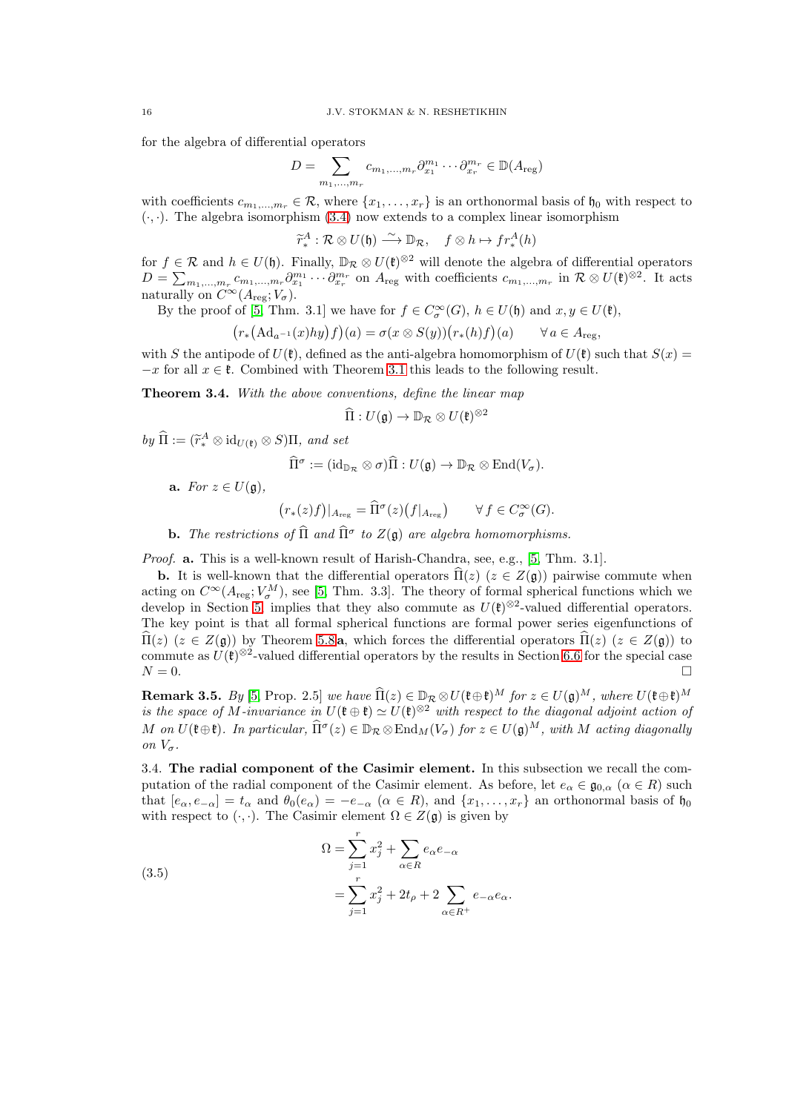for the algebra of differential operators

$$
D = \sum_{m_1,\dots,m_r} c_{m_1,\dots,m_r} \partial_{x_1}^{m_1} \cdots \partial_{x_r}^{m_r} \in \mathbb{D}(A_{\text{reg}})
$$

with coefficients  $c_{m_1,...,m_r} \in \mathcal{R}$ , where  $\{x_1,...,x_r\}$  is an orthonormal basis of  $\mathfrak{h}_0$  with respect to  $(\cdot, \cdot)$ . The algebra isomorphism  $(3.4)$  now extends to a complex linear isomorphism

$$
\widetilde{r}_{*}^{A}:\mathcal{R}\otimes U(\mathfrak{h})\stackrel{\sim}{\longrightarrow} \mathbb{D}_{\mathcal{R}}, \quad f\otimes h\mapsto fr_{*}^{A}(h)
$$

 $\widetilde{r}_{*}^{A}: \mathcal{R} \otimes U(\mathfrak{h}) \stackrel{\sim}{\longrightarrow} \mathbb{D}_{\mathcal{R}}, \quad f \otimes h \mapsto fr_{*}^{A}(h)$ <br>for  $f \in \mathcal{R}$  and  $h \in U(\mathfrak{h})$ . Finally,  $\mathbb{D}_{\mathcal{R}} \otimes U(\mathfrak{k})^{\otimes 2}$  will denote the algebra of differential operators  $D = \sum_{m_1,\dots,m_r} c_{m_1,\dots,m_r} \partial_{x_1}^{m_1} \cdots \partial_{x_r}^{m_r}$  on  $A_{\text{reg}}$  with coefficients  $c_{m_1,\dots,m_r}$  in  $\mathcal{R} \otimes U(\mathfrak{k})^{\otimes 2}$ . It acts naturally on  $C^{\infty}(A_{\text{reg}}; V_{\sigma}).$ 

By the proof of [\[5,](#page-55-2) Thm. 3.1] we have for  $f \in C^{\infty}_{\sigma}(G)$ ,  $h \in U(\mathfrak{h})$  and  $x, y \in U(\mathfrak{k})$ ,

$$
(r_*(\mathrm{Ad}_{a^{-1}}(x)hy)f)(a) = \sigma(x \otimes S(y))(r_*(h)f)(a) \qquad \forall a \in A_{\mathrm{reg}},
$$

with S the antipode of  $U(\mathfrak{k})$ , defined as the anti-algebra homomorphism of  $U(\mathfrak{k})$  such that  $S(x)$  =  $-x$  for all  $x \in \mathfrak{k}$ . Combined with Theorem [3.1](#page-13-3) this leads to the following result.

<span id="page-15-2"></span>Theorem 3.4. With the above conventions, define the linear map

$$
\widehat{\Pi}: U(\mathfrak{g}) \to \mathbb{D}_{\mathcal{R}} \otimes U(\mathfrak{k})^{\otimes 2}
$$

by  $\widehat{\Pi} := (\widetilde{r}_*^A \otimes \mathrm{id}_{U(\mathfrak{k})} \otimes S)\Pi$ , and set

$$
\widehat{\Pi}^{\sigma} := (\mathrm{id}_{\mathbb{D}_{\mathcal{R}}} \otimes \sigma) \widehat{\Pi} : U(\mathfrak{g}) \to \mathbb{D}_{\mathcal{R}} \otimes \mathrm{End}(V_{\sigma}).
$$

a. For  $z \in U(\mathfrak{g})$ ,

$$
\big(r_*(z)f\big)|_{A_{\mathrm{reg}}} = \widehat{\Pi}^{\sigma}(z)\big(f|_{A_{\mathrm{reg}}}\big) \qquad \forall\, f \in C^{\infty}_{\sigma}(G).
$$

**b.** The restrictions of  $\widehat{\Pi}$  and  $\widehat{\Pi}^{\sigma}$  to  $Z(\mathfrak{g})$  are algebra homomorphisms.

Proof. **a.** This is a well-known result of Harish-Chandra, see, e.g., [\[5,](#page-55-2) Thm. 3.1].

**b.** It is well-known that the differential operators  $\Pi(z)$  ( $z \in Z(\mathfrak{g})$ ) pairwise commute when acting on  $C^{\infty}(A_{\text{reg}}; V_{\sigma}^{M})$ , see [\[5,](#page-55-2) Thm. 3.3]. The theory of formal spherical functions which we develop in Section [5,](#page-27-0) implies that they also commute as  $U(\mathfrak{k})^{\otimes 2}$ -valued differential operators. The key point is that all formal spherical functions are formal power series eigenfunctions of  $\Pi(z)$   $(z \in Z(\mathfrak{g}))$  by Theorem [5.8](#page-31-1) a, which forces the differential operators  $\Pi(z)$   $(z \in Z(\mathfrak{g}))$  to commute as  $U(\mathfrak{k})^{\otimes 2}$ -valued differential operators by the results in Section [6.6](#page-51-0) for the special case  $N = 0$ .

<span id="page-15-3"></span>**Remark 3.5.** By [\[5,](#page-55-2) Prop. 2.5] we have  $\widehat{\Pi}(z) \in \mathbb{D}_{\mathcal{R}} \otimes U(\mathfrak{k} \oplus \mathfrak{k})^M$  for  $z \in U(\mathfrak{g})^M$ , where  $U(\mathfrak{k} \oplus \mathfrak{k})^M$ is the space of M-invariance in  $U(\mathfrak{k} \oplus \mathfrak{k}) \simeq U(\mathfrak{k})^{\otimes 2}$  with respect to the diagonal adjoint action of M on  $U(\mathfrak{k} \oplus \mathfrak{k})$ . In particular,  $\widehat{\Pi}^{\sigma}(z) \in \mathbb{D}_{\mathcal{R}} \otimes \text{End}_M(V_{\sigma})$  for  $z \in U(\mathfrak{g})^M$ , with M acting diagonally on  $V_{\sigma}$ .

<span id="page-15-0"></span>3.4. The radial component of the Casimir element. In this subsection we recall the computation of the radial component of the Casimir element. As before, let  $e_{\alpha} \in \mathfrak{g}_{0,\alpha}$  ( $\alpha \in R$ ) such that  $[e_{\alpha}, e_{-\alpha}] = t_{\alpha}$  and  $\theta_0(e_{\alpha}) = -e_{-\alpha}$   $(\alpha \in R)$ , and  $\{x_1, \ldots, x_r\}$  an orthonormal basis of  $\mathfrak{h}_0$ with respect to  $(\cdot, \cdot)$ . The Casimir element  $\Omega \in Z(\mathfrak{g})$  is given by

<span id="page-15-1"></span>(3.5)  
\n
$$
\Omega = \sum_{j=1}^{r} x_j^2 + \sum_{\alpha \in R} e_{\alpha} e_{-\alpha}
$$
\n
$$
= \sum_{j=1}^{r} x_j^2 + 2t_{\rho} + 2 \sum_{\alpha \in R^+} e_{-\alpha} e_{\alpha}.
$$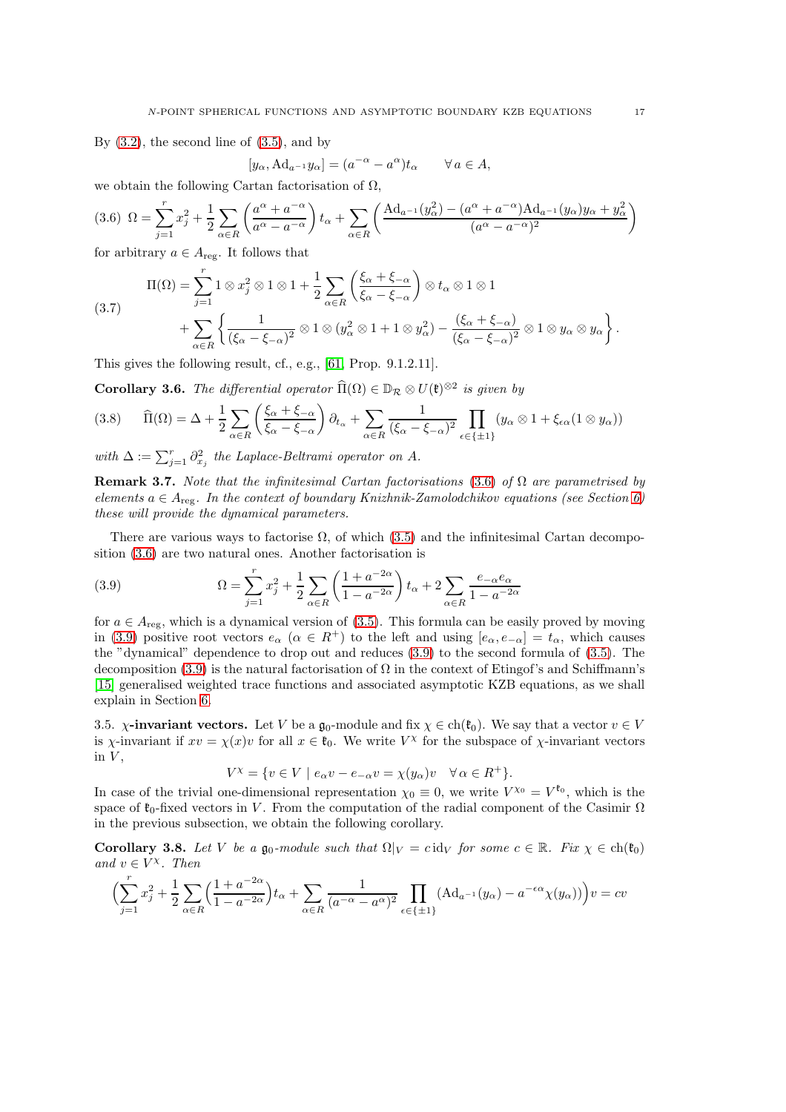By  $(3.2)$ , the second line of  $(3.5)$ , and by

$$
[y_{\alpha}, \mathrm{Ad}_{a^{-1}} y_{\alpha}] = (a^{-\alpha} - a^{\alpha}) t_{\alpha} \qquad \forall a \in A,
$$

we obtain the following Cartan factorisation of  $\Omega$ ,

<span id="page-16-1"></span>
$$
(3.6)\ \Omega = \sum_{j=1}^{r} x_j^2 + \frac{1}{2} \sum_{\alpha \in R} \left( \frac{a^{\alpha} + a^{-\alpha}}{a^{\alpha} - a^{-\alpha}} \right) t_{\alpha} + \sum_{\alpha \in R} \left( \frac{\text{Ad}_{a^{-1}}(y_{\alpha}^2) - (a^{\alpha} + a^{-\alpha}) \text{Ad}_{a^{-1}}(y_{\alpha}) y_{\alpha} + y_{\alpha}^2}{(a^{\alpha} - a^{-\alpha})^2} \right)
$$

for arbitrary  $a \in A_{\text{reg}}$ . It follows that

(3.7) 
$$
\Pi(\Omega) = \sum_{j=1}^{r} 1 \otimes x_j^2 \otimes 1 \otimes 1 + \frac{1}{2} \sum_{\alpha \in R} \left( \frac{\xi_{\alpha} + \xi_{-\alpha}}{\xi_{\alpha} - \xi_{-\alpha}} \right) \otimes t_{\alpha} \otimes 1 \otimes 1 + \sum_{\alpha \in R} \left\{ \frac{1}{(\xi_{\alpha} - \xi_{-\alpha})^2} \otimes 1 \otimes (y_{\alpha}^2 \otimes 1 + 1 \otimes y_{\alpha}^2) - \frac{(\xi_{\alpha} + \xi_{-\alpha})}{(\xi_{\alpha} - \xi_{-\alpha})^2} \otimes 1 \otimes y_{\alpha} \otimes y_{\alpha} \right\}.
$$

This gives the following result, cf., e.g., [\[61,](#page-57-0) Prop. 9.1.2.11].

<span id="page-16-4"></span>**Corollary 3.6.** The differential operator  $\widehat{\Pi}(\Omega) \in \mathbb{D}_{\mathcal{R}} \otimes U(\mathfrak{k})^{\otimes 2}$  is given by

$$
(3.8) \qquad \widehat{\Pi}(\Omega) = \Delta + \frac{1}{2} \sum_{\alpha \in R} \left( \frac{\xi_{\alpha} + \xi_{-\alpha}}{\xi_{\alpha} - \xi_{-\alpha}} \right) \partial_{t_{\alpha}} + \sum_{\alpha \in R} \frac{1}{(\xi_{\alpha} - \xi_{-\alpha})^2} \prod_{\epsilon \in \{\pm 1\}} (y_{\alpha} \otimes 1 + \xi_{\epsilon \alpha} (1 \otimes y_{\alpha}))
$$

with  $\Delta := \sum_{j=1}^r \partial_{x_j}^2$  the Laplace-Beltrami operator on A.

**Remark 3.7.** Note that the infinitesimal Cartan factorisations [\(3.6\)](#page-16-1) of  $\Omega$  are parametrised by elements  $a \in A_{\text{reg}}$ . In the context of boundary Knizhnik-Zamolodchikov equations (see Section [6\)](#page-36-0) these will provide the dynamical parameters.

There are various ways to factorise  $\Omega$ , of which [\(3.5\)](#page-15-1) and the infinitesimal Cartan decomposition [\(3.6\)](#page-16-1) are two natural ones. Another factorisation is

<span id="page-16-2"></span>(3.9) 
$$
\Omega = \sum_{j=1}^{r} x_j^2 + \frac{1}{2} \sum_{\alpha \in R} \left( \frac{1 + a^{-2\alpha}}{1 - a^{-2\alpha}} \right) t_\alpha + 2 \sum_{\alpha \in R} \frac{e_{-\alpha} e_{\alpha}}{1 - a^{-2\alpha}}
$$

for  $a \in A_{reg}$ , which is a dynamical version of [\(3.5\)](#page-15-1). This formula can be easily proved by moving in [\(3.9\)](#page-16-2) positive root vectors  $e_{\alpha}$  ( $\alpha \in R^+$ ) to the left and using  $[e_{\alpha}, e_{-\alpha}] = t_{\alpha}$ , which causes the "dynamical" dependence to drop out and reduces [\(3.9\)](#page-16-2) to the second formula of [\(3.5\)](#page-15-1). The decomposition [\(3.9\)](#page-16-2) is the natural factorisation of  $\Omega$  in the context of Etingof's and Schiffmann's [\[15\]](#page-55-4) generalised weighted trace functions and associated asymptotic KZB equations, as we shall explain in Section [6.](#page-36-0)

<span id="page-16-0"></span>3.5.  $\chi$ -invariant vectors. Let V be a  $\mathfrak{g}_0$ -module and fix  $\chi \in ch(\mathfrak{k}_0)$ . We say that a vector  $v \in V$ is  $\chi$ -invariant if  $xv = \chi(x)v$  for all  $x \in \mathfrak{k}_0$ . We write  $V^{\chi}$  for the subspace of  $\chi$ -invariant vectors in  $V$ ,

$$
V^{\chi} = \{ v \in V \mid e_{\alpha}v - e_{-\alpha}v = \chi(y_{\alpha})v \quad \forall \alpha \in R^+ \}.
$$

In case of the trivial one-dimensional representation  $\chi_0 \equiv 0$ , we write  $V^{\chi_0} = V^{\mathfrak{k}_0}$ , which is the space of  $\mathfrak{k}_0$ -fixed vectors in V. From the computation of the radial component of the Casimir  $\Omega$ in the previous subsection, we obtain the following corollary.

<span id="page-16-3"></span>**Corollary 3.8.** Let V be a  $\mathfrak{g}_0$ -module such that  $\Omega|_V = c \operatorname{id}_V$  for some  $c \in \mathbb{R}$ . Fix  $\chi \in ch(\mathfrak{k}_0)$ and  $v \in V^{\chi}$ . Then

$$
\Bigl(\sum_{j=1}^r x_j^2 + \frac{1}{2}\sum_{\alpha \in R} \Bigl(\frac{1 + a^{-2\alpha}}{1 - a^{-2\alpha}}\Bigr)t_{\alpha} + \sum_{\alpha \in R} \frac{1}{(a^{-\alpha} - a^{\alpha})^2} \prod_{\epsilon \in \{\pm 1\}} ( \mathrm{Ad}_{a^{-1}}(y_{\alpha}) - a^{-\epsilon \alpha} \chi(y_{\alpha})) \Bigr) v = c v
$$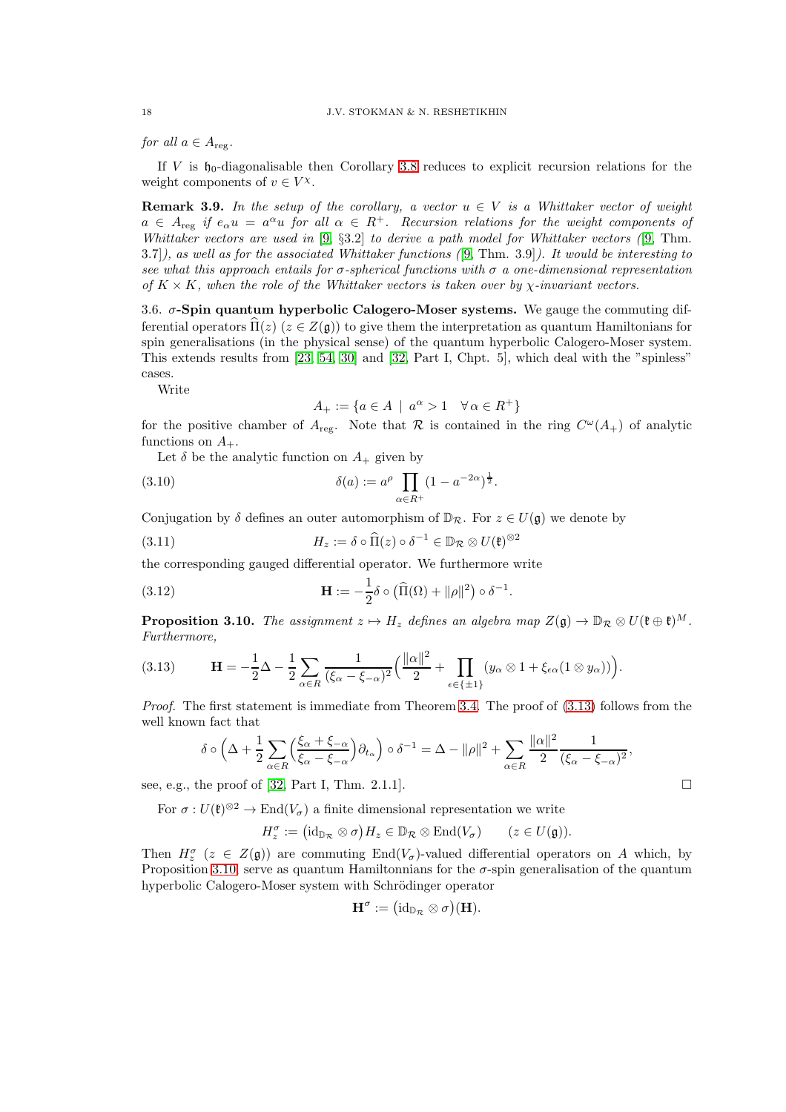for all  $a \in A_{\text{reg}}$ .

If V is  $\mathfrak{h}_0$ -diagonalisable then Corollary [3.8](#page-16-3) reduces to explicit recursion relations for the weight components of  $v \in V^{\chi}$ .

**Remark 3.9.** In the setup of the corollary, a vector  $u \in V$  is a Whittaker vector of weight  $a \in A_{\text{reg}}$  if  $e_{\alpha}u = a^{\alpha}u$  for all  $\alpha \in R^+$ . Recursion relations for the weight components of Whittaker vectors are used in  $[9, §3.2]$  $[9, §3.2]$  to derive a path model for Whittaker vectors  $[9, Thm]$ . 3.7]), as well as for the associated Whittaker functions ([\[9,](#page-55-15) Thm. 3.9]). It would be interesting to see what this approach entails for  $\sigma$ -spherical functions with  $\sigma$  a one-dimensional representation of  $K \times K$ , when the role of the Whittaker vectors is taken over by  $\chi$ -invariant vectors.

<span id="page-17-0"></span>3.6.  $\sigma$ -Spin quantum hyperbolic Calogero-Moser systems. We gauge the commuting differential operators  $\hat{\Pi}(z)$  ( $z \in Z(\mathfrak{g})$ ) to give them the interpretation as quantum Hamiltonians for spin generalisations (in the physical sense) of the quantum hyperbolic Calogero-Moser system. This extends results from [\[23,](#page-55-16) [54,](#page-56-6) [30\]](#page-56-17) and [\[32,](#page-56-7) Part I, Chpt. 5], which deal with the "spinless" cases.

Write

<span id="page-17-4"></span><span id="page-17-3"></span>
$$
A_+ := \{ a \in A \: \mid \: a^{\alpha} > 1 \quad \forall \, \alpha \in R^+ \}
$$

for the positive chamber of  $A_{reg}$ . Note that  $\mathcal R$  is contained in the ring  $C^{\omega}(A_+)$  of analytic functions on  $A_+$ .

Let  $\delta$  be the analytic function on  $A_+$  given by

(3.10) 
$$
\delta(a) := a^{\rho} \prod_{\alpha \in R^+} (1 - a^{-2\alpha})^{\frac{1}{2}}.
$$

Conjugation by  $\delta$  defines an outer automorphism of  $\mathbb{D}_{\mathcal{R}}$ . For  $z \in U(\mathfrak{g})$  we denote by

(3.11) 
$$
H_z := \delta \circ \widehat{\Pi}(z) \circ \delta^{-1} \in \mathbb{D}_{\mathcal{R}} \otimes U(\mathfrak{k})^{\otimes 2}
$$

the corresponding gauged differential operator. We furthermore write

(3.12) 
$$
\mathbf{H} := -\frac{1}{2}\delta \circ \left(\widehat{\Pi}(\Omega) + \|\rho\|^2\right) \circ \delta^{-1}.
$$

<span id="page-17-1"></span>**Proposition 3.10.** The assignment  $z \mapsto H_z$  defines an algebra map  $Z(\mathfrak{g}) \to \mathbb{D}_{\mathcal{R}} \otimes U(\mathfrak{k} \oplus \mathfrak{k})^M$ . Furthermore,

<span id="page-17-2"></span>
$$
(3.13) \qquad \mathbf{H} = -\frac{1}{2}\Delta - \frac{1}{2}\sum_{\alpha \in R} \frac{1}{(\xi_{\alpha} - \xi_{-\alpha})^2} \Big( \frac{\|\alpha\|^2}{2} + \prod_{\epsilon \in \{\pm 1\}} (y_{\alpha} \otimes 1 + \xi_{\epsilon \alpha} (1 \otimes y_{\alpha})) \Big).
$$

Proof. The first statement is immediate from Theorem [3.4.](#page-15-2) The proof of  $(3.13)$  follows from the well known fact that

$$
\delta \circ \left(\Delta + \frac{1}{2} \sum_{\alpha \in R} \left(\frac{\xi_{\alpha} + \xi_{-\alpha}}{\xi_{\alpha} - \xi_{-\alpha}}\right) \partial_{t_{\alpha}}\right) \circ \delta^{-1} = \Delta - \|\rho\|^{2} + \sum_{\alpha \in R} \frac{\|\alpha\|^{2}}{2} \frac{1}{(\xi_{\alpha} - \xi_{-\alpha})^{2}},
$$

see, e.g., the proof of [\[32,](#page-56-7) Part I, Thm. 2.1.1].

For  $\sigma: U(\mathfrak{k})^{\otimes 2} \to \text{End}(V_{\sigma})$  a finite dimensional representation we write

 $H_z^{\sigma} := (\mathrm{id}_{\mathbb{D}_{\mathcal{R}}} \otimes \sigma) H_z \in \mathbb{D}_{\mathcal{R}} \otimes \mathrm{End}(V_{\sigma}) \qquad (z \in U(\mathfrak{g})).$ 

Then  $H_z^{\sigma}$  ( $z \in Z(\mathfrak{g})$ ) are commuting End( $V_{\sigma}$ )-valued differential operators on A which, by Proposition [3.10,](#page-17-1) serve as quantum Hamiltonnians for the  $\sigma$ -spin generalisation of the quantum hyperbolic Calogero-Moser system with Schrödinger operator

$$
\mathbf{H}^{\sigma} := (\mathrm{id}_{\mathbb{D}_{\mathcal{R}}} \otimes \sigma)(\mathbf{H}).
$$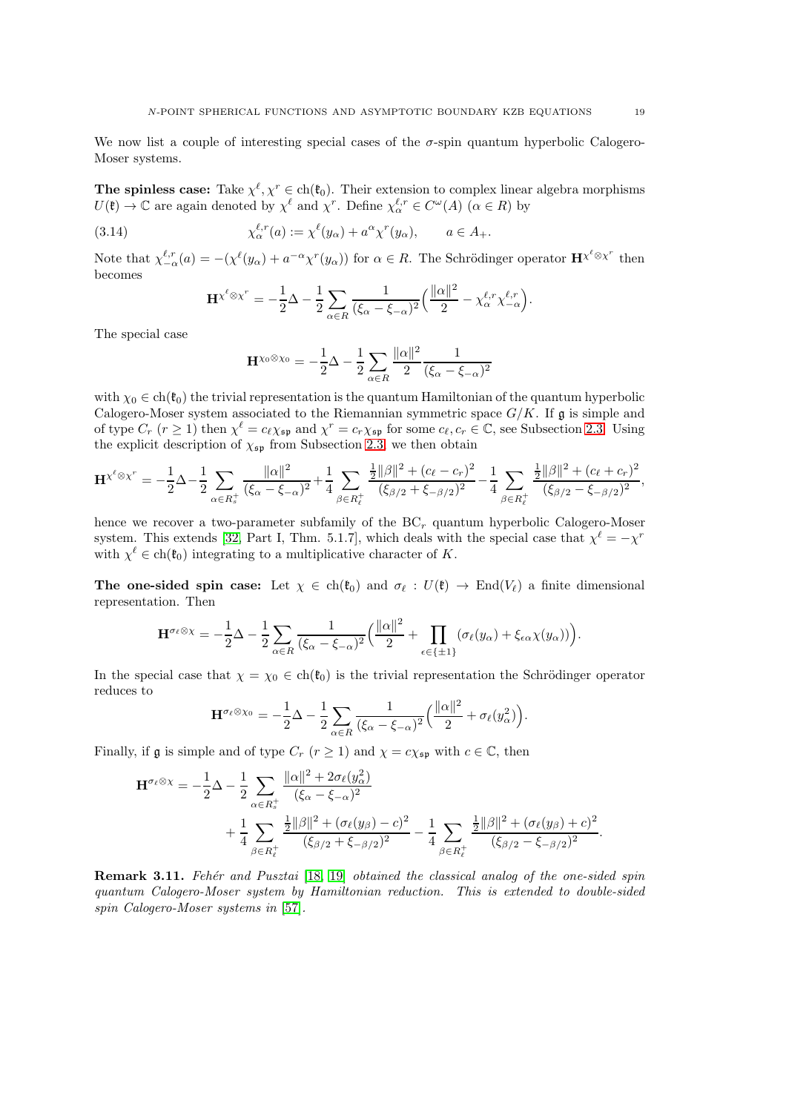We now list a couple of interesting special cases of the  $\sigma$ -spin quantum hyperbolic Calogero-Moser systems.

The spinless case: Take  $\chi^{\ell}, \chi^r \in ch(\mathfrak{k}_0)$ . Their extension to complex linear algebra morphisms  $U(\mathfrak{k}) \to \mathbb{C}$  are again denoted by  $\chi^{\ell}$  and  $\chi^{r}$ . Define  $\chi_{\alpha}^{\ell,r} \in C^{\omega}(A)$   $(\alpha \in R)$  by

(3.14) 
$$
\chi_{\alpha}^{\ell,r}(a) := \chi^{\ell}(y_{\alpha}) + a^{\alpha} \chi^{r}(y_{\alpha}), \qquad a \in A_{+}.
$$

Note that  $\chi_{-\alpha}^{\ell,r}(a) = -(\chi^{\ell}(y_{\alpha}) + a^{-\alpha}\chi^{r}(y_{\alpha}))$  for  $\alpha \in R$ . The Schrödinger operator  $\mathbf{H}^{\chi^{\ell} \otimes \chi^{r}}$  then becomes

$$
\mathbf{H}^{\chi^{\ell} \otimes \chi^{r}} = -\frac{1}{2}\Delta - \frac{1}{2} \sum_{\alpha \in R} \frac{1}{(\xi_{\alpha} - \xi_{-\alpha})^{2}} \left( \frac{\|\alpha\|^{2}}{2} - \chi^{\ell, r}_{\alpha} \chi^{\ell, r}_{-\alpha} \right).
$$

The special case

$$
\mathbf{H}^{\chi_0 \otimes \chi_0} = -\frac{1}{2}\Delta - \frac{1}{2}\sum_{\alpha \in R} \frac{\|\alpha\|^2}{2} \frac{1}{(\xi_\alpha - \xi_{-\alpha})^2}
$$

with  $\chi_0 \in ch(\mathfrak{k}_0)$  the trivial representation is the quantum Hamiltonian of the quantum hyperbolic Calogero-Moser system associated to the Riemannian symmetric space  $G/K$ . If g is simple and of type  $C_r$   $(r \ge 1)$  then  $\chi^{\ell} = c_{\ell} \chi_{\mathfrak{sp}}$  and  $\chi^r = c_r \chi_{\mathfrak{sp}}$  for some  $c_{\ell}, c_r \in \mathbb{C}$ , see Subsection [2.3.](#page-11-1) Using the explicit description of  $\chi_{\mathfrak{sp}}$  from Subsection [2.3,](#page-11-1) we then obtain

$$
\mathbf{H}^{\chi^{\ell} \otimes \chi^{r}} = -\frac{1}{2} \Delta - \frac{1}{2} \sum_{\alpha \in R_{s}^{+}} \frac{\|\alpha\|^{2}}{(\xi_{\alpha} - \xi_{-\alpha})^{2}} + \frac{1}{4} \sum_{\beta \in R_{\ell}^{+}} \frac{\frac{1}{2} \|\beta\|^{2} + (c_{\ell} - c_{r})^{2}}{(\xi_{\beta/2} + \xi_{-\beta/2})^{2}} - \frac{1}{4} \sum_{\beta \in R_{\ell}^{+}} \frac{\frac{1}{2} \|\beta\|^{2} + (c_{\ell} + c_{r})^{2}}{(\xi_{\beta/2} - \xi_{-\beta/2})^{2}},
$$

hence we recover a two-parameter subfamily of the  $BC_r$  quantum hyperbolic Calogero-Moser system. This extends [\[32,](#page-56-7) Part I, Thm. 5.1.7], which deals with the special case that  $\chi^{\ell} = -\chi^r$ with  $\chi^{\ell} \in \text{ch}(\mathfrak{k}_0)$  integrating to a multiplicative character of K.

The one-sided spin case: Let  $\chi \in ch(\mathfrak{k}_0)$  and  $\sigma_{\ell} : U(\mathfrak{k}) \to \text{End}(V_{\ell})$  a finite dimensional representation. Then

$$
\mathbf{H}^{\sigma_{\ell}\otimes\chi} = -\frac{1}{2}\Delta - \frac{1}{2}\sum_{\alpha\in R} \frac{1}{(\xi_{\alpha}-\xi_{-\alpha})^2} \Big(\frac{\|\alpha\|^2}{2} + \prod_{\epsilon\in\{\pm 1\}} (\sigma_{\ell}(y_{\alpha}) + \xi_{\epsilon\alpha}\chi(y_{\alpha}))\Big).
$$

In the special case that  $\chi = \chi_0 \in ch(\mathfrak{k}_0)$  is the trivial representation the Schrödinger operator reduces to

$$
\mathbf{H}^{\sigma_{\ell}\otimes\chi_{0}} = -\frac{1}{2}\Delta - \frac{1}{2}\sum_{\alpha\in R}\frac{1}{(\xi_{\alpha}-\xi_{-\alpha})^{2}}\Big(\frac{\|\alpha\|^{2}}{2} + \sigma_{\ell}(y_{\alpha}^{2})\Big).
$$

Finally, if  $\mathfrak g$  is simple and of type  $C_r$   $(r \ge 1)$  and  $\chi = c \chi_{\mathfrak{sp}}$  with  $c \in \mathbb C$ , then

$$
\mathbf{H}^{\sigma_{\ell}\otimes\chi} = -\frac{1}{2}\Delta - \frac{1}{2}\sum_{\alpha \in R_{s}^{+}} \frac{\|\alpha\|^{2} + 2\sigma_{\ell}(y_{\alpha}^{2})}{(\xi_{\alpha} - \xi_{-\alpha})^{2}} + \frac{1}{4}\sum_{\beta \in R_{\ell}^{+}} \frac{\frac{1}{2}\|\beta\|^{2} + (\sigma_{\ell}(y_{\beta}) - c)^{2}}{(\xi_{\beta/2} + \xi_{-\beta/2})^{2}} - \frac{1}{4}\sum_{\beta \in R_{\ell}^{+}} \frac{\frac{1}{2}\|\beta\|^{2} + (\sigma_{\ell}(y_{\beta}) + c)^{2}}{(\xi_{\beta/2} - \xi_{-\beta/2})^{2}}.
$$

**Remark 3.11.** Fehér and Pusztai [\[18,](#page-55-6) [19\]](#page-55-7) obtained the classical analog of the one-sided spin quantum Calogero-Moser system by Hamiltonian reduction. This is extended to double-sided spin Calogero-Moser systems in [\[57\]](#page-56-9).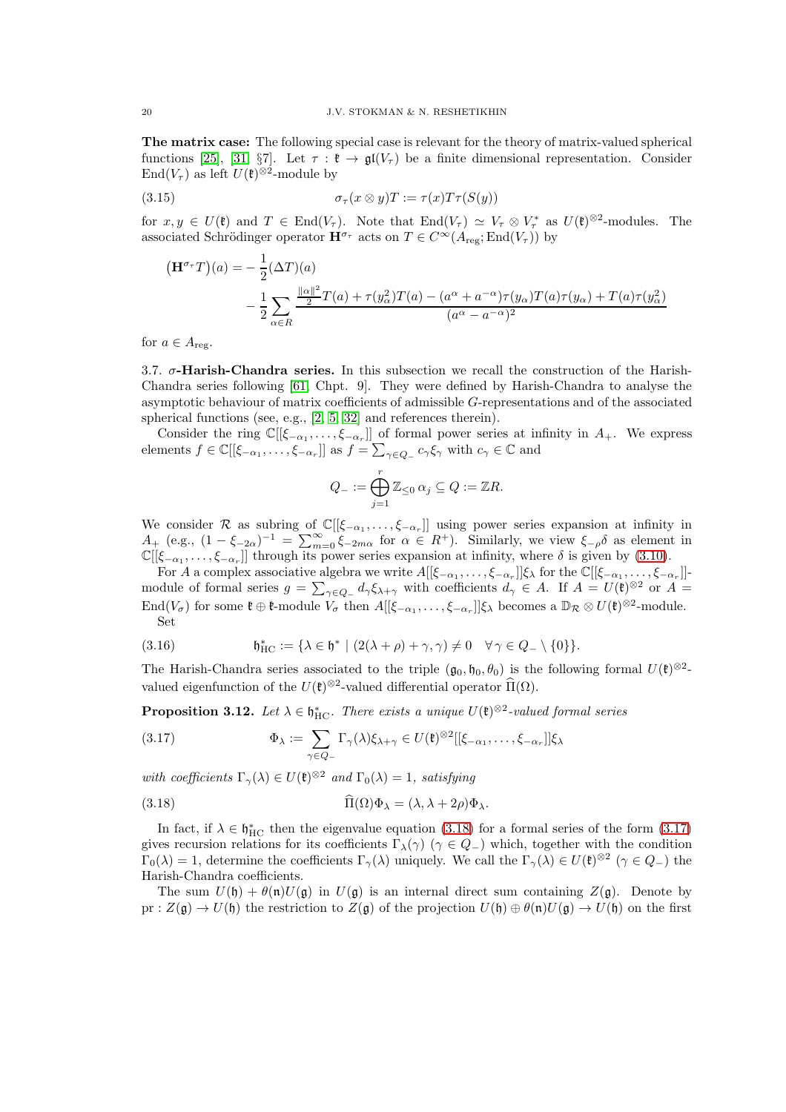The matrix case: The following special case is relevant for the theory of matrix-valued spherical functions [\[25\]](#page-55-14), [\[31,](#page-56-14) §7]. Let  $\tau : \mathfrak{k} \to \mathfrak{gl}(V_\tau)$  be a finite dimensional representation. Consider  $\text{End}(V_\tau)$  as left  $U(\mathfrak{k})^{\otimes 2}$ -module by

(3.15) 
$$
\sigma_{\tau}(x \otimes y)T := \tau(x)T\tau(S(y))
$$

for  $x, y \in U(\mathfrak{k})$  and  $T \in \text{End}(V_\tau)$ . Note that  $\text{End}(V_\tau) \simeq V_\tau \otimes V_\tau^*$  as  $U(\mathfrak{k})^{\otimes 2}$ -modules. The associated Schrödinger operator  $\mathbf{H}^{\sigma_{\tau}}$  acts on  $T \in C^{\infty}(A_{\text{reg}}; \text{End}(V_{\tau}))$  by

$$
\begin{aligned} \left(\mathbf{H}^{\sigma_{\tau}}T\right)(a) &= -\frac{1}{2}(\Delta T)(a) \\ &- \frac{1}{2} \sum_{\alpha \in R} \frac{\frac{\|a\|^2}{2}T(a) + \tau(y_\alpha^2)T(a) - (a^\alpha + a^{-\alpha})\tau(y_\alpha)T(a)\tau(y_\alpha) + T(a)\tau(y_\alpha^2)}{(a^\alpha - a^{-\alpha})^2} \end{aligned}
$$

for  $a \in A_{\text{reg}}$ .

<span id="page-19-0"></span>3.7.  $\sigma$ -Harish-Chandra series. In this subsection we recall the construction of the Harish-Chandra series following [\[61,](#page-57-0) Chpt. 9]. They were defined by Harish-Chandra to analyse the asymptotic behaviour of matrix coefficients of admissible G-representations and of the associated spherical functions (see, e.g., [\[2,](#page-55-17) [5,](#page-55-2) [32\]](#page-56-7) and references therein).

Consider the ring  $\mathbb{C}[[\xi_{-\alpha_1},\ldots,\xi_{-\alpha_r}]]$  of formal power series at infinity in  $A_+$ . We express elements  $f \in \mathbb{C}[[\xi_{-\alpha_1}, \ldots, \xi_{-\alpha_r}]]$  as  $f = \sum_{\gamma \in Q_-} c_{\gamma} \xi_{\gamma}$  with  $c_{\gamma} \in \mathbb{C}$  and

$$
Q_-:=\bigoplus_{j=1}^r\mathbb{Z}_{\leq 0}\,\alpha_j\subseteq Q:=\mathbb{Z} R.
$$

We consider R as subring of  $\mathbb{C}[[\xi_{-\alpha_1},\ldots,\xi_{-\alpha_r}]]$  using power series expansion at infinity in  $A_+$  (e.g.,  $(1 - \xi_{-2\alpha})^{-1} = \sum_{m=0}^{\infty} \xi_{-2m\alpha}$  for  $\alpha \in R^+$ ). Similarly, we view  $\xi_{-\rho}\delta$  as element in  $\mathbb{C}[[\xi_{-\alpha_1},\ldots,\xi_{-\alpha_r}]]$  through its power series expansion at infinity, where  $\delta$  is given by [\(3.10\)](#page-17-3).

For A a complex associative algebra we write  $A[[\xi_{-\alpha_1},\ldots,\xi_{-\alpha_r}]]\xi_\lambda$  for the  $\mathbb{C}[[\xi_{-\alpha_1},\ldots,\xi_{-\alpha_r}]]$ module of formal series  $g = \sum_{\gamma \in Q_-} d_{\gamma} \xi_{\lambda + \gamma}$  with coefficients  $d_{\gamma} \in A$ . If  $A = U(\mathfrak{k})^{\otimes 2}$  or  $A =$ End( $V_{\sigma}$ ) for some  $\mathfrak{k} \oplus \mathfrak{k}$ -module  $V_{\sigma}$  then  $A[[\xi_{-\alpha_1}, \ldots, \xi_{-\alpha_r}]]\xi_{\lambda}$  becomes a  $\mathbb{D}_{\mathcal{R}} \otimes U(\mathfrak{k})^{\otimes 2}$ -module. Set

<span id="page-19-1"></span>(3.16) 
$$
\mathfrak{h}_{\mathrm{HC}}^* := \{ \lambda \in \mathfrak{h}^* \mid (2(\lambda + \rho) + \gamma, \gamma) \neq 0 \quad \forall \gamma \in Q_- \setminus \{0\} \}.
$$

The Harish-Chandra series associated to the triple  $(\mathfrak{g}_0, \mathfrak{h}_0, \theta_0)$  is the following formal  $U(\mathfrak{k})^{\otimes 2}$ valued eigenfunction of the  $U(\mathfrak{k})^{\otimes 2}$ -valued differential operator  $\Pi(\Omega)$ .

<span id="page-19-4"></span>**Proposition 3.12.** Let  $\lambda \in \mathfrak{h}_{HC}^*$ . There exists a unique  $U(\mathfrak{k})^{\otimes 2}$ -valued formal series

<span id="page-19-3"></span>(3.17) 
$$
\Phi_{\lambda} := \sum_{\gamma \in Q_{-}} \Gamma_{\gamma}(\lambda) \xi_{\lambda + \gamma} \in U(\mathfrak{k})^{\otimes 2}[[\xi_{-\alpha_{1}}, \ldots, \xi_{-\alpha_{r}}]] \xi_{\lambda}
$$

with coefficients  $\Gamma_{\gamma}(\lambda) \in U(\mathfrak{k})^{\otimes 2}$  and  $\Gamma_0(\lambda) = 1$ , satisfying

<span id="page-19-2"></span>(3.18) 
$$
\Pi(\Omega)\Phi_{\lambda} = (\lambda, \lambda + 2\rho)\Phi_{\lambda}.
$$

In fact, if  $\lambda \in \mathfrak{h}_{HC}^*$  then the eigenvalue equation [\(3.18\)](#page-19-2) for a formal series of the form [\(3.17\)](#page-19-3) gives recursion relations for its coefficients  $\Gamma_{\lambda}(\gamma)$  ( $\gamma \in Q_{-}$ ) which, together with the condition  $\Gamma_0(\lambda) = 1$ , determine the coefficients  $\Gamma_\gamma(\lambda)$  uniquely. We call the  $\Gamma_\gamma(\lambda) \in U(\mathfrak{k})^{\otimes 2}$   $(\gamma \in Q_-)$  the Harish-Chandra coefficients.

The sum  $U(\mathfrak{h}) + \theta(\mathfrak{n})U(\mathfrak{g})$  in  $U(\mathfrak{g})$  is an internal direct sum containing  $Z(\mathfrak{g})$ . Denote by pr :  $Z(\mathfrak{g}) \to U(\mathfrak{h})$  the restriction to  $Z(\mathfrak{g})$  of the projection  $U(\mathfrak{h}) \oplus \theta(\mathfrak{n})U(\mathfrak{g}) \to U(\mathfrak{h})$  on the first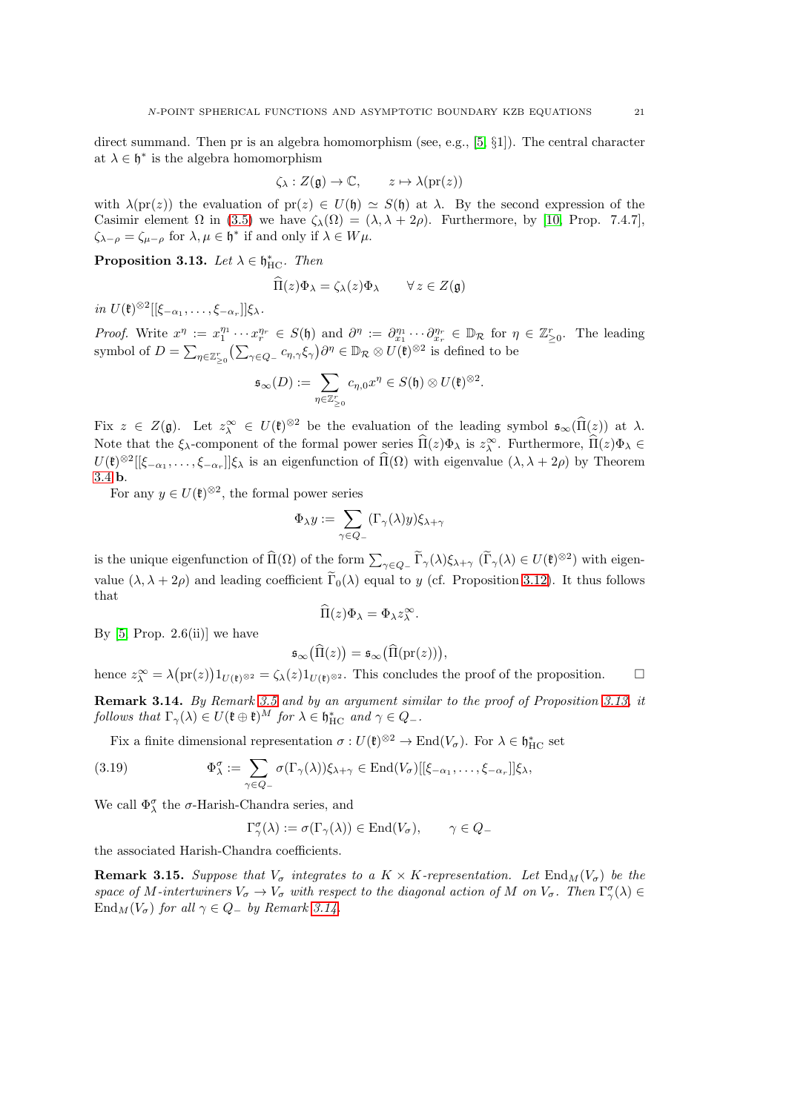direct summand. Then pr is an algebra homomorphism (see, e.g., [\[5,](#page-55-2) §1]). The central character at  $\lambda \in \mathfrak{h}^*$  is the algebra homomorphism

$$
\zeta_{\lambda}: Z(\mathfrak{g}) \to \mathbb{C}, \qquad z \mapsto \lambda(\mathrm{pr}(z))
$$

with  $\lambda(\text{pr}(z))$  the evaluation of  $\text{pr}(z) \in U(\mathfrak{h}) \simeq S(\mathfrak{h})$  at  $\lambda$ . By the second expression of the Casimir element  $\Omega$  in [\(3.5\)](#page-15-1) we have  $\zeta_{\lambda}(\Omega) = (\lambda, \lambda + 2\rho)$ . Furthermore, by [\[10,](#page-55-18) Prop. 7.4.7],  $\zeta_{\lambda-\rho} = \zeta_{\mu-\rho}$  for  $\lambda, \mu \in \mathfrak{h}^*$  if and only if  $\lambda \in W\mu$ .

<span id="page-20-0"></span>Proposition 3.13. Let  $\lambda \in \mathfrak{h}^*_\mathrm{HC}$ . Then

$$
\Pi(z)\Phi_{\lambda} = \zeta_{\lambda}(z)\Phi_{\lambda} \qquad \forall z \in Z(\mathfrak{g})
$$

in  $U(\mathfrak{k})^{\otimes 2}[[\xi_{-\alpha_1},\ldots,\xi_{-\alpha_r}]]\xi_{\lambda}.$ 

Proof. Write  $x^{\eta} := x_1^{\eta_1} \cdots x_r^{\eta_r} \in S(\mathfrak{h})$  and  $\partial^{\eta} := \partial_{x_1}^{\eta_1} \cdots \partial_{x_r}^{\eta_r} \in \mathbb{D}_{\mathcal{R}}$  for  $\eta \in \mathbb{Z}_{\geq 0}^r$ . The leading symbol of  $D = \sum_{\eta \in \mathbb{Z}_{\geq 0}^r} \left( \sum_{\gamma \in Q_-} c_{\eta, \gamma} \xi_{\gamma} \right) \partial^{\eta} \in \mathbb{D}_{\mathcal{R}} \otimes U(\mathfrak{k})^{\otimes 2}$  is defined to be

$$
\mathfrak{s}_{\infty}(D) := \sum_{\eta \in \mathbb{Z}_{\geq 0}^r} c_{\eta,0} x^{\eta} \in S(\mathfrak{h}) \otimes U(\mathfrak{k})^{\otimes 2}.
$$

Fix  $z \in Z(\mathfrak{g})$ . Let  $z_\lambda^{\infty} \in U(\mathfrak{k})^{\otimes 2}$  be the evaluation of the leading symbol  $\mathfrak{s}_{\infty}(\Pi(z))$  at  $\lambda$ . Note that the  $\xi_{\lambda}$ -component of the formal power series  $\Pi(z)\Phi_{\lambda}$  is  $z_{\lambda}^{\infty}$ . Furthermore,  $\Pi(z)\Phi_{\lambda} \in$  $U(\mathfrak{k})^{\otimes 2}[[\xi_{-\alpha_1},\ldots,\xi_{-\alpha_r}]]\xi_\lambda$  is an eigenfunction of  $\Pi(\Omega)$  with eigenvalue  $(\lambda, \lambda + 2\rho)$  by Theorem [3.4](#page-15-2) b.

For any  $y \in U(\mathfrak{k})^{\otimes 2}$ , the formal power series

$$
\Phi_{\lambda} y := \sum_{\gamma \in Q_{-}} (\Gamma_{\gamma}(\lambda) y) \xi_{\lambda + \gamma}
$$

is the unique eigenfunction of  $\widehat{\Pi}(\Omega)$  of the form  $\sum_{\gamma \in Q_-} \widetilde{\Gamma}_{\gamma}(\lambda)\xi_{\lambda+\gamma}$   $(\widetilde{\Gamma}_{\gamma}(\lambda) \in U(\mathfrak{k})^{\otimes 2})$  with eigenvalue  $(\lambda, \lambda + 2\rho)$  and leading coefficient  $\tilde{\Gamma}_0(\lambda)$  equal to y (cf. Proposition [3.12\)](#page-19-4). It thus follows that

$$
\Pi(z)\Phi_{\lambda}=\Phi_{\lambda}z_{\lambda}^{\infty}.
$$

By  $[5, Prop. 2.6(ii)]$  we have

$$
\mathfrak{s}_{\infty}\big(\widehat{\Pi}(z)\big) = \mathfrak{s}_{\infty}\big(\widehat{\Pi}(\mathrm{pr}(z))\big),
$$

hence  $z^{\infty} = \lambda (\mathrm{pr}(z)) 1_{U(\mathfrak{k})^{\otimes 2}} = \zeta_{\lambda}(z) 1_{U(\mathfrak{k})^{\otimes 2}}$ . This concludes the proof of the proposition.  $\square$ 

<span id="page-20-1"></span>Remark 3.14. By Remark [3.5](#page-15-3) and by an argument similar to the proof of Proposition [3.13,](#page-20-0) it follows that  $\Gamma_{\gamma}(\lambda) \in U(\mathfrak{k} \oplus \mathfrak{k})^M$  for  $\lambda \in \mathfrak{h}_{\mathrm{HC}}^*$  and  $\gamma \in Q_-$ .

Fix a finite dimensional representation  $\sigma: U(\mathfrak{k})^{\otimes 2} \to \text{End}(V_{\sigma})$ . For  $\lambda \in \mathfrak{h}_{\text{HC}}^*$  set

(3.19) 
$$
\Phi_{\lambda}^{\sigma} := \sum_{\gamma \in Q_{-}} \sigma(\Gamma_{\gamma}(\lambda)) \xi_{\lambda + \gamma} \in \text{End}(V_{\sigma})[[\xi_{-\alpha_{1}}, \ldots, \xi_{-\alpha_{r}}]] \xi_{\lambda},
$$

We call  $\Phi_\lambda^\sigma$  the  $\sigma\text{-Harish-Chandra series, and}$ 

$$
\Gamma_\gamma^\sigma(\lambda):=\sigma(\Gamma_\gamma(\lambda))\in{\rm End}(V_\sigma),\qquad \gamma\in Q_-
$$

the associated Harish-Chandra coefficients.

**Remark 3.15.** Suppose that  $V_{\sigma}$  integrates to a  $K \times K$ -representation. Let  $\text{End}_{M}(V_{\sigma})$  be the space of M-intertwiners  $V_{\sigma} \to V_{\sigma}$  with respect to the diagonal action of M on  $V_{\sigma}$ . Then  $\Gamma_{\gamma}^{\sigma}(\lambda) \in$  $\text{End}_M(V_\sigma)$  for all  $\gamma \in Q_-$  by Remark [3.14.](#page-20-1)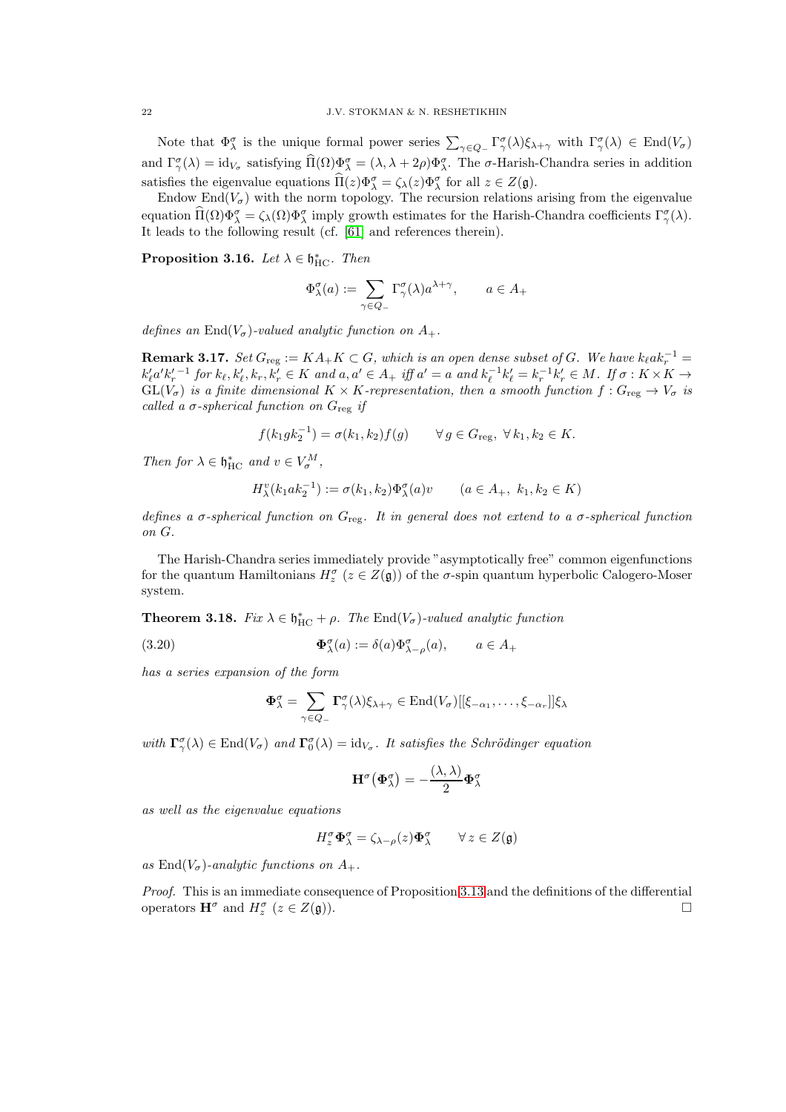Note that  $\Phi_{\lambda}^{\sigma}$  is the unique formal power series  $\sum_{\gamma \in Q_{-}} \Gamma_{\gamma}^{\sigma}(\lambda) \xi_{\lambda+\gamma}$  with  $\Gamma_{\gamma}^{\sigma}(\lambda) \in \text{End}(V_{\sigma})$ and  $\Gamma^{\sigma}_{\gamma}(\lambda) = id_{V_{\sigma}}$  satisfying  $\hat{\Pi}(\Omega)\Phi^{\sigma}_{\lambda} = (\lambda, \lambda + 2\rho)\Phi^{\sigma}_{\lambda}$ . The  $\sigma$ -Harish-Chandra series in addition satisfies the eigenvalue equations  $\widehat{\Pi}(z)\Phi_{\lambda}^{\sigma} = \zeta_{\lambda}(z)\Phi_{\lambda}^{\sigma}$  for all  $z \in Z(\mathfrak{g})$ .

Endow End $(V_{\sigma})$  with the norm topology. The recursion relations arising from the eigenvalue equation  $\Pi(\Omega)\Phi_{\lambda}^{\sigma} = \zeta_{\lambda}(\Omega)\Phi_{\lambda}^{\sigma}$  imply growth estimates for the Harish-Chandra coefficients  $\Gamma_{\gamma}^{\sigma}(\lambda)$ . It leads to the following result (cf. [\[61\]](#page-57-0) and references therein).

<span id="page-21-0"></span>**Proposition 3.16.** Let  $\lambda \in \mathfrak{h}_{\mathrm{HC}}^*$ . Then

$$
\Phi_\lambda^\sigma(a):=\sum_{\gamma\in Q_-}\Gamma_\gamma^\sigma(\lambda)a^{\lambda+\gamma},\qquad a\in A_+
$$

defines an End $(V_{\sigma})$ -valued analytic function on  $A_{+}$ .

<span id="page-21-2"></span>**Remark 3.17.** Set  $G_{reg} := KA_+K \subset G$ , which is an open dense subset of G. We have  $k_{\ell}ak_r^{-1} =$  $k'_\ell a' k'_r{}^{-1}$  for  $k_\ell, k'_\ell, k_r, k'_r \in K$  and  $a, a' \in A_+$  iff  $a' = a$  and  $k_\ell^{-1} k'_\ell = k_r^{-1} k'_r \in M$ . If  $\sigma : K \times K \to$  $GL(V_{\sigma})$  is a finite dimensional  $K \times K$ -representation, then a smooth function  $f: G_{reg} \to V_{\sigma}$  is called a  $\sigma$ -spherical function on  $G_{\text{reg}}$  if

$$
f(k_1 g k_2^{-1}) = \sigma(k_1, k_2) f(g) \qquad \forall g \in G_{\text{reg}}, \ \forall k_1, k_2 \in K.
$$

Then for  $\lambda \in \mathfrak{h}_{\mathrm{HC}}^*$  and  $v \in V_{\sigma}^M$ ,

$$
H_{\lambda}^{v}(k_{1}ak_{2}^{-1}) := \sigma(k_{1}, k_{2})\Phi_{\lambda}^{\sigma}(a)v \qquad (a \in A_{+}, k_{1}, k_{2} \in K)
$$

defines a  $\sigma$ -spherical function on  $G_{\text{reg}}$ . It in general does not extend to a  $\sigma$ -spherical function on G.

The Harish-Chandra series immediately provide "asymptotically free" common eigenfunctions for the quantum Hamiltonians  $H_z^{\sigma}$  ( $z \in Z(\mathfrak{g})$ ) of the  $\sigma$ -spin quantum hyperbolic Calogero-Moser system.

<span id="page-21-1"></span>**Theorem 3.18.** Fix  $\lambda \in \mathfrak{h}_{HC}^* + \rho$ . The End $(V_{\sigma})$ -valued analytic function

(3.20) 
$$
\mathbf{\Phi}_{\lambda}^{\sigma}(a) := \delta(a)\Phi_{\lambda-\rho}^{\sigma}(a), \qquad a \in A_{+}
$$

has a series expansion of the form

$$
\mathbf{\Phi}_{\lambda}^{\sigma} = \sum_{\gamma \in Q_{-}} \mathbf{\Gamma}_{\gamma}^{\sigma}(\lambda) \xi_{\lambda + \gamma} \in \text{End}(V_{\sigma})[[\xi_{-\alpha_{1}}, \ldots, \xi_{-\alpha_{r}}]] \xi_{\lambda}
$$

with  $\Gamma^{\sigma}_{\gamma}(\lambda) \in \text{End}(V_{\sigma})$  and  $\Gamma^{\sigma}_{0}(\lambda) = id_{V_{\sigma}}$ . It satisfies the Schrödinger equation

$$
\mathbf{H}^{\sigma}(\mathbf{\Phi}_{\lambda}^{\sigma}) = -\frac{(\lambda, \lambda)}{2} \mathbf{\Phi}_{\lambda}^{\sigma}
$$

as well as the eigenvalue equations

$$
H_z^{\sigma} \pmb{\Phi}^{\sigma}_\lambda = \zeta_{\lambda - \rho}(z) \pmb{\Phi}^{\sigma}_\lambda \qquad \forall \, z \in Z(\mathfrak{g})
$$

as  $\text{End}(V_{\sigma})$ -analytic functions on  $A_{+}$ .

Proof. This is an immediate consequence of Proposition [3.13](#page-20-0) and the definitions of the differential operators  $\mathbf{H}^{\sigma}$  and  $H_z^{\sigma}$  ( $z \in Z(\mathfrak{g})$ ).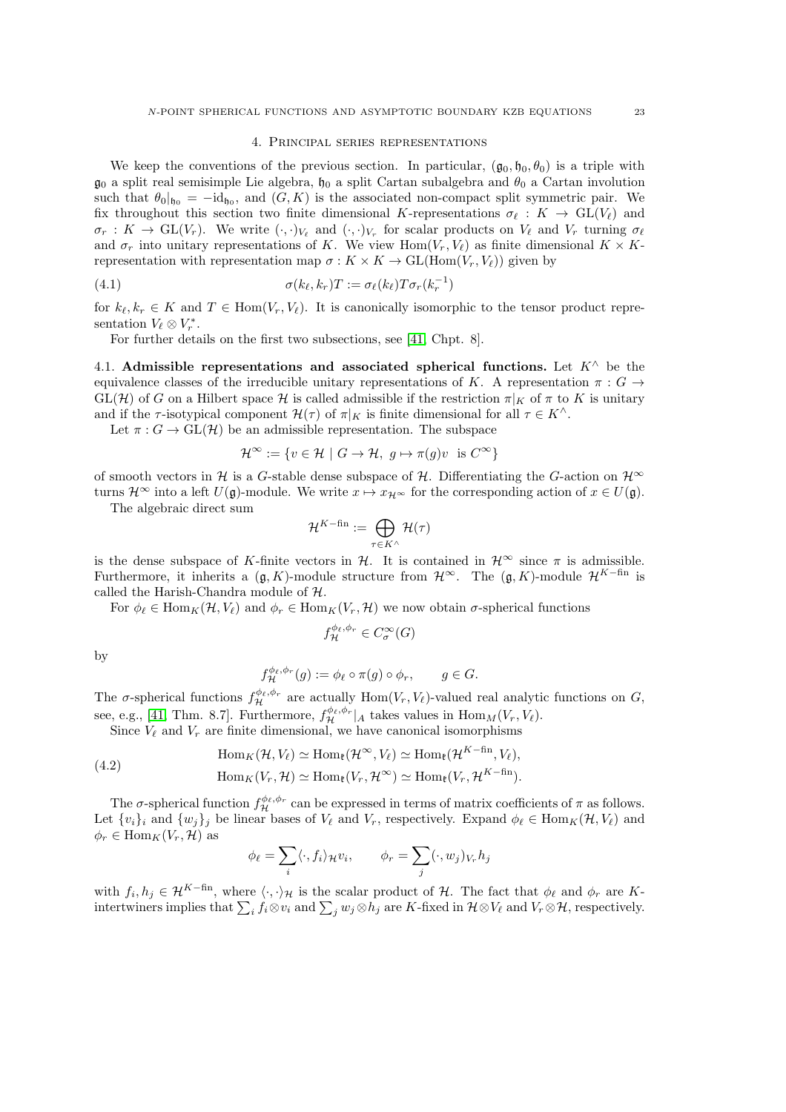#### 4. Principal series representations

<span id="page-22-0"></span>We keep the conventions of the previous section. In particular,  $(\mathfrak{g}_0, \mathfrak{h}_0, \theta_0)$  is a triple with  $\mathfrak{g}_0$  a split real semisimple Lie algebra,  $\mathfrak{h}_0$  a split Cartan subalgebra and  $\theta_0$  a Cartan involution such that  $\theta_0|_{\mathfrak{h}_0} = -id_{\mathfrak{h}_0}$ , and  $(G, K)$  is the associated non-compact split symmetric pair. We fix throughout this section two finite dimensional K-representations  $\sigma_{\ell}: K \to GL(V_{\ell})$  and  $\sigma_r: K \to GL(V_r)$ . We write  $(\cdot, \cdot)_{V_\ell}$  and  $(\cdot, \cdot)_{V_r}$  for scalar products on  $V_\ell$  and  $V_r$  turning  $\sigma_\ell$ and  $\sigma_r$  into unitary representations of K. We view Hom $(V_r, V_\ell)$  as finite dimensional  $K \times K$ representation with representation map  $\sigma : K \times K \to GL(Hom(V_r, V_\ell))$  given by

(4.1) 
$$
\sigma(k_{\ell}, k_r)T := \sigma_{\ell}(k_{\ell})T\sigma_r(k_r^{-1})
$$

for  $k_{\ell}, k_r \in K$  and  $T \in \text{Hom}(V_r, V_{\ell})$ . It is canonically isomorphic to the tensor product representation  $V_{\ell} \otimes V_r^*$ .

For further details on the first two subsections, see [\[41,](#page-56-18) Chpt. 8].

<span id="page-22-1"></span>4.1. Admissible representations and associated spherical functions. Let  $K^{\wedge}$  be the equivalence classes of the irreducible unitary representations of K. A representation  $\pi: G \rightarrow$  $GL(H)$  of G on a Hilbert space H is called admissible if the restriction  $\pi|_K$  of  $\pi$  to K is unitary and if the  $\tau$ -isotypical component  $\mathcal{H}(\tau)$  of  $\pi|_K$  is finite dimensional for all  $\tau \in K^{\wedge}$ .

Let  $\pi: G \to \text{GL}(\mathcal{H})$  be an admissible representation. The subspace

$$
\mathcal{H}^{\infty} := \{ v \in \mathcal{H} \mid G \to \mathcal{H}, g \mapsto \pi(g)v \text{ is } C^{\infty} \}
$$

of smooth vectors in H is a G-stable dense subspace of H. Differentiating the G-action on  $\mathcal{H}^{\infty}$ turns  $\mathcal{H}^{\infty}$  into a left  $U(\mathfrak{g})$ -module. We write  $x \mapsto x_{\mathcal{H}^{\infty}}$  for the corresponding action of  $x \in U(\mathfrak{g})$ .

The algebraic direct sum

$$
\mathcal{H}^{K-\text{fin}}:=\bigoplus_{\tau\in K^{\wedge}}\mathcal{H}(\tau)
$$

is the dense subspace of K-finite vectors in H. It is contained in  $\mathcal{H}^{\infty}$  since  $\pi$  is admissible. Furthermore, it inherits a  $(\mathfrak{g}, K)$ -module structure from  $\mathcal{H}^{\infty}$ . The  $(\mathfrak{g}, K)$ -module  $\mathcal{H}^{K-\text{fin}}$  is called the Harish-Chandra module of H.

For  $\phi_{\ell} \in \text{Hom}_K(\mathcal{H}, V_{\ell})$  and  $\phi_r \in \text{Hom}_K(V_r, \mathcal{H})$  we now obtain  $\sigma$ -spherical functions

$$
f_{\mathcal{H}}^{\phi_{\ell},\phi_{r}} \in C^{\infty}_{\sigma}(G)
$$

by

$$
f_{\mathcal{H}}^{\phi_{\ell},\phi_{r}}(g) := \phi_{\ell} \circ \pi(g) \circ \phi_{r}, \qquad g \in G.
$$

The  $\sigma$ -spherical functions  $f_{\mathcal{H}}^{\phi_{\ell},\phi_{r}}$  are actually Hom $(V_{r}, V_{\ell})$ -valued real analytic functions on  $G$ , see, e.g., [\[41,](#page-56-18) Thm. 8.7]. Furthermore,  $f_{\mathcal{H}}^{\phi_{\ell},\phi_{r}}|_{A}$  takes values in  $\text{Hom}_{M}(V_{r}, V_{\ell})$ .

Since  $V_{\ell}$  and  $V_r$  are finite dimensional, we have canonical isomorphisms

<span id="page-22-2"></span>(4.2) 
$$
\text{Hom}_K(\mathcal{H}, V_\ell) \simeq \text{Hom}_{\mathfrak{k}}(\mathcal{H}^{\infty}, V_\ell) \simeq \text{Hom}_{\mathfrak{k}}(\mathcal{H}^{K-\text{fin}}, V_\ell),
$$

$$
\text{Hom}_K(V_r, \mathcal{H}) \simeq \text{Hom}_{\mathfrak{k}}(V_r, \mathcal{H}^{\infty}) \simeq \text{Hom}_{\mathfrak{k}}(V_r, \mathcal{H}^{K-\text{fin}}).
$$

The  $\sigma$ -spherical function  $f_{\mathcal{H}}^{\phi_{\ell},\phi_{r}}$  can be expressed in terms of matrix coefficients of  $\pi$  as follows. Let  $\{v_i\}_i$  and  $\{w_j\}_j$  be linear bases of  $V_\ell$  and  $V_r$ , respectively. Expand  $\phi_\ell \in \text{Hom}_K(\mathcal{H}, V_\ell)$  and  $\phi_r \in \text{Hom}_K(V_r, \mathcal{H})$  as

$$
\phi_{\ell} = \sum_{i} \langle \cdot, f_i \rangle_{\mathcal{H}} v_i, \qquad \phi_r = \sum_{j} (\cdot, w_j)_{V_r} h_j
$$

with  $f_i, h_j \in \mathcal{H}^{K-\text{fin}}$ , where  $\langle \cdot, \cdot \rangle_{\mathcal{H}}$  is the scalar product of  $\mathcal{H}$ . The fact that  $\phi_{\ell}$  and  $\phi_r$  are Kintertwiners implies that  $\sum_i f_i \otimes v_i$  and  $\sum_j w_j \otimes h_j$  are K-fixed in  $\mathcal{H} \otimes V_\ell$  and  $V_r \otimes \mathcal{H}$ , respectively.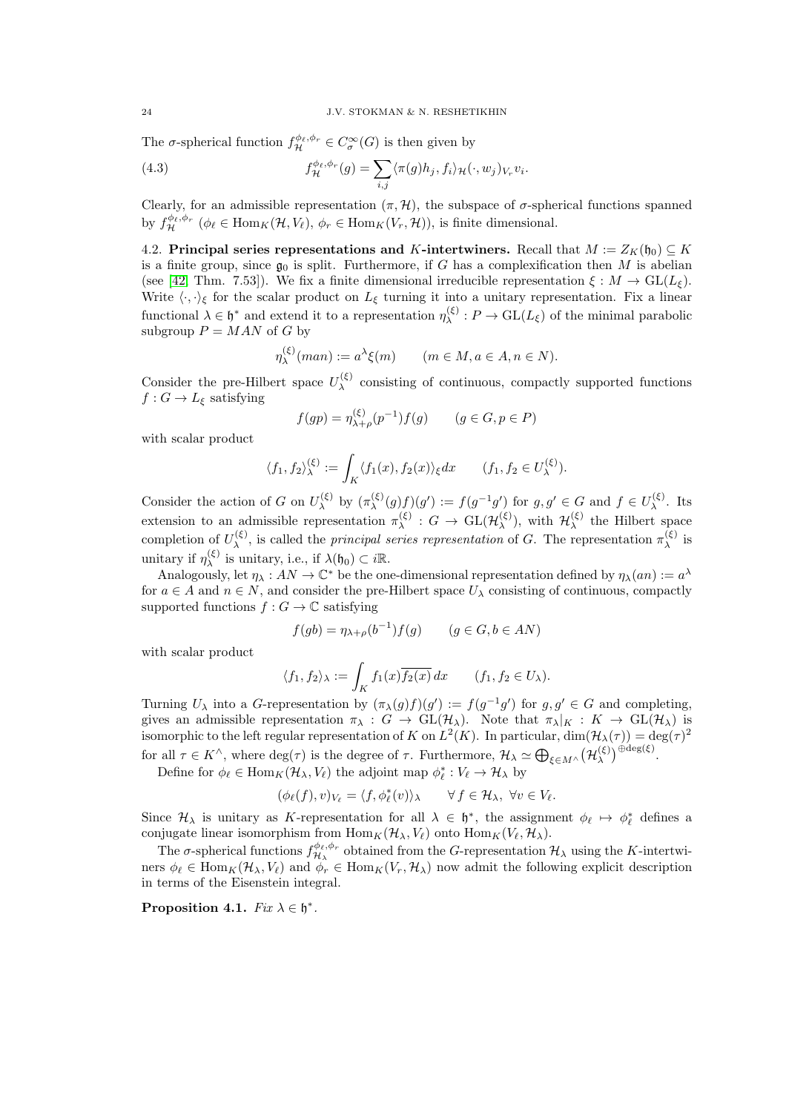The  $\sigma$ -spherical function  $f_{\mathcal{H}}^{\phi_{\ell},\phi_{r}} \in C_{\sigma}^{\infty}(G)$  is then given by

(4.3) 
$$
f_{\mathcal{H}}^{\phi_{\ell},\phi_{r}}(g) = \sum_{i,j} \langle \pi(g)h_{j}, f_{i} \rangle_{\mathcal{H}}(\cdot, w_{j})_{V_{r}} v_{i}.
$$

Clearly, for an admissible representation  $(\pi, \mathcal{H})$ , the subspace of  $\sigma$ -spherical functions spanned by  $f_{\mathcal{H}}^{\phi_{\ell},\phi_{r}}$  ( $\phi_{\ell} \in \text{Hom}_{K}(\mathcal{H}, V_{\ell}), \phi_{r} \in \text{Hom}_{K}(V_{r}, \mathcal{H}))$ , is finite dimensional.

<span id="page-23-0"></span>4.2. Principal series representations and K-intertwiners. Recall that  $M := Z_K(\mathfrak{h}_0) \subseteq K$ is a finite group, since  $\mathfrak{g}_0$  is split. Furthermore, if G has a complexification then M is abelian (see [\[42,](#page-56-15) Thm. 7.53]). We fix a finite dimensional irreducible representation  $\xi : M \to GL(L_{\xi})$ . Write  $\langle \cdot, \cdot \rangle_{\xi}$  for the scalar product on  $L_{\xi}$  turning it into a unitary representation. Fix a linear functional  $\lambda \in \mathfrak{h}^*$  and extend it to a representation  $\eta_{\lambda}^{(\xi)}$  $\chi^{(5)}$ :  $P \to GL(L_{\xi})$  of the minimal parabolic subgroup  $P = MAN$  of G by

$$
\eta_{\lambda}^{(\xi)}(man) := a^{\lambda} \xi(m) \qquad (m \in M, a \in A, n \in N).
$$

Consider the pre-Hilbert space  $U_{\lambda}^{(\xi)}$  $\lambda^{\left(\zeta\right)}$  consisting of continuous, compactly supported functions  $f: G \to L_{\xi}$  satisfying

$$
f(gp) = \eta_{\lambda+\rho}^{(\xi)}(p^{-1})f(g) \qquad (g \in G, p \in P)
$$

with scalar product

$$
\langle f_1, f_2 \rangle_{\lambda}^{(\xi)} := \int_K \langle f_1(x), f_2(x) \rangle_{\xi} dx \qquad (f_1, f_2 \in U_{\lambda}^{(\xi)}).
$$

Consider the action of G on  $U_{\lambda}^{(\xi)}$  $\lambda(\xi)$  by  $(\pi_{\lambda}(\xi))$  $\chi_{\lambda}^{(\xi)}(g)f)(g') := f(g^{-1}g')$  for  $g, g' \in G$  and  $f \in U_{\lambda}^{(\xi)}$  $\lambda^{\left(\varsigma\right)}$ . Its extension to an admissible representation  $\pi_{\lambda}^{(\xi)}$  $\chi^{(\xi)}$  :  $G \to \text{GL}(\mathcal{H}_\lambda^{(\xi)})$  $\mathcal{H}_{\lambda}^{(\xi)}$ ), with  $\mathcal{H}_{\lambda}^{(\xi)}$  $\lambda^{\left( \xi \right)}$  the Hilbert space completion of  $U_{\lambda}^{(\xi)}$ (ξ), is called the *principal series representation* of G. The representation  $\pi_{\lambda}^{(\xi)}$  $\lambda^{\left( \varsigma\right) }$  is unitary if  $\eta_{\lambda}^{(\xi)}$  $\lambda^{(\xi)}$  is unitary, i.e., if  $\lambda(\mathfrak{h}_0) \subset i\mathbb{R}$ .

Analogously, let  $\eta_\lambda: AN \to \mathbb{C}^*$  be the one-dimensional representation defined by  $\eta_\lambda(an) := a^\lambda$ for  $a \in A$  and  $n \in N$ , and consider the pre-Hilbert space  $U_{\lambda}$  consisting of continuous, compactly supported functions  $f: G \to \mathbb{C}$  satisfying

$$
f(gb) = \eta_{\lambda+\rho}(b^{-1})f(g) \qquad (g \in G, b \in AN)
$$

with scalar product

$$
\langle f_1, f_2 \rangle_{\lambda} := \int_K f_1(x) \overline{f_2(x)} \, dx \qquad (f_1, f_2 \in U_{\lambda}).
$$

Turning  $U_{\lambda}$  into a G-representation by  $(\pi_{\lambda}(g)f)(g') := f(g^{-1}g')$  for  $g, g' \in G$  and completing, gives an admissible representation  $\pi_{\lambda}: G \to GL(H_{\lambda})$ . Note that  $\pi_{\lambda}|_K: K \to GL(H_{\lambda})$  is isomorphic to the left regular representation of K on  $L^2(K)$ . In particular,  $\dim(\mathcal{H}_\lambda(\tau)) = \deg(\tau)^2$ for all  $\tau \in K^{\wedge}$ , where  $\deg(\tau)$  is the degree of  $\tau$ . Furthermore,  $\mathcal{H}_{\lambda} \simeq \bigoplus_{\xi \in M^{\wedge}} (\mathcal{H}_{\lambda}^{(\xi)})$  $\left(\xi\right)$   $\bigoplus$  deg( $\xi$ ).

Define for  $\phi_{\ell} \in \text{Hom}_K(\mathcal{H}_{\lambda}, V_{\ell})$  the adjoint map  $\phi_{\ell}^* : V_{\ell} \to \mathcal{H}_{\lambda}$  by

$$
(\phi_{\ell}(f), v)_{V_{\ell}} = \langle f, \phi_{\ell}^*(v) \rangle_{\lambda} \qquad \forall f \in \mathcal{H}_{\lambda}, \ \forall v \in V_{\ell}.
$$

Since  $\mathcal{H}_{\lambda}$  is unitary as K-representation for all  $\lambda \in \mathfrak{h}^*$ , the assignment  $\phi_{\ell} \mapsto \phi_{\ell}^*$  defines a conjugate linear isomorphism from  $\text{Hom}_K(\mathcal{H}_\lambda, V_\ell)$  onto  $\text{Hom}_K(V_\ell, \mathcal{H}_\lambda)$ .

The  $\sigma$ -spherical functions  $f_{\mathcal{H}}^{\phi_{\ell},\phi_{r}}$  $\mathcal{H}_{\lambda}$  obtained from the G-representation  $\mathcal{H}_{\lambda}$  using the K-intertwiners  $\phi_{\ell} \in \text{Hom}_K(\mathcal{H}_{\lambda}, V_{\ell})$  and  $\phi_r \in \text{Hom}_K(V_r, \mathcal{H}_{\lambda})$  now admit the following explicit description in terms of the Eisenstein integral.

<span id="page-23-1"></span>Proposition 4.1.  $Fix \lambda \in \mathfrak{h}^*$ .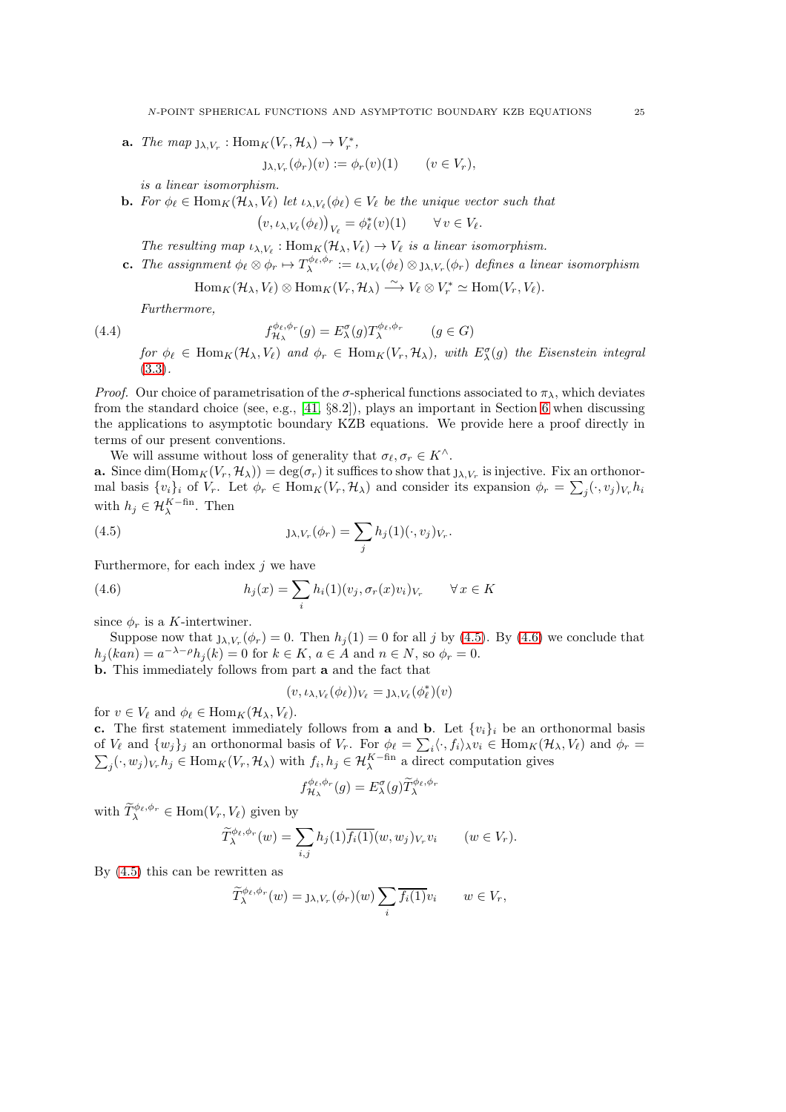**a.** The map  $j_{\lambda,V_r}$ :  $\text{Hom}_K(V_r, \mathcal{H}_{\lambda}) \to V_r^*$ ,

$$
J\lambda, V_r(\phi_r)(v) := \phi_r(v)(1) \qquad (v \in V_r),
$$

is a linear isomorphism.

**b.** For  $\phi_{\ell} \in \text{Hom}_K(\mathcal{H}_{\lambda}, V_{\ell})$  let  $\iota_{\lambda, V_{\ell}}(\phi_{\ell}) \in V_{\ell}$  be the unique vector such that

$$
(v,\iota_{\lambda,V_{\ell}}(\phi_{\ell}))_{V_{\ell}}=\phi_{\ell}^*(v)(1)\qquad\forall\,v\in V_{\ell}.
$$

- The resulting map  $\iota_{\lambda,V_{\ell}}: \text{Hom}_K(\mathcal{H}_{\lambda}, V_{\ell}) \to V_{\ell}$  is a linear isomorphism.
- **c.** The assignment  $\phi_{\ell} \otimes \phi_r \mapsto T_{\lambda}^{\phi_{\ell}, \phi_r} := \iota_{\lambda, V_{\ell}}(\phi_{\ell}) \otimes_{\Lambda, V_r}(\phi_r)$  defines a linear isomorphism

$$
\operatorname{Hom}_K(\mathcal{H}_\lambda,V_\ell)\otimes\operatorname{Hom}_K(V_r,\mathcal{H}_\lambda)\stackrel{\sim}{\longrightarrow}V_\ell\otimes V_r^*\simeq \operatorname{Hom}(V_r,V_\ell).
$$

Furthermore,

(4.4) 
$$
f_{\mathcal{H}_{\lambda}}^{\phi_{\ell},\phi_{r}}(g) = E_{\lambda}^{\sigma}(g) T_{\lambda}^{\phi_{\ell},\phi_{r}} \qquad (g \in G)
$$

for  $\phi_{\ell} \in \text{Hom}_K(\mathcal{H}_{\lambda}, V_{\ell})$  and  $\phi_r \in \text{Hom}_K(V_r, \mathcal{H}_{\lambda})$ , with  $E_{\lambda}^{\sigma}(g)$  the Eisenstein integral [\(3.3\)](#page-14-2).

*Proof.* Our choice of parametrisation of the  $\sigma$ -spherical functions associated to  $\pi_{\lambda}$ , which deviates from the standard choice (see, e.g., [\[41,](#page-56-18) §8.2]), plays an important in Section [6](#page-36-0) when discussing the applications to asymptotic boundary KZB equations. We provide here a proof directly in terms of our present conventions.

We will assume without loss of generality that  $\sigma_{\ell}, \sigma_r \in K^{\wedge}$ .

**a.** Since  $\dim(\text{Hom}_K(V_r, \mathcal{H}_\lambda)) = \deg(\sigma_r)$  it suffices to show that  $j_{\lambda, V_r}$  is injective. Fix an orthonormal basis  $\{v_i\}_i$  of  $V_r$ . Let  $\phi_r \in \text{Hom}_K(V_r, \mathcal{H}_\lambda)$  and consider its expansion  $\phi_r = \sum_j (\cdot, v_j)_{V_r} h_i$ with  $h_j \in \mathcal{H}_{\lambda}^{K-\text{fin}}$ . Then

(4.5) 
$$
J\lambda, V_r(\phi_r) = \sum_j h_j(1)(\cdot, v_j)_{V_r}.
$$

Furthermore, for each index  $j$  we have

(4.6) 
$$
h_j(x) = \sum_i h_i(1)(v_j, \sigma_r(x)v_i)_{V_r} \quad \forall x \in K
$$

since  $\phi_r$  is a K-intertwiner.

Suppose now that  $j_{\lambda,V_r}(\phi_r) = 0$ . Then  $h_j(1) = 0$  for all j by [\(4.5\)](#page-24-0). By [\(4.6\)](#page-24-1) we conclude that  $h_j(kan) = a^{-\lambda - \rho}h_j(k) = 0$  for  $k \in K$ ,  $a \in A$  and  $n \in N$ , so  $\phi_r = 0$ . b. This immediately follows from part a and the fact that

lately follows from part **a** and the fact that 
$$
a = \left(\frac{1}{2}\right)^{3} \cdot \left(\frac{1}{2}\right)^{3}
$$

<span id="page-24-1"></span><span id="page-24-0"></span>
$$
(v,\iota_{\lambda,V_{\ell}}(\phi_{\ell}))_{V_{\ell}}=\mathrm{J}_{\lambda,V_{\ell}}(\phi_{\ell}^{*})(v)
$$

for  $v \in V_\ell$  and  $\phi_\ell \in \text{Hom}_K(\mathcal{H}_\lambda, V_\ell)$ .

c. The first statement immediately follows from a and b. Let  $\{v_i\}_i$  be an orthonormal basis of  $V_{\ell}$  and  $\{w_j\}_j$  an orthonormal basis of  $V_r$ . For  $\phi_{\ell} = \sum_i \langle \cdot, f_i \rangle_{\lambda} v_i \in \text{Hom}_K(\mathcal{H}_{\lambda}, V_{\ell})$  and  $\phi_r =$  $\sum_j (\cdot, w_j)_{V_r} h_j \in \text{Hom}_K(V_r, \mathcal{H}_\lambda)$  with  $f_i, h_j \in \mathcal{H}_\lambda^{K-\text{fin}}$  a direct computation gives

$$
f_{\mathcal{H}_{\lambda}}^{\phi_{\ell},\phi_{r}}(g) = E_{\lambda}^{\sigma}(g)\widetilde{T}_{\lambda}^{\phi_{\ell},\phi_{r}}
$$

with  $\widetilde{T}_{\lambda}^{\phi_{\ell},\phi_{r}} \in \text{Hom}(V_r, V_{\ell})$  given by

$$
\widetilde{T}_{\lambda}^{\phi_{\ell},\phi_{r}}(w) = \sum_{i,j} h_{j}(1) \overline{f_{i}(1)}(w,w_{j})_{V_{r}} v_{i} \qquad (w \in V_{r}).
$$

By [\(4.5\)](#page-24-0) this can be rewritten as

$$
\widetilde{T}_{\lambda}^{\phi_{\ell},\phi_{r}}(w) = \mathbf{J}_{\lambda,V_{r}}(\phi_{r})(w) \sum_{i} \overline{f_{i}(1)} v_{i} \qquad w \in V_{r},
$$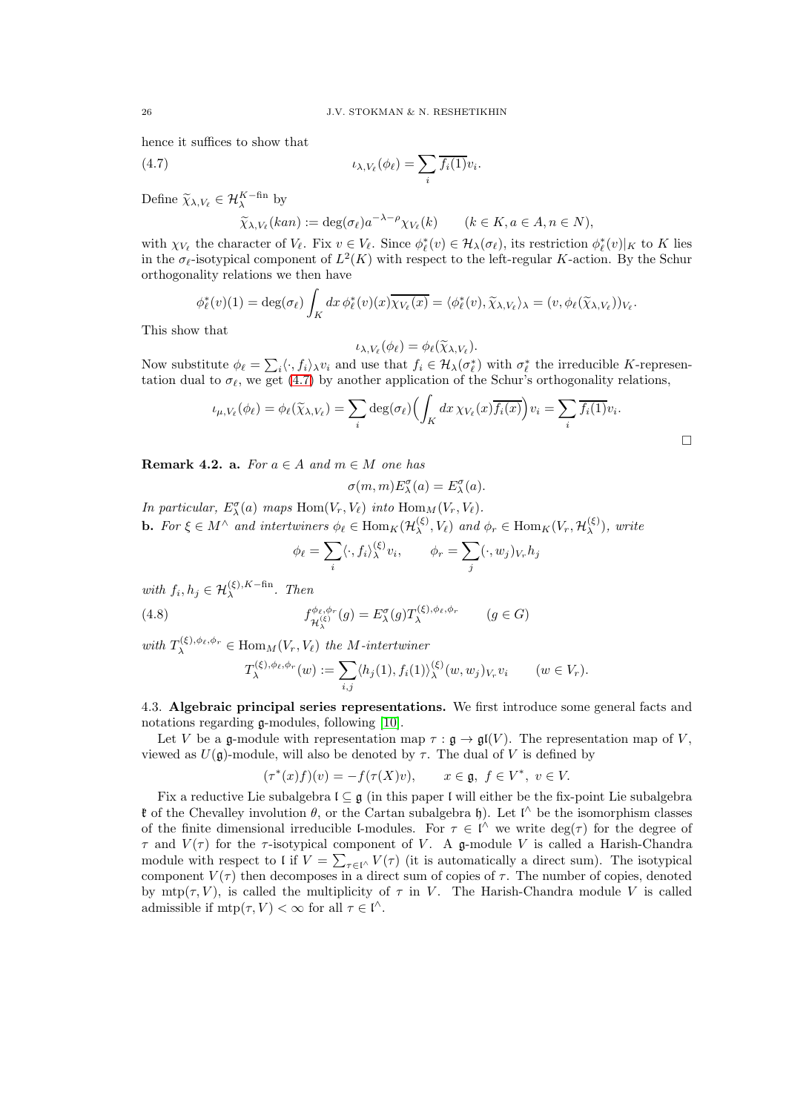hence it suffices to show that

(4.7) 
$$
\iota_{\lambda,V_{\ell}}(\phi_{\ell}) = \sum_{i} \overline{f_i(1)} v_i.
$$

Define  $\widetilde{\chi}_{\lambda,V_{\ell}} \in \mathcal{H}_{\lambda}^{K-\text{fin}}$  by

<span id="page-25-1"></span>
$$
\widetilde{\chi}_{\lambda,V_{\ell}}(kan) := \deg(\sigma_{\ell}) a^{-\lambda - \rho} \chi_{V_{\ell}}(k) \qquad (k \in K, a \in A, n \in N),
$$

with  $\chi_{V_\ell}$  the character of  $V_\ell$ . Fix  $v \in V_\ell$ . Since  $\phi_\ell^*(v) \in \mathcal{H}_\lambda(\sigma_\ell)$ , its restriction  $\phi_\ell^*(v)|_K$  to K lies in the  $\sigma_{\ell}$ -isotypical component of  $L^2(K)$  with respect to the left-regular K-action. By the Schur orthogonality relations we then have

$$
\phi_{\ell}^*(v)(1) = \deg(\sigma_{\ell}) \int_K dx \, \phi_{\ell}^*(v)(x) \overline{\chi_{V_{\ell}}(x)} = \langle \phi_{\ell}^*(v), \widetilde{\chi}_{\lambda, V_{\ell}} \rangle_{\lambda} = (v, \phi_{\ell}(\widetilde{\chi}_{\lambda, V_{\ell}}))_{V_{\ell}}.
$$

This show that

$$
\iota_{\lambda,V_{\ell}}(\phi_{\ell})=\phi_{\ell}(\widetilde{\chi}_{\lambda,V_{\ell}}).
$$

Now substitute  $\phi_{\ell} = \sum_i \langle \cdot, f_i \rangle_{\lambda} v_i$  and use that  $f_i \in \mathcal{H}_{\lambda}(\sigma_{\ell}^*)$  with  $\sigma_{\ell}^*$  the irreducible K-representation dual to  $\sigma_{\ell}$ , we get [\(4.7\)](#page-25-1) by another application of the Schur's orthogonality relations,

$$
\iota_{\mu,V_{\ell}}(\phi_{\ell}) = \phi_{\ell}(\widetilde{\chi}_{\lambda,V_{\ell}}) = \sum_{i} \deg(\sigma_{\ell}) \Bigl( \int_{K} dx \, \chi_{V_{\ell}}(x) \overline{f_{i}(x)} \Bigr) v_{i} = \sum_{i} \overline{f_{i}(1)} v_{i}.
$$

<span id="page-25-2"></span>**Remark 4.2. a.** For  $a \in A$  and  $m \in M$  one has

$$
\sigma(m, m) E_{\lambda}^{\sigma}(a) = E_{\lambda}^{\sigma}(a).
$$

In particular,  $E_{\lambda}^{\sigma}(a)$  maps  $\text{Hom}(V_r, V_{\ell})$  into  $\text{Hom}_M(V_r, V_{\ell})$ . **b.** For  $\xi \in M^{\wedge}$  and intertwiners  $\phi_{\ell} \in \text{Hom}_K(\mathcal{H}_{\lambda}^{(\xi)})$  $\phi_{\lambda}^{(\xi)}, V_{\ell}$  and  $\phi_{r} \in \text{Hom}_{K}(V_{r}, \mathcal{H}_{\lambda}^{(\xi)})$  $\chi^{(5)}$ ), write

<span id="page-25-3"></span>
$$
\phi_{\ell} = \sum_{i} \langle \cdot, f_i \rangle_{\lambda}^{(\xi)} v_i, \qquad \phi_r = \sum_{j} (\cdot, w_j)_{V_r} h_j
$$

with  $f_i, h_j \in \mathcal{H}_\lambda^{(\xi), K-\text{fin}}$ . Then

(4.8) 
$$
f_{\mathcal{H}_{\lambda}^{(\xi)}}^{\phi_{\ell},\phi_{r}}(g) = E_{\lambda}^{\sigma}(g) T_{\lambda}^{(\xi),\phi_{\ell},\phi_{r}} \qquad (g \in G)
$$

with  $T_{\lambda}^{(\xi),\phi_{\ell},\phi_{r}} \in \text{Hom}_{M}(V_r, V_{\ell})$  the M-intertwiner

$$
T_{\lambda}^{(\xi),\phi_{\ell},\phi_{r}}(w) := \sum_{i,j} \langle h_{j}(1), f_{i}(1) \rangle_{\lambda}^{(\xi)}(w, w_{j})_{V_{r}} v_{i} \qquad (w \in V_{r}).
$$

<span id="page-25-0"></span>4.3. Algebraic principal series representations. We first introduce some general facts and notations regarding  $\alpha$ -modules, following [\[10\]](#page-55-18).

Let V be a g-module with representation map  $\tau : \mathfrak{g} \to \mathfrak{gl}(V)$ . The representation map of V, viewed as  $U(\mathfrak{g})$ -module, will also be denoted by  $\tau$ . The dual of V is defined by

$$
(\tau^*(x)f)(v) = -f(\tau(X)v), \qquad x \in \mathfrak{g}, \ f \in V^*, \ v \in V.
$$

Fix a reductive Lie subalgebra  $\mathfrak{l} \subseteq \mathfrak{g}$  (in this paper  $\mathfrak{l}$  will either be the fix-point Lie subalgebra **t** of the Chevalley involution  $\theta$ , or the Cartan subalgebra h). Let  $\mathfrak{l}^{\wedge}$  be the isomorphism classes of the finite dimensional irreducible l-modules. For  $\tau \in \mathfrak{l}^{\wedge}$  we write  $\deg(\tau)$  for the degree of  $\tau$  and  $V(\tau)$  for the  $\tau$ -isotypical component of V. A g-module V is called a Harish-Chandra module with respect to l if  $V = \sum_{\tau \in \mathbb{N}} V(\tau)$  (it is automatically a direct sum). The isotypical component  $V(\tau)$  then decomposes in a direct sum of copies of  $\tau$ . The number of copies, denoted by  $mtp(\tau, V)$ , is called the multiplicity of  $\tau$  in V. The Harish-Chandra module V is called admissible if  $mtp(\tau, V) < \infty$  for all  $\tau \in \mathfrak{l}^{\wedge}$ .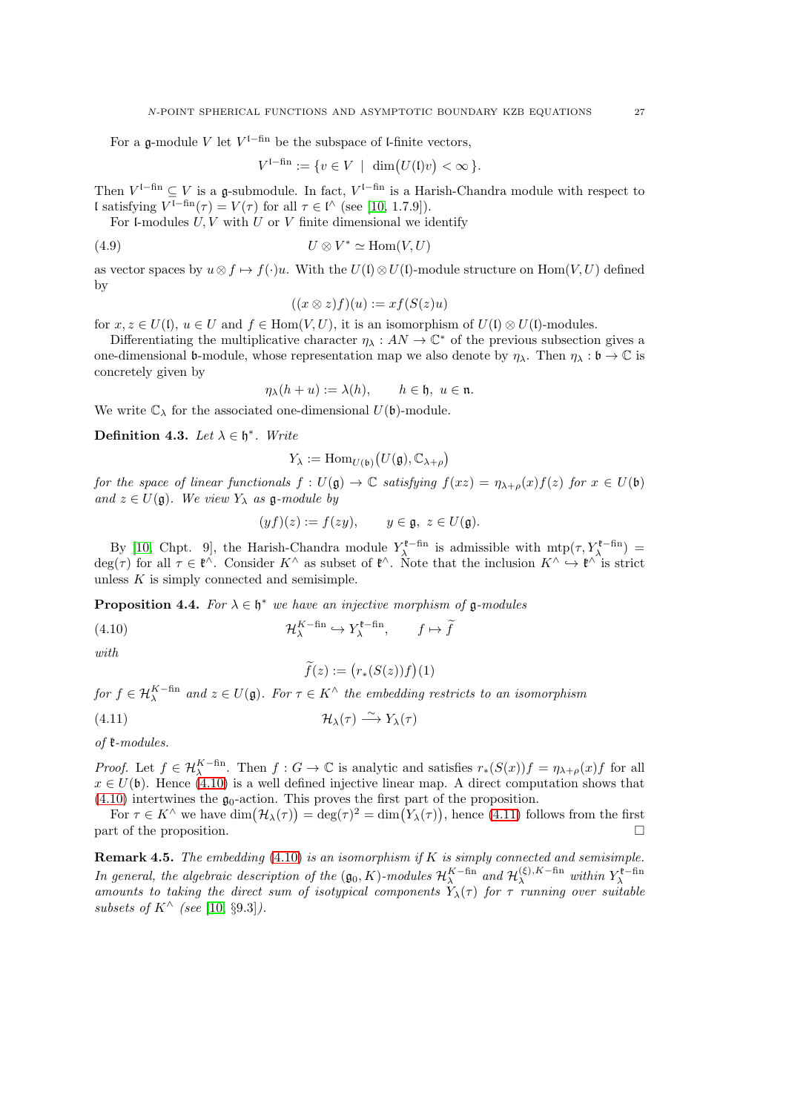For a g-module V let  $V^{1-fin}$  be the subspace of l-finite vectors,

$$
V^{1-\text{fin}} := \{ v \in V \mid \dim(U(\mathfrak{l})v) < \infty \}.
$$

Then  $V^{1-fin} \subseteq V$  is a g-submodule. In fact,  $V^{1-fin}$  is a Harish-Chandra module with respect to l satisfying  $V^{1-\text{fin}}(\tau) = V(\tau)$  for all  $\tau \in I^{\wedge}$  (see [\[10,](#page-55-18) 1.7.9]).

For l-modules  $U, V$  with  $U$  or  $V$  finite dimensional we identify

$$
(4.9) \t\t\t U \otimes V^* \simeq \text{Hom}(V, U)
$$

as vector spaces by  $u \otimes f \mapsto f(\cdot)u$ . With the  $U(f) \otimes U(f)$ -module structure on Hom $(V, U)$  defined by

$$
((x \otimes z)f)(u) := xf(S(z)u)
$$

for  $x, z \in U(1)$ ,  $u \in U$  and  $f \in \text{Hom}(V, U)$ , it is an isomorphism of  $U(1) \otimes U(1)$ -modules.

Differentiating the multiplicative character  $\eta_{\lambda}: AN \to \mathbb{C}^*$  of the previous subsection gives a one-dimensional b-module, whose representation map we also denote by  $\eta_{\lambda}$ . Then  $\eta_{\lambda} : \mathfrak{b} \to \mathbb{C}$  is concretely given by

$$
\eta_{\lambda}(h+u) := \lambda(h), \qquad h \in \mathfrak{h}, \ u \in \mathfrak{n}.
$$

We write  $\mathbb{C}_{\lambda}$  for the associated one-dimensional  $U(\mathfrak{b})$ -module.

Definition 4.3. Let  $\lambda \in \mathfrak{h}^*$ . Write

$$
Y_{\lambda} := \mathrm{Hom}_{U(\mathfrak{b})}\big(U(\mathfrak{g}), \mathbb{C}_{\lambda+\rho}\big)
$$

for the space of linear functionals  $f: U(\mathfrak{g}) \to \mathbb{C}$  satisfying  $f(xz) = \eta_{\lambda+\rho}(x)f(z)$  for  $x \in U(\mathfrak{b})$ and  $z \in U(\mathfrak{g})$ . We view  $Y_{\lambda}$  as  $\mathfrak{g}\text{-module by}$ 

$$
(yf)(z) := f(zy), \qquad y \in \mathfrak{g}, \ z \in U(\mathfrak{g}).
$$

By [\[10,](#page-55-18) Chpt. 9], the Harish-Chandra module  $Y_{\lambda}^{\ell-\text{fin}}$  is admissible with  $mtp(\tau, Y_{\lambda}^{\ell-\text{fin}})$  =  $deg(\tau)$  for all  $\tau \in \mathfrak{k}^{\wedge}$ . Consider  $K^{\wedge}$  as subset of  $\mathfrak{k}^{\wedge}$ . Note that the inclusion  $K^{\wedge} \hookrightarrow \mathfrak{k}^{\wedge}$  is strict unless  $K$  is simply connected and semisimple.

<span id="page-26-2"></span>**Proposition 4.4.** For  $\lambda \in \mathfrak{h}^*$  we have an injective morphism of  $\mathfrak{g}\text{-modules}$ 

(4.10) 
$$
\mathcal{H}_{\lambda}^{K-\text{fin}} \hookrightarrow Y_{\lambda}^{\text{t-fin}}, \qquad f \mapsto \widetilde{f}
$$

with

<span id="page-26-1"></span><span id="page-26-0"></span>
$$
\widetilde{f}(z):=\big(r_*(S(z))f\big)(1)
$$

for  $f \in \mathcal{H}_{\lambda}^{K-\text{fin}}$  and  $z \in U(\mathfrak{g})$ . For  $\tau \in K^{\wedge}$  the embedding restricts to an isomorphism  $\sim \sim \sim \frac{1}{2}$ 

$$
(4.11)\quad \mathcal{H}_{\lambda}(\tau) \stackrel{\sim}{\longrightarrow} Y_{\lambda}(\tau)
$$

of k-modules.

*Proof.* Let  $f \in \mathcal{H}_{\lambda}^{K-\text{fin}}$ . Then  $f: G \to \mathbb{C}$  is analytic and satisfies  $r_*(S(x))f = \eta_{\lambda+\rho}(x)f$  for all  $x \in U(\mathfrak{b})$ . Hence [\(4.10\)](#page-26-0) is a well defined injective linear map. A direct computation shows that  $(4.10)$  intertwines the  $\mathfrak{g}_0$ -action. This proves the first part of the proposition.

For  $\tau \in K^{\wedge}$  we have  $\dim(\mathcal{H}_{\lambda}(\tau)) = \deg(\tau)^{2} = \dim(V_{\lambda}(\tau))$ , hence [\(4.11\)](#page-26-1) follows from the first part of the proposition.  $\Box$ 

**Remark 4.5.** The embedding  $(4.10)$  is an isomorphism if K is simply connected and semisimple. In general, the algebraic description of the  $(\mathfrak{g}_0, K)$ -modules  $\mathcal{H}_{\lambda}^{K-\text{fin}}$  and  $\mathcal{H}_{\lambda}^{(\xi), K-\text{fin}}$  within  $Y_{\lambda}^{\mathfrak{k}-\text{fin}}$ amounts to taking the direct sum of isotypical components  $\hat{Y}_{\lambda}(\tau)$  for  $\tau$  running over suitable subsets of  $K^{\wedge}$  (see [\[10,](#page-55-18) §9.3]).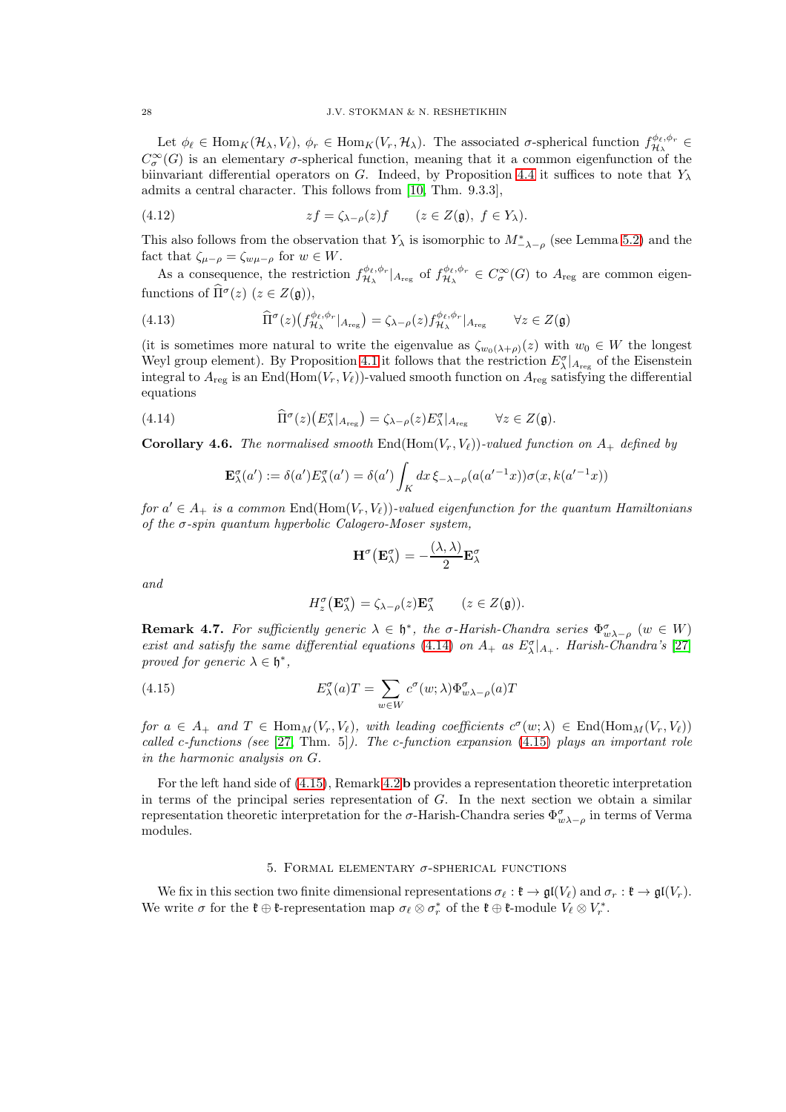#### 28 J.V. STOKMAN & N. RESHETIKHIN

Let  $\phi_{\ell} \in \text{Hom}_K(\mathcal{H}_{\lambda}, V_{\ell}), \ \phi_r \in \text{Hom}_K(V_r, \mathcal{H}_{\lambda}).$  The associated  $\sigma$ -spherical function  $f_{\mathcal{H}_{\lambda}}^{\phi_{\ell}, \phi_r}$  $\overset{\cdot \varphi_{\ell},\varphi_{r}}{\mathcal{H}_{\lambda}}\in$  $C^{\infty}_{\sigma}(G)$  is an elementary  $\sigma$ -spherical function, meaning that it a common eigenfunction of the biinvariant differential operators on G. Indeed, by Proposition [4.4](#page-26-2) it suffices to note that  $Y_\lambda$ admits a central character. This follows from [\[10,](#page-55-18) Thm. 9.3.3],

(4.12) 
$$
zf = \zeta_{\lambda - \rho}(z)f \qquad (z \in Z(\mathfrak{g}),\ f \in Y_{\lambda}).
$$

This also follows from the observation that  $Y_{\lambda}$  is isomorphic to  $M^*_{-\lambda-\rho}$  (see Lemma [5.2\)](#page-28-1) and the fact that  $\zeta_{\mu-\rho} = \zeta_{w\mu-\rho}$  for  $w \in W$ .

As a consequence, the restriction  $f_{\mathcal{H}_{\lambda}}^{\phi_{\ell},\phi_{r}}$  $\frac{\partial \phi_{\ell}, \phi_r}{\partial \mathcal{H}_{\lambda}}|_{A_{\mathrm{reg}}}$  of  $f^{\phi_{\ell}, \phi_r}_{\mathcal{H}_{\lambda}}$  $\mathcal{H}_{\lambda}^{\varphi_{\ell},\varphi_{r}} \in C^{\infty}_{\sigma}(G)$  to  $A_{reg}$  are common eigenfunctions of  $\widehat{\Pi}^{\sigma}(z)$   $(z \in Z(\mathfrak{g})),$ 

(4.13) 
$$
\widehat{\Pi}^{\sigma}(z) \left( f_{\mathcal{H}_{\lambda}}^{\phi_{\ell}, \phi_{r}} |_{A_{\text{reg}}} \right) = \zeta_{\lambda - \rho}(z) f_{\mathcal{H}_{\lambda}}^{\phi_{\ell}, \phi_{r}} |_{A_{\text{reg}}} \qquad \forall z \in Z(\mathfrak{g})
$$

(it is sometimes more natural to write the eigenvalue as  $\zeta_{w_0(\lambda+\rho)}(z)$  with  $w_0 \in W$  the longest Weyl group element). By Proposition [4.1](#page-23-1) it follows that the restriction  $E_{\lambda}^{\sigma}|_{A_{reg}}$  of the Eisenstein integral to  $A_{\text{reg}}$  is an End(Hom(V<sub>r</sub>, V<sub>l</sub>))-valued smooth function on  $A_{\text{reg}}$  satisfying the differential equations

(4.14) 
$$
\widehat{\Pi}^{\sigma}(z)(E^{\sigma}_{\lambda}|_{A_{\text{reg}}}) = \zeta_{\lambda-\rho}(z)E^{\sigma}_{\lambda}|_{A_{\text{reg}}} \qquad \forall z \in Z(\mathfrak{g}).
$$

**Corollary 4.6.** The normalised smooth End(Hom(V<sub>r</sub>, V<sub>e</sub>))-valued function on  $A_+$  defined by

<span id="page-27-1"></span>
$$
\mathbf{E}_{\lambda}^{\sigma}(a') := \delta(a')E_{\lambda}^{\sigma}(a') = \delta(a') \int_{K} dx \, \xi_{-\lambda-\rho}(a(a'^{-1}x))\sigma(x, k(a'^{-1}x))
$$

for  $a' \in A_+$  is a common  $\text{End}(\text{Hom}(V_r,V_\ell))$ -valued eigenfunction for the quantum Hamiltonians of the  $\sigma$ -spin quantum hyperbolic Calogero-Moser system,

$$
\mathbf{H}^{\sigma}(\mathbf{E}_{\lambda}^{\sigma}) = -\frac{(\lambda, \lambda)}{2} \mathbf{E}_{\lambda}^{\sigma}
$$

and

<span id="page-27-2"></span>
$$
H_z^{\sigma}(\mathbf{E}_{\lambda}^{\sigma}) = \zeta_{\lambda-\rho}(z)\mathbf{E}_{\lambda}^{\sigma} \qquad (z \in Z(\mathfrak{g})).
$$

**Remark 4.7.** For sufficiently generic  $\lambda \in \mathfrak{h}^*$ , the  $\sigma$ -Harish-Chandra series  $\Phi_{w\lambda-\rho}^{\sigma}$  ( $w \in W$ ) exist and satisfy the same differential equations [\(4.14\)](#page-27-1) on  $A_+$  as  $E_{\lambda}^{\sigma}|_{A_+}$ . Harish-Chandra's [\[27\]](#page-56-0) proved for generic  $\lambda \in \mathfrak{h}^*$ ,

(4.15) 
$$
E^{\sigma}_{\lambda}(a)T = \sum_{w \in W} c^{\sigma}(w; \lambda) \Phi^{\sigma}_{w\lambda - \rho}(a)T
$$

for  $a \in A_+$  and  $T \in \text{Hom}_M(V_r, V_\ell)$ , with leading coefficients  $c^{\sigma}(w; \lambda) \in \text{End}(\text{Hom}_M(V_r, V_\ell))$ called c-functions (see  $[27, Thm. 5]$  $[27, Thm. 5]$ ). The c-function expansion  $(4.15)$  plays an important role in the harmonic analysis on G.

For the left hand side of [\(4.15\)](#page-27-2), Remark [4.2](#page-25-2) b provides a representation theoretic interpretation in terms of the principal series representation of  $G$ . In the next section we obtain a similar representation theoretic interpretation for the  $\sigma$ -Harish-Chandra series  $\Phi^{\sigma}_{w\lambda-\rho}$  in terms of Verma modules.

# 5. FORMAL ELEMENTARY  $\sigma$ -SPHERICAL FUNCTIONS

<span id="page-27-0"></span>We fix in this section two finite dimensional representations  $\sigma_{\ell}: \mathfrak{k} \to \mathfrak{gl}(V_{\ell})$  and  $\sigma_r: \mathfrak{k} \to \mathfrak{gl}(V_r)$ . We write  $\sigma$  for the  $\mathfrak{k} \oplus \mathfrak{k}$ -representation map  $\sigma_\ell \otimes \sigma_r^*$  of the  $\mathfrak{k} \oplus \mathfrak{k}$ -module  $V_\ell \otimes V_r^*$ .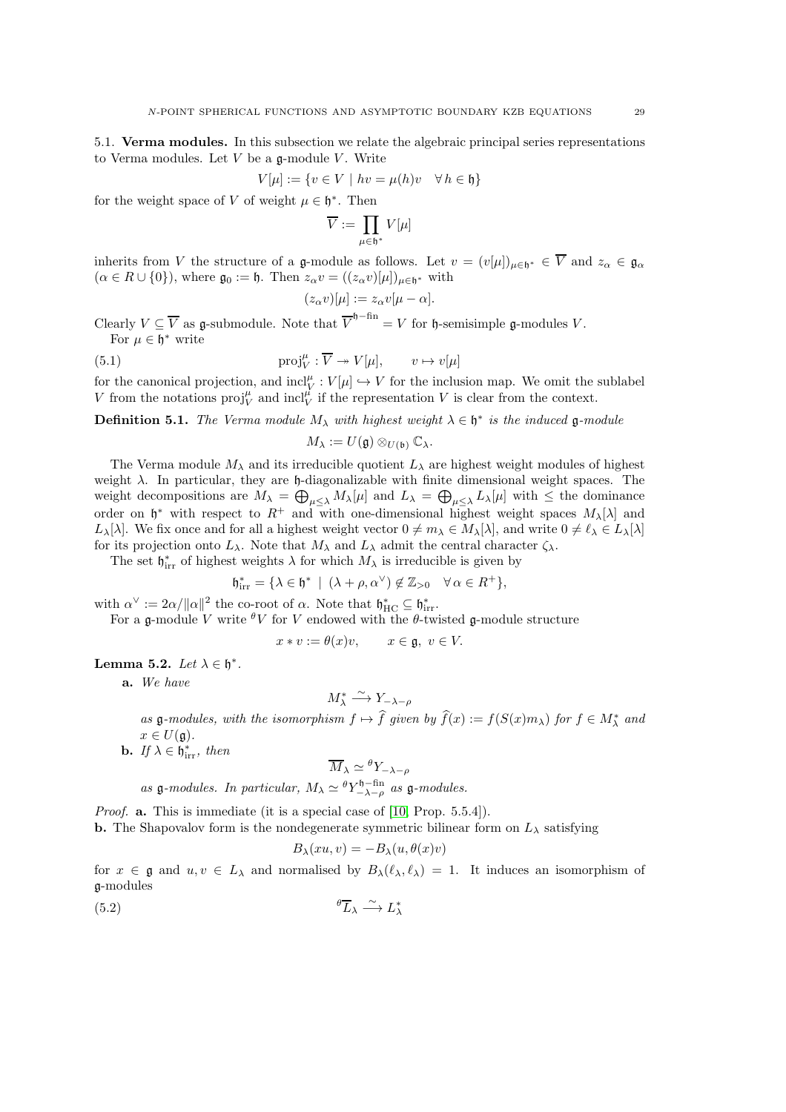<span id="page-28-0"></span>5.1. Verma modules. In this subsection we relate the algebraic principal series representations to Verma modules. Let  $V$  be a  $\mathfrak{g}\text{-module }V$ . Write

$$
V[\mu] := \{ v \in V \mid hv = \mu(h)v \quad \forall h \in \mathfrak{h} \}
$$

for the weight space of V of weight  $\mu \in \mathfrak{h}^*$ . Then

$$
\overline{V}:=\prod_{\mu\in \mathfrak{h}^*}V[\mu]
$$

inherits from V the structure of a g-module as follows. Let  $v = (v[\mu])_{\mu \in \mathfrak{h}^*} \in \overline{V}$  and  $z_\alpha \in \mathfrak{g}_\alpha$  $(\alpha \in R \cup \{0\})$ , where  $\mathfrak{g}_0 := \mathfrak{h}$ . Then  $z_{\alpha}v = ((z_{\alpha}v)[\mu])_{\mu \in \mathfrak{h}^*}$  with

$$
(z_{\alpha}v)[\mu]:=z_{\alpha}v[\mu-\alpha].
$$

Clearly  $V \subseteq \overline{V}$  as g-submodule. Note that  $\overline{V}^{h-\text{fin}} = V$  for  $h$ -semisimple g-modules V. For  $\mu \in \mathfrak{h}^*$  write

(5.1) 
$$
\text{proj}_{V}^{\mu} : \overline{V} \twoheadrightarrow V[\mu], \qquad v \mapsto v[\mu]
$$

for the canonical projection, and  $\text{incl}_V^{\mu}: V[\mu] \hookrightarrow V$  for the inclusion map. We omit the sublabel V from the notations  $proj_V^{\mu}$  and  $incl_V^{\mu'}$  if the representation V is clear from the context.

**Definition 5.1.** The Verma module  $M_{\lambda}$  with highest weight  $\lambda \in \mathfrak{h}^*$  is the induced  $\mathfrak{g}\text{-module}$ 

$$
M_{\lambda} := U(\mathfrak{g}) \otimes_{U(\mathfrak{b})} \mathbb{C}_{\lambda}.
$$

The Verma module  $M_{\lambda}$  and its irreducible quotient  $L_{\lambda}$  are highest weight modules of highest weight  $\lambda$ . In particular, they are h-diagonalizable with finite dimensional weight spaces. The weight decompositions are  $M_{\lambda} = \bigoplus_{\mu \leq \lambda} M_{\lambda}[\mu]$  and  $L_{\lambda} = \bigoplus_{\mu \leq \lambda} L_{\lambda}[\mu]$  with  $\leq$  the dominance order on  $\mathfrak{h}^*$  with respect to  $R^+$  and with one-dimensional highest weight spaces  $M_\lambda[\lambda]$  and  $L_{\lambda}[\lambda]$ . We fix once and for all a highest weight vector  $0 \neq m_{\lambda} \in M_{\lambda}[\lambda]$ , and write  $0 \neq \ell_{\lambda} \in L_{\lambda}[\lambda]$ for its projection onto  $L_{\lambda}$ . Note that  $M_{\lambda}$  and  $L_{\lambda}$  admit the central character  $\zeta_{\lambda}$ .

The set  $\mathfrak{h}_{irr}^*$  of highest weights  $\lambda$  for which  $M_\lambda$  is irreducible is given by

$$
\mathfrak{h}_{\text{irr}}^* = \{ \lambda \in \mathfrak{h}^* \: \mid \: (\lambda + \rho, \alpha^\vee) \notin \mathbb{Z}_{>0} \quad \forall \, \alpha \in R^+ \},
$$

with  $\alpha^{\vee} := 2\alpha/\|\alpha\|^2$  the co-root of  $\alpha$ . Note that  $\mathfrak{h}_{\text{HC}}^* \subseteq \mathfrak{h}_{\text{irr}}^*$ .

 $x * v$ 

For a g-module V write  ${}^{\theta}V$  for V endowed with the  $\theta$ -twisted g-module structure

$$
:= \theta(x)v, \qquad x \in \mathfrak{g}, \ v \in V
$$

<span id="page-28-1"></span>Lemma 5.2. Let  $\lambda \in \mathfrak{h}^*$ .

a. We have

$$
M_{\lambda}^* \xrightarrow{\sim} Y_{-\lambda-\rho}
$$

as  $\mathfrak{g}\text{-modules},$  with the isomorphism  $f \mapsto f$  given by  $f(x) := f(S(x)m_\lambda)$  for  $f \in M^*_\lambda$  and  $x \in U(\mathfrak{g}).$ 

**b.** If  $\lambda \in \mathfrak{h}_{irr}^*$ , then

$$
\overline{M}_{\lambda} \simeq {^\theta}Y_{-\lambda-\rho}
$$

as  $\mathfrak{g}\text{-modules.}$  In particular,  $M_{\lambda} \simeq {}^{\theta}Y_{-\lambda-\rho}^{ \mathfrak{h}-\text{fin}}$  as  $\mathfrak{g}\text{-modules.}$ 

Proof. a. This is immediate (it is a special case of [\[10,](#page-55-18) Prop. 5.5.4]). **b.** The Shapovalov form is the nondegenerate symmetric bilinear form on  $L_{\lambda}$  satisfying

$$
B_{\lambda}(xu,v) = -B_{\lambda}(u,\theta(x)v)
$$

for  $x \in \mathfrak{g}$  and  $u, v \in L_\lambda$  and normalised by  $B_\lambda(\ell_\lambda, \ell_\lambda) = 1$ . It induces an isomorphism of g-modules

$$
{}^{\theta}\overline{L}_{\lambda} \xrightarrow{\sim} L_{\lambda}^*
$$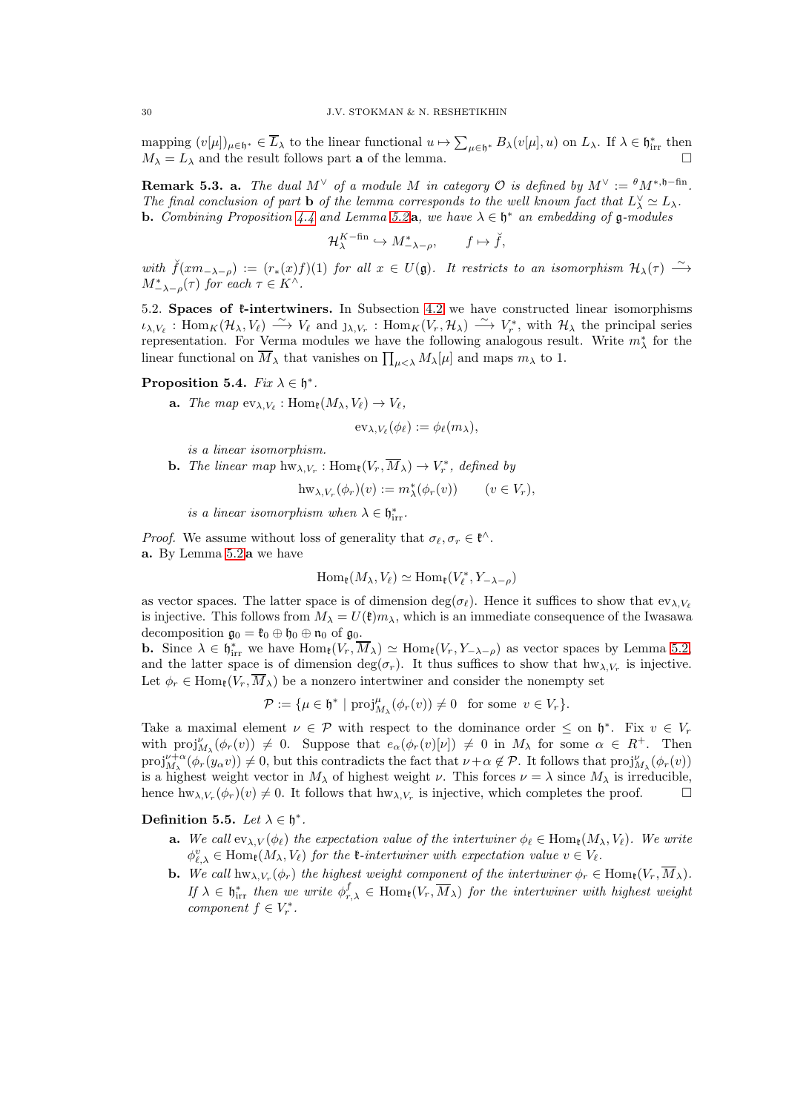mapping  $(v[\mu])_{\mu \in \mathfrak{h}^*} \in \overline{L}_{\lambda}$  to the linear functional  $u \mapsto \sum_{\mu \in \mathfrak{h}^*} B_{\lambda}(v[\mu], u)$  on  $L_{\lambda}$ . If  $\lambda \in \mathfrak{h}_{irr}^*$  then  $M_{\lambda} = L_{\lambda}$  and the result follows part **a** of the lemma.

<span id="page-29-1"></span>**Remark 5.3. a.** The dual  $M^{\vee}$  of a module M in category  $\mathcal{O}$  is defined by  $M^{\vee} := {}^{\theta} M^{*,\mathfrak{h}-\text{fin}}$ . The final conclusion of part **b** of the lemma corresponds to the well known fact that  $L^{\vee} \simeq L_{\lambda}$ . **b.** Combining Proposition [4.4](#page-26-2) and Lemma [5.2](#page-28-1)**a**, we have  $\lambda \in \mathfrak{h}^*$  an embedding of  $\mathfrak{g}$ -modules

 $\mathcal{H}_{\lambda}^{K-\text{fin}} \hookrightarrow M_{-\lambda-\rho}^{*}, \qquad f \mapsto \check{f},$ 

with  $\check{f}(xm_{-\lambda-\rho}) := (r_*(x)f)(1)$  for all  $x \in U(\mathfrak{g})$ . It restricts to an isomorphism  $\mathcal{H}_{\lambda}(\tau) \longrightarrow$  $M^*_{-\lambda-\rho}(\tau)$  for each  $\tau \in K^{\wedge}$ .

<span id="page-29-0"></span>5.2. Spaces of  $\ell$ -intertwiners. In Subsection [4.2](#page-23-0) we have constructed linear isomorphisms  $\iota_{\lambda,V_{\ell}}: \text{Hom}_K(\mathcal{H}_{\lambda}, V_{\ell}) \longrightarrow V_{\ell}$  and  $\iota_{\lambda,V_r}: \text{Hom}_K(V_r, \mathcal{H}_{\lambda}) \longrightarrow V_r^*$ , with  $\mathcal{H}_{\lambda}$  the principal series representation. For Verma modules we have the following analogous result. Write  $m^*_{\lambda}$  for the linear functional on  $\overline{M}_{\lambda}$  that vanishes on  $\prod_{\mu<\lambda}M_{\lambda}[\mu]$  and maps  $m_{\lambda}$  to 1.

## <span id="page-29-2"></span>Proposition 5.4.  $Fix \lambda \in \mathfrak{h}^*$ .

**a.** The map  $ev_{\lambda,V_{\ell}}: \text{Hom}_{\ell}(M_{\lambda}, V_{\ell}) \to V_{\ell}$ ,

$$
\mathrm{ev}_{\lambda,V_{\ell}}(\phi_{\ell}) := \phi_{\ell}(m_{\lambda}),
$$

is a linear isomorphism.

**b.** The linear map  $hw_{\lambda,V_r}$ :  $Hom_{\mathfrak{k}}(V_r, M_{\lambda}) \to V_r^*$ , defined by

$$
\mathrm{hw}_{\lambda,V_r}(\phi_r)(v) := m_{\lambda}^*(\phi_r(v)) \qquad (v \in V_r),
$$

is a linear isomorphism when  $\lambda \in \mathfrak{h}^*_{irr}$ .

*Proof.* We assume without loss of generality that  $\sigma_{\ell}, \sigma_r \in \mathfrak{k}^{\wedge}$ . a. By Lemma [5.2](#page-28-1) a we have

$$
\operatorname{Hom}_{\mathfrak{k}}(M_{\lambda}, V_{\ell}) \simeq \operatorname{Hom}_{\mathfrak{k}}(V_{\ell}^*, Y_{-\lambda-\rho})
$$

as vector spaces. The latter space is of dimension deg( $\sigma_{\ell}$ ). Hence it suffices to show that  $ev_{\lambda,V_{\ell}}$ is injective. This follows from  $M_{\lambda} = U(\mathfrak{k})m_{\lambda}$ , which is an immediate consequence of the Iwasawa decomposition  $\mathfrak{g}_0 = \mathfrak{k}_0 \oplus \mathfrak{h}_0 \oplus \mathfrak{n}_0$  of  $\mathfrak{g}_0$ .

**b.** Since  $\lambda \in \mathfrak{h}_{irr}^*$  we have  $\text{Hom}_{\mathfrak{k}}(V_r, \overline{M}_{\lambda}) \simeq \text{Hom}_{\mathfrak{k}}(V_r, Y_{-\lambda-\rho})$  as vector spaces by Lemma [5.2,](#page-28-1) and the latter space is of dimension  $\deg(\sigma_r)$ . It thus suffices to show that  $hw_{\lambda,V_r}$  is injective. Let  $\phi_r \in \text{Hom}_{\mathfrak{k}}(V_r, \overline{M}_{\lambda})$  be a nonzero intertwiner and consider the nonempty set

$$
\mathcal{P}:=\{\mu\in \mathfrak{h}^*\ |\ \mathrm{proj}_{M_\lambda}^\mu(\phi_r(v))\neq 0\quad \text{for some}\ \ v\in V_r\}.
$$

Take a maximal element  $\nu \in \mathcal{P}$  with respect to the dominance order  $\leq$  on  $\mathfrak{h}^*$ . Fix  $v \in V_r$ with  $proj_{M_{\lambda}}^{\nu}(\phi_r(v)) \neq 0$ . Suppose that  $e_{\alpha}(\phi_r(v)[\nu]) \neq 0$  in  $M_{\lambda}$  for some  $\alpha \in R^+$ . Then  $proj_{M_{\lambda}}^{\nu+\alpha}(\phi_r(y_{\alpha}v)) \neq 0$ , but this contradicts the fact that  $\nu+\alpha \notin \mathcal{P}$ . It follows that  $proj_{M_{\lambda}}^{\nu}(\phi_r(v))$ is a highest weight vector in  $M_{\lambda}$  of highest weight  $\nu$ . This forces  $\nu = \lambda$  since  $M_{\lambda}$  is irreducible, hence  $hw_{\lambda,V_r}(\phi_r)(v) \neq 0$ . It follows that  $hw_{\lambda,V_r}$  is injective, which completes the proof.

## <span id="page-29-3"></span>Definition 5.5. Let  $\lambda \in \mathfrak{h}^*$ .

- **a.** We call  $ev_{\lambda,V}(\phi_{\ell})$  the expectation value of the intertwiner  $\phi_{\ell} \in \text{Hom}_{\ell}(M_{\lambda}, V_{\ell})$ . We write  $\phi_{\ell,\lambda}^v \in \text{Hom}_{\mathfrak{k}}(M_\lambda, V_\ell)$  for the  $\mathfrak{k}\text{-}intertwiner with expectation value  $v \in V_\ell$ .$
- **b.** We call  $hw_{\lambda,V_r}(\phi_r)$  the highest weight component of the intertwiner  $\phi_r \in \text{Hom}_{\mathfrak{k}}(V_r, M_\lambda)$ . If  $\lambda \in \mathfrak{h}_{irr}^*$  then we write  $\phi_{r,\lambda}^f \in \text{Hom}_{\mathfrak{k}}(V_r, \overline{M}_{\lambda})$  for the intertwiner with highest weight component  $f \in V_r^*$ .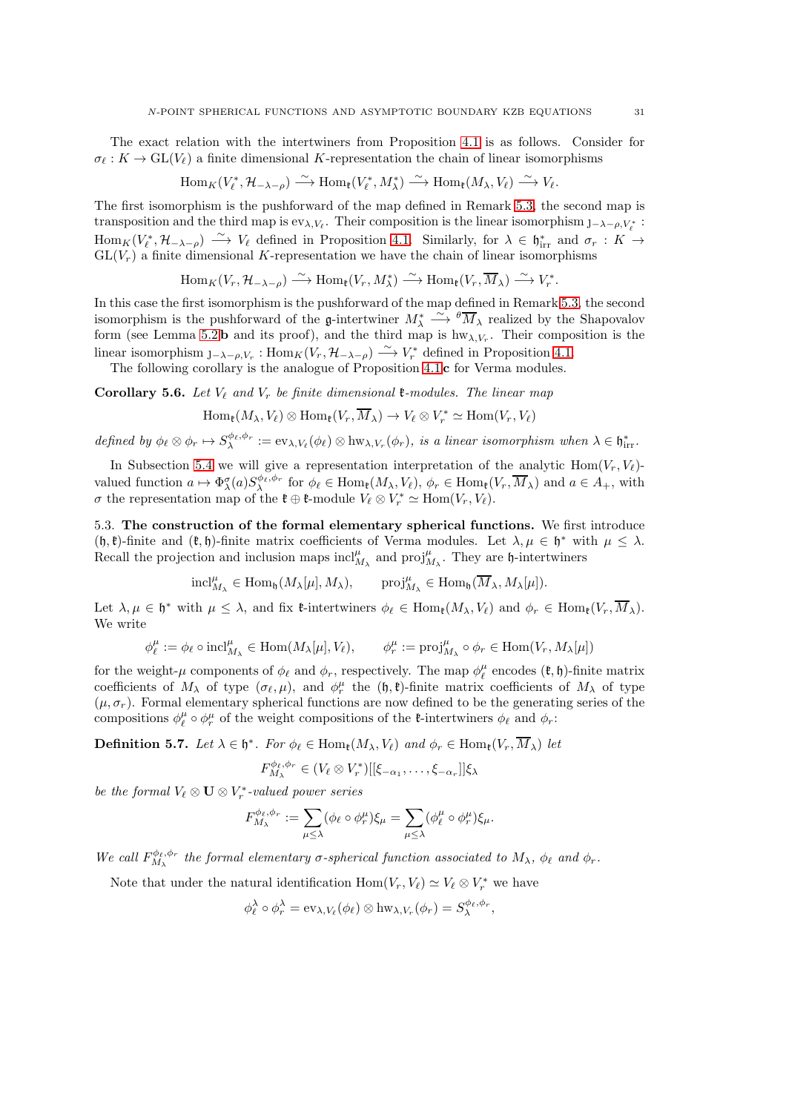The exact relation with the intertwiners from Proposition [4.1](#page-23-1) is as follows. Consider for  $\sigma_{\ell}: K \to GL(V_{\ell})$  a finite dimensional K-representation the chain of linear isomorphisms

$$
\operatorname{Hom}_K(V_{\ell}^*, \mathcal{H}_{-\lambda-\rho}) \stackrel{\sim}{\longrightarrow} \operatorname{Hom}_{{\mathfrak k}}(V_{\ell}^*, M_{\lambda}^*) \stackrel{\sim}{\longrightarrow} \operatorname{Hom}_{{\mathfrak k}}(M_{\lambda}, V_{\ell}) \stackrel{\sim}{\longrightarrow} V_{\ell}.
$$

The first isomorphism is the pushforward of the map defined in Remark [5.3,](#page-29-1) the second map is transposition and the third map is  $ev_{\lambda,V_{\ell}}$ . Their composition is the linear isomorphism  $J-\lambda-\rho,V_{\ell}^*$ :  $\text{Hom}_K(V_\ell^*, \mathcal{H}_{-\lambda-\rho}) \stackrel{\sim}{\longrightarrow} V_\ell$  defined in Proposition [4.1.](#page-23-1) Similarly, for  $\lambda \in \mathfrak{h}_{irr}^*$  and  $\sigma_r : K \to$  $GL(V<sub>r</sub>)$  a finite dimensional K-representation we have the chain of linear isomorphisms

$$
\operatorname{Hom}_K(V_r, \mathcal{H}_{-\lambda-\rho}) \xrightarrow{\sim} \operatorname{Hom}_{\mathfrak{k}}(V_r, M_{\lambda}^*) \xrightarrow{\sim} \operatorname{Hom}_{\mathfrak{k}}(V_r, \overline{M}_{\lambda}) \xrightarrow{\sim} V_r^*.
$$

In this case the first isomorphism is the pushforward of the map defined in Remark [5.3,](#page-29-1) the second isomorphism is the pushforward of the  $\mathfrak{g}\text{-}\text{intertwiner}$   $M^*_{\lambda} \xrightarrow{\sim} {}^{\theta} \overline{M}_{\lambda}$  realized by the Shapovalov form (see Lemma [5.2](#page-28-1) b and its proof), and the third map is  $hw_{\lambda,V_r}$ . Their composition is the linear isomorphism  $J_{-\lambda-\rho,V_r} : \text{Hom}_K(V_r, \mathcal{H}_{-\lambda-\rho}) \longrightarrow V_r^*$  defined in Proposition [4.1.](#page-23-1)

The following corollary is the analogue of Proposition [4.1](#page-23-1) c for Verma modules.

<span id="page-30-1"></span>**Corollary 5.6.** Let  $V_{\ell}$  and  $V_r$  be finite dimensional **t**-modules. The linear map

$$
\operatorname{Hom}_{\mathfrak{k}}(M_{\lambda}, V_{\ell}) \otimes \operatorname{Hom}_{\mathfrak{k}}(V_r, M_{\lambda}) \to V_{\ell} \otimes V_r^* \simeq \operatorname{Hom}(V_r, V_{\ell})
$$

defined by  $\phi_{\ell} \otimes \phi_r \mapsto S^{\phi_{\ell}, \phi_r}_{\lambda} := \mathrm{ev}_{\lambda, V_{\ell}}(\phi_{\ell}) \otimes \mathrm{hw}_{\lambda, V_r}(\phi_r)$ , is a linear isomorphism when  $\lambda \in \mathfrak{h}_{irr}^*$ .

In Subsection [5.4](#page-31-0) we will give a representation interpretation of the analytic Hom $(V_r, V_\ell)$ valued function  $a \mapsto \Phi_{\lambda}^{\sigma}(a)S_{\lambda}^{\phi_{\ell},\phi_{r}}$  for  $\phi_{\ell} \in \text{Hom}_{\mathfrak{k}}(M_{\lambda}, V_{\ell}), \phi_{r} \in \text{Hom}_{\mathfrak{k}}(V_{r}, \overline{M}_{\lambda})$  and  $a \in A_{+}$ , with *σ* the representation map of the **t** ⊕ **t**-module  $V_\ell \otimes V_r^* \simeq \text{Hom}(V_r, V_\ell)$ .

<span id="page-30-0"></span>5.3. The construction of the formal elementary spherical functions. We first introduce  $(h, \ell)$ -finite and  $(\ell, \mathfrak{h})$ -finite matrix coefficients of Verma modules. Let  $\lambda, \mu \in \mathfrak{h}^*$  with  $\mu \leq \lambda$ . Recall the projection and inclusion maps  $\text{incl}_{M_\lambda}^\mu$  and  $\text{proj}_{M_\lambda}^\mu$ . They are h-intertwiners

$$
\mathrm{incl}_{M_\lambda}^\mu\in\mathrm{Hom}_\mathfrak{h}(M_\lambda[\mu],M_\lambda),\qquad\mathrm{proj}_{M_\lambda}^\mu\in\mathrm{Hom}_\mathfrak{h}(\overline{M}_\lambda,M_\lambda[\mu]).
$$

Let  $\lambda, \mu \in \mathfrak{h}^*$  with  $\mu \leq \lambda$ , and fix  $\mathfrak{k}$ -intertwiners  $\phi_{\ell} \in \text{Hom}_{\mathfrak{k}}(M_{\lambda}, V_{\ell})$  and  $\phi_r \in \text{Hom}_{\mathfrak{k}}(V_r, M_{\lambda})$ . We write

$$
\phi_{\ell}^{\mu} := \phi_{\ell} \circ \mathrm{incl}_{M_{\lambda}}^{\mu} \in \mathrm{Hom}(M_{\lambda}[\mu], V_{\ell}), \qquad \phi_{r}^{\mu} := \mathrm{proj}_{M_{\lambda}}^{\mu} \circ \phi_{r} \in \mathrm{Hom}(V_{r}, M_{\lambda}[\mu])
$$

for the weight- $\mu$  components of  $\phi_{\ell}$  and  $\phi_r$ , respectively. The map  $\phi_{\ell}^{\mu}$  encodes  $(\mathfrak{k}, \mathfrak{h})$ -finite matrix coefficients of  $M_{\lambda}$  of type  $(\sigma_{\ell}, \mu)$ , and  $\phi_r^{\mu}$  the  $(\mathfrak{h}, \mathfrak{k})$ -finite matrix coefficients of  $M_{\lambda}$  of type  $(\mu, \sigma_r)$ . Formal elementary spherical functions are now defined to be the generating series of the compositions  $\phi_\ell^\mu \circ \phi_r^\mu$  of the weight compositions of the *t*-intertwiners  $\phi_\ell$  and  $\phi_r$ :

**Definition 5.7.** Let  $\lambda \in \mathfrak{h}^*$ . For  $\phi_{\ell} \in \text{Hom}_{\mathfrak{k}}(M_{\lambda}, V_{\ell})$  and  $\phi_r \in \text{Hom}_{\mathfrak{k}}(V_r, M_{\lambda})$  let

$$
F_{M_{\lambda}}^{\phi_{\ell},\phi_{r}} \in (V_{\ell} \otimes V_{r}^{*})[[\xi_{-\alpha_{1}},\ldots,\xi_{-\alpha_{r}}]]\xi_{\lambda}
$$

be the formal  $V_\ell \otimes \mathbf{U} \otimes V_r^*$ -valued power series

$$
F_{M_{\lambda}}^{\phi_{\ell},\phi_{r}} := \sum_{\mu \leq \lambda} (\phi_{\ell} \circ \phi_{r}^{\mu}) \xi_{\mu} = \sum_{\mu \leq \lambda} (\phi_{\ell}^{\mu} \circ \phi_{r}^{\mu}) \xi_{\mu}.
$$

We call  $F_{M_{\lambda}}^{\phi_{\ell},\phi_{r}}$  the formal elementary  $\sigma$ -spherical function associated to  $M_{\lambda}$ ,  $\phi_{\ell}$  and  $\phi_{r}$ .

Note that under the natural identification  $\text{Hom}(V_r, V_\ell) \simeq V_\ell \otimes V_r^*$  we have

$$
\phi_{\ell}^{\lambda} \circ \phi_{r}^{\lambda} = \mathrm{ev}_{\lambda, V_{\ell}}(\phi_{\ell}) \otimes \mathrm{hw}_{\lambda, V_{r}}(\phi_{r}) = S_{\lambda}^{\phi_{\ell}, \phi_{r}},
$$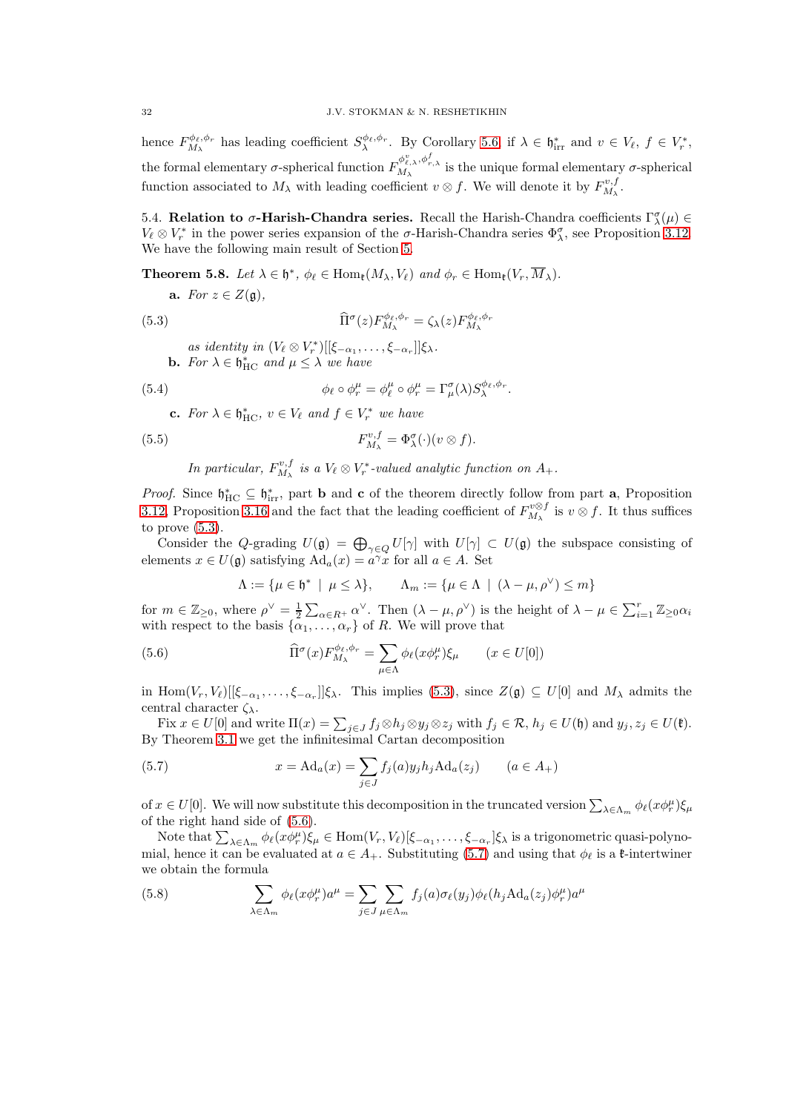hence  $F^{\phi_{\ell},\phi_{r}}_{M_{\lambda}}$  has leading coefficient  $S^{\phi_{\ell},\phi_{r}}_{\lambda}$ . By Corollary [5.6,](#page-30-1) if  $\lambda \in \mathfrak{h}_{irr}^{*}$  and  $v \in V_{\ell}$ ,  $f \in V_{r}^{*}$ , the formal elementary  $\sigma$ -spherical function  $F_{M_\lambda}^{\phi_{\ell,\lambda}^p, \phi_{r,\lambda}^f}$  is the unique formal elementary  $\sigma$ -spherical function associated to  $M_{\lambda}$  with leading coefficient  $v \otimes f$ . We will denote it by  $F_{M_{\lambda}}^{v,f}$ .

<span id="page-31-0"></span>5.4. Relation to σ-Harish-Chandra series. Recall the Harish-Chandra coefficients  $\Gamma^{\sigma}_{\lambda}(\mu) \in$  $V_{\ell} \otimes V_r^*$  in the power series expansion of the  $\sigma$ -Harish-Chandra series  $\Phi_{\lambda}^{\sigma}$ , see Proposition [3.12.](#page-19-4) We have the following main result of Section [5.](#page-27-0)

<span id="page-31-1"></span>**Theorem 5.8.** Let  $\lambda \in \mathfrak{h}^*$ ,  $\phi_{\ell} \in \text{Hom}_{\mathfrak{k}}(M_{\lambda}, V_{\ell})$  and  $\phi_r \in \text{Hom}_{\mathfrak{k}}(V_r, M_{\lambda})$ .

a. For  $z \in Z(\mathfrak{g})$ ,

(5.3) 
$$
\widehat{\Pi}^{\sigma}(z)F_{M_{\lambda}}^{\phi_{\ell},\phi_{r}} = \zeta_{\lambda}(z)F_{M_{\lambda}}^{\phi_{\ell},\phi_{r}}
$$

<span id="page-31-6"></span>.

<span id="page-31-2"></span>as identity in  $(V_{\ell} \otimes V_r^*)[[\xi_{-\alpha_1}, \ldots, \xi_{-\alpha_r}]]\xi_{\lambda}$ . **b.** For  $\lambda \in \mathfrak{h}_{\mathrm{HC}}^*$  and  $\mu \leq \lambda$  we have

(5.4) 
$$
\phi_{\ell} \circ \phi_r^{\mu} = \phi_{\ell}^{\mu} \circ \phi_r^{\mu} = \Gamma_{\mu}^{\sigma}(\lambda) S_{\lambda}^{\phi_{\ell}, \phi_r}
$$

**c.** For  $\lambda \in \mathfrak{h}_{\mathrm{HC}}^*$ ,  $v \in V_{\ell}$  and  $f \in V_r^*$  we have

(5.5) 
$$
F_{M_{\lambda}}^{v,f} = \Phi_{\lambda}^{\sigma}(\cdot)(v \otimes f).
$$

In particular, 
$$
F_{M_{\lambda}}^{v,f}
$$
 is a  $V_{\ell} \otimes V_r^*$ -valued analytic function on  $A_+$ .

*Proof.* Since  $\mathfrak{h}_{HC}^* \subseteq \mathfrak{h}_{irr}^*$ , part **b** and **c** of the theorem directly follow from part **a**, Proposition [3.12,](#page-19-4) Proposition [3.16](#page-21-0) and the fact that the leading coefficient of  $F_{M_{\lambda}}^{v\otimes f}$  is  $v\otimes f$ . It thus suffices to prove  $(5.3)$ .

Consider the Q-grading  $U(\mathfrak{g}) = \bigoplus_{\gamma \in Q} U[\gamma]$  with  $U[\gamma] \subset U(\mathfrak{g})$  the subspace consisting of elements  $x \in U(\mathfrak{g})$  satisfying  $\text{Ad}_a(x) = a^{\gamma}x$  for all  $a \in A$ . Set

<span id="page-31-3"></span>
$$
\Lambda := \{ \mu \in \mathfrak{h}^* \mid \mu \le \lambda \}, \qquad \Lambda_m := \{ \mu \in \Lambda \mid (\lambda - \mu, \rho^{\vee}) \le m \}
$$

for  $m \in \mathbb{Z}_{\geq 0}$ , where  $\rho^{\vee} = \frac{1}{2} \sum_{\alpha \in R^+} \alpha^{\vee}$ . Then  $(\lambda - \mu, \rho^{\vee})$  is the height of  $\lambda - \mu \in \sum_{i=1}^r \mathbb{Z}_{\geq 0} \alpha_i$ with respect to the basis  $\{\alpha_1, \ldots, \alpha_r\}$  of R. We will prove that

(5.6) 
$$
\widehat{\Pi}^{\sigma}(x) F^{\phi_{\ell}, \phi_{r}}_{M_{\lambda}} = \sum_{\mu \in \Lambda} \phi_{\ell}(x \phi^{\mu}_{r}) \xi_{\mu} \qquad (x \in U[0])
$$

in Hom $(V_r, V_\ell)$   $[[\xi_{-\alpha_1}, \ldots, \xi_{-\alpha_r}]]\xi_\lambda$ . This implies [\(5.3\)](#page-31-2), since  $Z(\mathfrak{g}) \subseteq U[0]$  and  $M_\lambda$  admits the central character  $\zeta_{\lambda}$ .

Fix  $x \in U[0]$  and write  $\Pi(x) = \sum_{j \in J} f_j \otimes h_j \otimes y_j \otimes z_j$  with  $f_j \in \mathcal{R}$ ,  $h_j \in U(\mathfrak{h})$  and  $y_j, z_j \in U(\mathfrak{k})$ . By Theorem [3.1](#page-13-3) we get the infinitesimal Cartan decomposition

<span id="page-31-4"></span>(5.7) 
$$
x = \text{Ad}_a(x) = \sum_{j \in J} f_j(a) y_j h_j \text{Ad}_a(z_j) \qquad (a \in A_+)
$$

of  $x \in U[0]$ . We will now substitute this decomposition in the truncated version  $\sum_{\lambda \in \Lambda_m} \phi_\ell(x \phi_r^{\mu}) \xi_\mu$ of the right hand side of [\(5.6\)](#page-31-3).

Note that  $\sum_{\lambda \in \Lambda_m} \phi_\ell(x \phi_r^{\mu}) \xi_\mu \in \text{Hom}(V_r, V_\ell)[\xi_{-\alpha_1}, \dots, \xi_{-\alpha_r}] \xi_\lambda$  is a trigonometric quasi-polynomial, hence it can be evaluated at  $a \in A_+$ . Substituting [\(5.7\)](#page-31-4) and using that  $\phi_\ell$  is a  $\ell$ -intertwiner we obtain the formula

<span id="page-31-5"></span>(5.8) 
$$
\sum_{\lambda \in \Lambda_m} \phi_\ell(x \phi_r^\mu) a^\mu = \sum_{j \in J} \sum_{\mu \in \Lambda_m} f_j(a) \sigma_\ell(y_j) \phi_\ell(h_j \text{Ad}_a(z_j) \phi_r^\mu) a^\mu
$$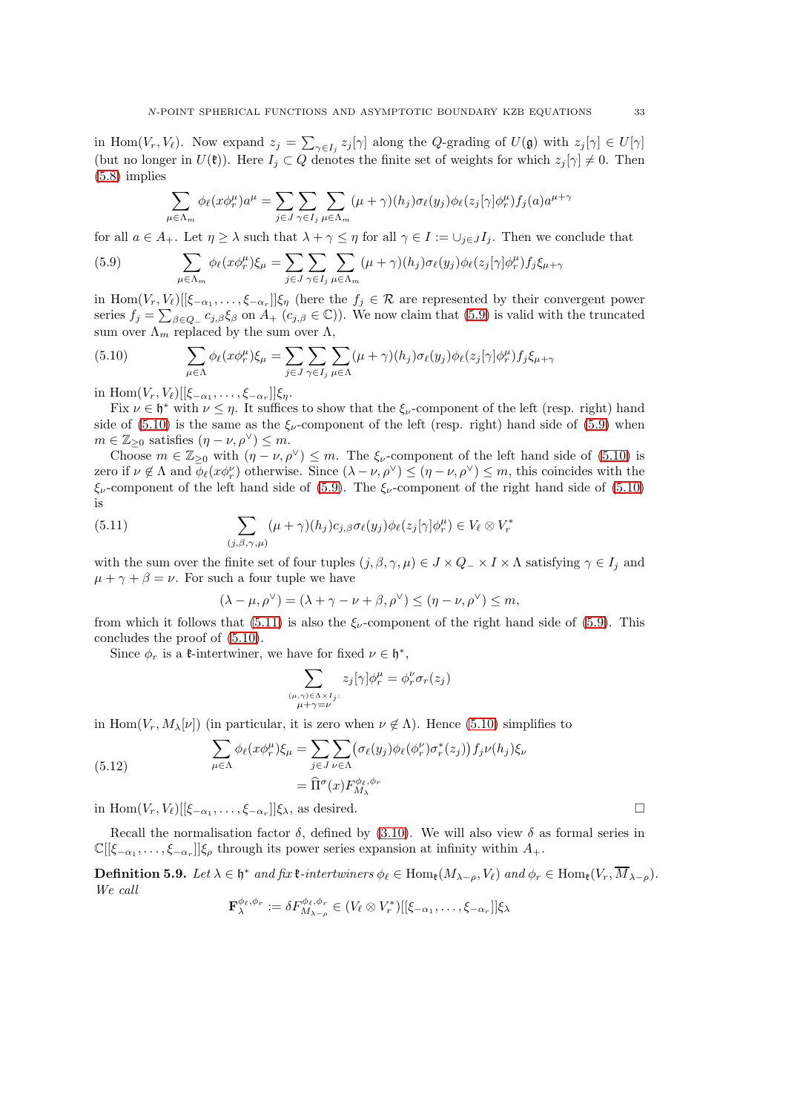in Hom $(V_r, V_\ell)$ . Now expand  $z_j = \sum_{\gamma \in I_j} z_j[\gamma]$  along the Q-grading of  $U(\mathfrak{g})$  with  $z_j[\gamma] \in U[\gamma]$ (but no longer in  $U(\mathfrak{k})$ ). Here  $I_j \subset Q$  denotes the finite set of weights for which  $z_j[\gamma] \neq 0$ . Then [\(5.8\)](#page-31-5) implies

<span id="page-32-0"></span>
$$
\sum_{\mu \in \Lambda_m} \phi_\ell(x \phi_r^{\mu}) a^{\mu} = \sum_{j \in J} \sum_{\gamma \in I_j} \sum_{\mu \in \Lambda_m} (\mu + \gamma)(h_j) \sigma_\ell(y_j) \phi_\ell(z_j[\gamma] \phi_r^{\mu}) f_j(a) a^{\mu + \gamma}
$$

for all  $a \in A_+$ . Let  $\eta \geq \lambda$  such that  $\lambda + \gamma \leq \eta$  for all  $\gamma \in I := \cup_{j \in J} I_j$ . Then we conclude that

(5.9) 
$$
\sum_{\mu \in \Lambda_m} \phi_\ell(x \phi_r^\mu) \xi_\mu = \sum_{j \in J} \sum_{\gamma \in I_j} \sum_{\mu \in \Lambda_m} (\mu + \gamma)(h_j) \sigma_\ell(y_j) \phi_\ell(z_j[\gamma] \phi_r^\mu) f_j \xi_{\mu + \gamma}
$$

in Hom $(V_r, V_\ell)$  [[ $\xi_{-\alpha_1}, \ldots, \xi_{-\alpha_r}$ ]] $\xi_{\eta}$  (here the  $f_j \in \mathcal{R}$  are represented by their convergent power series  $f_j = \sum_{\beta \in Q} c_{j,\beta} \xi_{\beta}$  on  $A_+(c_{j,\beta} \in \mathbb{C})$ ). We now claim that [\(5.9\)](#page-32-0) is valid with the truncated sum over  $\Lambda_m$  replaced by the sum over  $\Lambda$ ,

<span id="page-32-1"></span>(5.10) 
$$
\sum_{\mu \in \Lambda} \phi_{\ell}(x \phi_{r}^{\mu}) \xi_{\mu} = \sum_{j \in J} \sum_{\gamma \in I_{j}} \sum_{\mu \in \Lambda} (\mu + \gamma)(h_{j}) \sigma_{\ell}(y_{j}) \phi_{\ell}(z_{j}[\gamma] \phi_{r}^{\mu}) f_{j} \xi_{\mu + \gamma}
$$

in  $\text{Hom}(V_r, V_\ell)[[\xi_{-\alpha_1}, \ldots, \xi_{-\alpha_r}]]\xi_\eta.$ 

Fix  $\nu \in \mathfrak{h}^*$  with  $\nu \leq \eta$ . It suffices to show that the  $\xi_{\nu}$ -component of the left (resp. right) hand side of [\(5.10\)](#page-32-1) is the same as the  $\xi_{\nu}$ -component of the left (resp. right) hand side of [\(5.9\)](#page-32-0) when  $m \in \mathbb{Z}_{\geq 0}$  satisfies  $(\eta - \nu, \rho^{\vee}) \leq m$ .

Choose  $m \in \mathbb{Z}_{\geq 0}$  with  $(\eta - \nu, \rho^{\vee}) \leq m$ . The  $\xi_{\nu}$ -component of the left hand side of [\(5.10\)](#page-32-1) is zero if  $\nu \notin \Lambda$  and  $\phi_{\ell}(x\phi_r^{\nu})$  otherwise. Since  $(\lambda - \nu, \rho^{\vee}) \leq (\eta - \nu, \rho^{\vee}) \leq m$ , this coincides with the  $\xi_{\nu}$ -component of the left hand side of [\(5.9\)](#page-32-0). The  $\xi_{\nu}$ -component of the right hand side of [\(5.10\)](#page-32-1) is

(5.11) 
$$
\sum_{(j,\beta,\gamma,\mu)} (\mu + \gamma)(h_j) c_{j,\beta} \sigma_{\ell}(y_j) \phi_{\ell}(z_j[\gamma]) \phi_r^{\mu}) \in V_{\ell} \otimes V_r^*
$$

with the sum over the finite set of four tuples  $(j, \beta, \gamma, \mu) \in J \times Q_- \times I \times \Lambda$  satisfying  $\gamma \in I_i$  and  $\mu + \gamma + \beta = \nu$ . For such a four tuple we have

<span id="page-32-2"></span>
$$
(\lambda - \mu, \rho^{\vee}) = (\lambda + \gamma - \nu + \beta, \rho^{\vee}) \leq (\eta - \nu, \rho^{\vee}) \leq m,
$$

from which it follows that [\(5.11\)](#page-32-2) is also the  $\xi_{\nu}$ -component of the right hand side of [\(5.9\)](#page-32-0). This concludes the proof of [\(5.10\)](#page-32-1).

Since  $\phi_r$  is a **t**-intertwiner, we have for fixed  $\nu \in \mathfrak{h}^*$ ,

$$
\sum_{\substack{(\mu,\gamma)\in\Lambda\times I_j:\\ \mu+\gamma=\nu}} z_j[\gamma] \phi_r^{\mu} = \phi_r^{\nu} \sigma_r(z_j)
$$

in Hom $(V_r, M_\lambda[\nu])$  (in particular, it is zero when  $\nu \notin \Lambda$ ). Hence [\(5.10\)](#page-32-1) simplifies to

(5.12) 
$$
\sum_{\mu \in \Lambda} \phi_{\ell}(x \phi_{r}^{\mu}) \xi_{\mu} = \sum_{j \in J} \sum_{\nu \in \Lambda} (\sigma_{\ell}(y_{j}) \phi_{\ell}(\phi_{r}^{\nu}) \sigma_{r}^{*}(z_{j})) f_{j} \nu(h_{j}) \xi_{\nu} \n= \widehat{\Pi}^{\sigma}(x) F_{M_{\lambda}}^{\phi_{\ell}, \phi_{r}}
$$

in Hom $(V_r, V_\ell)[[\xi_{-\alpha_1}, \ldots, \xi_{-\alpha_r}]]\xi_\lambda$ , as desired.

Recall the normalisation factor  $\delta$ , defined by [\(3.10\)](#page-17-3). We will also view  $\delta$  as formal series in  $\mathbb{C}[[\xi_{-\alpha_1},\ldots,\xi_{-\alpha_r}]]\xi_\rho$  through its power series expansion at infinity within  $A_+$ .

**Definition 5.9.** Let  $\lambda \in \mathfrak{h}^*$  and fix  $\mathfrak{k}\text{-}intertwiners \phi_\ell \in \text{Hom}_{\mathfrak{k}}(M_{\lambda-\rho}, V_\ell)$  and  $\phi_r \in \text{Hom}_{\mathfrak{k}}(V_r, M_{\lambda-\rho})$ . We call  $\mathbf{v} = \mathbf{v}$ 

$$
\mathbf{F}_{\lambda}^{\phi_{\ell},\phi_{r}} := \delta F_{M_{\lambda-\rho}}^{\phi_{\ell},\phi_{r}} \in (V_{\ell} \otimes V_{r}^{*})[[\xi_{-\alpha_{1}},\ldots,\xi_{-\alpha_{r}}]]\xi_{\lambda}
$$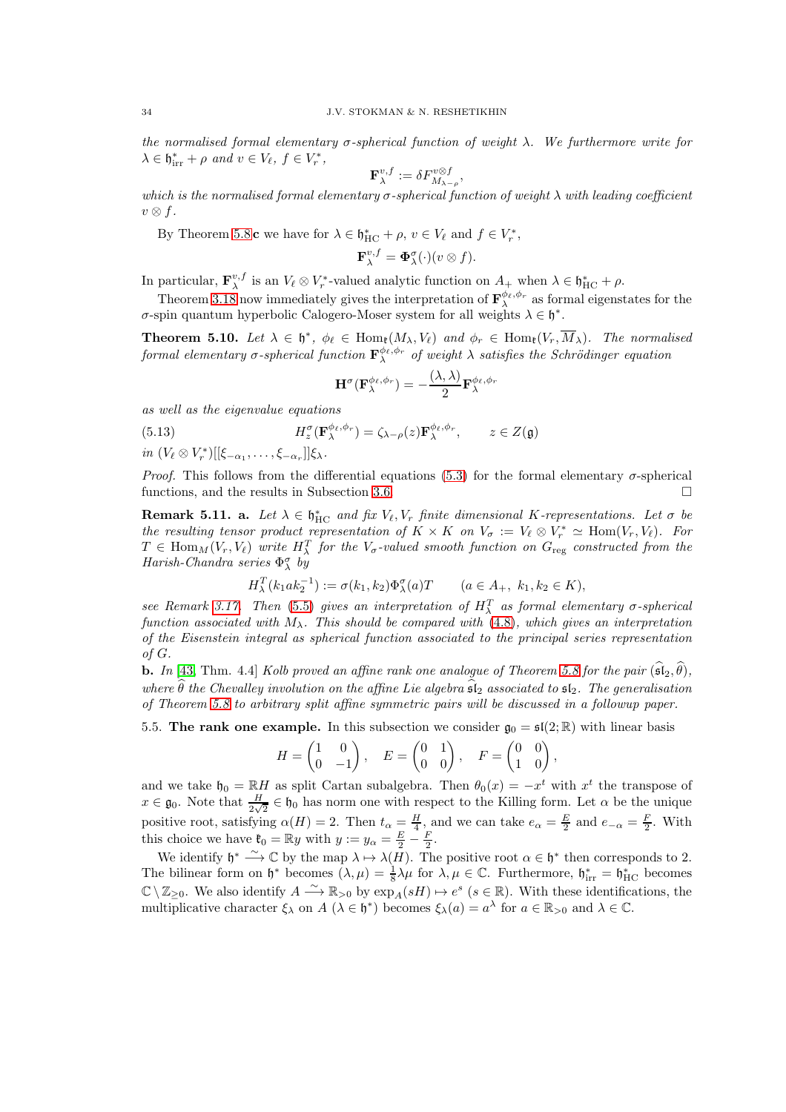the normalised formal elementary  $\sigma$ -spherical function of weight  $\lambda$ . We furthermore write for  $\lambda \in \mathfrak{h}_{irr}^* + \rho \text{ and } v \in V_{\ell}, f \in V_r^*,$ 

$$
\mathbf{F}_{\lambda}^{v,f} := \delta F_{M_{\lambda-\rho}}^{v\otimes f},
$$

which is the normalised formal elementary  $\sigma$ -spherical function of weight  $\lambda$  with leading coefficient  $v \otimes f$ .

By Theorem [5.8](#page-31-1) c we have for  $\lambda \in \mathfrak{h}_{\text{HC}}^* + \rho$ ,  $v \in V_{\ell}$  and  $f \in V_r^*$ ,

$$
\mathbf{F}_{\lambda}^{v,f} = \mathbf{\Phi}_{\lambda}^{\sigma}(\cdot)(v \otimes f).
$$

In particular,  $\mathbf{F}_{\lambda}^{v,f}$  is an  $V_{\ell} \otimes V_r^*$ -valued analytic function on  $A_+$  when  $\lambda \in \mathfrak{h}_{\mathrm{HC}}^* + \rho$ .

Theorem [3.18](#page-21-1) now immediately gives the interpretation of  $\mathbf{F}_{\lambda}^{\phi_{\ell},\phi_{r}}$  as formal eigenstates for the  $\sigma$ -spin quantum hyperbolic Calogero-Moser system for all weights  $\lambda \in \mathfrak{h}^*$ .

<span id="page-33-1"></span>**Theorem 5.10.** Let  $\lambda \in \mathfrak{h}^*$ ,  $\phi_{\ell} \in \text{Hom}_{\mathfrak{k}}(M_{\lambda}, V_{\ell})$  and  $\phi_r \in \text{Hom}_{\mathfrak{k}}(V_r, M_{\lambda})$ . The normalised formal elementary  $\sigma$ -spherical function  $\mathbf{F}_{\lambda}^{\phi_{\ell},\phi_{r}}$  of weight  $\lambda$  satisfies the Schrödinger equation

$$
\mathbf{H}^{\sigma}(\mathbf{F}_{\lambda}^{\phi_{\ell},\phi_{r}})=-\frac{(\lambda,\lambda)}{2}\mathbf{F}_{\lambda}^{\phi_{\ell},\phi_{r}}
$$

as well as the eigenvalue equations

(5.13) 
$$
H_z^{\sigma}(\mathbf{F}_{\lambda}^{\phi_{\ell},\phi_r}) = \zeta_{\lambda-\rho}(z)\mathbf{F}_{\lambda}^{\phi_{\ell},\phi_r}, \qquad z \in Z(\mathfrak{g})
$$

 $in (V_{\ell} \otimes V_r^*)[[\xi_{-\alpha_1},\ldots,\xi_{-\alpha_r}]]\xi_{\lambda}.$ 

*Proof.* This follows from the differential equations [\(5.3\)](#page-31-2) for the formal elementary  $\sigma$ -spherical functions, and the results in Subsection [3.6.](#page-17-0)

**Remark 5.11. a.** Let  $\lambda \in \mathfrak{h}_{HC}^*$  and fix  $V_{\ell}, V_r$  finite dimensional K-representations. Let  $\sigma$  be the resulting tensor product representation of  $K \times K$  on  $V_{\sigma} := V_{\ell} \otimes V_r^* \simeq \text{Hom}(V_r, V_{\ell})$ . For  $T \in \text{Hom}_M(V_r, V_\ell)$  write  $H_\lambda^T$  for the  $V_\sigma$ -valued smooth function on  $G_{\text{reg}}$  constructed from the Harish-Chandra series  $\Phi_{\lambda}^{\sigma}$  by

$$
H_{\lambda}^{T}(k_{1}ak_{2}^{-1}) := \sigma(k_{1}, k_{2})\Phi_{\lambda}^{\sigma}(a)T \qquad (a \in A_{+}, k_{1}, k_{2} \in K),
$$

see Remark [3.17.](#page-21-2) Then [\(5.5\)](#page-31-6) gives an interpretation of  $H_{\lambda}^{T}$  as formal elementary  $\sigma$ -spherical function associated with  $M_{\lambda}$ . This should be compared with [\(4.8\)](#page-25-3), which gives an interpretation of the Eisenstein integral as spherical function associated to the principal series representation of G.

**b.** In [\[43,](#page-56-5) Thm. 4.4] Kolb proved an affine rank one analogue of Theorem [5.8](#page-31-1) for the pair  $(\widehat{\mathfrak{sl}}_2, \widehat{\theta})$ , where  $\widehat{\theta}$  the Chevalley involution on the affine Lie algebra  $\widehat{\mathfrak{sl}}_2$  associated to  $\mathfrak{sl}_2$ . The generalisation of Theorem [5.8](#page-31-1) to arbitrary split affine symmetric pairs will be discussed in a followup paper.

<span id="page-33-0"></span>5.5. The rank one example. In this subsection we consider  $\mathfrak{g}_0 = \mathfrak{sl}(2;\mathbb{R})$  with linear basis

$$
H = \begin{pmatrix} 1 & 0 \\ 0 & -1 \end{pmatrix}, \quad E = \begin{pmatrix} 0 & 1 \\ 0 & 0 \end{pmatrix}, \quad F = \begin{pmatrix} 0 & 0 \\ 1 & 0 \end{pmatrix},
$$

and we take  $\mathfrak{h}_0 = \mathbb{R}H$  as split Cartan subalgebra. Then  $\theta_0(x) = -x^t$  with  $x^t$  the transpose of  $x \in \mathfrak{g}_0$ . Note that  $\frac{H}{2\sqrt{2}} \in \mathfrak{h}_0$  has norm one with respect to the Killing form. Let  $\alpha$  be the unique positive root, satisfying  $\alpha(H) = 2$ . Then  $t_{\alpha} = \frac{H}{4}$ , and we can take  $e_{\alpha} = \frac{E}{2}$  and  $e_{-\alpha} = \frac{F}{2}$ . With this choice we have  $\mathfrak{k}_0 = \mathbb{R}y$  with  $y := y_\alpha = \frac{E}{2} - \frac{F}{2}$ .

We identify  $\mathfrak{h}^* \stackrel{\sim}{\longrightarrow} \mathbb{C}$  by the map  $\lambda \mapsto \lambda(H)$ . The positive root  $\alpha \in \mathfrak{h}^*$  then corresponds to 2. The bilinear form on  $\mathfrak{h}^*$  becomes  $(\lambda, \mu) = \frac{1}{8}\lambda\mu$  for  $\lambda, \mu \in \mathbb{C}$ . Furthermore,  $\mathfrak{h}_{irr}^* = \mathfrak{h}_{HC}^*$  becomes  $\mathbb{C} \setminus \mathbb{Z}_{\geq 0}$ . We also identify  $A \xrightarrow{\sim} \mathbb{R}_{>0}$  by  $\exp_A(sH) \mapsto e^s$   $(s \in \mathbb{R})$ . With these identifications, the multiplicative character  $\xi_{\lambda}$  on  $A(\lambda \in \mathfrak{h}^*)$  becomes  $\xi_{\lambda}(a) = a^{\lambda}$  for  $a \in \mathbb{R}_{>0}$  and  $\lambda \in \mathbb{C}$ .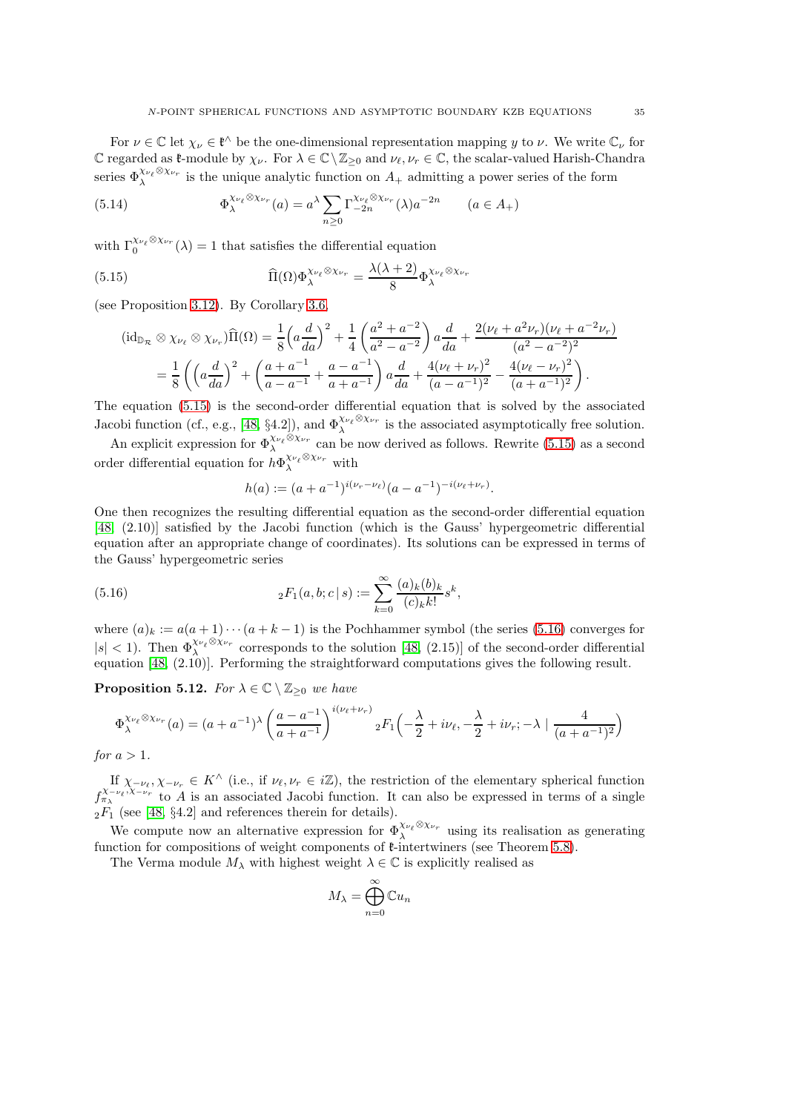For  $\nu \in \mathbb{C}$  let  $\chi_{\nu} \in \mathfrak{k}^{\wedge}$  be the one-dimensional representation mapping y to  $\nu$ . We write  $\mathbb{C}_{\nu}$  for C regarded as  $\mathfrak{k}$ -module by  $\chi_{\nu}$ . For  $\lambda \in \mathbb{C} \setminus \mathbb{Z}_{\geq 0}$  and  $\nu_{\ell}, \nu_r \in \mathbb{C}$ , the scalar-valued Harish-Chandra series  $\Phi_{\lambda}^{\chi_{\nu_{\ell}}\otimes\chi_{\nu_r}}$  is the unique analytic function on  $A_+$  admitting a power series of the form

(5.14) 
$$
\Phi_{\lambda}^{\chi_{\nu_{\ell}} \otimes \chi_{\nu_r}}(a) = a^{\lambda} \sum_{n \geq 0} \Gamma_{-2n}^{\chi_{\nu_{\ell}} \otimes \chi_{\nu_r}}(\lambda) a^{-2n} \qquad (a \in A_+)
$$

with  $\Gamma_0^{\chi_{\nu_\ell}\otimes\chi_{\nu_r}}(\lambda) = 1$  that satisfies the differential equation

(5.15) 
$$
\widehat{\Pi}(\Omega)\Phi_{\lambda}^{\chi_{\nu_{\ell}}\otimes\chi_{\nu_{r}}}=\frac{\lambda(\lambda+2)}{8}\Phi_{\lambda}^{\chi_{\nu_{\ell}}\otimes\chi_{\nu_{r}}}
$$

(see Proposition [3.12\)](#page-19-4). By Corollary [3.6,](#page-16-4)

<span id="page-34-0"></span>
$$
(\mathrm{id}_{\mathbb{D}_{\mathcal{R}}} \otimes \chi_{\nu_{\ell}} \otimes \chi_{\nu_{r}}) \widehat{\Pi}(\Omega) = \frac{1}{8} \left( a \frac{d}{da} \right)^{2} + \frac{1}{4} \left( \frac{a^{2} + a^{-2}}{a^{2} - a^{-2}} \right) a \frac{d}{da} + \frac{2(\nu_{\ell} + a^{2} \nu_{r})(\nu_{\ell} + a^{-2} \nu_{r})}{(a^{2} - a^{-2})^{2}}
$$

$$
= \frac{1}{8} \left( \left( a \frac{d}{da} \right)^{2} + \left( \frac{a + a^{-1}}{a - a^{-1}} + \frac{a - a^{-1}}{a + a^{-1}} \right) a \frac{d}{da} + \frac{4(\nu_{\ell} + \nu_{r})^{2}}{(a - a^{-1})^{2}} - \frac{4(\nu_{\ell} - \nu_{r})^{2}}{(a + a^{-1})^{2}} \right).
$$

The equation [\(5.15\)](#page-34-0) is the second-order differential equation that is solved by the associated Jacobi function (cf., e.g., [\[48,](#page-56-19) §4.2]), and  $\Phi_{\lambda}^{\chi_{\nu_{\ell}}} \otimes \chi_{\nu_r}$  is the associated asymptotically free solution.

An explicit expression for  $\Phi_{\lambda}^{X_{\nu_{\ell}} \otimes X_{\nu_r}}$  can be now derived as follows. Rewrite [\(5.15\)](#page-34-0) as a second order differential equation for  $h\Phi_\lambda^{\chi_{\nu_\ell}\otimes\chi_{\nu_r}}$  with

<span id="page-34-1"></span>
$$
h(a) := (a + a^{-1})^{i(\nu_r - \nu_\ell)}(a - a^{-1})^{-i(\nu_\ell + \nu_r)}.
$$

One then recognizes the resulting differential equation as the second-order differential equation [\[48,](#page-56-19) (2.10)] satisfied by the Jacobi function (which is the Gauss' hypergeometric differential equation after an appropriate change of coordinates). Its solutions can be expressed in terms of the Gauss' hypergeometric series

(5.16) 
$$
{}_2F_1(a,b;c|s) := \sum_{k=0}^{\infty} \frac{(a)_k (b)_k}{(c)_k k!} s^k,
$$

where  $(a)_k := a(a+1)\cdots(a+k-1)$  is the Pochhammer symbol (the series [\(5.16\)](#page-34-1) converges for  $|s| < 1$ ). Then  $\Phi_{\lambda}^{\chi_{\nu_{\ell}} \otimes \chi_{\nu_r}}$  corresponds to the solution [\[48,](#page-56-19) (2.15)] of the second-order differential equation [\[48,](#page-56-19) (2.10)]. Performing the straightforward computations gives the following result.

<span id="page-34-2"></span>**Proposition 5.12.** For  $\lambda \in \mathbb{C} \setminus \mathbb{Z}_{\geq 0}$  we have

$$
\Phi_{\lambda}^{\chi_{\nu_{\ell}} \otimes \chi_{\nu_r}}(a) = (a + a^{-1})^{\lambda} \left(\frac{a - a^{-1}}{a + a^{-1}}\right)^{i(\nu_{\ell} + \nu_r)} {}_{2}F_1\left(-\frac{\lambda}{2} + i\nu_{\ell}, -\frac{\lambda}{2} + i\nu_r; -\lambda \mid \frac{4}{(a + a^{-1})^2}\right)
$$

for  $a > 1$ .

If  $\chi_{-\nu_{\ell}}, \chi_{-\nu_{r}} \in K^{\wedge}$  (i.e., if  $\nu_{\ell}, \nu_{r} \in i\mathbb{Z}$ ), the restriction of the elementary spherical function  $f_{\pi_{\lambda}}^{\chi_{-\nu_{\ell}},\chi_{-\nu_{r}}}$  to A is an associated Jacobi function. It can also be expressed in terms of a single  $_2F_1$  (see [\[48,](#page-56-19) §4.2] and references therein for details).

We compute now an alternative expression for  $\Phi_{\lambda}^{\chi_{\nu_{\ell}} \otimes \chi_{\nu_r}}$  using its realisation as generating function for compositions of weight components of  $\ell$ -intertwiners (see Theorem [5.8\)](#page-31-1).

The Verma module  $M_{\lambda}$  with highest weight  $\lambda \in \mathbb{C}$  is explicitly realised as

$$
M_{\lambda} = \bigoplus_{n=0}^{\infty} \mathbb{C} u_n
$$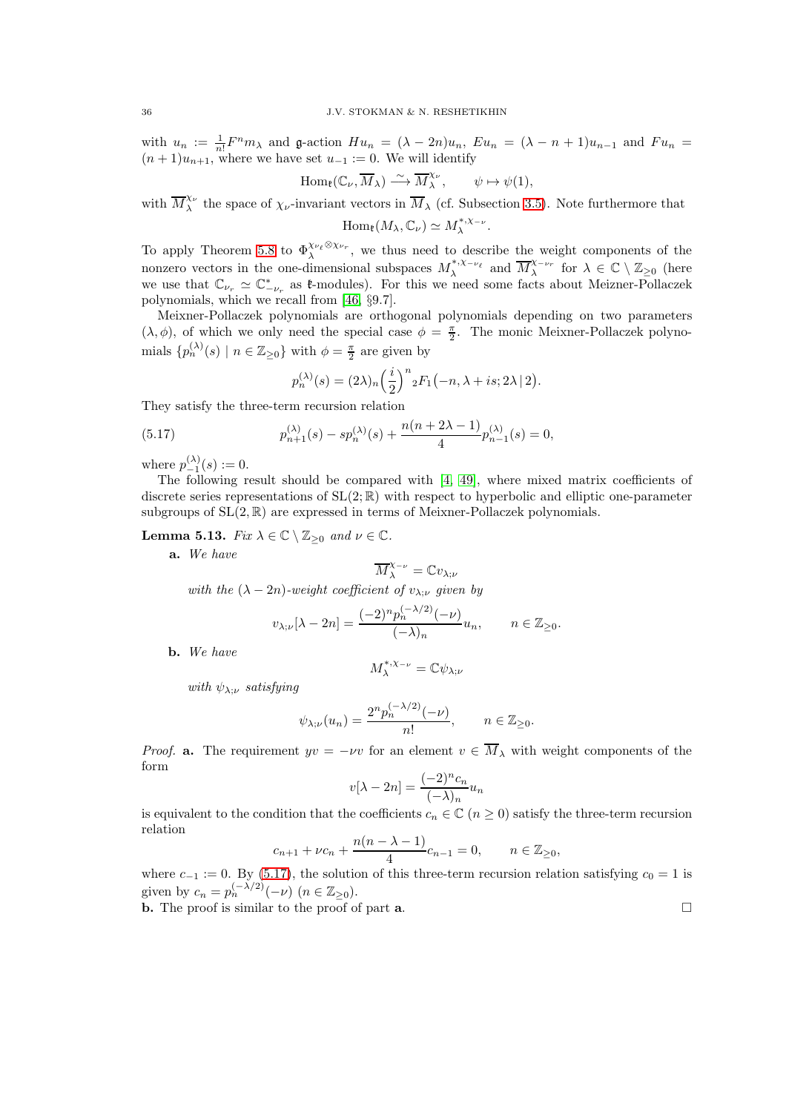with  $u_n := \frac{1}{n!} F^n m_\lambda$  and g-action  $Hu_n = (\lambda - 2n) u_n$ ,  $Eu_n = (\lambda - n + 1) u_{n-1}$  and  $Fu_n =$  $(n+1)u_{n+1}$ , where we have set  $u_{-1} := 0$ . We will identify

$$
\operatorname{Hom}_{\mathfrak{k}}(\mathbb{C}_{\nu}, \overline{M}_{\lambda}) \stackrel{\sim}{\longrightarrow} \overline{M}_{\lambda}^{\chi_{\nu}}, \qquad \psi \mapsto \psi(1),
$$

with  $\overline{M}^{\chi_{\nu}}_{\lambda}$  $\lambda^{\nu}$  the space of  $\chi_{\nu}$ -invariant vectors in  $M_{\lambda}$  (cf. Subsection [3.5\)](#page-16-0). Note furthermore that .

$$
\operatorname{Hom}_{\mathfrak{k}}(M_{\lambda}, \mathbb{C}_{\nu}) \simeq M_{\lambda}^{*, \chi_{-\nu}}
$$

To apply Theorem [5.8](#page-31-1) to  $\Phi_{\lambda}^{\chi_{\nu_{\ell}} \otimes \chi_{\nu_r}}$ , we thus need to describe the weight components of the λ nonzero vectors in the one-dimensional subspaces  $M_{\lambda}^{*,\chi_{-\nu_{\ell}}}$  and  $\overline{M}_{\lambda}^{\chi_{-\nu_{r}}}$  for  $\lambda \in \mathbb{C} \setminus \mathbb{Z}_{\geq 0}$  (here we use that  $\mathbb{C}_{\nu_r} \simeq \mathbb{C}_{-\nu_r}^*$  as  $\mathfrak{k}\text{-modules}$ . For this we need some facts about Meizner-Pollaczek polynomials, which we recall from [\[46,](#page-56-20) §9.7].

Meixner-Pollaczek polynomials are orthogonal polynomials depending on two parameters  $(\lambda, \phi)$ , of which we only need the special case  $\phi = \frac{\pi}{2}$ . The monic Meixner-Pollaczek polynomials  $\{p_n^{(\lambda)}(s) \mid n \in \mathbb{Z}_{\geq 0}\}\$  with  $\phi = \frac{\pi}{2}$  are given by

<span id="page-35-0"></span>
$$
p_n^{(\lambda)}(s) = (2\lambda)_n \left(\frac{i}{2}\right)^n {}_2F_1\bigl(-n,\lambda + is; 2\lambda \,|\, 2\bigr).
$$

They satisfy the three-term recursion relation

(5.17) 
$$
p_{n+1}^{(\lambda)}(s) - sp_n^{(\lambda)}(s) + \frac{n(n+2\lambda-1)}{4}p_{n-1}^{(\lambda)}(s) = 0,
$$

where  $p_{-1}^{(\lambda)}(s) := 0$ .

The following result should be compared with [\[4,](#page-55-19) [49\]](#page-56-21), where mixed matrix coefficients of discrete series representations of  $SL(2;\mathbb{R})$  with respect to hyperbolic and elliptic one-parameter subgroups of  $SL(2, \mathbb{R})$  are expressed in terms of Meixner-Pollaczek polynomials.

<span id="page-35-1"></span>**Lemma 5.13.** Fix  $\lambda \in \mathbb{C} \setminus \mathbb{Z}_{\geq 0}$  and  $\nu \in \mathbb{C}$ .

a. We have

$$
\overline{M}^{\chi_{-\nu}}_\lambda=\mathbb{C}v_{\lambda;\nu}
$$

with the  $(\lambda - 2n)$ -weight coefficient of  $v_{\lambda;\nu}$  given by

$$
v_{\lambda;\nu}[\lambda-2n]=\frac{(-2)^n p_n^{(-\lambda/2)}(-\nu)}{(-\lambda)_n}u_n,\qquad n\in\mathbb{Z}_{\geq 0}.
$$

b. We have

$$
M^{*,\chi_{-\nu}}_\lambda=\mathbb{C} \psi_{\lambda;\nu}
$$

with  $\psi_{\lambda;\nu}$  satisfying

$$
\psi_{\lambda;\nu}(u_n) = \frac{2^n p_n^{(-\lambda/2)}(-\nu)}{n!}, \qquad n \in \mathbb{Z}_{\geq 0}.
$$

*Proof.* a. The requirement  $yv = -\nu v$  for an element  $v \in \overline{M}_{\lambda}$  with weight components of the form

$$
v[\lambda - 2n] = \frac{(-2)^n c_n}{(-\lambda)_n} u_n
$$

is equivalent to the condition that the coefficients  $c_n \in \mathbb{C}$   $(n \geq 0)$  satisfy the three-term recursion relation

$$
c_{n+1} + \nu c_n + \frac{n(n - \lambda - 1)}{4}c_{n-1} = 0, \qquad n \in \mathbb{Z}_{\geq 0},
$$

where  $c_{-1} := 0$ . By [\(5.17\)](#page-35-0), the solution of this three-term recursion relation satisfying  $c_0 = 1$  is given by  $c_n = p_n^{(-\lambda/2)}(-\nu)$   $(n \in \mathbb{Z}_{\geq 0}).$ 

**b.** The proof is similar to the proof of part **a**.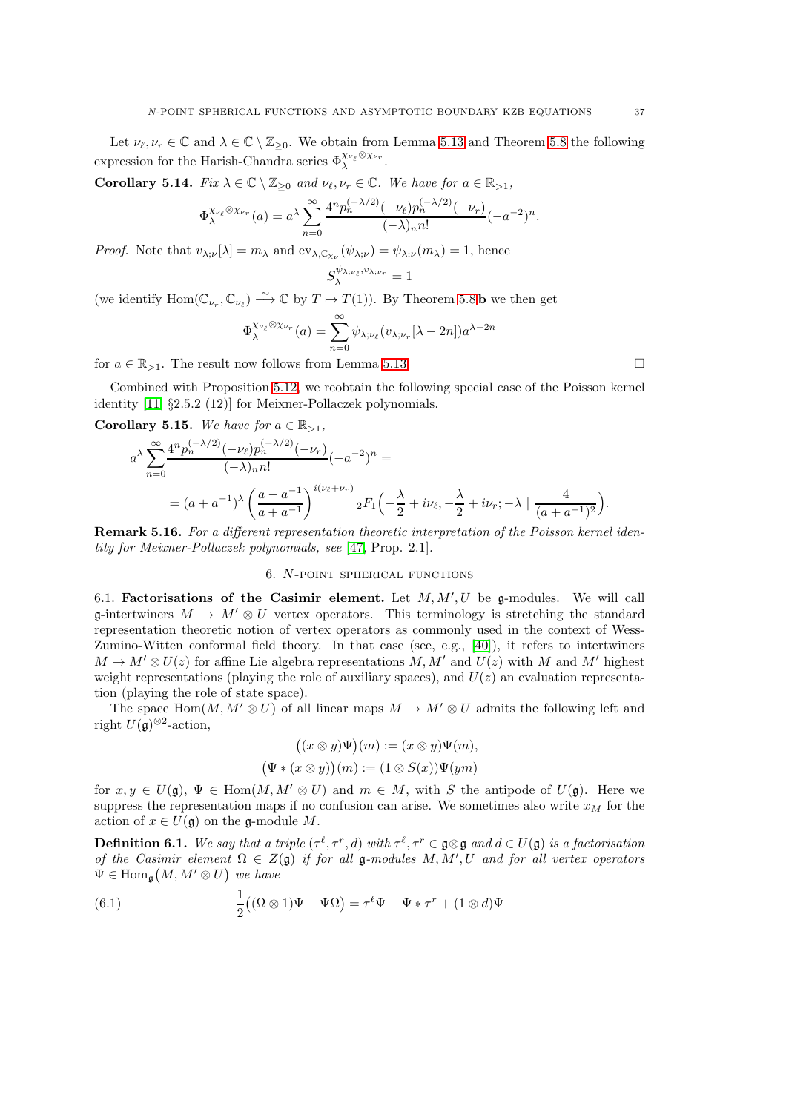Let  $\nu_{\ell}, \nu_{r} \in \mathbb{C}$  and  $\lambda \in \mathbb{C} \setminus \mathbb{Z}_{\geq 0}$ . We obtain from Lemma [5.13](#page-35-1) and Theorem [5.8](#page-31-1) the following expression for the Harish-Chandra series  $\Phi_\lambda^{\chi_{\nu_\ell}\otimes\chi_{\nu_r}}$ .

**Corollary 5.14.** Fix  $\lambda \in \mathbb{C} \setminus \mathbb{Z}_{\geq 0}$  and  $\nu_{\ell}, \nu_r \in \mathbb{C}$ . We have for  $a \in \mathbb{R}_{\geq 1}$ ,

$$
\Phi_{\lambda}^{\chi_{\nu_{\ell}} \otimes \chi_{\nu_r}}(a) = a^{\lambda} \sum_{n=0}^{\infty} \frac{4^n p_n^{(-\lambda/2)} (-\nu_{\ell}) p_n^{(-\lambda/2)} (-\nu_r)}{(-\lambda)_n n!} (-a^{-2})^n.
$$

*Proof.* Note that  $v_{\lambda,\nu}[\lambda] = m_{\lambda}$  and  $ev_{\lambda,\mathbb{C}_{\chi_{\nu}}}(\psi_{\lambda,\nu}) = \psi_{\lambda,\nu}(m_{\lambda}) = 1$ , hence

$$
S^{\psi_{\lambda;\nu_\ell},v_{\lambda;\nu_r}}_\lambda=1
$$

(we identify  $\text{Hom}(\mathbb{C}_{\nu_r}, \mathbb{C}_{\nu_\ell}) \stackrel{\sim}{\longrightarrow} \mathbb{C}$  by  $T \mapsto T(1)$ ). By Theorem [5.8](#page-31-1) **b** we then get

$$
\Phi_{\lambda}^{\chi_{\nu_{\ell}} \otimes \chi_{\nu_r}}(a) = \sum_{n=0}^{\infty} \psi_{\lambda; \nu_{\ell}}(v_{\lambda; \nu_r}[\lambda - 2n]) a^{\lambda - 2n}
$$

for  $a \in \mathbb{R}_{>1}$ . The result now follows from Lemma [5.13.](#page-35-1)

Combined with Proposition [5.12,](#page-34-2) we reobtain the following special case of the Poisson kernel identity [\[11,](#page-55-20) §2.5.2 (12)] for Meixner-Pollaczek polynomials.

Corollary 5.15. We have for  $a \in \mathbb{R}_{>1}$ ,

$$
a^{\lambda} \sum_{n=0}^{\infty} \frac{4^n p_n^{(-\lambda/2)} (-\nu_\ell) p_n^{(-\lambda/2)} (-\nu_r)}{(-\lambda)_n n!} (-a^{-2})^n =
$$
  
=  $(a + a^{-1})^{\lambda} \left( \frac{a - a^{-1}}{a + a^{-1}} \right)^{i(\nu_\ell + \nu_r)} {}_2F_1 \left( -\frac{\lambda}{2} + i\nu_\ell, -\frac{\lambda}{2} + i\nu_r; -\lambda \mid \frac{4}{(a + a^{-1})^2} \right).$ 

<span id="page-36-0"></span>Remark 5.16. For a different representation theoretic interpretation of the Poisson kernel identity for Meixner-Pollaczek polynomials, see [\[47,](#page-56-22) Prop. 2.1].

# 6. N-point spherical functions

<span id="page-36-1"></span>6.1. Factorisations of the Casimir element. Let  $M, M', U$  be g-modules. We will call g-intertwiners  $M \to M' \otimes U$  vertex operators. This terminology is stretching the standard representation theoretic notion of vertex operators as commonly used in the context of Wess-Zumino-Witten conformal field theory. In that case (see, e.g., [\[40\]](#page-56-23)), it refers to intertwiners  $M \to M' \otimes U(z)$  for affine Lie algebra representations M, M' and  $U(z)$  with M and M' highest weight representations (playing the role of auxiliary spaces), and  $U(z)$  an evaluation representation (playing the role of state space).

The space  $\text{Hom}(M, M' \otimes U)$  of all linear maps  $M \to M' \otimes U$  admits the following left and right  $U(\mathfrak{g})^{\otimes 2}$ -action,

$$
((x \otimes y)\Psi)(m) := (x \otimes y)\Psi(m),
$$
  

$$
(\Psi * (x \otimes y))(m) := (1 \otimes S(x))\Psi(ym)
$$

for  $x, y \in U(\mathfrak{g}), \Psi \in \text{Hom}(M, M' \otimes U)$  and  $m \in M$ , with S the antipode of  $U(\mathfrak{g})$ . Here we suppress the representation maps if no confusion can arise. We sometimes also write  $x_M$  for the action of  $x \in U(\mathfrak{g})$  on the  $\mathfrak{g}\text{-module } M$ .

**Definition 6.1.** We say that a triple  $(\tau^{\ell}, \tau^r, d)$  with  $\tau^{\ell}, \tau^r \in \mathfrak{g} \otimes \mathfrak{g}$  and  $d \in U(\mathfrak{g})$  is a factorisation of the Casimir element  $\Omega \in Z(\mathfrak{g})$  if for all  $\mathfrak{g}\text{-modules }M,M',U$  and for all vertex operators  $\Psi \in \text{Hom}_{\mathfrak{g}}(M, M' \otimes U)$  we have

<span id="page-36-2"></span>(6.1) 
$$
\frac{1}{2}((\Omega \otimes 1)\Psi - \Psi \Omega) = \tau^{\ell} \Psi - \Psi * \tau^{r} + (1 \otimes d)\Psi
$$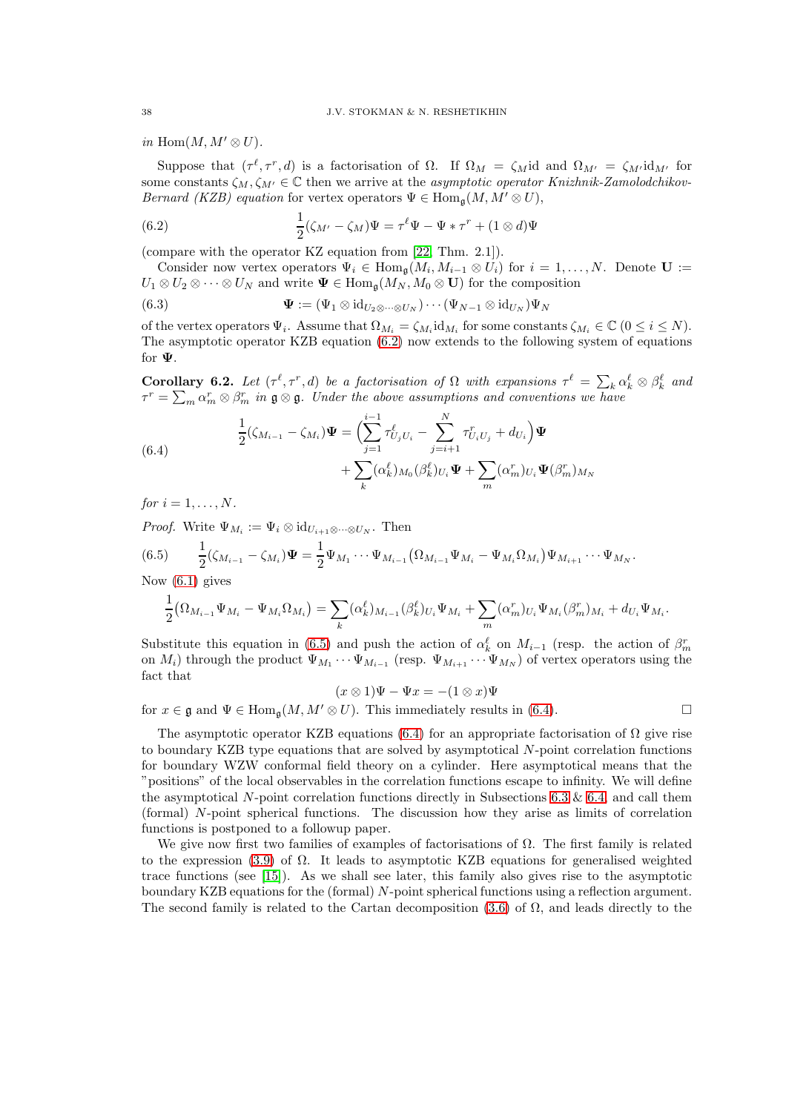in Hom $(M, M' \otimes U)$ .

Suppose that  $(\tau^{\ell}, \tau^r, d)$  is a factorisation of  $\Omega$ . If  $\Omega_M = \zeta_M$ id and  $\Omega_{M'} = \zeta_{M'}$ id<sub>M'</sub> for some constants  $\zeta_M, \zeta_{M'} \in \mathbb{C}$  then we arrive at the asymptotic operator Knizhnik-Zamolodchikov-Bernard (KZB) equation for vertex operators  $\Psi \in \text{Hom}_{\mathfrak{a}}(M, M' \otimes U)$ ,

<span id="page-37-0"></span>(6.2) 
$$
\frac{1}{2}(\zeta_{M'}-\zeta_M)\Psi = \tau^{\ell}\Psi - \Psi * \tau^r + (1 \otimes d)\Psi
$$

(compare with the operator KZ equation from [\[22,](#page-55-21) Thm. 2.1]).

Consider now vertex operators  $\Psi_i \in \text{Hom}_{\mathfrak{g}}(M_i, M_{i-1} \otimes U_i)$  for  $i = 1, ..., N$ . Denote  $\mathbf{U} :=$  $U_1 \otimes U_2 \otimes \cdots \otimes U_N$  and write  $\Psi \in \text{Hom}_{\mathfrak{g}}(M_N, M_0 \otimes \mathbf{U})$  for the composition

(6.3) 
$$
\mathbf{\Psi} := (\Psi_1 \otimes \mathrm{id}_{U_2 \otimes \cdots \otimes U_N}) \cdots (\Psi_{N-1} \otimes \mathrm{id}_{U_N}) \Psi_N
$$

of the vertex operators  $\Psi_i$ . Assume that  $\Omega_{M_i} = \zeta_{M_i} \mathrm{id}_{M_i}$  for some constants  $\zeta_{M_i} \in \mathbb{C}$   $(0 \le i \le N)$ . The asymptotic operator KZB equation [\(6.2\)](#page-37-0) now extends to the following system of equations for Ψ.

<span id="page-37-3"></span>**Corollary 6.2.** Let  $(\tau^{\ell}, \tau^r, d)$  be a factorisation of  $\Omega$  with expansions  $\tau^{\ell} = \sum_k \alpha_k^{\ell} \otimes \beta_k^{\ell}$  and  $\tau^r = \sum_m \alpha_m^r \otimes \beta_m^r$  in  $\mathfrak{g} \otimes \mathfrak{g}$ . Under the above assumptions and conventions we have

<span id="page-37-2"></span>(6.4) 
$$
\frac{1}{2}(\zeta_{M_{i-1}} - \zeta_{M_i})\Psi = \left(\sum_{j=1}^{i-1} \tau_{U_j U_i}^{\ell} - \sum_{j=i+1}^{N} \tau_{U_i U_j}^r + d_{U_i}\right)\Psi + \sum_k (\alpha_k^{\ell})_{M_0} (\beta_k^{\ell})_{U_i}\Psi + \sum_m (\alpha_m^r)_{U_i}\Psi(\beta_m^r)_{M_N}
$$

for  $i = 1, \ldots, N$ .

*Proof.* Write  $\Psi_{M_i} := \Psi_i \otimes \mathrm{id}_{U_{i+1} \otimes \cdots \otimes U_N}$ . Then

<span id="page-37-1"></span>
$$
(6.5) \qquad \frac{1}{2}(\zeta_{M_{i-1}} - \zeta_{M_i})\Psi = \frac{1}{2}\Psi_{M_1}\cdots\Psi_{M_{i-1}}(\Omega_{M_{i-1}}\Psi_{M_i} - \Psi_{M_i}\Omega_{M_i})\Psi_{M_{i+1}}\cdots\Psi_{M_N}.
$$

Now [\(6.1\)](#page-36-2) gives

$$
\frac{1}{2}(\Omega_{M_{i-1}}\Psi_{M_i}-\Psi_{M_i}\Omega_{M_i})=\sum_k(\alpha_k^{\ell})_{M_{i-1}}(\beta_k^{\ell})_{U_i}\Psi_{M_i}+\sum_m(\alpha_m^r)_{U_i}\Psi_{M_i}(\beta_m^r)_{M_i}+d_{U_i}\Psi_{M_i}.
$$

Substitute this equation in [\(6.5\)](#page-37-1) and push the action of  $\alpha_k^{\ell}$  on  $M_{i-1}$  (resp. the action of  $\beta_m^r$ on  $M_i$ ) through the product  $\Psi_{M_1} \cdots \Psi_{M_{i-1}}$  (resp.  $\Psi_{M_{i+1}} \cdots \Psi_{M_N}$ ) of vertex operators using the fact that

$$
(x \otimes 1)\Psi - \Psi x = -(1 \otimes x)\Psi
$$

for  $x \in \mathfrak{g}$  and  $\Psi \in \text{Hom}_{\mathfrak{g}}(M, M' \otimes U)$ . This immediately results in [\(6.4\)](#page-37-2).

The asymptotic operator KZB equations [\(6.4\)](#page-37-2) for an appropriate factorisation of  $\Omega$  give rise to boundary KZB type equations that are solved by asymptotical N-point correlation functions for boundary WZW conformal field theory on a cylinder. Here asymptotical means that the "positions" of the local observables in the correlation functions escape to infinity. We will define the asymptotical N-point correlation functions directly in Subsections [6.3](#page-42-0)  $\&$  [6.4,](#page-46-0) and call them (formal) N-point spherical functions. The discussion how they arise as limits of correlation functions is postponed to a followup paper.

We give now first two families of examples of factorisations of  $\Omega$ . The first family is related to the expression [\(3.9\)](#page-16-2) of  $\Omega$ . It leads to asymptotic KZB equations for generalised weighted trace functions (see [\[15\]](#page-55-4)). As we shall see later, this family also gives rise to the asymptotic boundary KZB equations for the (formal) N-point spherical functions using a reflection argument. The second family is related to the Cartan decomposition [\(3.6\)](#page-16-1) of  $\Omega$ , and leads directly to the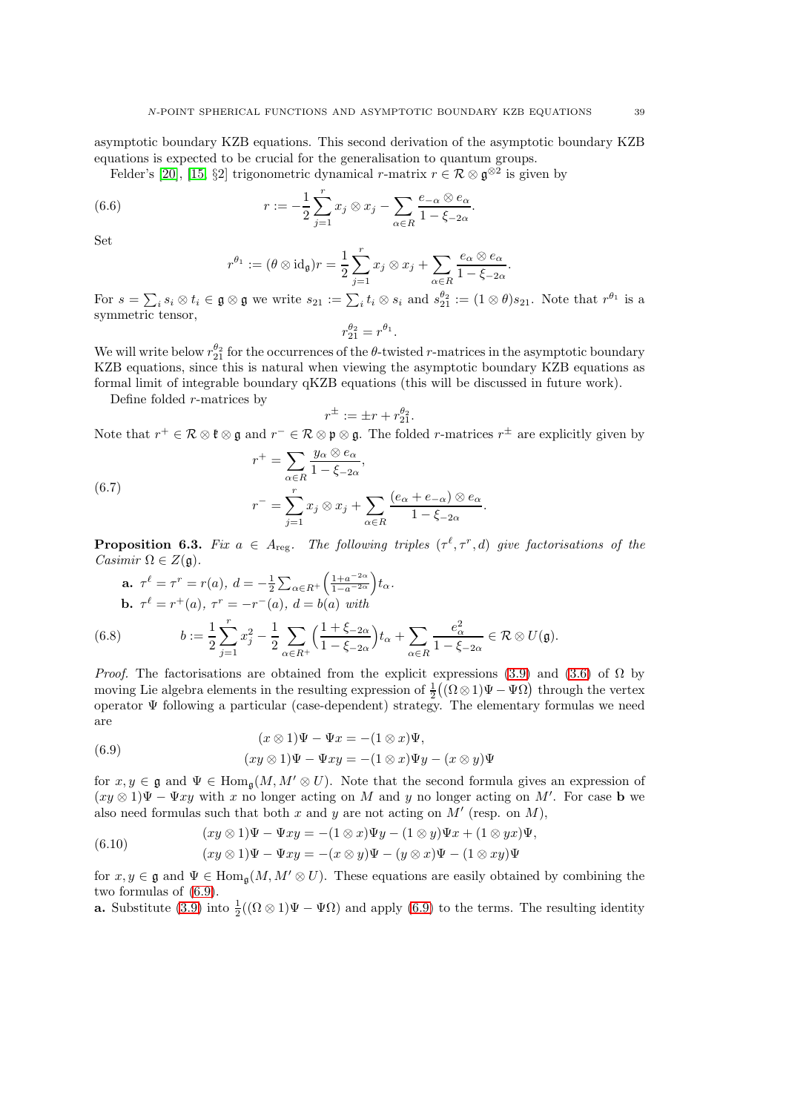asymptotic boundary KZB equations. This second derivation of the asymptotic boundary KZB equations is expected to be crucial for the generalisation to quantum groups.

Felder's [\[20\]](#page-55-8), [\[15,](#page-55-4) §2] trigonometric dynamical r-matrix  $r \in \mathcal{R} \otimes \mathfrak{g}^{\otimes 2}$  is given by

(6.6) 
$$
r := -\frac{1}{2} \sum_{j=1}^{r} x_j \otimes x_j - \sum_{\alpha \in R} \frac{e_{-\alpha} \otimes e_{\alpha}}{1 - \xi_{-2\alpha}}.
$$

Set

<span id="page-38-5"></span>
$$
r^{\theta_1} := (\theta \otimes id_{\mathfrak{g}}) r = \frac{1}{2} \sum_{j=1}^r x_j \otimes x_j + \sum_{\alpha \in R} \frac{e_{\alpha} \otimes e_{\alpha}}{1 - \xi_{-2\alpha}}.
$$

For  $s = \sum_i s_i \otimes t_i \in \mathfrak{g} \otimes \mathfrak{g}$  we write  $s_{21} := \sum_i t_i \otimes s_i$  and  $s_{21}^{\theta_2} := (1 \otimes \theta)s_{21}$ . Note that  $r^{\theta_1}$  is a symmetric tensor,

$$
r_{21}^{\theta_2}=r^{\theta_1}.
$$

We will write below  $r_{21}^{\theta_2}$  for the occurrences of the  $\theta$ -twisted r-matrices in the asymptotic boundary KZB equations, since this is natural when viewing the asymptotic boundary KZB equations as formal limit of integrable boundary qKZB equations (this will be discussed in future work).

Define folded r-matrices by

$$
r^{\pm} := \pm r + r_{21}^{\theta_2}.
$$

Note that  $r^+ \in \mathcal{R} \otimes \mathfrak{k} \otimes \mathfrak{g}$  and  $r^- \in \mathcal{R} \otimes \mathfrak{p} \otimes \mathfrak{g}$ . The folded r-matrices  $r^{\pm}$  are explicitly given by  $r^+ = \sum \frac{y_\alpha \otimes e_\alpha}{1 - \epsilon}$ 

<span id="page-38-2"></span>(6.7) 
$$
r^{+} = \sum_{\alpha \in R} \frac{y_{\alpha} \circ c_{\alpha}}{1 - \xi_{-2\alpha}},
$$

$$
r^{-} = \sum_{j=1}^{r} x_{j} \otimes x_{j} + \sum_{\alpha \in R} \frac{(e_{\alpha} + e_{-\alpha}) \otimes e_{\alpha}}{1 - \xi_{-2\alpha}}.
$$

<span id="page-38-4"></span>**Proposition 6.3.** Fix  $a \in A_{reg}$ . The following triples  $(\tau^{\ell}, \tau^r, d)$  give factorisations of the Casimir  $\Omega \in Z(\mathfrak{g})$ .

<span id="page-38-3"></span>**a.** 
$$
\tau^{\ell} = \tau^{r} = r(a), d = -\frac{1}{2} \sum_{\alpha \in R^{+}} \left( \frac{1 + a^{-2\alpha}}{1 - a^{-2\alpha}} \right) t_{\alpha}.
$$
  
**b.**  $\tau^{\ell} = r^{+}(a), \tau^{r} = -r^{-}(a), d = b(a)$  with

(6.8) 
$$
b := \frac{1}{2} \sum_{j=1}^r x_j^2 - \frac{1}{2} \sum_{\alpha \in R^+} \left( \frac{1 + \xi_{-2\alpha}}{1 - \xi_{-2\alpha}} \right) t_\alpha + \sum_{\alpha \in R} \frac{e_\alpha^2}{1 - \xi_{-2\alpha}} \in \mathcal{R} \otimes U(\mathfrak{g}).
$$

*Proof.* The factorisations are obtained from the explicit expressions [\(3.9\)](#page-16-2) and [\(3.6\)](#page-16-1) of  $\Omega$  by moving Lie algebra elements in the resulting expression of  $\frac{1}{2}((\Omega \otimes 1)\Psi - \Psi \Omega)$  through the vertex operator  $\Psi$  following a particular (case-dependent) strategy. The elementary formulas we need are

<span id="page-38-0"></span>(6.9) 
$$
(x \otimes 1)\Psi - \Psi x = -(1 \otimes x)\Psi,
$$

$$
(xy \otimes 1)\Psi - \Psi xy = -(1 \otimes x)\Psi y - (x \otimes y)\Psi
$$

for  $x, y \in \mathfrak{g}$  and  $\Psi \in \text{Hom}_{\mathfrak{a}}(M, M' \otimes U)$ . Note that the second formula gives an expression of  $(xy \otimes 1)\Psi - \Psi xy$  with x no longer acting on M and y no longer acting on M'. For case **b** we also need formulas such that both x and y are not acting on  $M'$  (resp. on  $M$ ),

<span id="page-38-1"></span>(6.10) 
$$
(xy \otimes 1)\Psi - \Psi xy = -(1 \otimes x)\Psi y - (1 \otimes y)\Psi x + (1 \otimes y)x \Psi,
$$

$$
(xy \otimes 1)\Psi - \Psi xy = -(x \otimes y)\Psi - (y \otimes x)\Psi - (1 \otimes xy)\Psi
$$

for  $x, y \in \mathfrak{g}$  and  $\Psi \in \text{Hom}_{\mathfrak{g}}(M, M' \otimes U)$ . These equations are easily obtained by combining the two formulas of [\(6.9\)](#page-38-0).

**a.** Substitute [\(3.9\)](#page-16-2) into  $\frac{1}{2}((\Omega \otimes 1)\Psi - \Psi \Omega)$  and apply [\(6.9\)](#page-38-0) to the terms. The resulting identity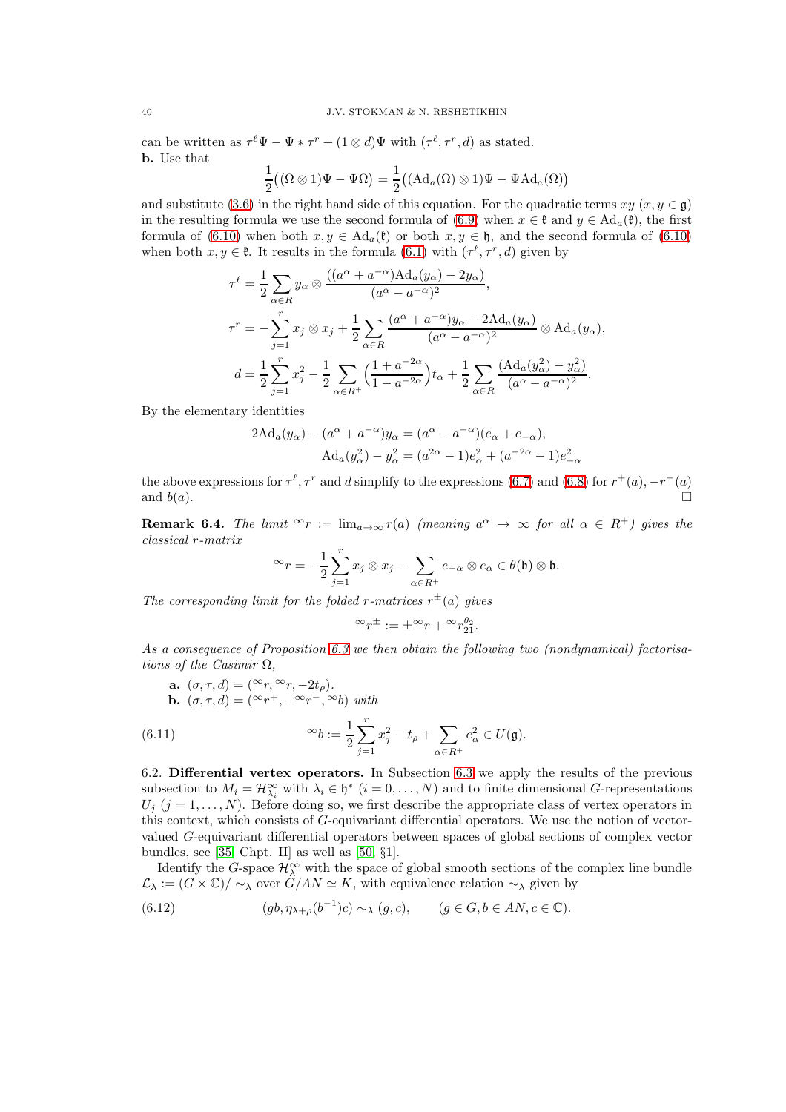can be written as  $\tau^{\ell} \Psi - \Psi * \tau^{r} + (1 \otimes d) \Psi$  with  $(\tau^{\ell}, \tau^{r}, d)$  as stated. b. Use that

$$
\frac{1}{2}\big((\Omega\otimes 1)\Psi-\Psi\Omega\big)=\frac{1}{2}\big((\mathrm{Ad}_a(\Omega)\otimes 1)\Psi-\Psi\mathrm{Ad}_a(\Omega)\big)
$$

and substitute [\(3.6\)](#page-16-1) in the right hand side of this equation. For the quadratic terms  $xy (x, y \in \mathfrak{g})$ in the resulting formula we use the second formula of [\(6.9\)](#page-38-0) when  $x \in \mathfrak{k}$  and  $y \in \text{Ad}_a(\mathfrak{k})$ , the first formula of [\(6.10\)](#page-38-1) when both  $x, y \in \text{Ad}_a(\mathfrak{k})$  or both  $x, y \in \mathfrak{h}$ , and the second formula of (6.10) when both  $x, y \in \mathfrak{k}$ . It results in the formula [\(6.1\)](#page-36-2) with  $(\tau^{\ell}, \tau^r, d)$  given by

$$
\tau^{\ell} = \frac{1}{2} \sum_{\alpha \in R} y_{\alpha} \otimes \frac{((a^{\alpha} + a^{-\alpha}) \text{Ad}_{a}(y_{\alpha}) - 2y_{\alpha})}{(a^{\alpha} - a^{-\alpha})^{2}},
$$
  

$$
\tau^{r} = -\sum_{j=1}^{r} x_{j} \otimes x_{j} + \frac{1}{2} \sum_{\alpha \in R} \frac{(a^{\alpha} + a^{-\alpha})y_{\alpha} - 2\text{Ad}_{a}(y_{\alpha})}{(a^{\alpha} - a^{-\alpha})^{2}} \otimes \text{Ad}_{a}(y_{\alpha}),
$$
  

$$
d = \frac{1}{2} \sum_{j=1}^{r} x_{j}^{2} - \frac{1}{2} \sum_{\alpha \in R^{+}} \left(\frac{1 + a^{-2\alpha}}{1 - a^{-2\alpha}}\right) t_{\alpha} + \frac{1}{2} \sum_{\alpha \in R} \frac{(\text{Ad}_{a}(y_{\alpha}^{2}) - y_{\alpha}^{2})}{(a^{\alpha} - a^{-\alpha})^{2}}.
$$

By the elementary identities

$$
2\text{Ad}_a(y_\alpha) - (a^\alpha + a^{-\alpha})y_\alpha = (a^\alpha - a^{-\alpha})(e_\alpha + e_{-\alpha}),
$$
  

$$
\text{Ad}_a(y_\alpha^2) - y_\alpha^2 = (a^{2\alpha} - 1)e_\alpha^2 + (a^{-2\alpha} - 1)e_{-\alpha}^2
$$

the above expressions for  $\tau^{\ell}, \tau^{r}$  and d simplify to the expressions [\(6.7\)](#page-38-2) and [\(6.8\)](#page-38-3) for  $r^{+}(a), -r^{-}(a)$ and  $b(a)$ .

**Remark 6.4.** The limit  $\infty_r := \lim_{a \to \infty} r(a)$  (meaning  $a^{\alpha} \to \infty$  for all  $\alpha \in R^+$ ) gives the classical r-matrix

$$
\infty_T = -\frac{1}{2} \sum_{j=1}^r x_j \otimes x_j - \sum_{\alpha \in R^+} e_{-\alpha} \otimes e_{\alpha} \in \theta(\mathfrak{b}) \otimes \mathfrak{b}.
$$

The corresponding limit for the folded r-matrices  $r^{\pm}(a)$  gives

$$
{}^{\infty}r^{\pm} := \pm {}^{\infty}r + {}^{\infty}r_{21}^{\theta_2}.
$$

As a consequence of Proposition [6.3](#page-38-4) we then obtain the following two (nondynamical) factorisations of the Casimir  $\Omega$ ,

**a.** 
$$
(\sigma, \tau, d) = (\infty r, \infty r, -2t_{\rho}).
$$
  
\n**b.**  $(\sigma, \tau, d) = (\infty r^+, -\infty r^-, \infty b)$  with  
\n(6.11) 
$$
\infty_b := \frac{1}{2} \sum_{j=1}^r x_j^2 - t_{\rho} + \sum_{\alpha \in R^+} e_{\alpha}^2 \in U(\mathfrak{g}).
$$

<span id="page-39-0"></span>6.2. Differential vertex operators. In Subsection [6.3](#page-42-0) we apply the results of the previous subsection to  $M_i = \mathcal{H}_{\lambda_i}^{\infty}$  with  $\lambda_i \in \mathfrak{h}^*$   $(i = 0, \ldots, N)$  and to finite dimensional G-representations  $U_j$  (j = 1, ..., N). Before doing so, we first describe the appropriate class of vertex operators in this context, which consists of G-equivariant differential operators. We use the notion of vectorvalued G-equivariant differential operators between spaces of global sections of complex vector bundles, see [\[35,](#page-56-24) Chpt. II] as well as [\[50,](#page-56-25)  $\S1$ ].

 $\alpha \in R^+$ 

Identify the G-space  $\mathcal{H}_{\lambda}^{\infty}$  with the space of global smooth sections of the complex line bundle  $\mathcal{L}_{\lambda} := (G \times \mathbb{C})/\sim_{\lambda}$  over  $\hat{G}/AN \simeq K$ , with equivalence relation  $\sim_{\lambda}$  given by

<span id="page-39-1"></span>(6.12) 
$$
(gb, \eta_{\lambda+\rho}(b^{-1})c) \sim_{\lambda} (g, c), \qquad (g \in G, b \in AN, c \in \mathbb{C}).
$$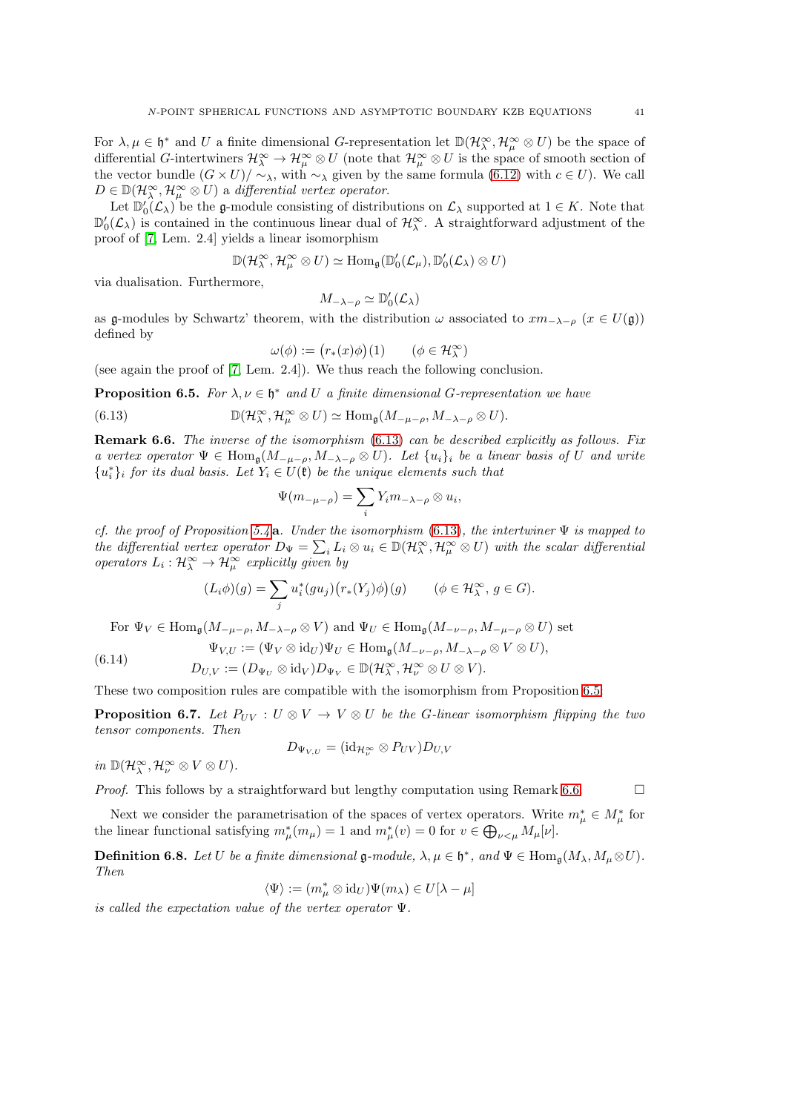For  $\lambda, \mu \in \mathfrak{h}^*$  and U a finite dimensional G-representation let  $\mathbb{D}(\mathcal{H}_\lambda^\infty, \mathcal{H}_\mu^\infty \otimes U)$  be the space of differential G-intertwiners  $\mathcal{H}_{\lambda}^{\infty} \to \mathcal{H}_{\mu}^{\infty} \otimes U$  (note that  $\mathcal{H}_{\mu}^{\infty} \otimes U$  is the space of smooth section of the vector bundle  $(G \times U)/\sim_{\lambda}$ , with  $\sim_{\lambda}$  given by the same formula [\(6.12\)](#page-39-1) with  $c \in U$ ). We call  $D \in \mathbb{D}(\mathcal{H}_\lambda^\infty, \mathcal{H}_\mu^\infty \otimes U)$  a differential vertex operator.

Let  $\mathbb{D}'_0(\mathcal{L}_\lambda)$  be the g-module consisting of distributions on  $\mathcal{L}_\lambda$  supported at  $1 \in K$ . Note that  $\mathbb{D}'_0(\mathcal{L}_\lambda)$  is contained in the continuous linear dual of  $\mathcal{H}_\lambda^{\infty}$ . A straightforward adjustment of the proof of [\[7,](#page-55-22) Lem. 2.4] yields a linear isomorphism

$$
\mathbb{D}(\mathcal{H}_\lambda^\infty, \mathcal{H}_\mu^\infty \otimes U) \simeq \text{Hom}_{\mathfrak{g}}(\mathbb{D}'_0(\mathcal{L}_\mu), \mathbb{D}'_0(\mathcal{L}_\lambda) \otimes U)
$$

via dualisation. Furthermore,

$$
M_{-\lambda-\rho}\simeq \mathbb{D}'_0(\mathcal{L}_\lambda)
$$

as g-modules by Schwartz' theorem, with the distribution  $\omega$  associated to  $xm_{-\lambda-\rho}$   $(x \in U(\mathfrak{g}))$ defined by

<span id="page-40-0"></span>
$$
\omega(\phi):=\big(r_*(x)\phi\big)(1)\qquad(\phi\in\mathcal{H}_\lambda^\infty)
$$

(see again the proof of [\[7,](#page-55-22) Lem. 2.4]). We thus reach the following conclusion.

<span id="page-40-1"></span>**Proposition 6.5.** For  $\lambda, \nu \in \mathfrak{h}^*$  and U a finite dimensional G-representation we have

(6.13) 
$$
\mathbb{D}(\mathcal{H}_{\lambda}^{\infty}, \mathcal{H}_{\mu}^{\infty} \otimes U) \simeq \text{Hom}_{\mathfrak{g}}(M_{-\mu-\rho}, M_{-\lambda-\rho} \otimes U).
$$

<span id="page-40-2"></span>**Remark 6.6.** The inverse of the isomorphism  $(6.13)$  can be described explicitly as follows. Fix a vertex operator  $\Psi \in \text{Hom}_{\mathfrak{g}}(M_{-\mu-\rho}, M_{-\lambda-\rho} \otimes U)$ . Let  $\{u_i\}_i$  be a linear basis of U and write  ${u<sub>i</sub><sup>*</sup>}$ <sub>i</sub> for its dual basis. Let  $Y_i \in U(\mathfrak{k})$  be the unique elements such that

$$
\Psi(m_{-\mu-\rho})=\sum_i Y_i m_{-\lambda-\rho}\otimes u_i,
$$

cf. the proof of Proposition [5.4](#page-29-2) a. Under the isomorphism [\(6.13\)](#page-40-0), the intertwiner  $\Psi$  is mapped to the differential vertex operator  $D_{\Psi} = \sum_i L_i \otimes u_i \in \mathbb{D}(\mathcal{H}_\lambda^{\infty}, \mathcal{H}_\mu^{\infty} \otimes U)$  with the scalar differential operators  $L_i: \mathcal{H}_\lambda^\infty \to \mathcal{H}_\mu^\infty$  explicitly given by

$$
(L_i \phi)(g) = \sum_j u_i^*(gu_j)(r_*(Y_j)\phi)(g) \qquad (\phi \in \mathcal{H}_\lambda^\infty, g \in G).
$$

For  $\Psi_V \in \text{Hom}_{\mathfrak{g}}(M_{-\mu-\rho}, M_{-\lambda-\rho} \otimes V)$  and  $\Psi_U \in \text{Hom}_{\mathfrak{g}}(M_{-\nu-\rho}, M_{-\mu-\rho} \otimes U)$  set

(6.14) 
$$
\Psi_{V,U} := (\Psi_V \otimes \mathrm{id}_U) \Psi_U \in \mathrm{Hom}_{\mathfrak{g}}(M_{-\nu-\rho}, M_{-\lambda-\rho} \otimes V \otimes U),
$$

$$
D_{U,V} := (D_{\Psi_U} \otimes \mathrm{id}_V) D_{\Psi_V} \in \mathbb{D}(\mathcal{H}_{\lambda}^{\infty}, \mathcal{H}_{\nu}^{\infty} \otimes U \otimes V).
$$

These two composition rules are compatible with the isomorphism from Proposition [6.5:](#page-40-1)

**Proposition 6.7.** Let  $P_{UV}$  :  $U \otimes V \rightarrow V \otimes U$  be the G-linear isomorphism flipping the two tensor components. Then

$$
D_{\Psi_{V,U}} = (\mathrm{id}_{\mathcal{H}_\nu^\infty} \otimes P_{UV}) D_{U,V}
$$

in  $\mathbb{D}(\mathcal{H}_{\lambda}^{\infty},\mathcal{H}_{\nu}^{\infty}\otimes V\otimes U)$ .

*Proof.* This follows by a straightforward but lengthy computation using Remark [6.6.](#page-40-2)  $\Box$ 

Next we consider the parametrisation of the spaces of vertex operators. Write  $m^*_{\mu} \in M^*_{\mu}$  for the linear functional satisfying  $m^*_{\mu}(m_{\mu}) = 1$  and  $m^*_{\mu}(v) = 0$  for  $v \in \bigoplus_{\nu \leq \mu} M_{\mu}[\nu]$ .

**Definition 6.8.** Let U be a finite dimensional  $\mathfrak{g}\text{-module}$ ,  $\lambda, \mu \in \mathfrak{h}^*$ , and  $\Psi \in \text{Hom}_{\mathfrak{g}}(M_{\lambda}, M_{\mu} \otimes U)$ . Then

$$
\langle \Psi \rangle := (m_{\mu}^* \otimes \mathrm{id}_U) \Psi(m_{\lambda}) \in U[\lambda - \mu]
$$

is called the expectation value of the vertex operator Ψ.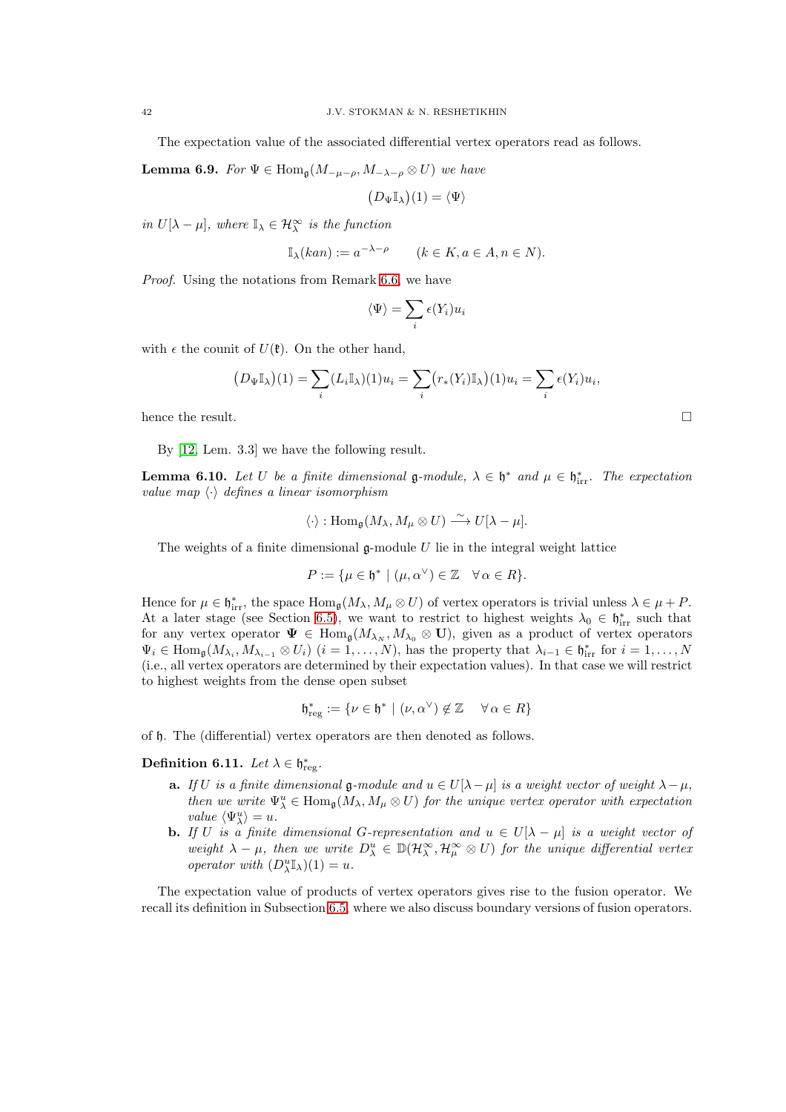The expectation value of the associated differential vertex operators read as follows.

**Lemma 6.9.** For  $\Psi \in \text{Hom}_{\mathfrak{a}}(M_{-\mu-\rho}, M_{-\lambda-\rho} \otimes U)$  we have

$$
(D_{\Psi}\mathbb{I}_{\lambda})(1) = \langle \Psi \rangle
$$

in  $U[\lambda - \mu]$ , where  $\mathbb{I}_{\lambda} \in \mathcal{H}_{\lambda}^{\infty}$  is the function

$$
\mathbb{I}_{\lambda}(\operatorname{kan}) := a^{-\lambda - \rho} \qquad (k \in K, a \in A, n \in N).
$$

Proof. Using the notations from Remark [6.6,](#page-40-2) we have

$$
\langle \Psi \rangle = \sum_i \epsilon(Y_i) u_i
$$

with  $\epsilon$  the counit of  $U(\mathfrak{k})$ . On the other hand,

$$
(D_{\Psi}\mathbb{I}_{\lambda})(1) = \sum_{i} (L_i \mathbb{I}_{\lambda})(1)u_i = \sum_{i} (r_*(Y_i)\mathbb{I}_{\lambda})(1)u_i = \sum_{i} \epsilon(Y_i)u_i,
$$

hence the result.  $\Box$ 

By [\[12,](#page-55-9) Lem. 3.3] we have the following result.

<span id="page-41-1"></span>**Lemma 6.10.** Let U be a finite dimensional  $\mathfrak{g}\text{-module}$ ,  $\lambda \in \mathfrak{h}^*$  and  $\mu \in \mathfrak{h}^*_{irr}$ . The expectation value map  $\langle \cdot \rangle$  defines a linear isomorphism

$$
\langle \cdot \rangle : \text{Hom}_{\mathfrak{g}}(M_{\lambda}, M_{\mu} \otimes U) \xrightarrow{\sim} U[\lambda - \mu].
$$

The weights of a finite dimensional  $\mathfrak g$ -module U lie in the integral weight lattice

$$
P := \{ \mu \in \mathfrak{h}^* \mid (\mu, \alpha^\vee) \in \mathbb{Z} \quad \forall \alpha \in R \}.
$$

Hence for  $\mu \in \mathfrak{h}_{irr}^*$ , the space  $\text{Hom}_{\mathfrak{g}}(M_{\lambda}, M_{\mu} \otimes U)$  of vertex operators is trivial unless  $\lambda \in \mu + P$ . At a later stage (see Section [6.5\)](#page-49-0), we want to restrict to highest weights  $\lambda_0 \in \mathfrak{h}_{irr}^*$  such that for any vertex operator  $\Psi \in \text{Hom}_{\mathfrak{g}}(M_{\lambda_N}, M_{\lambda_0} \otimes \mathbf{U})$ , given as a product of vertex operators  $\Psi_i \in \text{Hom}_{\mathfrak{g}}(M_{\lambda_i}, M_{\lambda_{i-1}} \otimes U_i)$   $(i = 1, \ldots, N)$ , has the property that  $\lambda_{i-1} \in \mathfrak{h}_{irr}^*$  for  $i = 1, \ldots, N$ (i.e., all vertex operators are determined by their expectation values). In that case we will restrict to highest weights from the dense open subset

$$
\mathfrak{h}^*_{\mathrm{reg}}:=\{\nu\in\mathfrak{h}^*\mid (\nu,\alpha^\vee)\not\in\mathbb{Z}\quad\,\forall\,\alpha\in R\}
$$

of h. The (differential) vertex operators are then denoted as follows.

<span id="page-41-0"></span>Definition 6.11. Let  $\lambda \in \mathfrak{h}^*_{\text{reg}}$ .

- a. If *U* is a finite dimensional **g**-module and  $u ∈ U[λ−μ]$  is a weight vector of weight  $λ−μ$ , then we write  $\Psi_{\lambda}^u \in \text{Hom}_{\mathfrak{g}}(M_{\lambda}, M_{\mu} \otimes U)$  for the unique vertex operator with expectation value  $\langle \Psi_{\lambda}^{u} \rangle = u$ .
- **b.** If U is a finite dimensional G-representation and  $u \in U[\lambda \mu]$  is a weight vector of weight  $\lambda - \mu$ , then we write  $D^u_\lambda \in \mathbb{D}(\mathcal{H}_\lambda^\infty, \mathcal{H}_\mu^\infty \otimes U)$  for the unique differential vertex operator with  $(D_{\lambda}^{u}\mathbb{I}_{\lambda})(1) = u$ .

The expectation value of products of vertex operators gives rise to the fusion operator. We recall its definition in Subsection [6.5,](#page-49-0) where we also discuss boundary versions of fusion operators.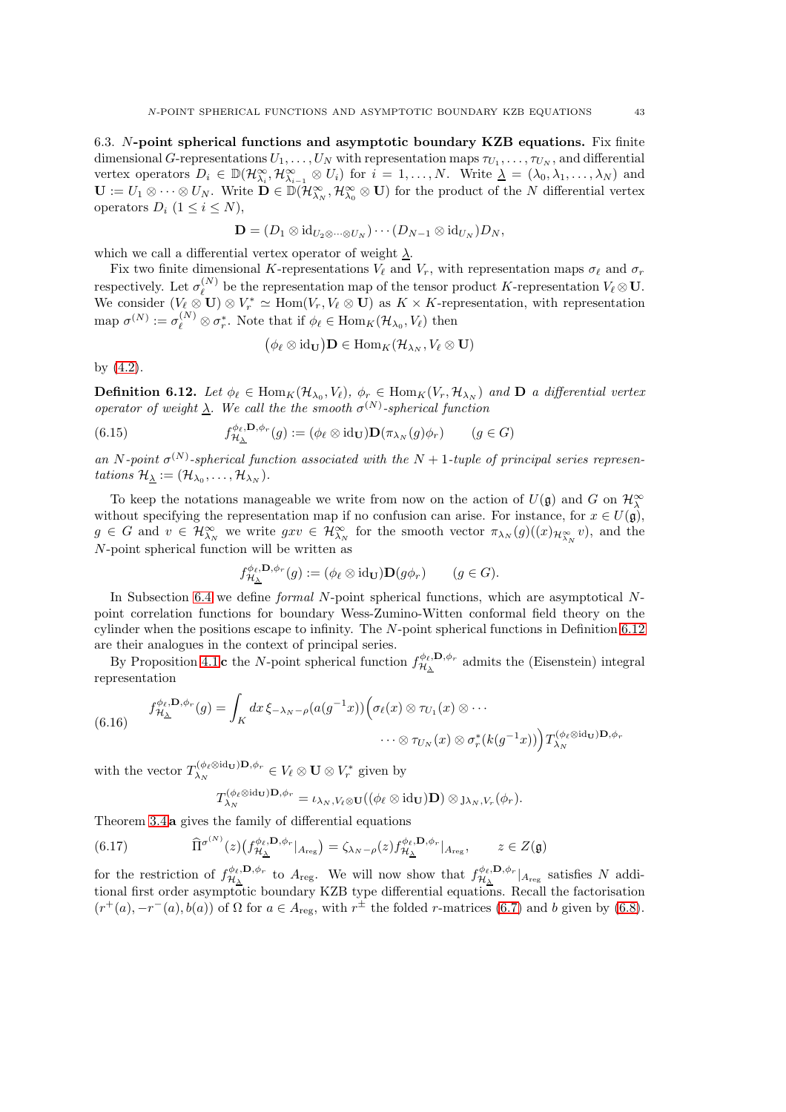<span id="page-42-0"></span>6.3. N-point spherical functions and asymptotic boundary KZB equations. Fix finite dimensional G-representations  $U_1, \ldots, U_N$  with representation maps  $\tau_{U_1}, \ldots, \tau_{U_N}$ , and differential vertex operators  $D_i \in \mathbb{D}(\mathcal{H}_{\lambda_i}^{\infty}, \mathcal{H}_{\lambda_{i-1}}^{\infty} \otimes U_i)$  for  $i = 1, ..., N$ . Write  $\underline{\lambda} = (\lambda_0, \lambda_1, ..., \lambda_N)$  and  $\mathbf{U} := U_1 \otimes \cdots \otimes U_N$ . Write  $\mathbf{D} \in \mathbb{D}(\mathcal{H}_{\lambda_N}^{\infty}, \mathcal{H}_{\lambda_0}^{\infty} \otimes \mathbf{U})$  for the product of the N differential vertex operators  $D_i$   $(1 \leq i \leq N)$ ,

$$
\mathbf{D}=(D_1\otimes \mathrm{id}_{U_2\otimes \cdots \otimes U_N})\cdots (D_{N-1}\otimes \mathrm{id}_{U_N})D_N,
$$

which we call a differential vertex operator of weight  $\lambda$ .

 $\left($ 

Fix two finite dimensional K-representations  $V_{\ell}$  and  $V_r$ , with representation maps  $\sigma_{\ell}$  and  $\sigma_r$ respectively. Let  $\sigma_{\ell}^{(N)}$  $\ell^{(N)}$  be the representation map of the tensor product K-representation  $V_{\ell} \otimes \mathbf{U}$ . We consider  $(V_{\ell} \otimes \mathbf{U}) \otimes V_r^* \simeq \text{Hom}(V_r, V_{\ell} \otimes \mathbf{U})$  as  $K \times K$ -representation, with representation map  $\sigma^{(N)} := \sigma_{\ell}^{(N)} \otimes \sigma_r^*$ . Note that if  $\phi_{\ell} \in \text{Hom}_K(\mathcal{H}_{\lambda_0}, V_{\ell})$  then

$$
\phi_{\ell}\otimes \mathrm{id}_{\mathbf{U}}\big)\mathbf{D}\in \mathrm{Hom}_K(\mathcal{H}_{\lambda_N},V_{\ell}\otimes \mathbf{U})
$$

by [\(4.2\)](#page-22-2).

<span id="page-42-1"></span>**Definition 6.12.** Let  $\phi_{\ell} \in \text{Hom}_K(\mathcal{H}_{\lambda_0}, V_{\ell}), \ \phi_r \in \text{Hom}_K(V_r, \mathcal{H}_{\lambda_N})$  and **D** a differential vertex operator of weight  $\lambda$ . We call the the smooth  $\sigma^{(N)}$ -spherical function

(6.15) 
$$
f_{\mathcal{H}_{\Delta}}^{\phi_{\ell}, \mathbf{D}, \phi_{r}}(g) := (\phi_{\ell} \otimes \mathrm{id}_{\mathbf{U}}) \mathbf{D}(\pi_{\lambda_{N}}(g)\phi_{r}) \qquad (g \in G)
$$

an N-point  $\sigma^{(N)}$ -spherical function associated with the N + 1-tuple of principal series representations  $\mathcal{H}_{\underline{\lambda}} := (\mathcal{H}_{\lambda_0}, \dots, \mathcal{H}_{\lambda_N}).$ 

To keep the notations manageable we write from now on the action of  $U(\mathfrak{g})$  and G on  $\mathcal{H}^{\infty}_{\lambda}$ without specifying the representation map if no confusion can arise. For instance, for  $x \in U(\mathfrak{g})$ ,  $g \in G$  and  $v \in \mathcal{H}_{\lambda_N}^{\infty}$  we write  $gxv \in \mathcal{H}_{\lambda_N}^{\infty}$  for the smooth vector  $\pi_{\lambda_N}(g)((x)_{\mathcal{H}_{\lambda_N}^{\infty}}v)$ , and the N-point spherical function will be written as

$$
f_{\mathcal{H}_{\Delta}}^{\phi_{\ell}, \mathbf{D}, \phi_{r}}(g) := (\phi_{\ell} \otimes \mathrm{id}_{\mathbf{U}}) \mathbf{D}(g\phi_{r}) \qquad (g \in G).
$$

In Subsection [6.4](#page-46-0) we define *formal* N-point spherical functions, which are asymptotical Npoint correlation functions for boundary Wess-Zumino-Witten conformal field theory on the cylinder when the positions escape to infinity. The N-point spherical functions in Definition [6.12](#page-42-1) are their analogues in the context of principal series.

By Proposition [4.1](#page-23-1) c the N-point spherical function  $f_{\mathcal{H}}^{\phi_{\ell},\mathbf{D},\phi_{r}}$  $\mathcal{H}_{\lambda}^{\varphi_{\ell},\mathbf{D},\varphi_{r}}$  admits the (Eisenstein) integral representation

<span id="page-42-2"></span>(6.16) 
$$
f_{\mathcal{H}_{\Delta}}^{\phi_{\ell}, \mathbf{D}, \phi_{r}}(g) = \int_{K} dx \, \xi_{-\lambda_{N}-\rho}(a(g^{-1}x)) \Big( \sigma_{\ell}(x) \otimes \tau_{U_{1}}(x) \otimes \cdots \otimes \tau_{U_{N}}(x) \otimes \sigma_{r}^{*}(k(g^{-1}x)) \Big) T_{\lambda_{N}}^{(\phi_{\ell} \otimes id_{\mathbf{U}}) \mathbf{D}, \phi_{r}}
$$

with the vector  $T_{\lambda_N}^{(\phi_\ell \otimes id_{\mathbf{U}})\mathbf{D}, \phi_r} \in V_\ell \otimes \mathbf{U} \otimes V_r^*$  given by

<span id="page-42-3"></span>
$$
T_{\lambda_N}^{(\phi_\ell\otimes \mathrm{id}_{\mathbf{U}})\mathbf{D},\phi_r}=\iota_{\lambda_N,V_\ell\otimes\mathbf{U}}((\phi_\ell\otimes\mathrm{id}_{\mathbf{U}})\mathbf{D})\otimes\jmath_{\lambda_N,V_r}(\phi_r).
$$

Theorem [3.4](#page-15-2) a gives the family of differential equations

(6.17) 
$$
\widehat{\Pi}^{\sigma^{(N)}}(z) \left( f_{\mathcal{H}_{\Delta}}^{\phi_{\ell}, \mathbf{D}, \phi_{r}} |_{A_{\text{reg}}} \right) = \zeta_{\lambda_{N} - \rho}(z) f_{\mathcal{H}_{\Delta}}^{\phi_{\ell}, \mathbf{D}, \phi_{r}} |_{A_{\text{reg}}}, \qquad z \in Z(\mathfrak{g})
$$

for the restriction of  $f_{\mathcal{H}}^{\phi_{\ell},\mathbf{D},\phi_{r}}$  $\frac{\phi_{\ell}, \mathbf{D}, \phi_r}{\mathcal{H}_{\Delta}}$  to  $A_{\text{reg}}$ . We will now show that  $f_{\mathcal{H}_{\Delta}}^{\phi_{\ell}, \mathbf{D}, \phi_r}$  $\frac{\partial \varphi_{\ell}, \mathbf{D}, \varphi_r}{\partial \lambda}$  at satisfies N additional first order asymptotic boundary KZB type differential equations. Recall the factorisation  $(r^+(a), -r^-(a), b(a))$  of  $\Omega$  for  $a \in A_{\text{reg}}$ , with  $r^{\pm}$  the folded *r*-matrices [\(6.7\)](#page-38-2) and *b* given by [\(6.8\)](#page-38-3).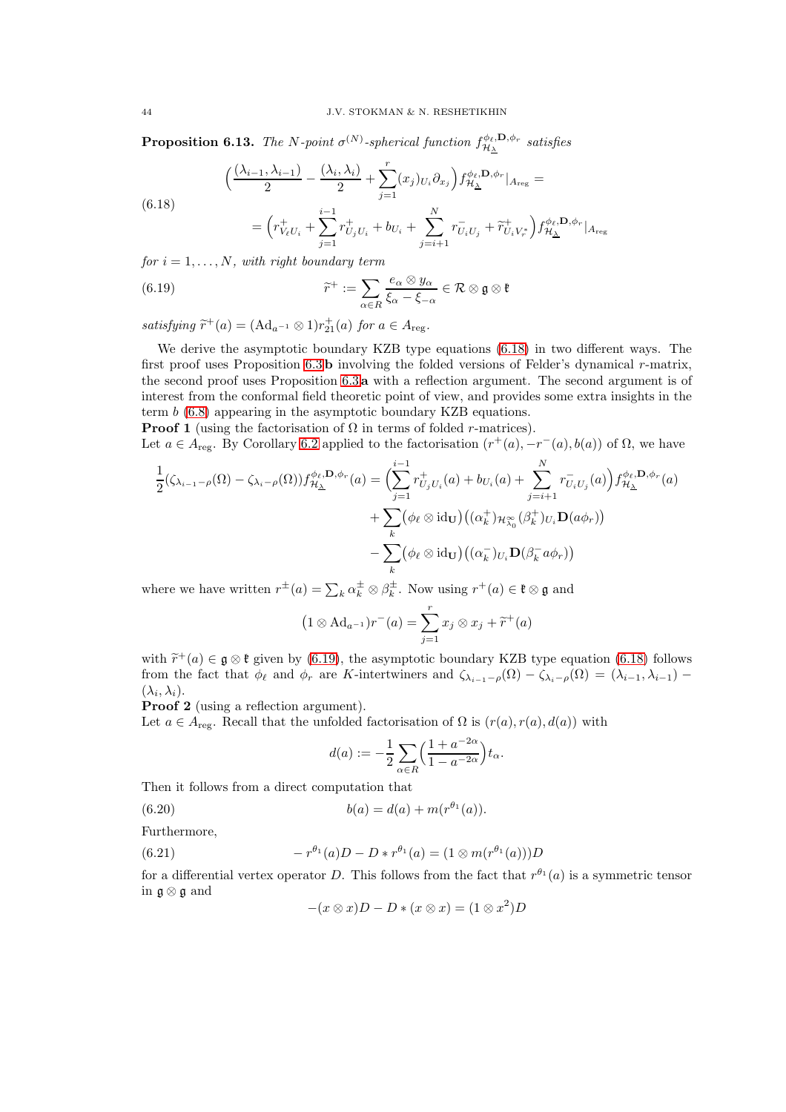<span id="page-43-4"></span>**Proposition 6.13.** The N-point  $\sigma^{(N)}$ -spherical function  $f_{\mathcal{H}_{\lambda}}^{\phi_{\ell}, \mathbf{D}, \phi_{r}}$  $\begin{array}{cl} \nabla^{\phi_{\ell},\mathbf{D},\phi_{r}} \ \nabla^{\mathbf{A}} & \mathbf{s} \mathbf{\textit{atisfies}} \n\end{array}$ 

$$
\Big(\frac{(\lambda_{i-1},\lambda_{i-1})}{2}-\frac{(\lambda_i,\lambda_i)}{2}+\sum_{j=1}^r(x_j)_{U_i}\partial_{x_j}\Big)f^{\phi_\ell,\mathbf{D},\phi_r}_{\mathcal{H}_{\Delta}}|_{A_{\mathrm{reg}}}=
$$

<span id="page-43-0"></span>(6.18)

<span id="page-43-1"></span>
$$
= \Big(r_{V_{\ell}U_i}^+ + \sum_{j=1}^{i-1} r_{U_jU_i}^+ + b_{U_i} + \sum_{j=i+1}^N r_{U_iU_j}^- + \widetilde{r}_{U_iV_r^*}^+ \Big) f_{\mathcal{H}_{\Delta}}^{\phi_{\ell},\mathbf{D},\phi_r} |_{A_{\text{reg}}}
$$

for  $i = 1, \ldots, N$ , with right boundary term

(6.19) 
$$
\widetilde{r}^+ := \sum_{\alpha \in R} \frac{e_\alpha \otimes y_\alpha}{\xi_\alpha - \xi_{-\alpha}} \in \mathcal{R} \otimes \mathfrak{g} \otimes \mathfrak{k}
$$

satisfying  $\tilde{r}^+(a) = (\text{Ad}_{a^{-1}} \otimes 1)r^+_{21}(a)$  for  $a \in A_{\text{reg}}$ .

We derive the asymptotic boundary KZB type equations [\(6.18\)](#page-43-0) in two different ways. The first proof uses Proposition  $6.3$  b involving the folded versions of Felder's dynamical r-matrix, the second proof uses Proposition [6.3](#page-38-4) a with a reflection argument. The second argument is of interest from the conformal field theoretic point of view, and provides some extra insights in the term b [\(6.8\)](#page-38-3) appearing in the asymptotic boundary KZB equations.

**Proof 1** (using the factorisation of  $\Omega$  in terms of folded *r*-matrices).

Let  $a \in A_{reg}$ . By Corollary [6.2](#page-37-3) applied to the factorisation  $(r^+(a), -r^-(a), b(a))$  of  $\Omega$ , we have

$$
\frac{1}{2}(\zeta_{\lambda_{i-1}-\rho}(\Omega) - \zeta_{\lambda_i-\rho}(\Omega))f^{\phi_{\ell},\mathbf{D},\phi_r}_{\mathcal{H}_{\Delta}}(a) = \Big(\sum_{j=1}^{i-1} r_{U_jU_i}^+(a) + b_{U_i}(a) + \sum_{j=i+1}^N r_{U_iU_j}^-(a)\Big) f^{\phi_{\ell},\mathbf{D},\phi_r}_{\mathcal{H}_{\Delta}}(a) \n+ \sum_k (\phi_{\ell} \otimes \mathrm{id}_{\mathbf{U}}) ((\alpha_k^+)_{\mathcal{H}_{\lambda_0}^{\infty}}(\beta_k^+)_{U_i} \mathbf{D}(a\phi_r)) \n- \sum_k (\phi_{\ell} \otimes \mathrm{id}_{\mathbf{U}}) ((\alpha_k^-)_{U_i} \mathbf{D}(\beta_k^- a\phi_r))
$$

where we have written  $r^{\pm}(a) = \sum_{k} \alpha_k^{\pm} \otimes \beta_k^{\pm}$ . Now using  $r^+(a) \in \mathfrak{k} \otimes \mathfrak{g}$  and

$$
(1 \otimes \mathrm{Ad}_{a^{-1}})r^{-}(a) = \sum_{j=1}^{r} x_j \otimes x_j + \widetilde{r}^{+}(a)
$$

with  $\tilde{r}^+(a) \in \mathfrak{g} \otimes \mathfrak{k}$  given by [\(6.19\)](#page-43-1), the asymptotic boundary KZB type equation [\(6.18\)](#page-43-0) follows from the fact that  $\phi_{\ell}$  and  $\phi_r$  are K-intertwiners and  $\zeta_{\lambda_{i-1}-\rho}(\Omega) - \zeta_{\lambda_i-\rho}(\Omega) = (\lambda_{i-1}, \lambda_{i-1}) (\lambda_i, \lambda_i).$ 

Proof 2 (using a reflection argument).

Let  $a \in A_{reg}$ . Recall that the unfolded factorisation of  $\Omega$  is  $(r(a), r(a), d(a))$  with

<span id="page-43-3"></span>
$$
d(a) := -\frac{1}{2} \sum_{\alpha \in R} \left( \frac{1 + a^{-2\alpha}}{1 - a^{-2\alpha}} \right) t_{\alpha}.
$$

Then it follows from a direct computation that

(6.20) 
$$
b(a) = d(a) + m(r^{\theta_1}(a)).
$$

Furthermore,

 $(6.21)$ 

<span id="page-43-2"></span>
$$
=r^{\theta_1}(a)D-D*r^{\theta_1}(a)=(1\otimes m(r^{\theta_1}(a)))D
$$

for a differential vertex operator D. This follows from the fact that  $r^{\theta_1}(a)$  is a symmetric tensor in g ⊗ g and

$$
-(x \otimes x)D - D * (x \otimes x) = (1 \otimes x^2)D
$$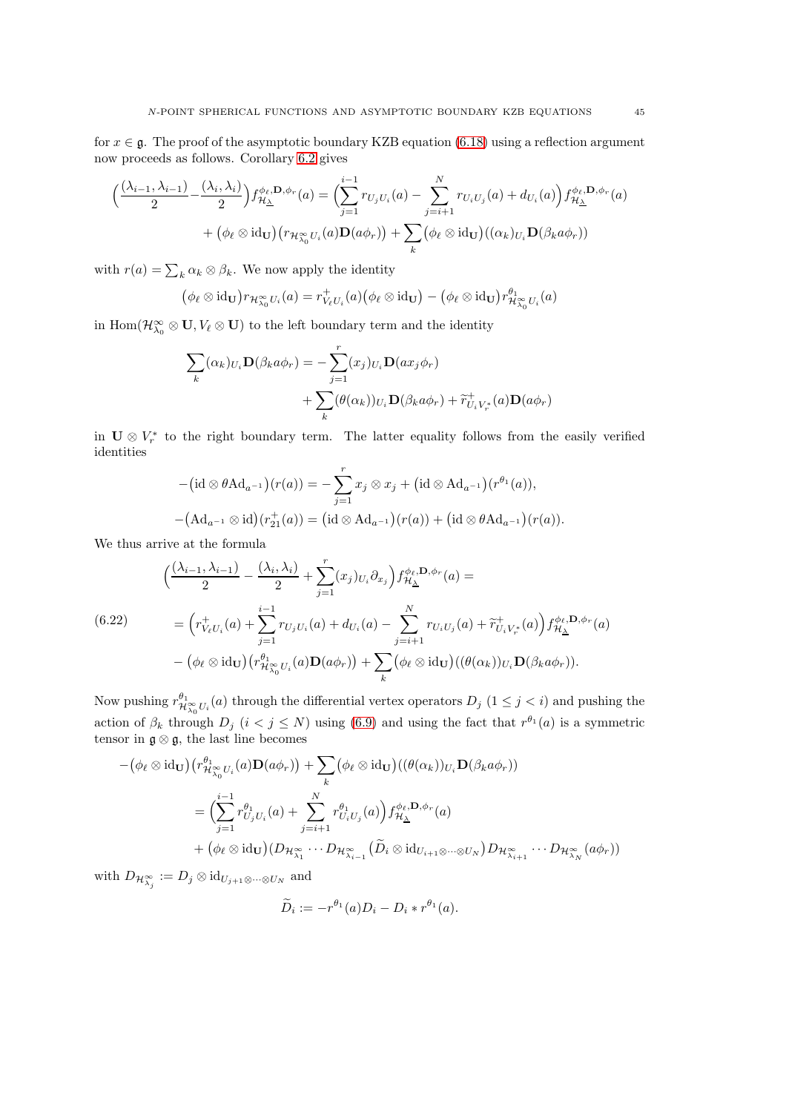for  $x \in \mathfrak{g}$ . The proof of the asymptotic boundary KZB equation [\(6.18\)](#page-43-0) using a reflection argument now proceeds as follows. Corollary [6.2](#page-37-3) gives

$$
\left(\frac{(\lambda_{i-1},\lambda_{i-1})}{2} - \frac{(\lambda_i,\lambda_i)}{2}\right) f_{\mathcal{H}_{\Delta}}^{\phi_{\ell},\mathbf{D},\phi_{r}}(a) = \left(\sum_{j=1}^{i-1} r_{U_j U_i}(a) - \sum_{j=i+1}^{N} r_{U_i U_j}(a) + d_{U_i}(a)\right) f_{\mathcal{H}_{\Delta}}^{\phi_{\ell},\mathbf{D},\phi_{r}}(a) + \left(\phi_{\ell} \otimes \text{id}_{\mathbf{U}}\right) \left(r_{\mathcal{H}_{\lambda_0}^{\infty} U_i}(a) \mathbf{D}(a\phi_r)\right) + \sum_{k} \left(\phi_{\ell} \otimes \text{id}_{\mathbf{U}}\right) \left((\alpha_k)_{U_i} \mathbf{D}(\beta_k a\phi_r)\right)
$$

with  $r(a) = \sum_k \alpha_k \otimes \beta_k$ . We now apply the identity

$$
(\phi_{\ell} \otimes \mathrm{id}_{\mathbf{U}}) r_{\mathcal{H}_{\lambda_0}^{\infty} U_i}(a) = r_{V_{\ell} U_i}^+(a) (\phi_{\ell} \otimes \mathrm{id}_{\mathbf{U}}) - (\phi_{\ell} \otimes \mathrm{id}_{\mathbf{U}}) r_{\mathcal{H}_{\lambda_0}^{\infty} U_i}^{\theta_1}(a)
$$

in  $\text{Hom}(\mathcal{H}_{\lambda_0}^{\infty} \otimes \mathbf{U}, V_{\ell} \otimes \mathbf{U})$  to the left boundary term and the identity

$$
\sum_{k} (\alpha_{k})_{U_{i}} \mathbf{D}(\beta_{k} a \phi_{r}) = -\sum_{j=1}^{r} (x_{j})_{U_{i}} \mathbf{D}(ax_{j} \phi_{r})
$$

$$
+ \sum_{k} (\theta(\alpha_{k}))_{U_{i}} \mathbf{D}(\beta_{k} a \phi_{r}) + \widetilde{r}_{U_{i}V_{r}^{*}}^{+}(a) \mathbf{D}(a \phi_{r})
$$

in  $\mathbf{U} \otimes V_r^*$  to the right boundary term. The latter equality follows from the easily verified identities

$$
-(\mathrm{id}\otimes\theta\mathrm{Ad}_{a^{-1}})(r(a))=-\sum_{j=1}^r x_j\otimes x_j+(\mathrm{id}\otimes\mathrm{Ad}_{a^{-1}})(r^{\theta_1}(a)),
$$

$$
-(\mathrm{Ad}_{a^{-1}}\otimes\mathrm{id})(r_{21}^+(a))=(\mathrm{id}\otimes\mathrm{Ad}_{a^{-1}})(r(a))+(\mathrm{id}\otimes\theta\mathrm{Ad}_{a^{-1}})(r(a)).
$$

We thus arrive at the formula

<span id="page-44-0"></span>
$$
\begin{split}\n&\left(\frac{(\lambda_{i-1}, \lambda_{i-1})}{2} - \frac{(\lambda_i, \lambda_i)}{2} + \sum_{j=1}^r (x_j)_{U_i} \partial_{x_j}\right) f_{\mathcal{H}_{\Delta}}^{\phi_{\ell}, \mathbf{D}, \phi_r}(a) = \\
&= \left(r_{V_{\ell}U_i}^+(a) + \sum_{j=1}^{i-1} r_{U_jU_i}(a) + d_{U_i}(a) - \sum_{j=i+1}^N r_{U_iU_j}(a) + \widetilde{r}_{U_iV_r^*}^+(a)\right) f_{\mathcal{H}_{\Delta}}^{\phi_{\ell}, \mathbf{D}, \phi_r}(a) \\
&- \left(\phi_{\ell} \otimes \mathrm{id}_{\mathbf{U}}\right) \left(r_{\mathcal{H}_{\lambda_0}^{\infty}U_i}^{\theta_1}(a) \mathbf{D}(a\phi_r)\right) + \sum_{k} \left(\phi_{\ell} \otimes \mathrm{id}_{\mathbf{U}}\right) \left((\theta(\alpha_k))_{U_i} \mathbf{D}(\beta_k a\phi_r)\right).\n\end{split}
$$

Now pushing  $r^{\theta_1}_{\mathcal{H}_{\lambda_0}^{\infty}U_i}(a)$  through the differential vertex operators  $D_j$   $(1 \leq j < i)$  and pushing the action of  $\beta_k$  through  $D_j$   $(i < j \le N)$  using [\(6.9\)](#page-38-0) and using the fact that  $r^{\theta_1}(a)$  is a symmetric tensor in  $\mathfrak{g} \otimes \mathfrak{g}$ , the last line becomes

$$
-(\phi_{\ell} \otimes id_{\mathbf{U}})(r^{\theta_{1}}_{\mathcal{H}_{\lambda_{0}}^{\infty}U_{i}}(a)\mathbf{D}(a\phi_{r})) + \sum_{k} (\phi_{\ell} \otimes id_{\mathbf{U}})((\theta(\alpha_{k}))_{U_{i}}\mathbf{D}(\beta_{k}a\phi_{r}))
$$
  

$$
= \Big(\sum_{j=1}^{i-1} r^{\theta_{1}}_{U_{j}U_{i}}(a) + \sum_{j=i+1}^{N} r^{\theta_{1}}_{U_{i}U_{j}}(a)\Big) f^{\phi_{\ell},\mathbf{D},\phi_{r}}_{\mathcal{H}_{\Delta}}(a)
$$
  

$$
+ (\phi_{\ell} \otimes id_{\mathbf{U}})(D_{\mathcal{H}_{\lambda_{1}}}^{\infty} \cdots D_{\mathcal{H}_{\lambda_{i-1}}}^{\infty}(\widetilde{D}_{i} \otimes id_{U_{i+1} \otimes \cdots \otimes U_{N}})D_{\mathcal{H}_{\lambda_{i+1}}}^{\infty} \cdots D_{\mathcal{H}_{\lambda_{N}}}^{\infty}(a\phi_{r}))
$$

with  $D_{\mathcal{H}_{\lambda_j}^{\infty}} := D_j \otimes \mathrm{id}_{U_{j+1} \otimes \cdots \otimes U_N}$  and

$$
\widetilde{D}_i := -r^{\theta_1}(a)D_i - D_i * r^{\theta_1}(a).
$$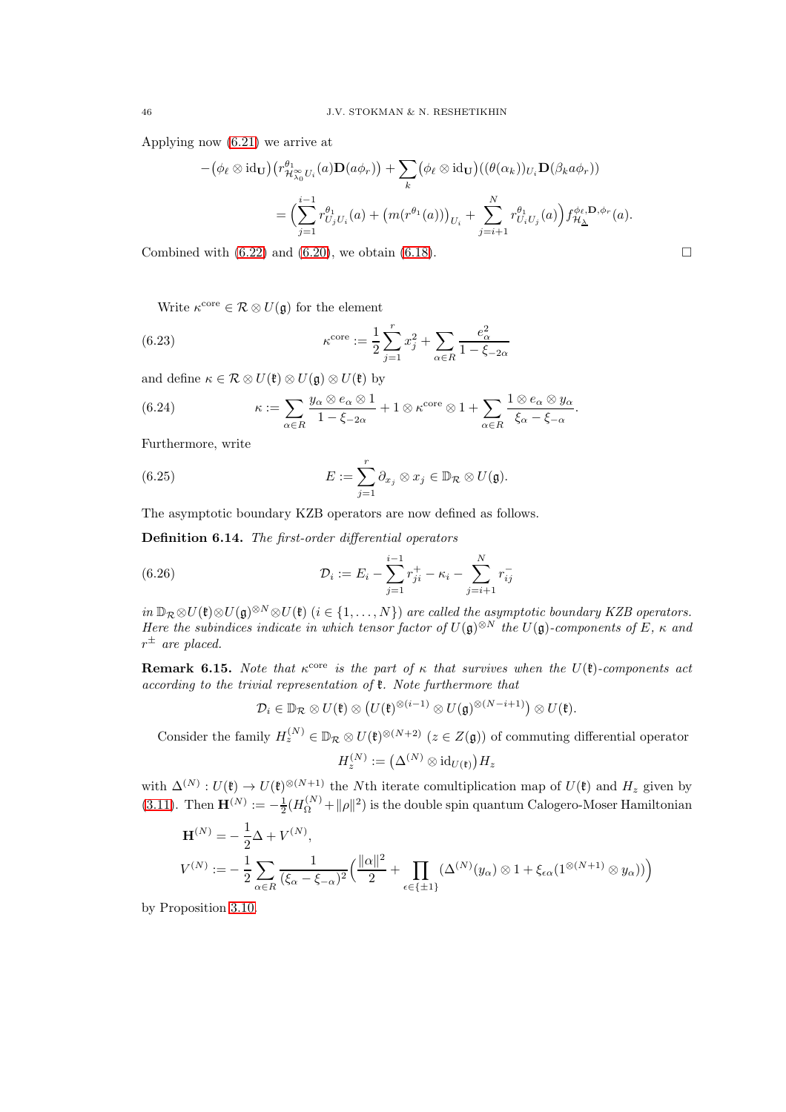Applying now [\(6.21\)](#page-43-2) we arrive at

$$
-(\phi_{\ell} \otimes id_{\mathbf{U}})(r^{\theta_{1}}_{\mathcal{H}^{\infty}_{\lambda_{0}}U_{i}}(a)\mathbf{D}(a\phi_{r})) + \sum_{k} (\phi_{\ell} \otimes id_{\mathbf{U}})((\theta(\alpha_{k}))_{U_{i}}\mathbf{D}(\beta_{k}a\phi_{r}))
$$
  

$$
= \Big(\sum_{j=1}^{i-1} r^{\theta_{1}}_{U_{j}U_{i}}(a) + \big(m(r^{\theta_{1}}(a))\big)_{U_{i}} + \sum_{j=i+1}^{N} r^{\theta_{1}}_{U_{i}U_{j}}(a)\Big) f^{\phi_{\ell},\mathbf{D},\phi_{r}}_{\mathcal{H}_{\Delta}}(a).
$$

Combined with  $(6.22)$  and  $(6.20)$ , we obtain  $(6.18)$ .

Write  $\kappa^{\text{core}} \in \mathcal{R} \otimes U(\mathfrak{g})$  for the element

(6.23) 
$$
\kappa^{\text{core}} := \frac{1}{2} \sum_{j=1}^{r} x_j^2 + \sum_{\alpha \in R} \frac{e_\alpha^2}{1 - \xi_{-2\alpha}}
$$

and define  $\kappa \in \mathcal{R} \otimes U(\mathfrak{k}) \otimes U(\mathfrak{g}) \otimes U(\mathfrak{k})$  by

<span id="page-45-2"></span>(6.24) 
$$
\kappa := \sum_{\alpha \in R} \frac{y_{\alpha} \otimes e_{\alpha} \otimes 1}{1 - \xi_{-2\alpha}} + 1 \otimes \kappa^{\text{core}} \otimes 1 + \sum_{\alpha \in R} \frac{1 \otimes e_{\alpha} \otimes y_{\alpha}}{\xi_{\alpha} - \xi_{-\alpha}}.
$$

Furthermore, write

<span id="page-45-1"></span>(6.25) 
$$
E := \sum_{j=1}^r \partial_{x_j} \otimes x_j \in \mathbb{D}_{\mathcal{R}} \otimes U(\mathfrak{g}).
$$

The asymptotic boundary KZB operators are now defined as follows.

Definition 6.14. The first-order differential operators

(6.26) 
$$
\mathcal{D}_{i} := E_{i} - \sum_{j=1}^{i-1} r_{ji}^{+} - \kappa_{i} - \sum_{j=i+1}^{N} r_{ij}^{-}
$$

 $in \mathbb{D}_{\mathcal{R}} \otimes U(\mathfrak{k}) \otimes U(\mathfrak{g})^{\otimes N} \otimes U(\mathfrak{k})$  (i ∈ {1, ..., N}) are called the asymptotic boundary KZB operators. Here the subindices indicate in which tensor factor of  $U(\mathfrak{g})^{\otimes N}$  the  $U(\mathfrak{g})$ -components of E,  $\kappa$  and  $r^{\pm}$  are placed.

**Remark 6.15.** Note that  $\kappa^{\text{core}}$  is the part of  $\kappa$  that survives when the  $U(\mathfrak{k})$ -components act according to the trivial representation of k. Note furthermore that

<span id="page-45-0"></span>
$$
\mathcal{D}_i\in\mathbb{D}_{\mathcal{R}}\otimes U(\mathfrak{k})\otimes \big(U(\mathfrak{k})^{\otimes (i-1)}\otimes U(\mathfrak{g})^{\otimes (N-i+1)}\big)\otimes U(\mathfrak{k}).
$$

Consider the family  $H_z^{(N)} \in \mathbb{D}_{\mathcal{R}} \otimes U(\mathfrak{k})^{\otimes (N+2)}$   $(z \in Z(\mathfrak{g}))$  of commuting differential operator  $H_z^{(N)}:=\big(\Delta^{(N)}\otimes \mathrm{id}_{U(\mathfrak{k})}\big)H_z$ 

with  $\Delta^{(N)}: U(\mathfrak{k}) \to U(\mathfrak{k})^{\otimes (N+1)}$  the Nth iterate comultiplication map of  $U(\mathfrak{k})$  and  $H_z$  given by [\(3.11\)](#page-17-4). Then  $\mathbf{H}^{(N)} := -\frac{1}{2}(H_{\Omega}^{(N)} + ||\rho||^2)$  is the double spin quantum Calogero-Moser Hamiltonian

$$
\mathbf{H}^{(N)} = -\frac{1}{2}\Delta + V^{(N)},
$$
\n
$$
V^{(N)} := -\frac{1}{2}\sum_{\alpha \in R} \frac{1}{(\xi_{\alpha} - \xi_{-\alpha})^2} \Big( \frac{\|\alpha\|^2}{2} + \prod_{\epsilon \in \{\pm 1\}} (\Delta^{(N)}(y_{\alpha}) \otimes 1 + \xi_{\epsilon \alpha} (1^{\otimes (N+1)} \otimes y_{\alpha})) \Big)
$$

by Proposition [3.10.](#page-17-1)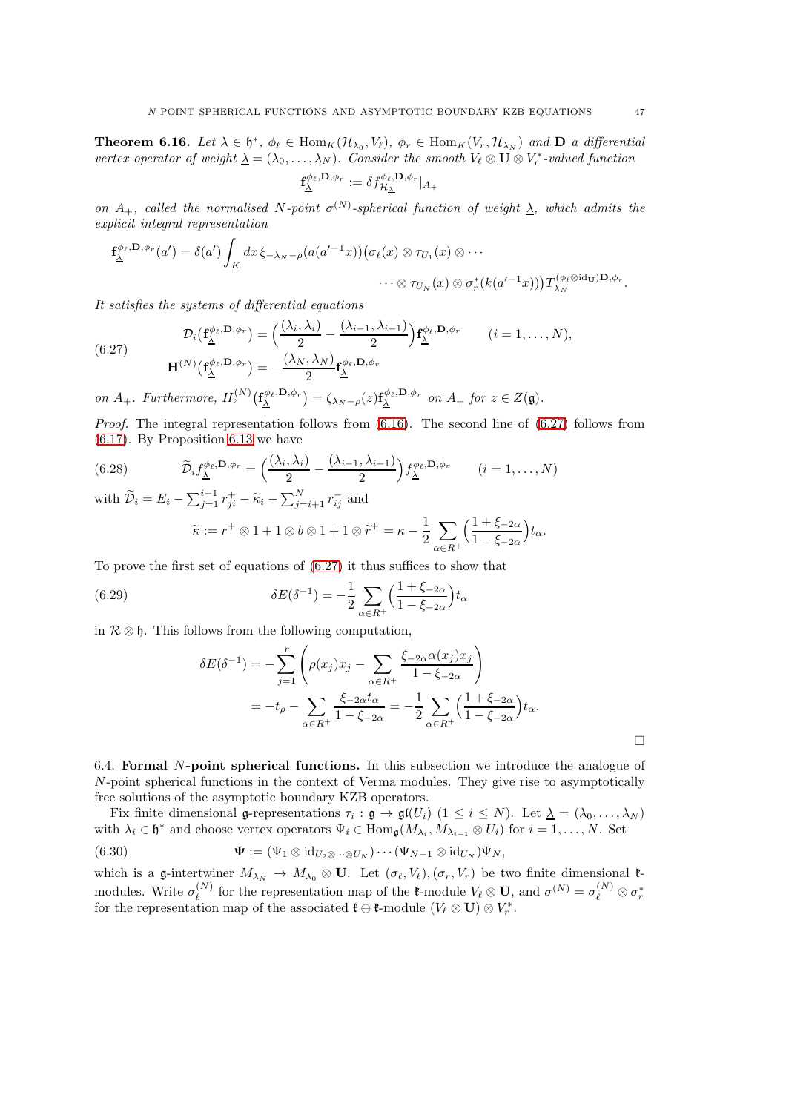<span id="page-46-3"></span>**Theorem 6.16.** Let  $\lambda \in \mathfrak{h}^*$ ,  $\phi_\ell \in \text{Hom}_K(\mathcal{H}_{\lambda_0}, V_\ell)$ ,  $\phi_r \in \text{Hom}_K(V_r, \mathcal{H}_{\lambda_N})$  and  $\mathbf{D}$  a differential vertex operator of weight  $\underline{\lambda} = (\lambda_0, \dots, \lambda_N)$ . Consider the smooth  $V_\ell \otimes \mathbf{U} \otimes V_r^*$ -valued function  $\phi_{\ell}, \mathbf{D}, \phi_{r}$ 

$$
\mathbf{f}_{\underline{\lambda}}^{\phi_{\ell},\mathbf{D},\phi_{r}}:=\delta f_{\mathcal{H}_{\underline{\lambda}}}^{\phi_{\ell},\mathbf{D},\phi_{r}}|_{A_{+}}
$$

on  $A_+$ , called the normalised N-point  $\sigma^{(N)}$ -spherical function of weight  $\lambda$ , which admits the explicit integral representation

$$
\mathbf{f}_{\underline{\lambda}}^{\phi_{\ell},\mathbf{D},\phi_{r}}(a') = \delta(a') \int_{K} dx \, \xi_{-\lambda_{N}-\rho}(a(a'^{-1}x)) \big( \sigma_{\ell}(x) \otimes \tau_{U_{1}}(x) \otimes \cdots
$$

$$
\cdots \otimes \tau_{U_{N}}(x) \otimes \sigma_{r}^{*}(k(a'^{-1}x)) \big) T_{\lambda_{N}}^{(\phi_{\ell} \otimes id_{\mathbf{U}}) \mathbf{D},\phi_{r}}.
$$

It satisfies the systems of differential equations

<span id="page-46-1"></span>(6.27) 
$$
\mathcal{D}_{i}(\mathbf{f}_{\underline{\lambda}}^{\phi_{\ell},\mathbf{D},\phi_{r}}) = \left(\frac{(\lambda_{i},\lambda_{i})}{2} - \frac{(\lambda_{i-1},\lambda_{i-1})}{2}\right) \mathbf{f}_{\underline{\lambda}}^{\phi_{\ell},\mathbf{D},\phi_{r}} \qquad (i = 1,\ldots,N),
$$

$$
\mathbf{H}^{(N)}(\mathbf{f}_{\underline{\lambda}}^{\phi_{\ell},\mathbf{D},\phi_{r}}) = -\frac{(\lambda_{N},\lambda_{N})}{2} \mathbf{f}_{\underline{\lambda}}^{\phi_{\ell},\mathbf{D},\phi_{r}}
$$

on  $A_+$ . Furthermore,  $H_z^{(N)}(\mathbf{f}_{\underline{\lambda}}^{\phi_{\ell},\mathbf{D},\phi_r}) = \zeta_{\lambda_N-\rho}(z) \mathbf{f}_{\underline{\lambda}}^{\phi_{\ell},\mathbf{D},\phi_r}$  on  $A_+$  for  $z \in Z(\mathfrak{g})$ .

*Proof.* The integral representation follows from  $(6.16)$ . The second line of  $(6.27)$  follows from [\(6.17\)](#page-42-3). By Proposition [6.13](#page-43-4) we have

(6.28) 
$$
\widetilde{\mathcal{D}}_i f_{\underline{\lambda}}^{\phi_{\ell}, \mathbf{D}, \phi_r} = \left(\frac{(\lambda_i, \lambda_i)}{2} - \frac{(\lambda_{i-1}, \lambda_{i-1})}{2}\right) f_{\underline{\lambda}}^{\phi_{\ell}, \mathbf{D}, \phi_r} \qquad (i = 1, ..., N)
$$

with  $\widetilde{\mathcal{D}}_i = E_i - \sum_{j=1}^{i-1} r_{ji}^+ - \widetilde{\kappa}_i - \sum_{j=i+1}^N r_{ij}^-$  and

$$
\widetilde{\kappa} := r^+ \otimes 1 + 1 \otimes b \otimes 1 + 1 \otimes \widetilde{r}^+ = \kappa - \frac{1}{2} \sum_{\alpha \in R^+} \left( \frac{1 + \xi_{-2\alpha}}{1 - \xi_{-2\alpha}} \right) t_{\alpha}.
$$

To prove the first set of equations of [\(6.27\)](#page-46-1) it thus suffices to show that

(6.29) 
$$
\delta E(\delta^{-1}) = -\frac{1}{2} \sum_{\alpha \in R^{+}} \Big( \frac{1 + \xi_{-2\alpha}}{1 - \xi_{-2\alpha}} \Big) t_{\alpha}
$$

in  $\mathcal{R} \otimes \mathfrak{h}$ . This follows from the following computation,

$$
\delta E(\delta^{-1}) = -\sum_{j=1}^{r} \left( \rho(x_j) x_j - \sum_{\alpha \in R^+} \frac{\xi_{-2\alpha} \alpha(x_j) x_j}{1 - \xi_{-2\alpha}} \right)
$$
  
=  $-t_{\rho} - \sum_{\alpha \in R^+} \frac{\xi_{-2\alpha} t_{\alpha}}{1 - \xi_{-2\alpha}} = -\frac{1}{2} \sum_{\alpha \in R^+} \left( \frac{1 + \xi_{-2\alpha}}{1 - \xi_{-2\alpha}} \right) t_{\alpha}.$ 

<span id="page-46-0"></span>6.4. Formal N-point spherical functions. In this subsection we introduce the analogue of N-point spherical functions in the context of Verma modules. They give rise to asymptotically free solutions of the asymptotic boundary KZB operators.

Fix finite dimensional g-representations  $\tau_i : \mathfrak{g} \to \mathfrak{gl}(U_i)$   $(1 \leq i \leq N)$ . Let  $\underline{\lambda} = (\lambda_0, \ldots, \lambda_N)$ with  $\lambda_i \in \mathfrak{h}^*$  and choose vertex operators  $\Psi_i \in \text{Hom}_{\mathfrak{g}}(M_{\lambda_i}, M_{\lambda_{i-1}} \otimes U_i)$  for  $i = 1, \ldots, N$ . Set

<span id="page-46-2"></span>(6.30) 
$$
\mathbf{\Psi} := (\Psi_1 \otimes \mathrm{id}_{U_2 \otimes \cdots \otimes U_N}) \cdots (\Psi_{N-1} \otimes \mathrm{id}_{U_N}) \Psi_N,
$$

which is a g-intertwiner  $M_{\lambda_N} \to M_{\lambda_0} \otimes U$ . Let  $(\sigma_{\ell}, V_{\ell}), (\sigma_r, V_r)$  be two finite dimensional  $\ell$ modules. Write  $\sigma_{\ell}^{(N)}$ <sup>(N)</sup> for the representation map of the **f**-module  $V_{\ell} \otimes \mathbf{U}$ , and  $\sigma^{(N)} = \sigma_{\ell}^{(N)} \otimes \sigma_r^*$ for the representation map of the associated  $\mathfrak{k} \oplus \mathfrak{k}$ -module  $(V_{\ell} \otimes \mathbf{U}) \otimes V_r^*$ .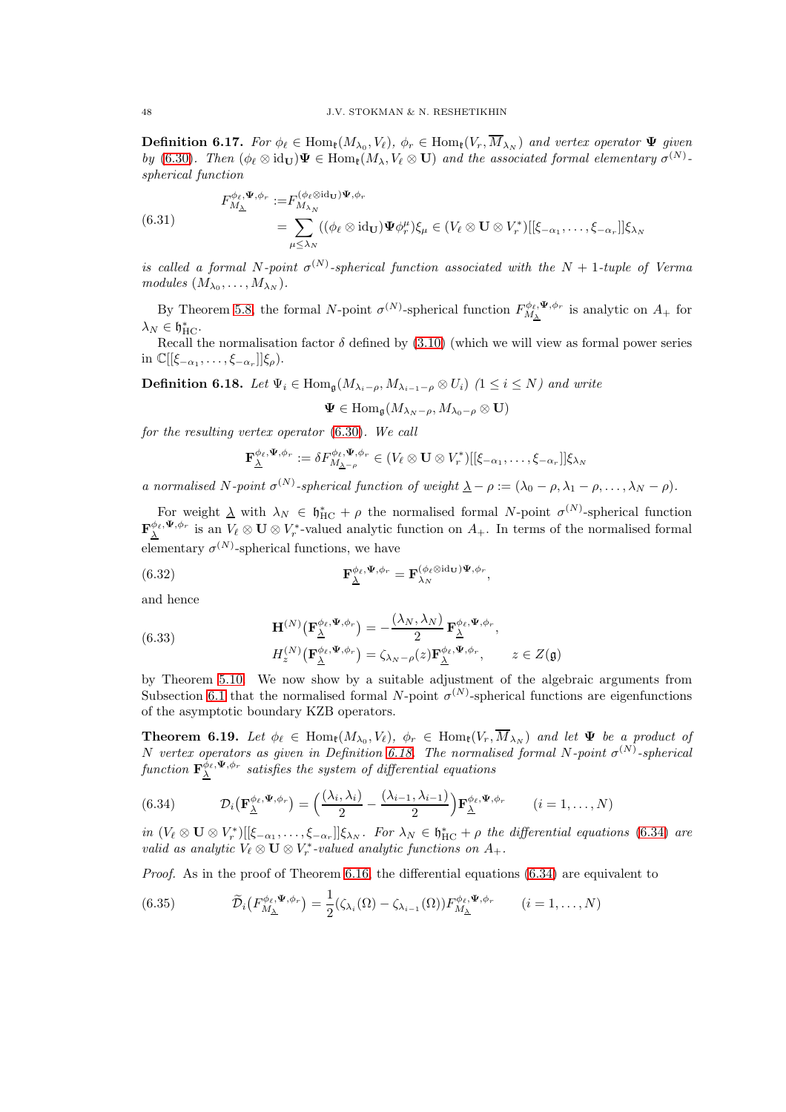**Definition 6.17.** For  $\phi_{\ell} \in \text{Hom}_{\mathfrak{k}}(M_{\lambda_0}, V_{\ell}), \phi_r \in \text{Hom}_{\mathfrak{k}}(V_r, M_{\lambda_N})$  and vertex operator  $\Psi$  given by [\(6.30\)](#page-46-2). Then  $(\phi_{\ell} \otimes id_{\mathbf{U}}) \Psi \in \text{Hom}_{\ell}(M_{\lambda}, V_{\ell} \otimes \mathbf{U})$  and the associated formal elementary  $\sigma^{(N)}$ . spherical function

(6.31) 
$$
F_{M_{\Delta}}^{\phi_{\ell}, \Psi, \phi_{r}} := F_{M_{\lambda_{N}}}^{(\phi_{\ell} \otimes id_{\mathbf{U}}) \Psi, \phi_{r}} = \sum_{\mu \leq \lambda_{N}} ((\phi_{\ell} \otimes id_{\mathbf{U}}) \Psi \phi_{r}^{\mu}) \xi_{\mu} \in (V_{\ell} \otimes \mathbf{U} \otimes V_{r}^{*})[[\xi_{-\alpha_{1}}, \ldots, \xi_{-\alpha_{r}}]] \xi_{\lambda_{N}}
$$

is called a formal N-point  $\sigma^{(N)}$ -spherical function associated with the N + 1-tuple of Verma  $modules (M_{\lambda_0}, \ldots, M_{\lambda_N}).$ 

By Theorem [5.8,](#page-31-1) the formal N-point  $\sigma^{(N)}$ -spherical function  $F_{M_{\Delta}}^{\phi_{\ell},\Psi,\phi_r}$  is analytic on  $A_+$  for  $\lambda_N \in \mathfrak{h}^*_\mathrm{HC}.$ 

Recall the normalisation factor  $\delta$  defined by [\(3.10\)](#page-17-3) (which we will view as formal power series in  $\mathbb{C}[[\xi_{-\alpha_1},\ldots,\xi_{-\alpha_r}]]\xi_\rho$ ).

<span id="page-47-1"></span>**Definition 6.18.** Let  $\Psi_i \in \text{Hom}_{\mathfrak{a}}(M_{\lambda_i - \rho}, M_{\lambda_{i-1} - \rho} \otimes U_i)$  (1  $\leq i \leq N$ ) and write

$$
\pmb{\Psi}\in \text{Hom}_{\mathfrak{g}}(M_{\lambda_N-\rho},M_{\lambda_0-\rho}\otimes \mathbf{U})
$$

for the resulting vertex operator [\(6.30\)](#page-46-2). We call

$$
\mathbf{F}_{\underline{\lambda}}^{\phi_{\ell},\Psi,\phi_{r}} := \delta F_{M_{\underline{\lambda}-\rho}}^{\phi_{\ell},\Psi,\phi_{r}} \in (V_{\ell} \otimes \mathbf{U} \otimes V_{r}^{*})[[\xi_{-\alpha_{1}},\ldots,\xi_{-\alpha_{r}}]]\xi_{\lambda_{N}}
$$

a normalised N-point  $\sigma^{(N)}$ -spherical function of weight  $\underline{\lambda} - \rho := (\lambda_0 - \rho, \lambda_1 - \rho, \dots, \lambda_N - \rho)$ .

For weight  $\lambda$  with  $\lambda_N \in \mathfrak{h}_{HC}^* + \rho$  the normalised formal N-point  $\sigma^{(N)}$ -spherical function  $\mathbf{F}_{\underline{\lambda}}^{\phi_{\ell},\Psi,\phi_{r}}$  is an  $V_{\ell} \otimes \mathbf{U} \otimes V_r^*$ -valued analytic function on  $A_+$ . In terms of the normalised formal elementary  $\sigma^{(N)}$ -spherical functions, we have

,

(6.32) 
$$
\mathbf{F}_{\underline{\lambda}}^{\phi_{\ell},\Psi,\phi_{r}} = \mathbf{F}_{\lambda_{N}}^{(\phi_{\ell}\otimes id_{\mathbf{U}})\Psi,\phi_{r}}
$$

and hence

(6.33) 
$$
\mathbf{H}^{(N)}\left(\mathbf{F}_{\underline{\lambda}}^{\phi_{\ell},\Psi,\phi_{r}}\right) = -\frac{(\lambda_{N},\lambda_{N})}{2} \mathbf{F}_{\underline{\lambda}}^{\phi_{\ell},\Psi,\phi_{r}},
$$
\n
$$
H_{z}^{(N)}\left(\mathbf{F}_{\underline{\lambda}}^{\phi_{\ell},\Psi,\phi_{r}}\right) = \zeta_{\lambda_{N}-\rho}(z) \mathbf{F}_{\underline{\lambda}}^{\phi_{\ell},\Psi,\phi_{r}}, \qquad z \in Z(\mathfrak{g})
$$

by Theorem [5.10.](#page-33-1) We now show by a suitable adjustment of the algebraic arguments from Subsection [6.1](#page-36-1) that the normalised formal N-point  $\sigma^{(N)}$ -spherical functions are eigenfunctions of the asymptotic boundary KZB operators.

<span id="page-47-0"></span>**Theorem 6.19.** Let  $\phi_{\ell} \in \text{Hom}_{\ell}(M_{\lambda_0}, V_{\ell}), \ \phi_r \in \text{Hom}_{\ell}(V_r, M_{\lambda_N})$  and let  $\Psi$  be a product of N vertex operators as given in Definition [6.18.](#page-47-1) The normalised formal N-point  $\sigma^{(N)}$ -spherical function  $\mathbf{F}^{\hat{\phi}_{\ell},\Psi,\phi_{r}}_{\Delta}$  satisfies the system of differential equations

<span id="page-47-2"></span>(6.34) 
$$
\mathcal{D}_{i}(\mathbf{F}_{\underline{\lambda}}^{\phi_{\ell},\Psi,\phi_{r}}) = \left(\frac{(\lambda_{i},\lambda_{i})}{2} - \frac{(\lambda_{i-1},\lambda_{i-1})}{2}\right)\mathbf{F}_{\underline{\lambda}}^{\phi_{\ell},\Psi,\phi_{r}} \qquad (i=1,\ldots,N)
$$

in  $(V_\ell \otimes \mathbf{U} \otimes V_r^*)[[\xi_{-\alpha_1}, \ldots, \xi_{-\alpha_r}]] \xi_{\lambda_N}$ . For  $\lambda_N \in \mathfrak{h}_{\mathrm{HC}}^* + \rho$  the differential equations [\(6.34\)](#page-47-2) are valid as analytic  $V_{\ell} \otimes \mathbf{U} \otimes V_r^*$ -valued analytic functions on  $A_+$ .

Proof. As in the proof of Theorem [6.16,](#page-46-3) the differential equations [\(6.34\)](#page-47-2) are equivalent to

<span id="page-47-3"></span>(6.35) 
$$
\widetilde{\mathcal{D}}_i\big(F_{M_{\Delta}}^{\phi_{\ell},\Psi,\phi_r}\big)=\frac{1}{2}(\zeta_{\lambda_i}(\Omega)-\zeta_{\lambda_{i-1}}(\Omega))F_{M_{\Delta}}^{\phi_{\ell},\Psi,\phi_r} \qquad (i=1,\ldots,N)
$$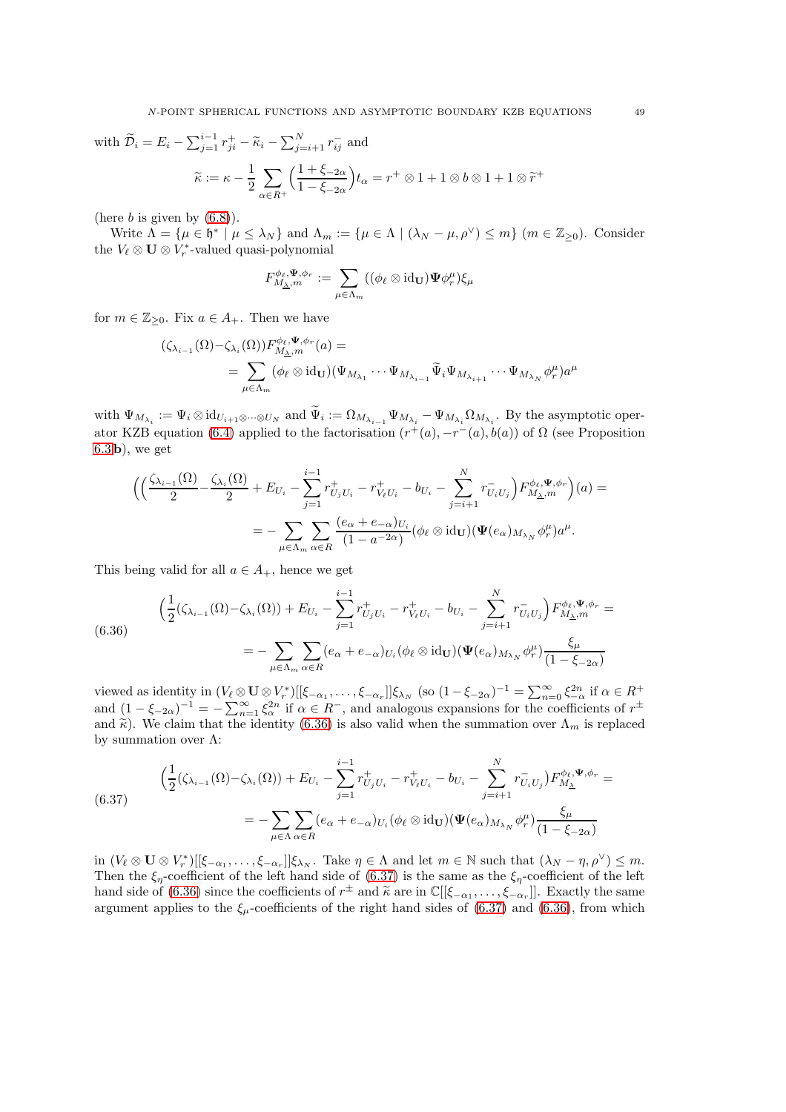with  $\widetilde{\mathcal{D}}_i = E_i - \sum_{j=1}^{i-1} r_{ji}^+ - \widetilde{\kappa}_i - \sum_{j=i+1}^N r_{ij}^-$  and  $\widetilde{\kappa} := \kappa - \frac{1}{2}$ 2  $\sqrt{ }$  $\alpha \in R^+$  $\sqrt{1 + \xi_{-2\alpha}}$  $1 - \xi_{-2\alpha}$  $t_{\alpha} = r^+ \otimes 1 + 1 \otimes b \otimes 1 + 1 \otimes \widetilde{r}^+$ 

(here  $b$  is given by  $(6.8)$ ).

Write  $\Lambda = {\mu \in \mathfrak{h}^* \mid \mu \leq \lambda_N}$  and  $\Lambda_m := {\mu \in \Lambda \mid (\lambda_N - \mu, \rho^{\vee}) \leq m}$  ( $m \in \mathbb{Z}_{\geq 0}$ ). Consider the  $V_{\ell} \otimes \mathbf{U} \otimes V_r^*$ -valued quasi-polynomial

$$
F_{M_{\Delta},m}^{\phi_{\ell},\mathbf{\Psi},\phi_{r}}:=\sum_{\mu\in\Lambda_{m}}((\phi_{\ell}\otimes\operatorname{id}_{\mathbf{U}})\mathbf{\Psi}\phi_{r}^{\mu})\xi_{\mu}
$$

for  $m \in \mathbb{Z}_{\geq 0}$ . Fix  $a \in A_+$ . Then we have

$$
(\zeta_{\lambda_{i-1}}(\Omega)-\zeta_{\lambda_i}(\Omega))F^{\phi_{\ell},\Psi,\phi_r}_{M_{\Delta},m}(a) =
$$
  
= 
$$
\sum_{\mu \in \Lambda_m} (\phi_{\ell} \otimes id_{\mathbf{U}})(\Psi_{M_{\lambda_1}} \cdots \Psi_{M_{\lambda_{i-1}}} \widetilde{\Psi}_i \Psi_{M_{\lambda_{i+1}}} \cdots \Psi_{M_{\lambda_N}} \phi_r^{\mu})a^{\mu}
$$

with  $\Psi_{M_{\lambda_i}} := \Psi_i \otimes \mathrm{id}_{U_{i+1} \otimes \cdots \otimes U_N}$  and  $\Psi_i := \Omega_{M_{\lambda_{i-1}}} \Psi_{M_{\lambda_i}} - \Psi_{M_{\lambda_i}} \Omega_{M_{\lambda_i}}$ . By the asymptotic oper-ator KZB equation [\(6.4\)](#page-37-2) applied to the factorisation  $(r^+(a), -r^-(a), b(a))$  of  $\Omega$  (see Proposition  $(6.3 b)$  $(6.3 b)$  $(6.3 b)$ , we get

$$
\begin{split} \Big(\Big(\frac{\zeta_{\lambda_{i-1}}(\Omega)}{2} - \frac{\zeta_{\lambda_i}(\Omega)}{2} + E_{U_i} - \sum_{j=1}^{i-1} r_{U_jU_i}^+ - r_{V_\ell U_i}^+ - b_{U_i} - \sum_{j=i+1}^N r_{U_iU_j}^-\Big) F_{M_\Delta,m}^{\phi_\ell,\Psi,\phi_r}\Big)(a) = \\ = - \sum_{\mu \in \Lambda_m} \sum_{\alpha \in R} \frac{(e_\alpha + e_{-\alpha})_{U_i}}{(1 - a^{-2\alpha})} (\phi_\ell \otimes \mathrm{id}_{\mathbf{U}}) (\Psi(e_\alpha)_{M_{\lambda_N}} \phi_r^\mu) a^\mu. \end{split}
$$

This being valid for all  $a \in A_+$ , hence we get

<span id="page-48-0"></span>
$$
\left(\frac{1}{2}(\zeta_{\lambda_{i-1}}(\Omega)-\zeta_{\lambda_i}(\Omega))+E_{U_i}-\sum_{j=1}^{i-1}r_{U_jU_i}^+-r_{V_\ell U_i}^+-b_{U_i}-\sum_{j=i+1}^Nr_{U_iU_j}^-\right)F_{M_{\Delta},m}^{\phi_\ell,\Psi,\phi_r}=\n- \sum_{\mu \in \Lambda_m} \sum_{\alpha \in R} (e_{\alpha}+e_{-\alpha})_{U_i}(\phi_\ell \otimes \mathrm{id}_{\mathbf{U}})(\Psi(e_{\alpha})_{M_{\lambda_N}}\phi_r^{\mu})\frac{\xi_{\mu}}{(1-\xi_{-2\alpha})}\n\tag{6.36}
$$

viewed as identity in  $(V_\ell \otimes \mathbf{U} \otimes V^*_r)[[\xi_{-\alpha_1}, \ldots, \xi_{-\alpha_r}]]\xi_{\lambda_N}$  (so  $(1-\xi_{-2\alpha})^{-1} = \sum_{n=0}^{\infty} \xi_{-\alpha}^{2n}$  if  $\alpha \in R^+$ and  $(1 - \xi_{-2\alpha})^{-1} = -\sum_{n=1}^{\infty} \xi_{\alpha}^{2n}$  if  $\alpha \in R^{-}$ , and analogous expansions for the coefficients of  $r^{\pm}$ and  $\tilde{\kappa}$ ). We claim that the identity [\(6.36\)](#page-48-0) is also valid when the summation over  $\Lambda_m$  is replaced by summation over Λ:

<span id="page-48-1"></span>
$$
\left(\frac{1}{2}(\zeta_{\lambda_{i-1}}(\Omega)-\zeta_{\lambda_i}(\Omega))+E_{U_i}-\sum_{j=1}^{i-1}r_{U_jU_i}^+-r_{V_\ell U_i}^+-b_{U_i}-\sum_{j=i+1}^Nr_{U_iU_j}^-\right)F_{M_{\Delta}}^{\phi_\ell,\Psi,\phi_r}=\n- \sum_{\mu\in\Lambda}\sum_{\alpha\in R}(e_{\alpha}+e_{-\alpha})_{U_i}(\phi_\ell\otimes id_{\mathbf{U}})(\Psi(e_{\alpha})_{M_{\lambda_N}}\phi_r^{\mu})\frac{\xi_{\mu}}{(1-\xi_{-2\alpha})}
$$

 $\inf (V_{\ell} \otimes \mathbf{U} \otimes V_r^*)[[\xi_{-\alpha_1}, \ldots, \xi_{-\alpha_r}]]\xi_{\lambda_N}$ . Take  $\eta \in \Lambda$  and let  $m \in \mathbb{N}$  such that  $(\lambda_N - \eta, \rho^{\vee}) \leq m$ . Then the  $\xi_n$ -coefficient of the left hand side of [\(6.37\)](#page-48-1) is the same as the  $\xi_n$ -coefficient of the left hand side of [\(6.36\)](#page-48-0) since the coefficients of  $r^{\pm}$  and  $\tilde{\kappa}$  are in  $\mathbb{C}[[\xi_{-\alpha_1}, \ldots, \xi_{-\alpha_r}]]$ . Exactly the same argument applies to the  $\xi_{\mu}$ -coefficients of the right hand sides of [\(6.37\)](#page-48-1) and [\(6.36\)](#page-48-0), from which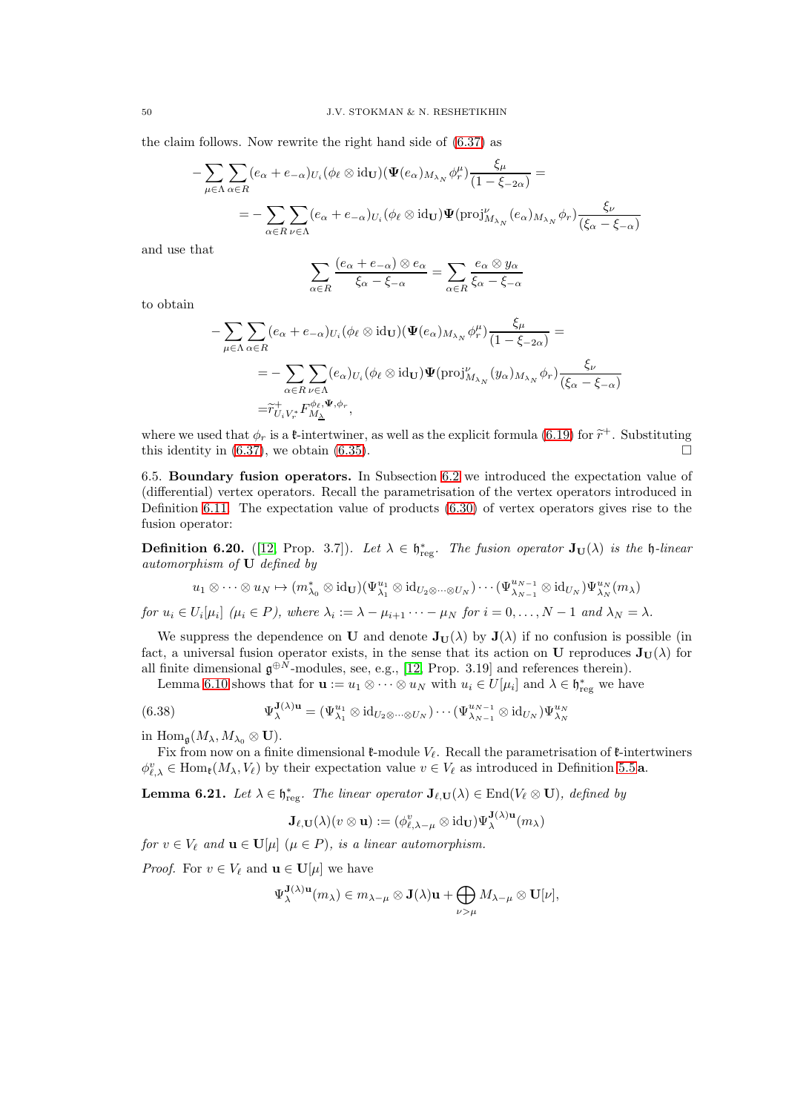the claim follows. Now rewrite the right hand side of [\(6.37\)](#page-48-1) as

$$
-\sum_{\mu \in \Lambda} \sum_{\alpha \in R} (e_{\alpha} + e_{-\alpha})_{U_i} (\phi_{\ell} \otimes \text{id}_{\mathbf{U}}) (\mathbf{\Psi}(e_{\alpha})_{M_{\lambda_N}} \phi_r^{\mu}) \frac{\xi_{\mu}}{(1 - \xi_{-2\alpha})} =
$$
  
= 
$$
-\sum_{\alpha \in R} \sum_{\nu \in \Lambda} (e_{\alpha} + e_{-\alpha})_{U_i} (\phi_{\ell} \otimes \text{id}_{\mathbf{U}}) \mathbf{\Psi}(\text{proj}_{M_{\lambda_N}}^{\nu}(e_{\alpha})_{M_{\lambda_N}} \phi_r) \frac{\xi_{\nu}}{(\xi_{\alpha} - \xi_{-\alpha})}
$$

and use that

$$
\sum_{\alpha \in R} \frac{(e_{\alpha} + e_{-\alpha}) \otimes e_{\alpha}}{\xi_{\alpha} - \xi_{-\alpha}} = \sum_{\alpha \in R} \frac{e_{\alpha} \otimes y_{\alpha}}{\xi_{\alpha} - \xi_{-\alpha}}
$$

to obtain

$$
- \sum_{\mu \in \Lambda} \sum_{\alpha \in R} (e_{\alpha} + e_{-\alpha})_{U_i} (\phi_{\ell} \otimes \mathrm{id}_{\mathbf{U}}) (\Psi(e_{\alpha})_{M_{\lambda_N}} \phi_r^{\mu}) \frac{\xi_{\mu}}{(1 - \xi_{-2\alpha})} =
$$
  

$$
= - \sum_{\alpha \in R} \sum_{\nu \in \Lambda} (e_{\alpha})_{U_i} (\phi_{\ell} \otimes \mathrm{id}_{\mathbf{U}}) \Psi(\mathrm{proj}_{M_{\lambda_N}}^{\nu} (y_{\alpha})_{M_{\lambda_N}} \phi_r) \frac{\xi_{\nu}}{(\xi_{\alpha} - \xi_{-\alpha})}
$$
  

$$
= \widetilde{r}_{U_i V_r^*}^+ F_{M_{\Delta}}^{\phi_{\ell}, \Psi, \phi_r},
$$

where we used that  $\phi_r$  is a *t*-intertwiner, as well as the explicit formula [\(6.19\)](#page-43-1) for  $\tilde{r}^+$ . Substituting this identity is  $(e, 27)$  and the interval of  $\tilde{r}$ this identity in [\(6.37\)](#page-48-1), we obtain [\(6.35\)](#page-47-3).

<span id="page-49-0"></span>6.5. Boundary fusion operators. In Subsection [6.2](#page-39-0) we introduced the expectation value of (differential) vertex operators. Recall the parametrisation of the vertex operators introduced in Definition [6.11.](#page-41-0) The expectation value of products [\(6.30\)](#page-46-2) of vertex operators gives rise to the fusion operator:

**Definition 6.20.** ([\[12,](#page-55-9) Prop. 3.7]). Let  $\lambda \in \mathfrak{h}^*_{reg}$ . The fusion operator  $\mathbf{J}_U(\lambda)$  is the  $\mathfrak{h}$ -linear automorphism of U defined by

$$
u_1\otimes\cdots\otimes u_N\mapsto (m_{\lambda_0}^*\otimes\operatorname{id}_{\mathbf{U}})(\Psi_{\lambda_1}^{u_1}\otimes\operatorname{id}_{U_2\otimes\cdots\otimes U_N})\cdots(\Psi_{\lambda_{N-1}}^{u_{N-1}}\otimes\operatorname{id}_{U_N})\Psi_{\lambda_N}^{u_N}(m_\lambda)
$$

for  $u_i \in U_i[\mu_i]$  ( $\mu_i \in P$ ), where  $\lambda_i := \lambda - \mu_{i+1} \cdots - \mu_N$  for  $i = 0, \ldots, N-1$  and  $\lambda_N = \lambda$ .

We suppress the dependence on U and denote  $J_U(\lambda)$  by  $J(\lambda)$  if no confusion is possible (in fact, a universal fusion operator exists, in the sense that its action on U reproduces  $J_U(\lambda)$  for all finite dimensional  $\mathfrak{g}^{\oplus N}$ -modules, see, e.g., [\[12,](#page-55-9) Prop. 3.19] and references therein).

Lemma [6.10](#page-41-1) shows that for  $\mathbf{u} := u_1 \otimes \cdots \otimes u_N$  with  $u_i \in U[\mu_i]$  and  $\lambda \in \mathfrak{h}^*_{reg}$  we have

(6.38) 
$$
\Psi_{\lambda}^{\mathbf{J}(\lambda)\mathbf{u}} = (\Psi_{\lambda_1}^{u_1} \otimes \mathrm{id}_{U_2 \otimes \cdots \otimes U_N}) \cdots (\Psi_{\lambda_{N-1}}^{u_{N-1}} \otimes \mathrm{id}_{U_N}) \Psi_{\lambda_N}^{u_N}
$$

in Hom<sub>g</sub> $(M_{\lambda}, M_{\lambda_0} \otimes \mathbf{U}).$ 

Fix from now on a finite dimensional  $\ell$ -module  $V_{\ell}$ . Recall the parametrisation of  $\ell$ -intertwiners  $\phi_{\ell,\lambda}^v \in \text{Hom}_{\mathfrak{k}}(M_\lambda, V_\ell)$  by their expectation value  $v \in V_\ell$  as introduced in Definition [5.5](#page-29-3) **a**.

<span id="page-49-1"></span>**Lemma 6.21.** Let  $\lambda \in \mathfrak{h}^*_{reg}$ . The linear operator  $\mathbf{J}_{\ell,\mathbf{U}}(\lambda) \in \text{End}(V_{\ell} \otimes \mathbf{U})$ , defined by

<span id="page-49-2"></span>
$$
\mathbf{J}_{\ell,\mathbf{U}}(\lambda)(v\otimes\mathbf{u}):=(\phi_{\ell,\lambda-\mu}^{v}\otimes{\rm{id}}_{\mathbf{U}})\Psi_{\lambda}^{\mathbf{J}(\lambda)\mathbf{u}}(m_{\lambda})
$$

for  $v \in V_\ell$  and  $\mathbf{u} \in \mathbf{U}[\mu]$   $(\mu \in P)$ , is a linear automorphism.

*Proof.* For  $v \in V_\ell$  and  $\mathbf{u} \in \mathbf{U}[\mu]$  we have

$$
\Psi_{\lambda}^{\mathbf{J}(\lambda)\mathbf{u}}(m_{\lambda}) \in m_{\lambda-\mu} \otimes \mathbf{J}(\lambda)\mathbf{u} + \bigoplus_{\nu > \mu} M_{\lambda-\mu} \otimes \mathbf{U}[\nu],
$$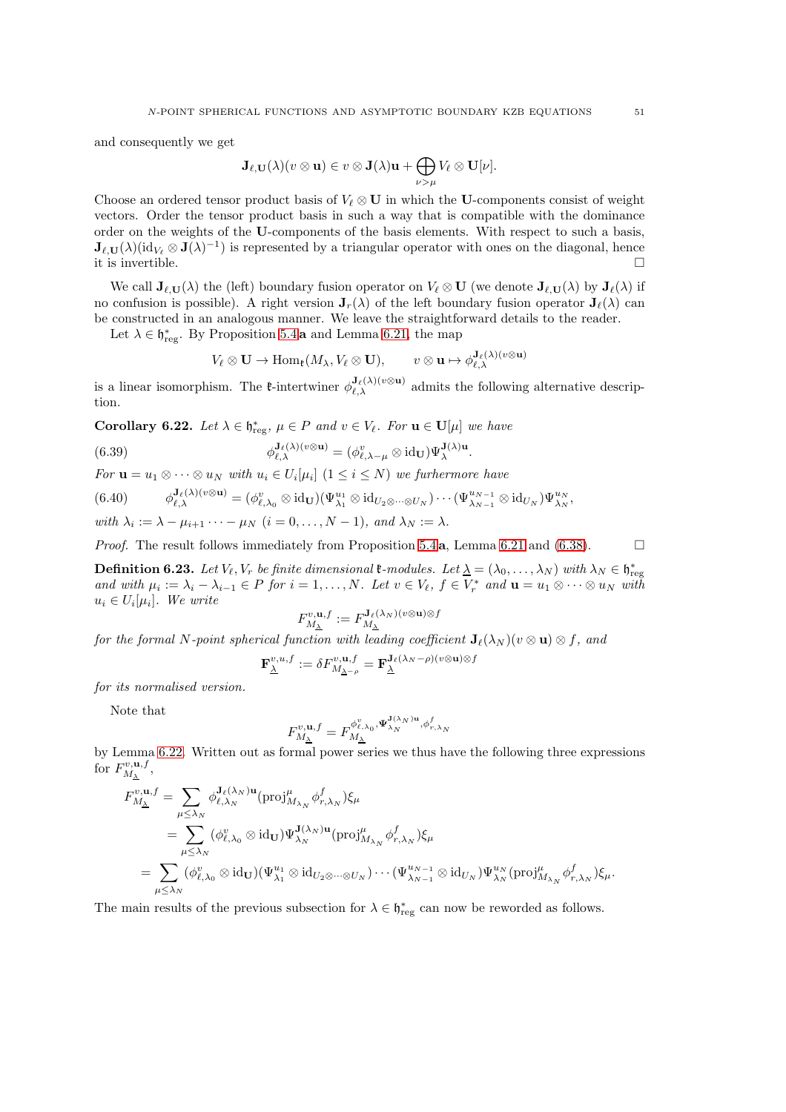and consequently we get

$$
\mathbf{J}_{\ell,\mathbf{U}}(\lambda)(v\otimes \mathbf{u})\in v\otimes \mathbf{J}(\lambda)\mathbf{u}+\bigoplus_{\nu>\mu}V_{\ell}\otimes \mathbf{U}[\nu].
$$

Choose an ordered tensor product basis of  $V_\ell \otimes U$  in which the U-components consist of weight vectors. Order the tensor product basis in such a way that is compatible with the dominance order on the weights of the U-components of the basis elements. With respect to such a basis,  $J_{\ell,U}(\lambda)(\mathrm{id}_{V_{\ell}}\otimes J(\lambda)^{-1})$  is represented by a triangular operator with ones on the diagonal, hence it is invertible.  $\Box$ 

We call  $J_{\ell,U}(\lambda)$  the (left) boundary fusion operator on  $V_{\ell} \otimes U$  (we denote  $J_{\ell,U}(\lambda)$  by  $J_{\ell}(\lambda)$  if no confusion is possible). A right version  $J_r(\lambda)$  of the left boundary fusion operator  $J_\ell(\lambda)$  can be constructed in an analogous manner. We leave the straightforward details to the reader.

Let  $\lambda \in \mathfrak{h}^*_{\text{reg}}$ . By Proposition [5.4](#page-29-2) a and Lemma [6.21,](#page-49-1) the map

$$
V_{\ell} \otimes \mathbf{U} \to \text{Hom}_{\mathfrak{k}}(M_{\lambda}, V_{\ell} \otimes \mathbf{U}), \qquad v \otimes \mathbf{u} \mapsto \phi_{\ell, \lambda}^{\mathbf{J}_{\ell}(\lambda)(v \otimes \mathbf{u})}
$$

is a linear isomorphism. The *t*-intertwiner  $\phi_{\ell,\lambda}^{\mathbf{J}_{\ell}(\lambda)(v\otimes\mathbf{u})}$  admits the following alternative description.

<span id="page-50-0"></span>**Corollary 6.22.** Let  $\lambda \in \mathfrak{h}^*_{\text{reg}}, \mu \in P$  and  $v \in V_{\ell}$ . For  $\mathbf{u} \in \mathbf{U}[\mu]$  we have

(6.39) 
$$
\phi_{\ell,\lambda}^{\mathbf{J}_{\ell}(\lambda)(v\otimes\mathbf{u})} = (\phi_{\ell,\lambda-\mu}^v\otimes\mathrm{id}_{\mathbf{U}})\Psi_{\lambda}^{\mathbf{J}(\lambda)\mathbf{u}}.
$$

For  $\mathbf{u} = u_1 \otimes \cdots \otimes u_N$  with  $u_i \in U_i[\mu_i]$   $(1 \leq i \leq N)$  we furthermore have

$$
(6.40) \qquad \phi_{\ell,\lambda}^{\mathbf{J}_{\ell}(\lambda)(v\otimes\mathbf{u})} = (\phi_{\ell,\lambda_0}^v\otimes\mathrm{id}_{\mathbf{U}})(\Psi_{\lambda_1}^{u_1}\otimes\mathrm{id}_{U_2\otimes\cdots\otimes U_N})\cdots(\Psi_{\lambda_{N-1}}^{u_{N-1}}\otimes\mathrm{id}_{U_N})\Psi_{\lambda_N}^{u_N},
$$

with  $\lambda_i := \lambda - \mu_{i+1} \cdots - \mu_N$   $(i = 0, \ldots, N-1)$ , and  $\lambda_N := \lambda$ .

*Proof.* The result follows immediately from Proposition [5.4](#page-29-2) a, Lemma [6.21](#page-49-1) and [\(6.38\)](#page-49-2).  $\Box$ 

**Definition 6.23.** Let  $V_{\ell}, V_r$  be finite dimensional  $\ell$ -modules. Let  $\underline{\lambda} = (\lambda_0, \ldots, \lambda_N)$  with  $\lambda_N \in \mathfrak{h}^*_{\text{reg}}$ and with  $\mu_i := \lambda_i - \lambda_{i-1} \in P$  for  $i = 1, ..., N$ . Let  $v \in V_\ell$ ,  $f \in V_r^*$  and  $\mathbf{u} = u_1 \otimes \cdots \otimes u_N$  with  $u_i \in U_i[\mu_i]$ . We write

$$
F_{M_{\lambda}}^{v, \mathbf{u}, f} := F_{M_{\lambda}}^{\mathbf{J}_{\ell}(\lambda_N)(v \otimes \mathbf{u}) \otimes f}
$$

for the formal N-point spherical function with leading coefficient  $J_{\ell}(\lambda_N)(v \otimes u) \otimes f$ , and

$$
\mathbf{F}_{\underline{\lambda}}^{v,u,f}:=\delta F^{v,\mathbf{u},f}_{M_{\underline{\lambda}-\rho}}=\mathbf{F}_{\underline{\lambda}}^{\mathbf{J}_{\ell}(\lambda_{N}-\rho)(v\otimes\mathbf{u})\otimes f}
$$

for its normalised version.

Note that

$$
F_{M_{\underline{\lambda}}}^{\upsilon,\mathbf{u},f}=F_{M_{\underline{\lambda}}}^{\phi_{\ell,\lambda_0}^{\upsilon},\mathbf{\Psi}_{\lambda_N}^{\mathbf{J}(\lambda_N)\mathbf{u}},\phi_{r,\lambda_N}^f}
$$

by Lemma [6.22.](#page-50-0) Written out as formal power series we thus have the following three expressions for  $F_{M_1}^{v, {\bf u},f}$  $\frac{W,\mathbf{u},J}{M_{\underline{\lambda}}}$  ,

$$
F_{M_{\Delta}}^{v,\mathbf{u},f} = \sum_{\mu \leq \lambda_N} \phi_{\ell,\lambda_N}^{\mathbf{J}_{\ell}(\lambda_N)\mathbf{u}} (\text{proj}_{M_{\lambda_N}}^{\mu} \phi_{r,\lambda_N}^f) \xi_{\mu}
$$
  
\n
$$
= \sum_{\mu \leq \lambda_N} (\phi_{\ell,\lambda_0}^v \otimes \text{id}_{\mathbf{U}}) \Psi_{\lambda_N}^{\mathbf{J}(\lambda_N)\mathbf{u}} (\text{proj}_{M_{\lambda_N}}^{\mu} \phi_{r,\lambda_N}^f) \xi_{\mu}
$$
  
\n
$$
= \sum_{\mu \leq \lambda_N} (\phi_{\ell,\lambda_0}^v \otimes \text{id}_{\mathbf{U}}) (\Psi_{\lambda_1}^{u_1} \otimes \text{id}_{U_2 \otimes \cdots \otimes U_N}) \cdots (\Psi_{\lambda_{N-1}}^{u_{N-1}} \otimes \text{id}_{U_N}) \Psi_{\lambda_N}^{u_N} (\text{proj}_{M_{\lambda_N}}^{\mu} \phi_{r,\lambda_N}^f) \xi_{\mu}.
$$

The main results of the previous subsection for  $\lambda \in \mathfrak{h}^*_{reg}$  can now be reworded as follows.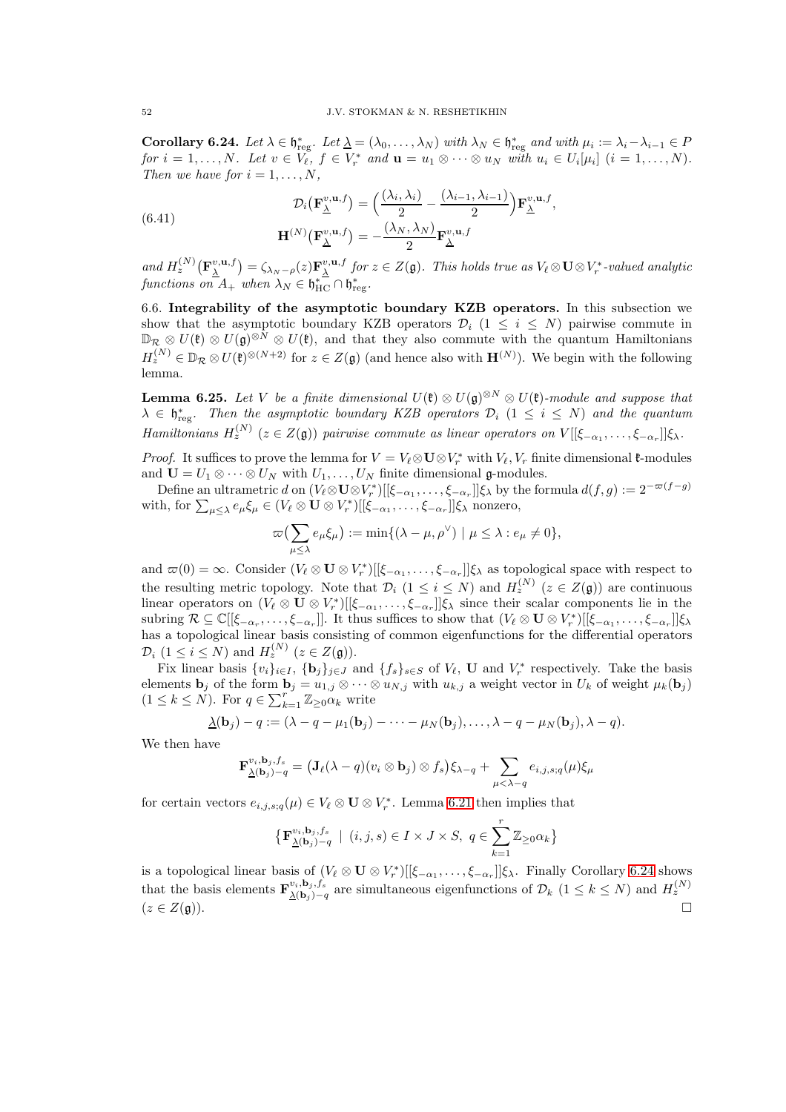<span id="page-51-1"></span>**Corollary 6.24.** Let  $\lambda \in \mathfrak{h}^*_{reg}$ . Let  $\underline{\lambda} = (\lambda_0, \dots, \lambda_N)$  with  $\lambda_N \in \mathfrak{h}^*_{reg}$  and with  $\mu_i := \lambda_i - \lambda_{i-1} \in P$ for  $i = 1, ..., N$ . Let  $v \in V_{\ell}$ ,  $f \in V_r^*$  and  $\mathbf{u} = u_1 \otimes \cdots \otimes u_N$  with  $u_i \in U_i[\mu_i]$   $(i = 1, ..., N)$ . Then we have for  $i = 1, \ldots, N$ ,

(6.41) 
$$
\mathcal{D}_{i}(\mathbf{F}_{\underline{\lambda}}^{v,\mathbf{u},f}) = \left(\frac{(\lambda_{i},\lambda_{i})}{2} - \frac{(\lambda_{i-1},\lambda_{i-1})}{2}\right)\mathbf{F}_{\underline{\lambda}}^{v,\mathbf{u},f},
$$

$$
\mathbf{H}^{(N)}(\mathbf{F}_{\underline{\lambda}}^{v,\mathbf{u},f}) = -\frac{(\lambda_{N},\lambda_{N})}{2}\mathbf{F}_{\underline{\lambda}}^{v,\mathbf{u},f}
$$

and  $H_z^{(N)}(\mathbf{F}_{\underline{\lambda}}^{v,\mathbf{u},f}) = \zeta_{\lambda_N-\rho}(z)\mathbf{F}_{\underline{\lambda}}^{v,\mathbf{u},f}$  for  $z \in Z(\mathfrak{g})$ . This holds true as  $V_{\ell} \otimes \mathbf{U} \otimes V_r^*$ -valued analytic functions on  $A_+$  when  $\lambda_N \in \mathfrak{h}_{\text{HC}}^* \cap \mathfrak{h}_{\text{reg}}^*$ .

<span id="page-51-0"></span>6.6. Integrability of the asymptotic boundary KZB operators. In this subsection we show that the asymptotic boundary KZB operators  $\mathcal{D}_i$  (1  $\leq i \leq N$ ) pairwise commute in  $\mathbb{D}_{\mathcal{R}} \otimes U(\mathfrak{k}) \otimes U(\mathfrak{g})^{\otimes N} \otimes U(\mathfrak{k})$ , and that they also commute with the quantum Hamiltonians  $H_z^{(N)} \in \mathbb{D}_{\mathcal{R}} \otimes U(\mathfrak{k})^{\otimes (N+2)}$  for  $z \in Z(\mathfrak{g})$  (and hence also with  $\mathbf{H}^{(N)}$ ). We begin with the following lemma.

**Lemma 6.25.** Let V be a finite dimensional  $U(\mathfrak{k}) \otimes U(\mathfrak{g})^{\otimes N} \otimes U(\mathfrak{k})$ -module and suppose that  $\lambda \in \mathfrak{h}^*_\mathrm{reg}$ . Then the asymptotic boundary KZB operators  $\mathcal{D}_i$   $(1 \leq i \leq N)$  and the quantum Hamiltonians  $H_z^{(N)}$  ( $z \in Z(\mathfrak{g})$ ) pairwise commute as linear operators on  $V[[\xi_{-\alpha_1}, \ldots, \xi_{-\alpha_r}]]\xi_{\lambda}$ .

*Proof.* It suffices to prove the lemma for  $V = V_{\ell} \otimes U \otimes V_r^*$  with  $V_{\ell}$ ,  $V_r$  finite dimensional  $\ell$ -modules and  $\mathbf{U} = U_1 \otimes \cdots \otimes U_N$  with  $U_1, \ldots, U_N$  finite dimensional g-modules.

Define an ultrametric d on  $(V_{\ell} \otimes \mathbf{U} \otimes V_r^*)[[\xi_{-\alpha_1}, \ldots, \xi_{-\alpha_r}]]\xi_{\lambda}$  by the formula  $d(f,g) := 2^{-\varpi(f-g)}$ with, for  $\sum_{\mu \leq \lambda} e_{\mu} \xi_{\mu} \in (V_{\ell} \otimes \mathbf{U} \otimes V_r^*)[[\xi_{-\alpha_1}, \ldots, \xi_{-\alpha_r}]]\xi_{\lambda}$  nonzero,

$$
\varpi\big(\sum_{\mu\leq\lambda}e_{\mu}\xi_{\mu}\big):=\min\{(\lambda-\mu,\rho^{\vee})\mid\mu\leq\lambda:e_{\mu}\neq 0\},\
$$

and  $\varpi(0) = \infty$ . Consider  $(V_\ell \otimes \mathbf{U} \otimes V_r^*)[[\xi_{-\alpha_1}, \ldots, \xi_{-\alpha_r}]]\xi_\lambda$  as topological space with respect to the resulting metric topology. Note that  $\mathcal{D}_i$   $(1 \leq i \leq N)$  and  $H_z^{(N)}$   $(z \in Z(\mathfrak{g}))$  are continuous linear operators on  $(V_\ell \otimes \mathbf{U} \otimes V_r^*)[[\xi_{-\alpha_1},\ldots,\xi_{-\alpha_r}]]\xi_\lambda$  since their scalar components lie in the subring  $\mathcal{R} \subseteq \mathbb{C}[[\xi_{-\alpha_r}, \ldots, \xi_{-\alpha_r}]]$ . It thus suffices to show that  $(V_\ell \otimes \mathbf{U} \otimes V_r^*)[[\xi_{-\alpha_1}, \ldots, \xi_{-\alpha_r}]]\xi_\lambda$ has a topological linear basis consisting of common eigenfunctions for the differential operators  $\mathcal{D}_i$   $(1 \leq i \leq N)$  and  $H_z^{(N)}$   $(z \in Z(\mathfrak{g}))$ .

Fix linear basis  $\{v_i\}_{i\in I}$ ,  $\{\mathbf{b}_j\}_{j\in J}$  and  $\{f_s\}_{s\in S}$  of  $V_\ell$ , U and  $V_r^*$  respectively. Take the basis elements  $\mathbf{b}_j$  of the form  $\mathbf{b}_j = u_{1,j} \otimes \cdots \otimes u_{N,j}$  with  $u_{k,j}$  a weight vector in  $U_k$  of weight  $\mu_k(\mathbf{b}_j)$  $(1 \leq k \leq N)$ . For  $q \in \sum_{k=1}^{r} \mathbb{Z}_{\geq 0} \alpha_k$  write

$$
\underline{\lambda}(\mathbf{b}_j) - q := (\lambda - q - \mu_1(\mathbf{b}_j) - \cdots - \mu_N(\mathbf{b}_j), \ldots, \lambda - q - \mu_N(\mathbf{b}_j), \lambda - q).
$$

We then have

$$
\mathbf{F}_{\underline{\lambda}(\mathbf{b}_j)-q}^{v_i,\mathbf{b}_j,f_s} = (\mathbf{J}_{\ell}(\lambda - q)(v_i \otimes \mathbf{b}_j) \otimes f_s)\xi_{\lambda - q} + \sum_{\mu < \lambda - q} e_{i,j,s;q}(\mu)\xi_{\mu}
$$

for certain vectors  $e_{i,j,s;q}(\mu) \in V_{\ell} \otimes \mathbf{U} \otimes V_r^*$ . Lemma [6.21](#page-49-1) then implies that

$$
\big\{\mathbf{F}_{\underline{\lambda}(\mathbf{b}_j)-q}^{v_i,\mathbf{b}_j,f_s}~|~(i,j,s)\in I\times J\times S,~q\in\sum_{k=1}^r\mathbb{Z}_{\geq0}\alpha_k\big\}
$$

is a topological linear basis of  $(V_\ell \otimes \mathbf{U} \otimes V_r^*)[[\xi_{-\alpha_1},\ldots,\xi_{-\alpha_r}]]\xi_\lambda$ . Finally Corollary [6.24](#page-51-1) shows that the basis elements  $\mathbf{F}_{\lambda(\mathbf{b})}^{v_i, \mathbf{b}_j, \hat{f}_s}$ that the basis elements  $\mathbf{F}_{\Delta(\mathbf{b}_j)-q}^{v_i, \mathbf{b}_j, f_s}$  are simultaneous eigenfunctions of  $\mathcal{D}_k$   $(1 \leq k \leq N)$  and  $H_z^{(N)}$ <br> $\Box$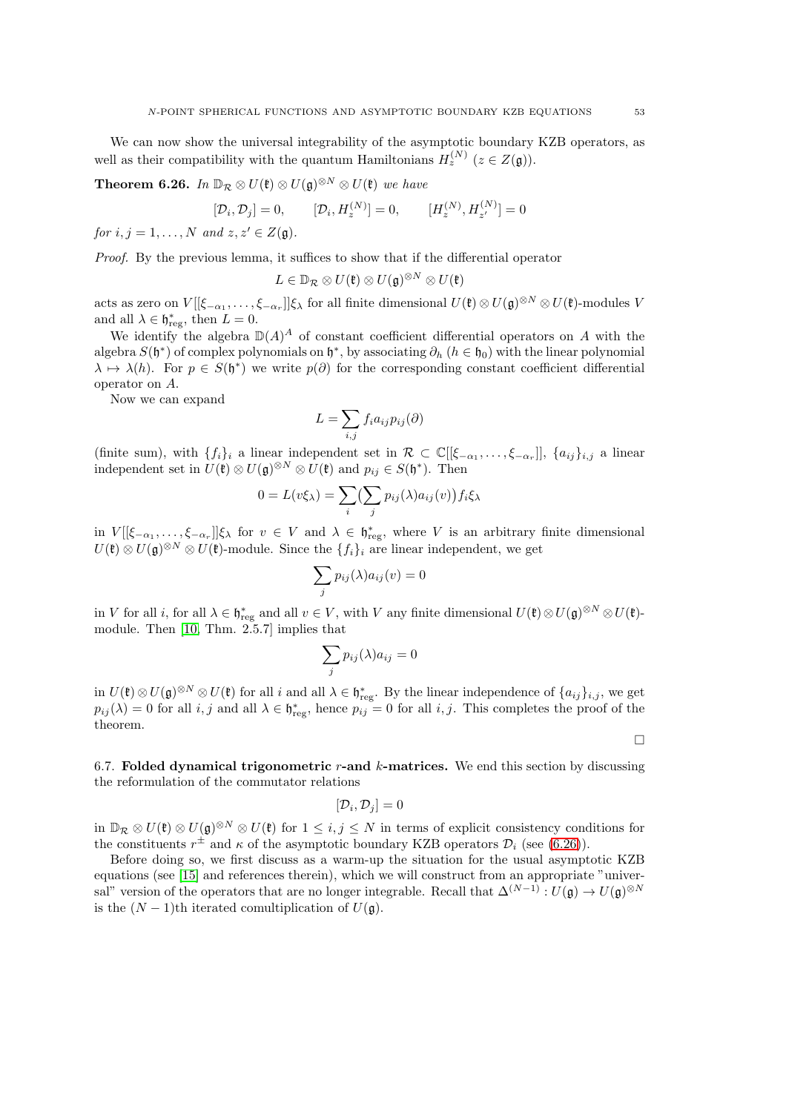We can now show the universal integrability of the asymptotic boundary KZB operators, as well as their compatibility with the quantum Hamiltonians  $H_z^{(N)}$  ( $z \in Z(\mathfrak{g})$ ).

<span id="page-52-1"></span>**Theorem 6.26.** In  $\mathbb{D}_{\mathcal{R}} \otimes U(\mathfrak{k}) \otimes U(\mathfrak{g})^{\otimes N} \otimes U(\mathfrak{k})$  we have

$$
[\mathcal{D}_i, \mathcal{D}_j] = 0, \qquad [\mathcal{D}_i, H_z^{(N)}] = 0, \qquad [H_z^{(N)}, H_{z'}^{(N)}] = 0
$$

for  $i, j = 1, \ldots, N$  and  $z, z' \in Z(\mathfrak{g})$ .

Proof. By the previous lemma, it suffices to show that if the differential operator

$$
L\in\mathbb{D}_{\mathcal{R}}\otimes U(\mathfrak{k})\otimes U(\mathfrak{g})^{\otimes N}\otimes U(\mathfrak{k})
$$

acts as zero on  $V[[\xi_{-\alpha_1},\ldots,\xi_{-\alpha_r}]]\xi_\lambda$  for all finite dimensional  $U(\mathfrak{k})\otimes U(\mathfrak{g})^{\otimes N}\otimes U(\mathfrak{k})$ -modules V and all  $\lambda \in \mathfrak{h}^*_{\text{reg}}$ , then  $L = 0$ .

We identify the algebra  $\mathbb{D}(A)^A$  of constant coefficient differential operators on A with the algebra  $S(\mathfrak{h}^*)$  of complex polynomials on  $\mathfrak{h}^*$ , by associating  $\partial_h$   $(h \in \mathfrak{h}_0)$  with the linear polynomial  $\lambda \mapsto \lambda(h)$ . For  $p \in S(\mathfrak{h}^*)$  we write  $p(\partial)$  for the corresponding constant coefficient differential operator on A.

Now we can expand

$$
L = \sum_{i,j} f_i a_{ij} p_{ij}(\partial)
$$

(finite sum), with  $\{f_i\}_i$  a linear independent set in  $\mathcal{R} \subset \mathbb{C}[[\xi_{-\alpha_1},\ldots,\xi_{-\alpha_r}]], \{a_{ij}\}_{i,j}$  a linear independent set in  $U(\mathfrak{k}) \otimes U(\mathfrak{g})^{\otimes N} \otimes U(\mathfrak{k})$  and  $p_{ij} \in S(\mathfrak{h}^*)$ . Then

$$
0 = L(v\xi_{\lambda}) = \sum_{i} \left(\sum_{j} p_{ij}(\lambda) a_{ij}(v)\right) f_i \xi_{\lambda}
$$

in  $V[[\xi_{-\alpha_1},\ldots,\xi_{-\alpha_r}]]\xi_\lambda$  for  $v \in V$  and  $\lambda \in \mathfrak{h}^*_{reg}$ , where V is an arbitrary finite dimensional  $U(\mathfrak{k}) \otimes U(\mathfrak{g})^{\otimes N} \otimes U(\mathfrak{k})$ -module. Since the  $\{f_i\}_i$  are linear independent, we get

$$
\sum_j p_{ij}(\lambda) a_{ij}(v) = 0
$$

in V for all i, for all  $\lambda \in \mathfrak{h}^*_{reg}$  and all  $v \in V$ , with V any finite dimensional  $U(\mathfrak{k}) \otimes U(\mathfrak{g})^{\otimes N} \otimes U(\mathfrak{k})$ module. Then [\[10,](#page-55-18) Thm. 2.5.7] implies that

$$
\sum_j p_{ij}(\lambda)a_{ij}=0
$$

in  $U(\mathfrak{k}) \otimes U(\mathfrak{g})^{\otimes N} \otimes U(\mathfrak{k})$  for all i and all  $\lambda \in \mathfrak{h}^*_{\text{reg}}$ . By the linear independence of  $\{a_{ij}\}_{i,j}$ , we get  $p_{ij}(\lambda) = 0$  for all  $i, j$  and all  $\lambda \in \mathfrak{h}^*_{\text{reg}}$ , hence  $p_{ij} = 0$  for all  $i, j$ . This completes the proof of the theorem.

 $\Box$ 

<span id="page-52-0"></span>6.7. Folded dynamical trigonometric  $r$ -and  $k$ -matrices. We end this section by discussing the reformulation of the commutator relations

$$
[{\cal D}_i,{\cal D}_j]=0
$$

in  $\mathbb{D}_{\mathcal{R}} \otimes U(\mathfrak{k}) \otimes U(\mathfrak{g})^{\otimes N} \otimes U(\mathfrak{k})$  for  $1 \leq i, j \leq N$  in terms of explicit consistency conditions for the constituents  $r^{\pm}$  and  $\kappa$  of the asymptotic boundary KZB operators  $\mathcal{D}_i$  (see [\(6.26\)](#page-45-0)).

Before doing so, we first discuss as a warm-up the situation for the usual asymptotic KZB equations (see [\[15\]](#page-55-4) and references therein), which we will construct from an appropriate "universal" version of the operators that are no longer integrable. Recall that  $\Delta^{(N-1)}: U(\mathfrak{g}) \to U(\mathfrak{g})^{\otimes N}$ is the  $(N-1)$ <sup>th</sup> iterated comultiplication of  $U(\mathfrak{g})$ .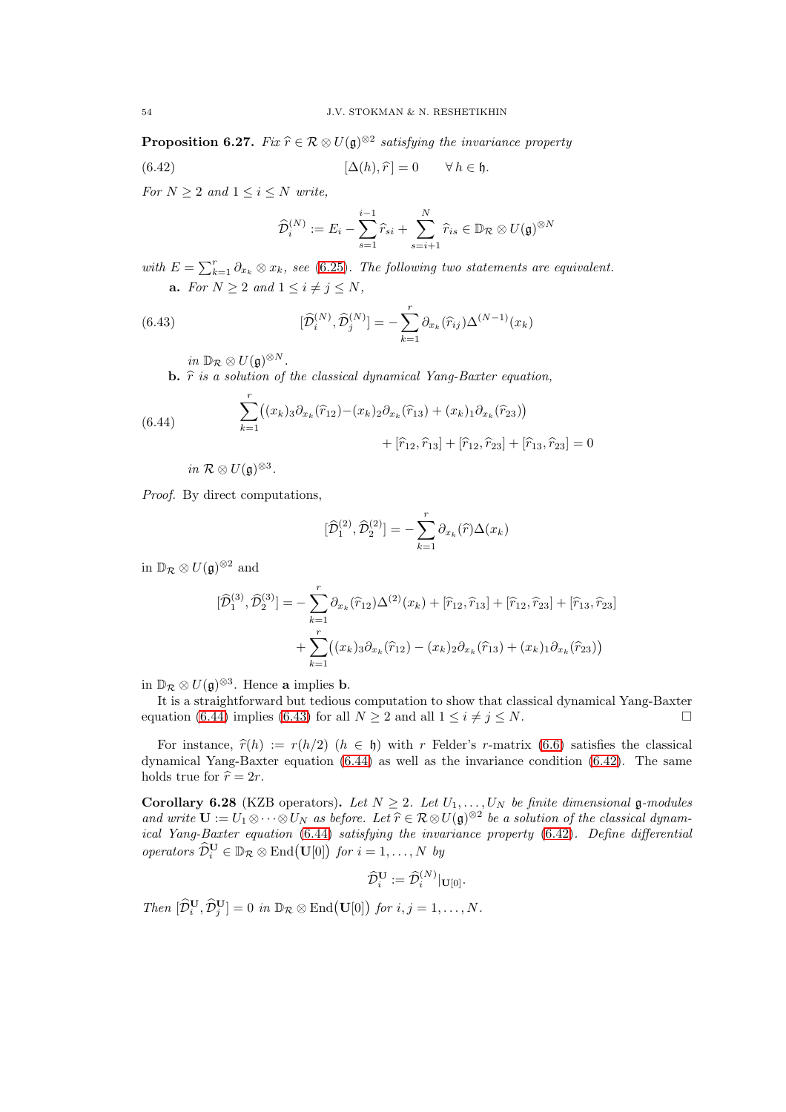**Proposition 6.27.** Fix  $\hat{r} \in \mathcal{R} \otimes U(\mathfrak{g})^{\otimes 2}$  satisfying the invariance property

(6.42) 
$$
[\Delta(h), \hat{r}] = 0 \quad \forall h \in \mathfrak{h}.
$$

For  $N \geq 2$  and  $1 \leq i \leq N$  write,

<span id="page-53-2"></span><span id="page-53-1"></span>
$$
\widehat{\mathcal{D}}_i^{(N)} := E_i - \sum_{s=1}^{i-1} \widehat{r}_{si} + \sum_{s=i+1}^N \widehat{r}_{is} \in \mathbb{D}_{\mathcal{R}} \otimes U(\mathfrak{g})^{\otimes N}
$$

with  $E = \sum_{k=1}^{r} \partial_{x_k} \otimes x_k$ , see [\(6.25\)](#page-45-1). The following two statements are equivalent. **a.** For  $N \geq 2$  and  $1 \leq i \neq j \leq N$ ,

(6.43) 
$$
[\hat{\mathcal{D}}_i^{(N)}, \hat{\mathcal{D}}_j^{(N)}] = -\sum_{k=1}^r \partial_{x_k}(\hat{r}_{ij}) \Delta^{(N-1)}(x_k)
$$

 $in \mathbb{D}_{\mathcal{R}} \otimes U(\mathfrak{g})^{\otimes N}.$ 

**b.**  $\hat{r}$  is a solution of the classical dynamical Yang-Baxter equation,

<span id="page-53-0"></span>(6.44) 
$$
\sum_{k=1}^{r} ((x_k)_{3} \partial_{x_k}(\widehat{r}_{12}) - (x_k)_{2} \partial_{x_k}(\widehat{r}_{13}) + (x_k)_{1} \partial_{x_k}(\widehat{r}_{23})) + [\widehat{r}_{12}, \widehat{r}_{13}] + [\widehat{r}_{12}, \widehat{r}_{23}] + [\widehat{r}_{13}, \widehat{r}_{23}] = 0
$$

in  $\mathcal{R} \otimes U(\mathfrak{g})^{\otimes 3}$ .

Proof. By direct computations,

$$
[\widehat{\mathcal{D}}_1^{(2)}, \widehat{\mathcal{D}}_2^{(2)}] = -\sum_{k=1}^r \partial_{x_k}(\widehat{r}) \Delta(x_k)
$$

in  $\mathbb{D}_{\mathcal{R}} \otimes U(\mathfrak{g})^{\otimes 2}$  and

$$
[\widehat{\mathcal{D}}_1^{(3)}, \widehat{\mathcal{D}}_2^{(3)}] = -\sum_{k=1}^r \partial_{x_k}(\widehat{r}_{12}) \Delta^{(2)}(x_k) + [\widehat{r}_{12}, \widehat{r}_{13}] + [\widehat{r}_{12}, \widehat{r}_{23}] + \sum_{k=1}^r ((x_k)_3 \partial_{x_k}(\widehat{r}_{12}) - (x_k)_2 \partial_{x_k}(\widehat{r}_{13}) + (x_k)_1 \partial_{x_k}(\widehat{r}_{23}))
$$

in  $\mathbb{D}_{\mathcal{R}} \otimes U(\mathfrak{g})^{\otimes 3}$ . Hence **a** implies **b**.

It is a straightforward but tedious computation to show that classical dynamical Yang-Baxter equation [\(6.44\)](#page-53-0) implies [\(6.43\)](#page-53-1) for all  $N \ge 2$  and all  $1 \le i \ne j \le N$ .

For instance,  $\hat{r}(h) := r(h/2)$   $(h \in \mathfrak{h})$  with r Felder's r-matrix [\(6.6\)](#page-38-5) satisfies the classical dynamical Yang-Baxter equation  $(6.44)$  as well as the invariance condition  $(6.42)$ . The same holds true for  $\hat{r} = 2r$ .

Corollary 6.28 (KZB operators). Let  $N \geq 2$ . Let  $U_1, \ldots, U_N$  be finite dimensional g-modules and write  $\mathbf{U} := U_1 \otimes \cdots \otimes U_N$  as before. Let  $\hat{r} \in \mathcal{R} \otimes U(\mathfrak{g})^{\otimes 2}$  be a solution of the classical dynam-<br>i.e.,  $V_{\text{max}}$  Burkus anothing (6.44), atticking the inventions amounts (6.49). Define differential ical Yang-Baxter equation [\(6.44\)](#page-53-0) satisfying the invariance property [\(6.42\)](#page-53-2). Define differential operators  $\widehat{\mathcal{D}}_i^{\mathbf{U}} \in \mathbb{D}_{\mathcal{R}} \otimes \mathrm{End}(\mathbf{U}[0])$  for  $i = 1, ..., N$  by

$$
\widehat{\mathcal{D}}^{\mathbf{U}}_i := \widehat{\mathcal{D}}^{(N)}_i|_{\mathbf{U}[0]}.
$$

Then  $[\widehat{\mathcal{D}}_i^{\mathbf{U}}, \widehat{\mathcal{D}}_j^{\mathbf{U}}] = 0$  in  $\mathbb{D}_{\mathcal{R}} \otimes \text{End}(\mathbf{U}[0])$  for  $i, j = 1, ..., N$ .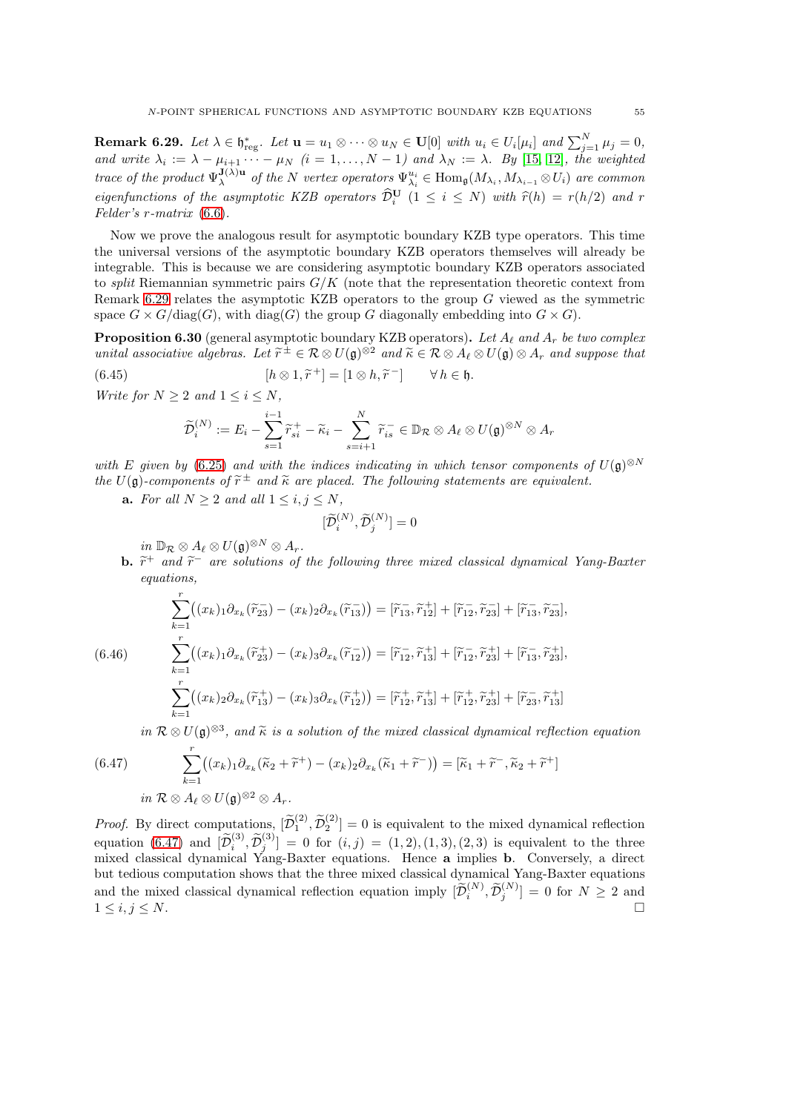<span id="page-54-0"></span>**Remark 6.29.** Let  $\lambda \in \mathfrak{h}^*_{\text{reg}}$ . Let  $\mathbf{u} = u_1 \otimes \cdots \otimes u_N \in \mathbf{U}[0]$  with  $u_i \in U_i[\mu_i]$  and  $\sum_{j=1}^N \mu_j = 0$ , and write  $\lambda_i := \lambda - \mu_{i+1} \cdots - \mu_N$   $(i = 1, \ldots, N-1)$  and  $\lambda_N := \lambda$ . By [\[15,](#page-55-4) [12\]](#page-55-9), the weighted trace of the product  $\Psi_{\lambda}^{\mathbf{J}(\lambda)\mathbf{u}}$  $J_{\lambda}^{(1)}(X)$  of the N vertex operators  $\Psi_{\lambda_i}^{u_i} \in \text{Hom}_{\mathfrak{g}}(M_{\lambda_i}, M_{\lambda_{i-1}} \otimes U_i)$  are common eigenfunctions of the asymptotic KZB operators  $\widehat{\mathcal{D}}_i^{\mathbf{U}}$   $(1 \leq i \leq N)$  with  $\widehat{r}(h) = r(h/2)$  and r Felder's r-matrix [\(6.6\)](#page-38-5).

Now we prove the analogous result for asymptotic boundary KZB type operators. This time the universal versions of the asymptotic boundary KZB operators themselves will already be integrable. This is because we are considering asymptotic boundary KZB operators associated to *split* Riemannian symmetric pairs  $G/K$  (note that the representation theoretic context from Remark [6.29](#page-54-0) relates the asymptotic KZB operators to the group  $G$  viewed as the symmetric space  $G \times G / diag(G)$ , with diag(G) the group G diagonally embedding into  $G \times G$ ).

**Proposition 6.30** (general asymptotic boundary KZB operators). Let  $A_{\ell}$  and  $A_r$  be two complex unital associative algebras. Let  $\widetilde{r}^{\pm} \in \mathcal{R} \otimes U(\mathfrak{g})^{\otimes 2}$  and  $\widetilde{\kappa} \in \mathcal{R} \otimes A_{\ell} \otimes U(\mathfrak{g}) \otimes A_r$  and suppose that

 $h$ .

(6.45) 
$$
[h \otimes 1, \widetilde{r}^+] = [1 \otimes h, \widetilde{r}^-] \qquad \forall h \in
$$

Write for  $N > 2$  and  $1 \leq i \leq N$ ,

$$
\widetilde{\mathcal{D}}_i^{(N)} := E_i - \sum_{s=1}^{i-1} \widetilde{r}_{si}^+ - \widetilde{\kappa}_i - \sum_{s=i+1}^N \widetilde{r}_{is}^- \in \mathbb{D}_{\mathcal{R}} \otimes A_\ell \otimes U(\mathfrak{g})^{\otimes N} \otimes A_r
$$

with E given by [\(6.25\)](#page-45-1) and with the indices indicating in which tensor components of  $U(\mathfrak{g})^{\otimes N}$ the  $U(\mathfrak{g})$ -components of  $\widetilde{r}^{\pm}$  and  $\widetilde{\kappa}$  are placed. The following statements are equivalent.

**a.** For all  $N \ge 2$  and all  $1 \le i, j \le N$ ,

$$
[\widetilde{\mathcal{D}}_i^{(N)}, \widetilde{\mathcal{D}}_j^{(N)}] = 0
$$

 $in \mathbb{D}_{\mathcal{R}} \otimes A_{\ell} \otimes U(\mathfrak{g})^{\otimes N} \otimes A_{r}.$ 

**b.**  $\tilde{r}^+$  and  $\tilde{r}^-$  are solutions of the following three mixed classical dynamical Yang-Baxter equations,

<span id="page-54-2"></span>
$$
\sum_{k=1}^{r} ((x_k)_1 \partial_{x_k} (\tilde{r}_{23}^-) - (x_k)_2 \partial_{x_k} (\tilde{r}_{13}^-)) = [\tilde{r}_{13}, \tilde{r}_{12}^+] + [\tilde{r}_{12}, \tilde{r}_{23}^-] + [\tilde{r}_{13}, \tilde{r}_{23}^{\top}],
$$
\n(6.46)  
\n
$$
\sum_{k=1}^{r} ((x_k)_1 \partial_{x_k} (\tilde{r}_{23}^+) - (x_k)_3 \partial_{x_k} (\tilde{r}_{12}^-)) = [\tilde{r}_{12}, \tilde{r}_{13}^+] + [\tilde{r}_{12}, \tilde{r}_{23}^+] + [\tilde{r}_{13}, \tilde{r}_{23}^{\top}],
$$
\n
$$
\sum_{k=1}^{r} ((x_k)_2 \partial_{x_k} (\tilde{r}_{13}^+) - (x_k)_3 \partial_{x_k} (\tilde{r}_{12}^+) ) = [\tilde{r}_{12}, \tilde{r}_{13}^+] + [\tilde{r}_{12}^+, \tilde{r}_{23}^+] + [\tilde{r}_{23}, \tilde{r}_{13}^+]
$$

<span id="page-54-1"></span>in  $\mathcal{R} \otimes U(\mathfrak{g})^{\otimes 3}$ , and  $\widetilde{\kappa}$  is a solution of the mixed classical dynamical reflection equation

(6.47) 
$$
\sum_{k=1}^{r} ((x_k)_1 \partial_{x_k} (\tilde{\kappa}_2 + \tilde{r}^+) - (x_k)_2 \partial_{x_k} (\tilde{\kappa}_1 + \tilde{r}^-)) = [\tilde{\kappa}_1 + \tilde{r}^-, \tilde{\kappa}_2 + \tilde{r}^+]
$$
  
in  $\mathcal{R} \otimes A_\ell \otimes U(\mathfrak{g})^{\otimes 2} \otimes A_r.$ 

*Proof.* By direct computations,  $[\widetilde{\mathcal{D}}_1^{(2)}, \widetilde{\mathcal{D}}_2^{(2)}] = 0$  is equivalent to the mixed dynamical reflection equation [\(6.47\)](#page-54-1) and  $[\tilde{\mathcal{D}}_i^{(3)}, \tilde{\mathcal{D}}_j^{(3)}] = 0$  for  $(i, j) = (1, 2), (1, 3), (2, 3)$  is equivalent to the three mixed classical dynamical Yang-Baxter equations. Hence a implies **b**. Conversely, a direct but tedious computation shows that the three mixed classical dynamical Yang-Baxter equations and the mixed classical dynamical reflection equation imply  $[\tilde{\mathcal{D}}_i^{(N)}, \tilde{\mathcal{D}}_j^{(N)}] = 0$  for  $N \geq 2$  and  $1 \leq i, j \leq N$ .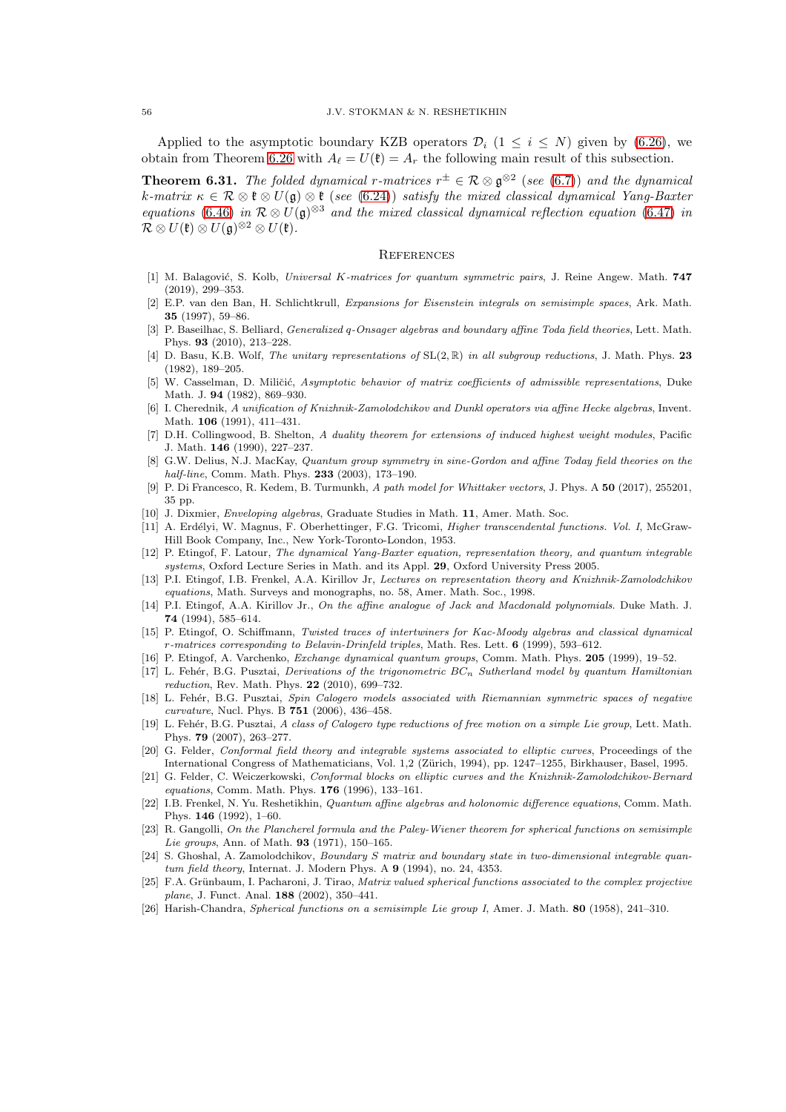Applied to the asymptotic boundary KZB operators  $\mathcal{D}_i$  ( $1 \leq i \leq N$ ) given by [\(6.26\)](#page-45-0), we obtain from Theorem [6.26](#page-52-1) with  $A_\ell = U(\mathfrak{k}) = A_r$  the following main result of this subsection.

**Theorem 6.31.** The folded dynamical r-matrices  $r^{\pm} \in \mathcal{R} \otimes \mathfrak{g}^{\otimes 2}$  (see [\(6.7\)](#page-38-2)) and the dynamical k-matrix  $\kappa \in \mathcal{R} \otimes \mathfrak{k} \otimes U(\mathfrak{g}) \otimes \mathfrak{k}$  (see [\(6.24\)](#page-45-2)) satisfy the mixed classical dynamical Yang-Baxter equations [\(6.46\)](#page-54-2) in  $\mathcal{R} \otimes U(\mathfrak{g})^{\otimes 3}$  and the mixed classical dynamical reflection equation [\(6.47\)](#page-54-1) in  $\mathcal{R}\otimes U(\mathfrak{k})\otimes U(\mathfrak{g})^{\otimes 2}\otimes U(\mathfrak{k}).$ 

#### <span id="page-55-0"></span>**REFERENCES**

- <span id="page-55-11"></span>[1] M. Balagović, S. Kolb, Universal K-matrices for quantum symmetric pairs, J. Reine Angew. Math. 747 (2019), 299–353.
- <span id="page-55-17"></span>[2] E.P. van den Ban, H. Schlichtkrull, Expansions for Eisenstein integrals on semisimple spaces, Ark. Math. 35 (1997), 59–86.
- [3] P. Baseilhac, S. Belliard, Generalized q-Onsager algebras and boundary affine Toda field theories, Lett. Math. Phys. 93 (2010), 213–228.
- <span id="page-55-19"></span>[4] D. Basu, K.B. Wolf, The unitary representations of  $SL(2,\mathbb{R})$  in all subgroup reductions, J. Math. Phys. 23 (1982), 189–205.
- <span id="page-55-2"></span>[5] W. Casselman, D. Miličić, Asymptotic behavior of matrix coefficients of admissible representations, Duke Math. J. 94 (1982), 869–930.
- [6] I. Cherednik, A unification of Knizhnik-Zamolodchikov and Dunkl operators via affine Hecke algebras, Invent. Math. 106 (1991), 411–431.
- <span id="page-55-22"></span>[7] D.H. Collingwood, B. Shelton, A duality theorem for extensions of induced highest weight modules, Pacific J. Math. 146 (1990), 227–237.
- <span id="page-55-12"></span>[8] G.W. Delius, N.J. MacKay, Quantum group symmetry in sine-Gordon and affine Today field theories on the half-line, Comm. Math. Phys. 233 (2003), 173–190.
- <span id="page-55-15"></span>[9] P. Di Francesco, R. Kedem, B. Turmunkh, A path model for Whittaker vectors, J. Phys. A 50 (2017), 255201, 35 pp.
- <span id="page-55-20"></span><span id="page-55-18"></span>[10] J. Dixmier, Enveloping algebras, Graduate Studies in Math. 11, Amer. Math. Soc.
- [11] A. Erd´elyi, W. Magnus, F. Oberhettinger, F.G. Tricomi, Higher transcendental functions. Vol. I, McGraw-Hill Book Company, Inc., New York-Toronto-London, 1953.
- <span id="page-55-9"></span>[12] P. Etingof, F. Latour, The dynamical Yang-Baxter equation, representation theory, and quantum integrable systems, Oxford Lecture Series in Math. and its Appl. 29, Oxford University Press 2005.
- [13] P.I. Etingof, I.B. Frenkel, A.A. Kirillov Jr, Lectures on representation theory and Knizhnik-Zamolodchikov equations, Math. Surveys and monographs, no. 58, Amer. Math. Soc., 1998.
- <span id="page-55-3"></span>[14] P.I. Etingof, A.A. Kirillov Jr., On the affine analogue of Jack and Macdonald polynomials. Duke Math. J. 74 (1994), 585–614.
- <span id="page-55-4"></span>[15] P. Etingof, O. Schiffmann, Twisted traces of intertwiners for Kac-Moody algebras and classical dynamical  $r$ -matrices corresponding to Belavin-Drinfeld triples, Math. Res. Lett. 6 (1999), 593–612.
- <span id="page-55-10"></span><span id="page-55-5"></span>[16] P. Etingof, A. Varchenko, Exchange dynamical quantum groups, Comm. Math. Phys. 205 (1999), 19–52.
- [17] L. Fehér, B.G. Pusztai, Derivations of the trigonometric  $BC_n$  Sutherland model by quantum Hamiltonian reduction, Rev. Math. Phys. 22 (2010), 699–732.
- <span id="page-55-6"></span>[18] L. Fehér, B.G. Pusztai, Spin Calogero models associated with Riemannian symmetric spaces of negative curvature, Nucl. Phys. B 751 (2006), 436–458.
- <span id="page-55-7"></span>[19] L. Fehér, B.G. Pusztai, A class of Calogero type reductions of free motion on a simple Lie group, Lett. Math. Phys. 79 (2007), 263–277.
- <span id="page-55-8"></span>[20] G. Felder, Conformal field theory and integrable systems associated to elliptic curves, Proceedings of the International Congress of Mathematicians, Vol. 1,2 (Zürich, 1994), pp. 1247–1255, Birkhauser, Basel, 1995.
- [21] G. Felder, C. Weiczerkowski, Conformal blocks on elliptic curves and the Knizhnik-Zamolodchikov-Bernard equations, Comm. Math. Phys. 176 (1996), 133–161.
- <span id="page-55-21"></span>[22] I.B. Frenkel, N. Yu. Reshetikhin, Quantum affine algebras and holonomic difference equations, Comm. Math. Phys. 146 (1992), 1–60.
- <span id="page-55-16"></span>[23] R. Gangolli, On the Plancherel formula and the Paley-Wiener theorem for spherical functions on semisimple Lie groups, Ann. of Math. **93** (1971), 150-165.
- <span id="page-55-13"></span>[24] S. Ghoshal, A. Zamolodchikov, Boundary S matrix and boundary state in two-dimensional integrable quantum field theory, Internat. J. Modern Phys. A 9 (1994), no. 24, 4353.
- <span id="page-55-14"></span>[25] F.A. Grünbaum, I. Pacharoni, J. Tirao, Matrix valued spherical functions associated to the complex projective plane, J. Funct. Anal. **188** (2002), 350-441.
- <span id="page-55-1"></span>[26] Harish-Chandra, Spherical functions on a semisimple Lie group I, Amer. J. Math. 80 (1958), 241–310.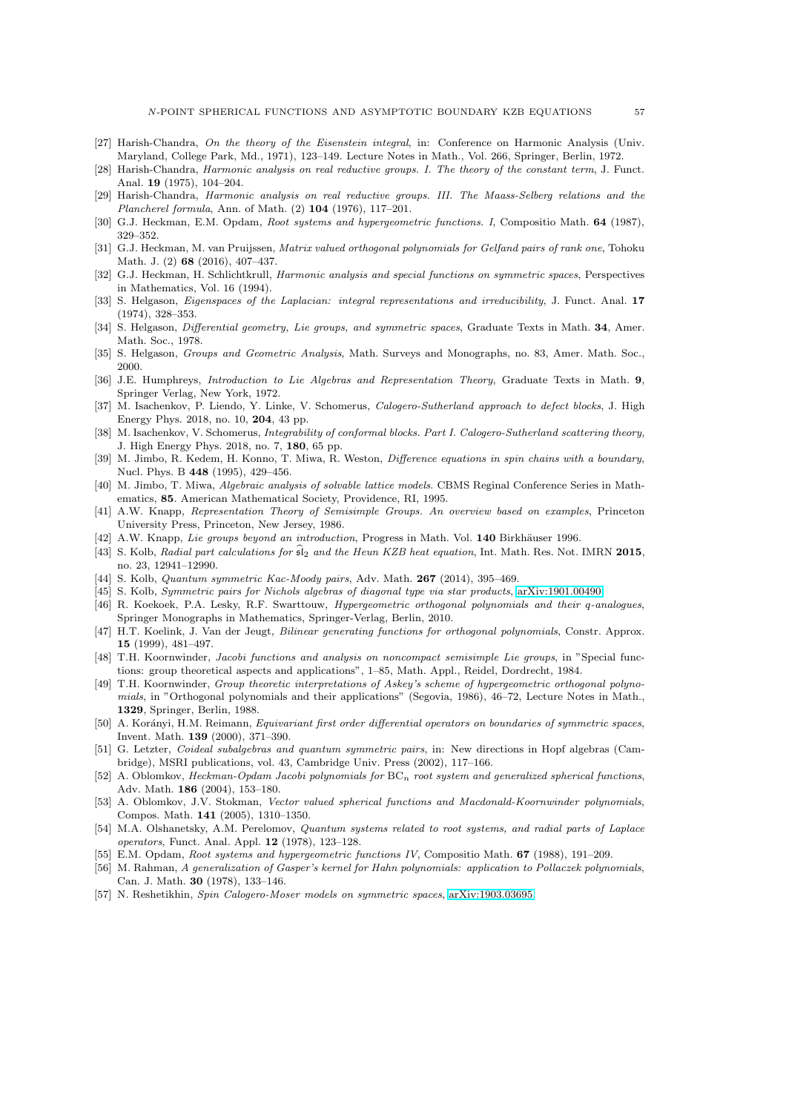- <span id="page-56-0"></span>[27] Harish-Chandra, On the theory of the Eisenstein integral, in: Conference on Harmonic Analysis (Univ. Maryland, College Park, Md., 1971), 123–149. Lecture Notes in Math., Vol. 266, Springer, Berlin, 1972.
- <span id="page-56-1"></span>Harish-Chandra, Harmonic analysis on real reductive groups. I. The theory of the constant term, J. Funct. Anal. 19 (1975), 104–204.
- <span id="page-56-2"></span>[29] Harish-Chandra, Harmonic analysis on real reductive groups. III. The Maass-Selberg relations and the Plancherel formula, Ann. of Math. (2) 104 (1976), 117–201.
- <span id="page-56-17"></span><span id="page-56-14"></span>[30] G.J. Heckman, E.M. Opdam, Root systems and hypergeometric functions. I, Compositio Math. 64 (1987), 329–352.
- [31] G.J. Heckman, M. van Pruijssen, Matrix valued orthogonal polynomials for Gelfand pairs of rank one, Tohoku Math. J. (2) 68 (2016), 407–437.
- <span id="page-56-7"></span>[32] G.J. Heckman, H. Schlichtkrull, *Harmonic analysis and special functions on symmetric spaces*, Perspectives in Mathematics, Vol. 16 (1994).
- [33] S. Helgason, *Eigenspaces of the Laplacian: integral representations and irreducibility*, J. Funct. Anal. 17 (1974), 328–353.
- [34] S. Helgason, Differential geometry, Lie groups, and symmetric spaces, Graduate Texts in Math. 34, Amer. Math. Soc., 1978.
- <span id="page-56-24"></span><span id="page-56-16"></span>[35] S. Helgason, Groups and Geometric Analysis, Math. Surveys and Monographs, no. 83, Amer. Math. Soc., 2000.
- [36] J.E. Humphreys, Introduction to Lie Algebras and Representation Theory, Graduate Texts in Math. 9, Springer Verlag, New York, 1972.
- <span id="page-56-4"></span>[37] M. Isachenkov, P. Liendo, Y. Linke, V. Schomerus, Calogero-Sutherland approach to defect blocks, J. High Energy Phys. 2018, no. 10, 204, 43 pp.
- <span id="page-56-3"></span>[38] M. Isachenkov, V. Schomerus, Integrability of conformal blocks. Part I. Calogero-Sutherland scattering theory, J. High Energy Phys. 2018, no. 7, 180, 65 pp.
- <span id="page-56-13"></span>[39] M. Jimbo, R. Kedem, H. Konno, T. Miwa, R. Weston, Difference equations in spin chains with a boundary, Nucl. Phys. B 448 (1995), 429–456.
- <span id="page-56-23"></span>[40] M. Jimbo, T. Miwa, Algebraic analysis of solvable lattice models. CBMS Reginal Conference Series in Mathematics, 85. American Mathematical Society, Providence, RI, 1995.
- <span id="page-56-18"></span>[41] A.W. Knapp, Representation Theory of Semisimple Groups. An overview based on examples, Princeton University Press, Princeton, New Jersey, 1986.
- <span id="page-56-15"></span><span id="page-56-5"></span>[42] A.W. Knapp, Lie groups beyond an introduction, Progress in Math. Vol. 140 Birkhäuser 1996.
- [43] S. Kolb, Radial part calculations for  $\hat{\mathfrak{sl}}_2$  and the Heun KZB heat equation, Int. Math. Res. Not. IMRN 2015, no. 23, 12941–12990.
- <span id="page-56-12"></span><span id="page-56-11"></span>[44] S. Kolb, Quantum symmetric Kac-Moody pairs, Adv. Math. 267 (2014), 395–469.
- <span id="page-56-20"></span>[45] S. Kolb, Symmetric pairs for Nichols algebras of diagonal type via star products, [arXiv:1901.00490.](http://arxiv.org/abs/1901.00490)
- [46] R. Koekoek, P.A. Lesky, R.F. Swarttouw, Hypergeometric orthogonal polynomials and their q-analogues, Springer Monographs in Mathematics, Springer-Verlag, Berlin, 2010.
- <span id="page-56-22"></span>[47] H.T. Koelink, J. Van der Jeugt, Bilinear generating functions for orthogonal polynomials, Constr. Approx. 15 (1999), 481–497.
- <span id="page-56-19"></span>[48] T.H. Koornwinder, Jacobi functions and analysis on noncompact semisimple Lie groups, in "Special functions: group theoretical aspects and applications", 1–85, Math. Appl., Reidel, Dordrecht, 1984.
- <span id="page-56-21"></span>[49] T.H. Koornwinder, Group theoretic interpretations of Askey's scheme of hypergeometric orthogonal polynomials, in "Orthogonal polynomials and their applications" (Segovia, 1986), 46–72, Lecture Notes in Math., 1329, Springer, Berlin, 1988.
- <span id="page-56-25"></span>[50] A. Korányi, H.M. Reimann, Equivariant first order differential operators on boundaries of symmetric spaces, Invent. Math. 139 (2000), 371–390.
- <span id="page-56-10"></span>[51] G. Letzter, Coideal subalgebras and quantum symmetric pairs, in: New directions in Hopf algebras (Cambridge), MSRI publications, vol. 43, Cambridge Univ. Press (2002), 117–166.
- <span id="page-56-8"></span>[52] A. Oblomkov, Heckman-Opdam Jacobi polynomials for  $BC_n$  root system and generalized spherical functions, Adv. Math. 186 (2004), 153–180.
- [53] A. Oblomkov, J.V. Stokman, Vector valued spherical functions and Macdonald-Koornwinder polynomials, Compos. Math. 141 (2005), 1310–1350.
- <span id="page-56-6"></span>[54] M.A. Olshanetsky, A.M. Perelomov, Quantum systems related to root systems, and radial parts of Laplace operators, Funct. Anal. Appl. 12 (1978), 123–128.
- [55] E.M. Opdam, Root systems and hypergeometric functions IV, Compositio Math. **67** (1988), 191–209.
- [56] M. Rahman, A generalization of Gasper's kernel for Hahn polynomials: application to Pollaczek polynomials, Can. J. Math. 30 (1978), 133–146.
- <span id="page-56-9"></span>[57] N. Reshetikhin, Spin Calogero-Moser models on symmetric spaces, [arXiv:1903.03695.](http://arxiv.org/abs/1903.03695)